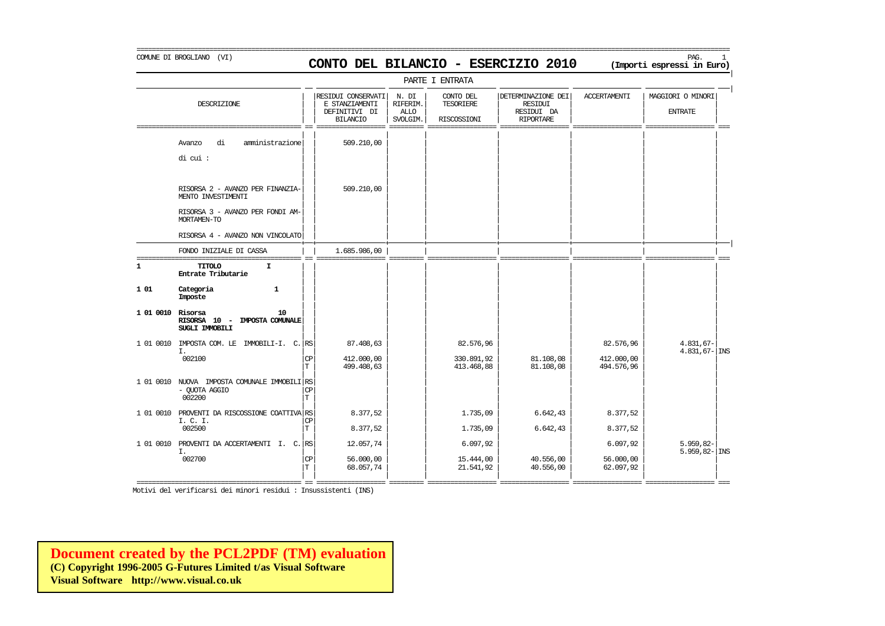### COMUNE DI BROGLIANO (VI) PAG. 1 **CONTO DEL BILANCIO - ESERCIZIO 2010 (Importi espressi in Euro)**

|                   |                                                                                                           |           |                                                                          |                                              | PARTE I ENTRATA                       |                                                                        |                          |                                     |
|-------------------|-----------------------------------------------------------------------------------------------------------|-----------|--------------------------------------------------------------------------|----------------------------------------------|---------------------------------------|------------------------------------------------------------------------|--------------------------|-------------------------------------|
|                   | DESCRIZIONE                                                                                               |           | RESIDUI CONSERVATI<br>E STANZIAMENTI<br>DEFINITIVI DI<br><b>BILANCIO</b> | N. DI<br>RIFERIM.<br><b>ALLO</b><br>SVOLGIM. | CONTO DEL<br>TESORIERE<br>RISCOSSIONI | DETERMINAZIONE DEI<br><b>RESIDUI</b><br>RESIDUI DA<br><b>RIPORTARE</b> | <b>ACCERTAMENTI</b>      | MAGGIORI O MINORI<br><b>ENTRATE</b> |
|                   | amministrazione<br>di<br>Avanzo<br>di cui :                                                               |           | 509.210,00                                                               |                                              |                                       |                                                                        |                          |                                     |
|                   | RISORSA 2 - AVANZO PER FINANZIA-<br>MENTO INVESTIMENTI<br>RISORSA 3 - AVANZO PER FONDI AM-<br>MORTAMEN-TO |           | 509,210,00                                                               |                                              |                                       |                                                                        |                          |                                     |
|                   | RISORSA 4 - AVANZO NON VINCOLATO                                                                          |           |                                                                          |                                              |                                       |                                                                        |                          |                                     |
|                   | FONDO INIZIALE DI CASSA                                                                                   |           | 1.685.986,00                                                             |                                              |                                       |                                                                        |                          |                                     |
| 1                 | <b>TITOLO</b><br>$\mathbf{I}$<br>Entrate Tributarie                                                       |           |                                                                          |                                              |                                       |                                                                        |                          |                                     |
| 101               | Categoria<br>$\mathbf{1}$<br>Imposte                                                                      |           |                                                                          |                                              |                                       |                                                                        |                          |                                     |
| 1 01 0010 Risorsa | 10<br>RISORSA 10 -<br>IMPOSTA COMUNALE<br>SUGLI IMMOBILI                                                  |           |                                                                          |                                              |                                       |                                                                        |                          |                                     |
|                   | 1 01 0010 IMPOSTA COM. LE IMMOBILI-I. C.<br>I.                                                            | <b>RS</b> | 87.408,63                                                                |                                              | 82.576,96                             |                                                                        | 82.576,96                | $4.831,67-$<br>$4.831,67$ - INS     |
|                   | 002100                                                                                                    | CP<br>T.  | 412.000,00<br>499.408,63                                                 |                                              | 330.891,92<br>413.468,88              | 81.108,08<br>81,108,08                                                 | 412.000,00<br>494.576,96 |                                     |
|                   | 1 01 0010 NUOVA IMPOSTA COMUNALE IMMOBILI RS<br>- OUOTA AGGIO<br>002200                                   | CP<br>T   |                                                                          |                                              |                                       |                                                                        |                          |                                     |
| 1 01 0010         | PROVENTI DA RISCOSSIONE COATTIVA RS<br>I. C. I.                                                           | <b>CP</b> | 8.377,52                                                                 |                                              | 1.735,09                              | 6.642,43                                                               | 8.377,52                 |                                     |
|                   | 002500                                                                                                    | T         | 8.377,52                                                                 |                                              | 1.735,09                              | 6.642,43                                                               | 8.377,52                 |                                     |
| 1 01 0010         | PROVENTI DA ACCERTAMENTI I. C. RS<br>I.                                                                   |           | 12.057,74                                                                |                                              | 6.097,92                              |                                                                        | 6.097,92                 | $5.959,82-$<br>$5.959, 82 -  $ INS  |
|                   | 002700                                                                                                    | CP<br>T.  | 56,000,00<br>68.057,74                                                   |                                              | 15.444,00<br>21.541,92                | 40.556,00<br>40.556,00                                                 | 56.000,00<br>62.097,92   |                                     |

Motivi del verificarsi dei minori residui : Insussistenti (INS)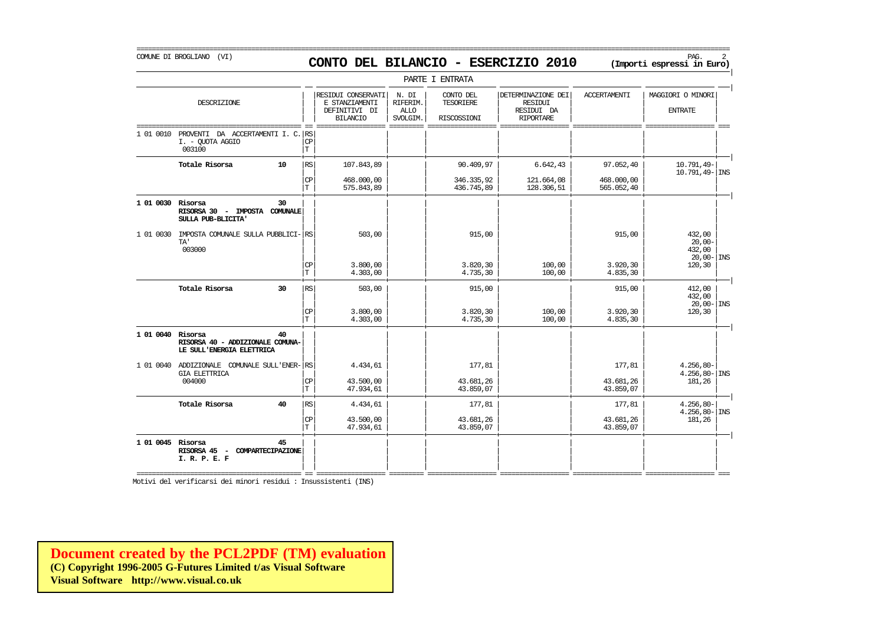=========================================================================================================================================================== COMUNE DI BROGLIANO (VI) PAG. 2 **CONTO DEL BILANCIO - ESERCIZIO 2010 (Importi espressi in Euro)** 

|                                       |                                                                                                               |                                                                           |                                                                                                                         |                                              | PARIE I ENIRAIA                              |                                                                        |                          |                                                       |
|---------------------------------------|---------------------------------------------------------------------------------------------------------------|---------------------------------------------------------------------------|-------------------------------------------------------------------------------------------------------------------------|----------------------------------------------|----------------------------------------------|------------------------------------------------------------------------|--------------------------|-------------------------------------------------------|
| DESCRIZIONE                           |                                                                                                               |                                                                           | E STANZIAMENTI<br>DEFINITIVI DI<br><b>BILANCIO</b>                                                                      | N. DI<br>RIFERIM.<br><b>ALLO</b><br>SVOLGIM. | CONTO DEL<br><b>TESORIERE</b><br>RISCOSSIONI | DETERMINAZIONE DEI<br><b>RESIDUI</b><br>RESIDUI DA<br><b>RIPORTARE</b> | <b>ACCERTAMENTI</b>      | MAGGIORI O MINORI<br><b>ENTRATE</b>                   |
| I. - QUOTA AGGIO<br>003100            |                                                                                                               | $\mathbb{C}\mathbb{P}$<br>$\mathbf T$                                     |                                                                                                                         |                                              |                                              |                                                                        |                          |                                                       |
| Totale Risorsa                        | 10                                                                                                            | RS                                                                        | 107.843,89                                                                                                              |                                              | 90.409,97                                    | 6.642, 43                                                              | 97.052,40                | 10.791,49-<br>$10.791, 49 -$ INS                      |
|                                       |                                                                                                               | CP<br>$\mathbf T$                                                         | 468,000,00<br>575.843,89                                                                                                |                                              | 346.335,92<br>436.745,89                     | 121.664,08<br>128.306,51                                               | 468.000,00<br>565.052,40 |                                                       |
| RISORSA 30 -<br>SULLA PUB-BLICITA'    | 30                                                                                                            |                                                                           |                                                                                                                         |                                              |                                              |                                                                        |                          |                                                       |
| TA'<br>003000                         |                                                                                                               |                                                                           | 503,00                                                                                                                  |                                              | 915,00                                       |                                                                        | 915,00                   | 432,00<br>$20,00-$<br>432,00<br>$20,00 -  \text{INS}$ |
|                                       |                                                                                                               | CP<br>$\mathbf T$                                                         | 3.800,00<br>4.303,00                                                                                                    |                                              | 3.820,30<br>4.735,30                         | 100,00<br>100,00                                                       | 3.920,30<br>4.835,30     | 120,30                                                |
| Totale Risorsa                        | 30                                                                                                            | RS                                                                        | 503,00                                                                                                                  |                                              | 915,00                                       |                                                                        | 915,00                   | 412,00<br>432,00                                      |
|                                       |                                                                                                               | CP<br>$\mathbf T$                                                         | 3.800,00<br>4.303,00                                                                                                    |                                              | 3.820,30<br>4.735,30                         | 100,00<br>100,00                                                       | 3.920,30<br>4.835,30     | $20,00 -$ INS<br>120,30                               |
| LE SULL'ENERGIA ELETTRICA             | 40                                                                                                            |                                                                           |                                                                                                                         |                                              |                                              |                                                                        |                          |                                                       |
|                                       |                                                                                                               |                                                                           | 4.434,61                                                                                                                |                                              | 177.81                                       |                                                                        | 177,81                   | $4.256,80-$<br>$4.256,80 -$ INS                       |
| 004000                                |                                                                                                               | $\mathbb{C}\mathbb{P}$<br>$\mathbf T$                                     | 43.500,00<br>47.934,61                                                                                                  |                                              | 43.681,26<br>43.859,07                       |                                                                        | 43.681,26<br>43.859,07   | 181,26                                                |
| Totale Risorsa                        | 40                                                                                                            | RS                                                                        | 4.434,61                                                                                                                |                                              | 177,81                                       |                                                                        | 177,81                   | $4.256,80-$<br>$4.256,80 -$ INS                       |
|                                       |                                                                                                               | CP<br>$\mathbf T$                                                         | 43.500,00<br>47.934,61                                                                                                  |                                              | 43.681,26<br>43.859,07                       |                                                                        | 43.681,26<br>43.859,07   | 181,26                                                |
| RISORSA 45<br>$\sim$<br>I. R. P. E. F | 45                                                                                                            |                                                                           |                                                                                                                         |                                              |                                              |                                                                        |                          |                                                       |
|                                       | 1 01 0010<br>1 01 0030 Risorsa<br>1 01 0030<br>1 01 0040 Risorsa<br><b>GIA ELETTRICA</b><br>1 01 0045 Risorsa | IMPOSTA COMUNALE<br>RISORSA 40 - ADDIZIONALE COMUNA-<br>COMPARTECIPAZIONE | PROVENTI DA ACCERTAMENTI I. C. RS<br>IMPOSTA COMUNALE SULLA PUBBLICI- RS<br>1 01 0040 ADDIZIONALE COMUNALE SULL'ENER-RS |                                              | RESIDUI CONSERVATI                           |                                                                        |                          |                                                       |

PARTE I ENTRATA

|

Motivi del verificarsi dei minori residui : Insussistenti (INS)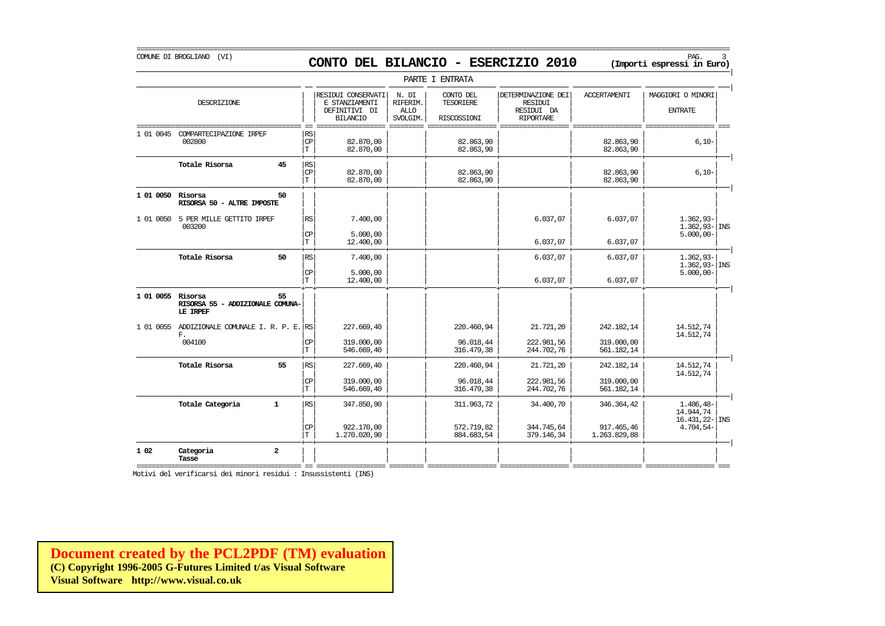COMUNE DI BROGLIANO (VI) PAG. 3 **CONTO DEL BILANCIO - ESERCIZIO 2010 (Importi espressi in Euro)** 

|                   |                                                     |                |                          |                                                                          |                                              | PARTE I ENTRATA                              |                                                                        |                            |                                     |
|-------------------|-----------------------------------------------------|----------------|--------------------------|--------------------------------------------------------------------------|----------------------------------------------|----------------------------------------------|------------------------------------------------------------------------|----------------------------|-------------------------------------|
|                   | DESCRIZIONE                                         |                |                          | RESIDUI CONSERVATI<br>E STANZIAMENTI<br>DEFINITIVI DI<br><b>BILANCIO</b> | N. DI<br>RIFERIM.<br><b>ALLO</b><br>SVOLGIM. | CONTO DEL<br><b>TESORIERE</b><br>RISCOSSIONI | DETERMINAZIONE DEI<br><b>RESIDUI</b><br>RESIDUI DA<br><b>RIPORTARE</b> | <b>ACCERTAMENTI</b>        | MAGGIORI O MINORI<br><b>ENTRATE</b> |
| 1 01 0045         | COMPARTECIPAZIONE IRPEF<br>002800                   |                | RS<br>CP<br>$\mathbf T$  | 82.870,00<br>82.870,00                                                   |                                              | 82.863,90<br>82.863,90                       |                                                                        | 82.863,90<br>82.863,90     | $6,10-$                             |
|                   | Totale Risorsa                                      | 45             | RS<br>CP<br>$\mathbf T$  | 82.870.00<br>82.870,00                                                   |                                              | 82.863.90<br>82.863,90                       |                                                                        | 82.863.90<br>82.863,90     | $6,10-$                             |
| 1 01 0050 Risorsa | RISORSA 50 - ALTRE IMPOSTE                          | 50             |                          |                                                                          |                                              |                                              |                                                                        |                            |                                     |
| 1 01 0050         | 5 PER MILLE GETTITO IRPEF<br>003200                 |                | RS                       | 7.400,00                                                                 |                                              |                                              | 6.037,07                                                               | 6.037,07                   | $1.362,93-$<br>$1.362,93 -$ INS     |
|                   |                                                     |                | CP<br>$\mathbf T$        | 5.000,00<br>12.400,00                                                    |                                              |                                              | 6.037,07                                                               | 6.037,07                   | $5.000,00 -$                        |
|                   | Totale Risorsa                                      | 50             | RS                       | 7.400,00                                                                 |                                              |                                              | 6.037,07                                                               | 6.037,07                   | $1.362.93-$<br>$1.362,93 -$ INS     |
|                   |                                                     |                | CP<br>$\mathbf T$        | 5,000,00<br>12,400,00                                                    |                                              |                                              | 6.037,07                                                               | 6.037,07                   | $5.000,00 -$                        |
| 1 01 0055 Risorsa | RISORSA 55 - ADDIZIONALE COMUNA-<br>LE IRPEF        | 55             |                          |                                                                          |                                              |                                              |                                                                        |                            |                                     |
|                   | 1 01 0055 ADDIZIONALE COMUNALE I. R. P. E. RS<br>F. |                |                          | 227.669,40                                                               |                                              | 220.460,94                                   | 21,721,20                                                              | 242.182,14                 | 14.512,74<br>14.512,74              |
|                   | 004100                                              |                | <b>CP</b><br>$\mathbf T$ | 319,000,00<br>546.669,40                                                 |                                              | 96.018,44<br>316.479,38                      | 222.981,56<br>244.702,76                                               | 319.000,00<br>561.182,14   |                                     |
|                   | Totale Risorsa                                      | 55             | RS                       | 227.669,40                                                               |                                              | 220.460,94                                   | 21.721,20                                                              | 242.182,14                 | 14.512,74<br>14.512,74              |
|                   |                                                     |                | CP<br>$\mathbf T$        | 319,000,00<br>546.669,40                                                 |                                              | 96.018,44<br>316.479,38                      | 222.981,56<br>244.702,76                                               | 319.000,00<br>561.182,14   |                                     |
|                   | Totale Categoria                                    | $\mathbf{1}$   | RS                       | 347.850,90                                                               |                                              | 311.963,72                                   | 34,400,70                                                              | 346.364,42                 | $1.486, 48-$<br>14.944,74           |
|                   |                                                     |                | CP<br>T.                 | 922,170,00<br>1,270,020,90                                               |                                              | 572.719,82<br>884.683,54                     | 344.745,64<br>379.146,34                                               | 917.465,46<br>1,263,829,88 | $16.431,22$ - INS<br>$4.704,54-$    |
| 1 0 2             | Categoria<br>Tasse                                  | $\overline{a}$ |                          |                                                                          |                                              |                                              |                                                                        |                            |                                     |

=========================================== == ================== ========= ================== ================== ================== ================== === Motivi del verificarsi dei minori residui : Insussistenti (INS)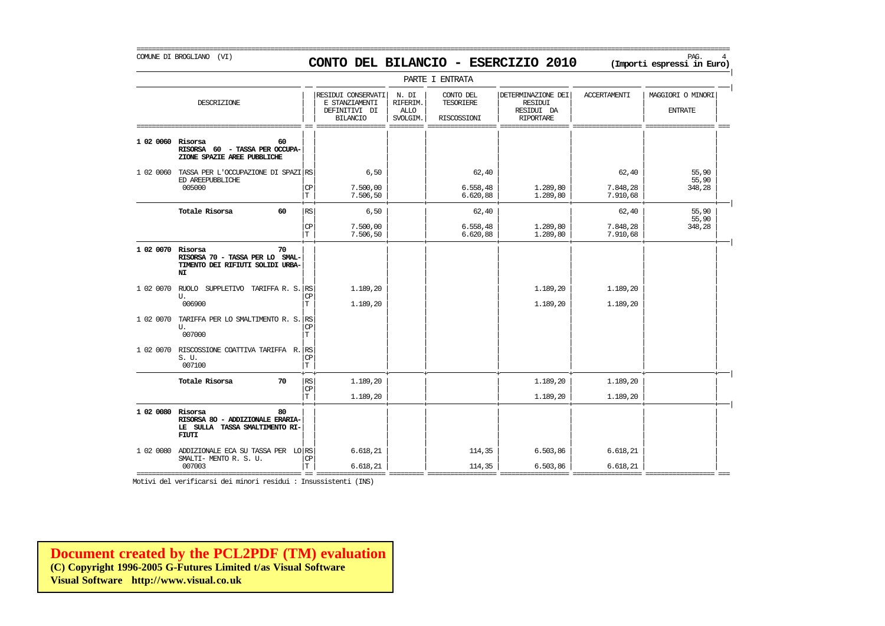### COMUNE DI BROGLIANO (VI) PAG. 4 **CONTO DEL BILANCIO - ESERCIZIO 2010 (Importi espressi in Euro)**

===========================================================================================================================================================

|                   |                                                                                              |                 |                                                                          |                                              | PARTE I ENTRATA                       |                                                                        |                               |                                     |
|-------------------|----------------------------------------------------------------------------------------------|-----------------|--------------------------------------------------------------------------|----------------------------------------------|---------------------------------------|------------------------------------------------------------------------|-------------------------------|-------------------------------------|
|                   | DESCRIZIONE                                                                                  |                 | RESIDUI CONSERVATI<br>E STANZIAMENTI<br>DEFINITIVI DI<br><b>BILANCIO</b> | N. DI<br>RIFERIM.<br><b>ALLO</b><br>SVOLGIM. | CONTO DEL<br>TESORIERE<br>RISCOSSIONI | DETERMINAZIONE DEI<br><b>RESIDUI</b><br>RESIDUI DA<br><b>RIPORTARE</b> | <b>ACCERTAMENTI</b>           | MAGGIORI O MINORI<br><b>ENTRATE</b> |
| 1 02 0060         | 60<br>Risorsa<br>RISORSA 60 - TASSA PER OCCUPA-<br>ZIONE SPAZIE AREE PUBBLICHE               |                 |                                                                          |                                              |                                       |                                                                        |                               |                                     |
| 1 02 0060         | TASSA PER L'OCCUPAZIONE DI SPAZI RS<br>ED AREEPUBBLICHE<br>005000                            | CP<br>T         | 6,50<br>7.500,00<br>7.506,50                                             |                                              | 62,40<br>6.558, 48<br>6.620,88        | 1.289,80<br>1.289,80                                                   | 62,40<br>7.848,28<br>7.910,68 | 55,90<br>55,90<br>348,28            |
|                   | Totale Risorsa<br>60                                                                         | RS<br>CP<br>T   | 6,50<br>7.500,00<br>7.506,50                                             |                                              | 62,40<br>6.558,48<br>6.620,88         | 1,289,80<br>1.289,80                                                   | 62,40<br>7.848,28<br>7.910,68 | 55,90<br>55,90<br>348,28            |
| 1 02 0070 Risorsa | 70<br>RISORSA 70 - TASSA PER LO SMAL-<br>TIMENTO DEI RIFIUTI SOLIDI URBA-<br>NI              |                 |                                                                          |                                              |                                       |                                                                        |                               |                                     |
| 1 02 0070         | RUOLO SUPPLETIVO TARIFFA R. S. RS<br>U.<br>006900                                            | СP<br>Т         | 1.189,20<br>1.189,20                                                     |                                              |                                       | 1.189,20<br>1.189,20                                                   | 1.189,20<br>1.189,20          |                                     |
| 1 02 0070         | TARIFFA PER LO SMALTIMENTO R. S. RS<br>U.<br>007000                                          | <b>CP</b><br>T  |                                                                          |                                              |                                       |                                                                        |                               |                                     |
| 1 02 0070         | RISCOSSIONE COATTIVA TARIFFA R. RS<br>S. U.<br>007100                                        | СP<br>T         |                                                                          |                                              |                                       |                                                                        |                               |                                     |
|                   | Totale Risorsa<br>70                                                                         | RS.<br>CP<br>IТ | 1,189,20<br>1,189,20                                                     |                                              |                                       | 1.189,20<br>1.189,20                                                   | 1.189,20<br>1.189,20          |                                     |
| 1 02 0080         | Risorsa<br>80<br>RISORSA 80 - ADDIZIONALE ERARIA-<br>LE SULLA TASSA SMALTIMENTO RI-<br>FIUTI |                 |                                                                          |                                              |                                       |                                                                        |                               |                                     |
| 1 02 0080         | ADDIZIONALE ECA SU TASSA PER LO RS<br>SMALTI- MENTO R. S. U.<br>007003                       | CP<br>T         | 6.618, 21<br>6.618, 21                                                   |                                              | 114,35<br>114,35                      | 6.503,86<br>6.503,86                                                   | 6.618, 21<br>6.618,21         |                                     |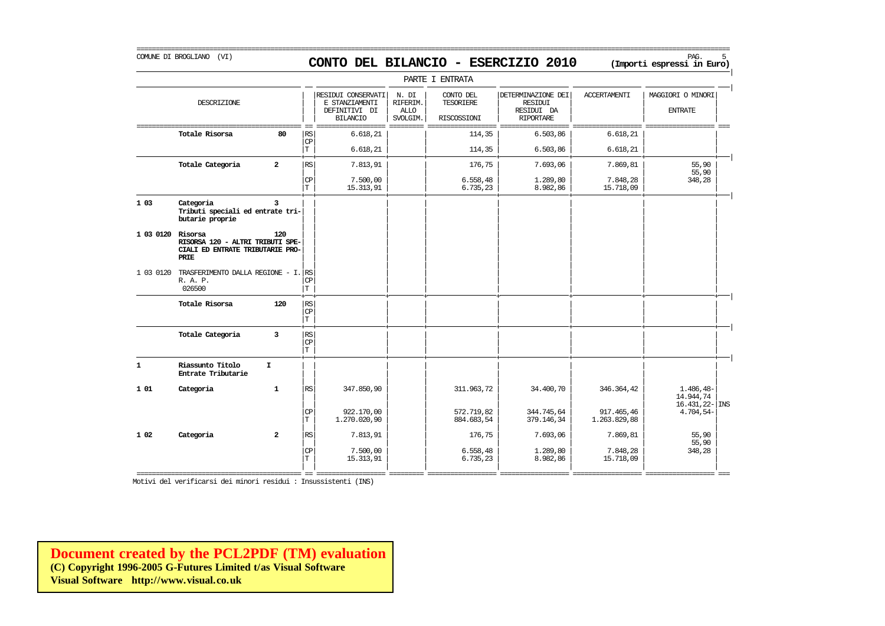### COMUNE DI BROGLIANO (VI) PAG. 5 **CONTO DEL BILANCIO - ESERCIZIO 2010 (Importi espressi in Euro)**

===========================================================================================================================================================

|              |                                                                                         |                |                                   |                                                                          |                                              | PARTE I ENTRATA                       |                                                                 |                            |                                                   |
|--------------|-----------------------------------------------------------------------------------------|----------------|-----------------------------------|--------------------------------------------------------------------------|----------------------------------------------|---------------------------------------|-----------------------------------------------------------------|----------------------------|---------------------------------------------------|
|              | DESCRIZIONE                                                                             |                |                                   | RESIDUI CONSERVATI<br>E STANZIAMENTI<br>DEFINITIVI DI<br><b>BILANCIO</b> | N. DI<br>RIFERIM.<br><b>ALLO</b><br>SVOLGIM. | CONTO DEL<br>TESORIERE<br>RISCOSSIONI | DETERMINAZIONE DEI<br>RESIDUI<br>RESIDUI DA<br><b>RIPORTARE</b> | <b>ACCERTAMENTI</b>        | MAGGIORI O MINORI<br><b>ENTRATE</b>               |
|              | Totale Risorsa                                                                          | 80             | <b>RS</b><br>CP                   | 6.618, 21                                                                |                                              | 114,35                                | 6.503,86                                                        | 6.618, 21                  |                                                   |
|              |                                                                                         |                | T                                 | 6.618, 21                                                                |                                              | 114,35                                | 6.503,86                                                        | 6.618, 21                  |                                                   |
|              | Totale Categoria                                                                        | $\overline{a}$ | RS.                               | 7.813,91                                                                 |                                              | 176,75                                | 7.693,06                                                        | 7.869,81                   | 55,90                                             |
|              |                                                                                         |                | $\mathbf{C}\mathbf{P}$<br>T       | 7.500,00<br>15.313,91                                                    |                                              | 6.558, 48<br>6.735,23                 | 1,289,80<br>8.982,86                                            | 7.848,28<br>15.718,09      | 55,90<br>348,28                                   |
| 1 03         | Categoria<br>Tributi speciali ed entrate tri-<br>butarie proprie                        | 3              |                                   |                                                                          |                                              |                                       |                                                                 |                            |                                                   |
| 1 03 0120    | Risorsa<br>RISORSA 120 - ALTRI TRIBUTI SPE-<br>CIALI ED ENTRATE TRIBUTARIE PRO-<br>PRIE | 120            |                                   |                                                                          |                                              |                                       |                                                                 |                            |                                                   |
| 1 03 0120    | TRASFERIMENTO DALLA REGIONE - I. RS<br>R. A. P.<br>026500                               |                | $\mathbf{CP}$<br>T                |                                                                          |                                              |                                       |                                                                 |                            |                                                   |
|              | Totale Risorsa                                                                          | 120            | RS<br>$\mathbf{C}\mathbf{P}$<br>T |                                                                          |                                              |                                       |                                                                 |                            |                                                   |
|              | Totale Categoria                                                                        | 3              | RS<br>CP<br>İТ                    |                                                                          |                                              |                                       |                                                                 |                            |                                                   |
| $\mathbf{1}$ | Riassunto Titolo<br>Entrate Tributarie                                                  | $\mathbf{I}$   |                                   |                                                                          |                                              |                                       |                                                                 |                            |                                                   |
| 101          | Categoria                                                                               | $\mathbf{1}$   | $\mathbb{R}\mathbb{S}$            | 347.850,90                                                               |                                              | 311.963,72                            | 34.400,70                                                       | 346.364,42                 | $1.486, 48-$<br>14.944.74<br>$16.431, 22 -  $ INS |
|              |                                                                                         |                | CP<br>T                           | 922,170,00<br>1.270.020,90                                               |                                              | 572.719,82<br>884.683,54              | 344.745,64<br>379.146,34                                        | 917.465,46<br>1.263.829,88 | $4.704,54-$                                       |
| 1 0 2        | Categoria                                                                               | $\overline{a}$ | RS                                | 7.813,91                                                                 |                                              | 176,75                                | 7.693,06                                                        | 7.869,81                   | 55,90<br>55,90                                    |
|              |                                                                                         |                | CP<br>T                           | 7.500,00<br>15.313,91                                                    |                                              | 6.558, 48<br>6.735,23                 | 1,289,80<br>8.982,86                                            | 7.848,28<br>15.718,09      | 348,28                                            |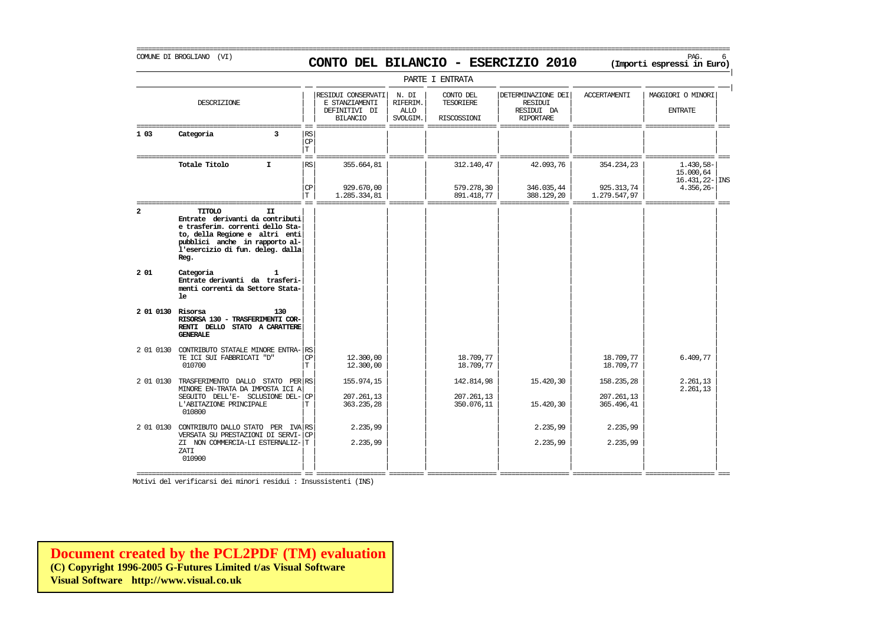### COMUNE DI BROGLIANO (VI) PAG. 6 **CONTO DEL BILANCIO - ESERCIZIO 2010 (Importi espressi in Euro)**

===========================================================================================================================================================

|                   | PARTE I ENTRATA                                                                                                                                                                                            |                      |                                                                          |                                              |                                              |                                                                        |                          |                                                           |  |  |  |
|-------------------|------------------------------------------------------------------------------------------------------------------------------------------------------------------------------------------------------------|----------------------|--------------------------------------------------------------------------|----------------------------------------------|----------------------------------------------|------------------------------------------------------------------------|--------------------------|-----------------------------------------------------------|--|--|--|
|                   | DESCRIZIONE                                                                                                                                                                                                |                      | RESIDUI CONSERVATI<br>E STANZIAMENTI<br>DEFINITIVI DI<br><b>BILANCIO</b> | N. DI<br>RIFERIM.<br><b>ALLO</b><br>SVOLGIM. | CONTO DEL<br><b>TESORIERE</b><br>RISCOSSIONI | DETERMINAZIONE DEI<br><b>RESIDUI</b><br>RESIDUI DA<br><b>RIPORTARE</b> | <b>ACCERTAMENTI</b>      | MAGGIORI O MINORI<br><b>ENTRATE</b>                       |  |  |  |
| 1 03              | Categoria<br>3                                                                                                                                                                                             | RS<br>CP<br>T        |                                                                          |                                              |                                              |                                                                        |                          |                                                           |  |  |  |
|                   | Totale Titolo<br>I.                                                                                                                                                                                        | RS<br>CP             | 355.664,81<br>929.670,00                                                 |                                              | 312.140,47<br>579.278,30                     | 42.093,76<br>346.035,44                                                | 354.234,23<br>925.313,74 | 1.430,58-<br>15.000,64<br>$16.431, 22$ - INS<br>4.356,26- |  |  |  |
|                   |                                                                                                                                                                                                            | T.                   | 1.285.334,81                                                             |                                              | 891.418,77                                   | 388.129,20                                                             | 1.279.547,97             |                                                           |  |  |  |
| $\mathbf{2}$      | <b>TITOLO</b><br>II<br>Entrate derivanti da contributi<br>e trasferim. correnti dello Sta-<br>to, della Regione e altri enti<br>pubblici anche in rapporto al-<br>l'esercizio di fun. deleg. dalla<br>Reg. |                      |                                                                          |                                              |                                              |                                                                        |                          |                                                           |  |  |  |
| 201               | Categoria<br>Entrate derivanti da trasferi-<br>menti correnti da Settore Stata-<br>le                                                                                                                      |                      |                                                                          |                                              |                                              |                                                                        |                          |                                                           |  |  |  |
| 2 01 0130 Risorsa | 130<br>RISORSA 130 - TRASFERIMENTI COR-<br>RENTI DELLO STATO A CARATTERE<br><b>GENERALE</b>                                                                                                                |                      |                                                                          |                                              |                                              |                                                                        |                          |                                                           |  |  |  |
|                   | 2 01 0130 CONTRIBUTO STATALE MINORE ENTRA-<br>TE ICI SUI FABBRICATI "D"<br>010700                                                                                                                          | RS<br><b>CP</b><br>T | 12,300,00<br>12,300,00                                                   |                                              | 18.709,77<br>18.709,77                       |                                                                        | 18.709,77<br>18.709,77   | 6.409,77                                                  |  |  |  |
| 2 01 0130         | TRASFERIMENTO DALLO STATO PER RS<br>MINORE EN-TRATA DA IMPOSTA ICI A                                                                                                                                       |                      | 155.974,15                                                               |                                              | 142.814,98                                   | 15.420,30                                                              | 158.235,28               | 2.261,13<br>2.261,13                                      |  |  |  |
|                   | SEGUITO DELL'E- SCLUSIONE DEL-<br>L'ABITAZIONE PRINCIPALE<br>010800                                                                                                                                        | СP<br>T.             | 207.261,13<br>363.235,28                                                 |                                              | 207.261,13<br>350.076,11                     | 15.420,30                                                              | 207.261,13<br>365.496,41 |                                                           |  |  |  |
| 2 01 0130         | CONTRIBUTO DALLO STATO PER IVA RS<br>VERSATA SU PRESTAZIONI DI SERVI-                                                                                                                                      | <b>CP</b>            | 2.235,99                                                                 |                                              |                                              | 2.235,99                                                               | 2.235,99                 |                                                           |  |  |  |
|                   | ZI NON COMMERCIA-LI ESTERNALIZ-<br>ZATI<br>010900                                                                                                                                                          | T                    | 2.235,99                                                                 |                                              |                                              | 2.235,99                                                               | 2.235,99                 |                                                           |  |  |  |
|                   |                                                                                                                                                                                                            |                      |                                                                          |                                              |                                              |                                                                        |                          |                                                           |  |  |  |

Motivi del verificarsi dei minori residui : Insussistenti (INS)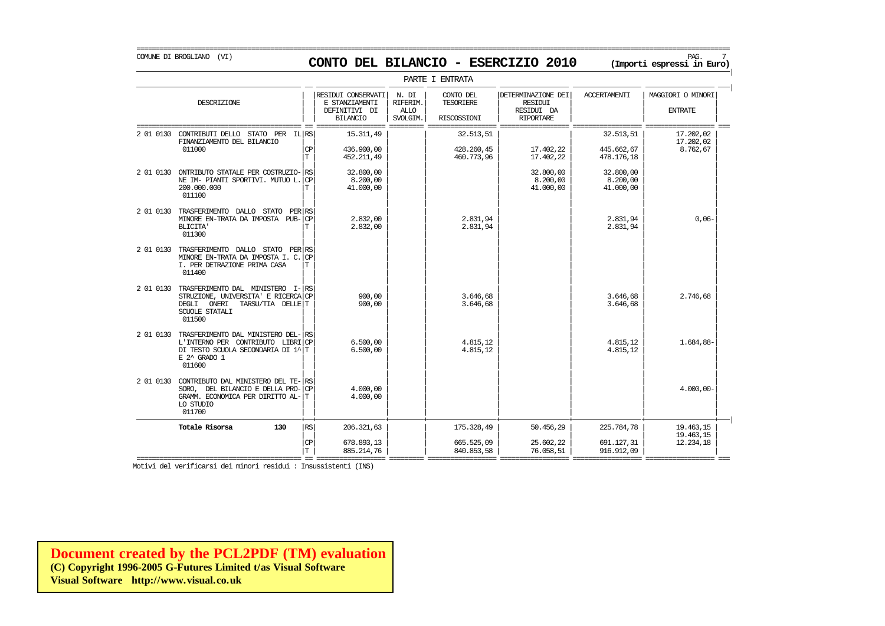### COMUNE DI BROGLIANO (VI) PAG. 7 **CONTO DEL BILANCIO - ESERCIZIO 2010 (Importi espressi in Euro)**

===========================================================================================================================================================

|           | PARTE I ENTRATA                                                                                                                          |                              |                                                                          |                                              |                                              |                                                                        |                                        |                                     |  |  |  |
|-----------|------------------------------------------------------------------------------------------------------------------------------------------|------------------------------|--------------------------------------------------------------------------|----------------------------------------------|----------------------------------------------|------------------------------------------------------------------------|----------------------------------------|-------------------------------------|--|--|--|
|           | DESCRIZIONE                                                                                                                              |                              | RESIDUI CONSERVATI<br>E STANZIAMENTI<br>DEFINITIVI DI<br><b>BILANCIO</b> | N. DI<br>RIFERIM.<br><b>ALLO</b><br>SVOLGIM. | CONTO DEL<br><b>TESORIERE</b><br>RISCOSSIONI | DETERMINAZIONE DEI<br><b>RESIDUI</b><br>RESIDUI DA<br><b>RIPORTARE</b> | <b>ACCERTAMENTI</b>                    | MAGGIORI O MINORI<br><b>ENTRATE</b> |  |  |  |
| 2 01 0130 | STATO PER IL RS<br>CONTRIBUTI DELLO<br>FINANZIAMENTO DEL BILANCIO<br>011000                                                              | <b>CP</b><br>T.              | 15.311.49<br>436.900,00<br>452.211,49                                    |                                              | 32.513.51<br>428.260,45<br>460.773,96        | 17.402,22<br>17.402,22                                                 | 32.513.51<br>445.662.67<br>478.176,18  | 17.202,02<br>17.202.02<br>8.762,67  |  |  |  |
| 2 01 0130 | ONTRIBUTO STATALE PER COSTRUZIO-<br>NE IM- PIANTI SPORTIVI. MUTUO L.<br>200,000,000<br>011100                                            | <b>RS</b><br><b>CP</b><br>Т  | 32,800,00<br>8.200,00<br>41,000,00                                       |                                              |                                              | 32.800,00<br>8.200,00<br>41.000,00                                     | 32.800,00<br>8,200,00<br>41.000,00     |                                     |  |  |  |
| 2 01 0130 | TRASFERIMENTO DALLO STATO<br>PER RS<br>MINORE EN-TRATA DA IMPOSTA PUB-<br><b>BLICITA'</b><br>011300                                      | CP<br>T                      | 2.832.00<br>2,832,00                                                     |                                              | 2.831.94<br>2.831,94                         |                                                                        | 2.831.94<br>2.831,94                   | $0,06-$                             |  |  |  |
| 2 01 0130 | TRASFERIMENTO DALLO STATO PER<br>MINORE EN-TRATA DA IMPOSTA I.C.<br>I. PER DETRAZIONE PRIMA CASA<br>011400                               | <b>RS</b><br><b>CP</b><br>T. |                                                                          |                                              |                                              |                                                                        |                                        |                                     |  |  |  |
| 2 01 0130 | TRASFERIMENTO DAL MINISTERO<br>STRUZIONE, UNIVERSITA' E RICERCA<br>DEGLI<br>TARSU/TIA DELLET<br>ONERI<br><b>SCUOLE STATALI</b><br>011500 | $I-$ RS<br>l CP              | 900,00<br>900,00                                                         |                                              | 3.646.68<br>3.646,68                         |                                                                        | 3.646.68<br>3.646,68                   | 2.746,68                            |  |  |  |
| 2 01 0130 | TRASFERIMENTO DAL MINISTERO DEL-<br>L'INTERNO PER CONTRIBUTO LIBRICP<br>DI TESTO SCUOLA SECONDARIA DI 1^ T<br>E 2^ GRADO 1<br>011600     | <b>RS</b>                    | 6.500.00<br>6.500,00                                                     |                                              | 4.815.12<br>4.815.12                         |                                                                        | 4.815,12<br>4.815.12                   | 1.684.88-                           |  |  |  |
| 2 01 0130 | CONTRIBUTO DAL MINISTERO DEL TE- RS<br>SORO, DEL BILANCIO E DELLA PRO-<br>GRAMM. ECONOMICA PER DIRITTO AL-<br>LO STUDIO<br>011700        | <b>CP</b><br>т               | 4,000,00<br>4,000,00                                                     |                                              |                                              |                                                                        |                                        | $4.000,00 -$                        |  |  |  |
|           | Totale Risorsa<br>130                                                                                                                    | RS<br><b>CP</b><br>Т         | 206.321,63<br>678.893,13<br>885.214,76                                   |                                              | 175.328,49<br>665.525,09<br>840.853,58       | 50.456,29<br>25.602,22<br>76.058,51                                    | 225.784,78<br>691.127,31<br>916.912,09 | 19.463,15<br>19.463,15<br>12.234,18 |  |  |  |

Motivi del verificarsi dei minori residui : Insussistenti (INS)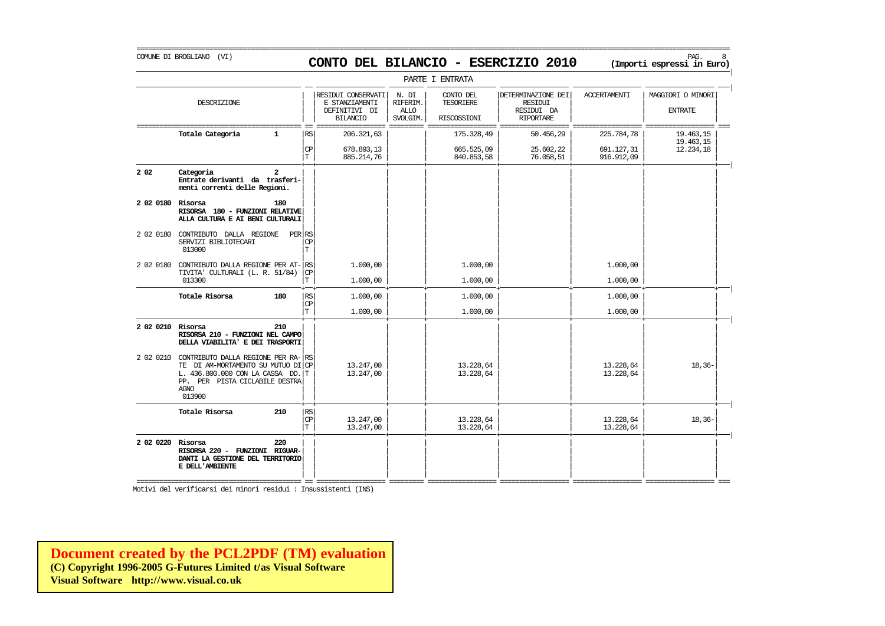### COMUNE DI BROGLIANO (VI) PAG. 8 **CONTO DEL BILANCIO - ESERCIZIO 2010 (Importi espressi in Euro)**

|                   |                                                                                                                                                                           |                        |                                                                          |                                              | PARTE I ENTRATA                       |                                                                        |                          |                                     |
|-------------------|---------------------------------------------------------------------------------------------------------------------------------------------------------------------------|------------------------|--------------------------------------------------------------------------|----------------------------------------------|---------------------------------------|------------------------------------------------------------------------|--------------------------|-------------------------------------|
|                   | DESCRIZIONE                                                                                                                                                               |                        | RESIDUI CONSERVATI<br>E STANZIAMENTI<br>DEFINITIVI DI<br><b>BILANCIO</b> | N. DI<br>RIFERIM.<br><b>ALLO</b><br>SVOLGIM. | CONTO DEL<br>TESORIERE<br>RISCOSSIONI | DETERMINAZIONE DEI<br><b>RESIDUI</b><br>RESIDUI DA<br><b>RIPORTARE</b> | <b>ACCERTAMENTI</b>      | MAGGIORI O MINORI<br><b>ENTRATE</b> |
|                   | Totale Categoria<br>1                                                                                                                                                     | RS                     | 206.321,63                                                               |                                              | 175.328,49                            | 50.456,29                                                              | 225.784,78               | 19.463,15<br>19.463,15              |
|                   |                                                                                                                                                                           | CP<br>T                | 678.893,13<br>885.214,76                                                 |                                              | 665.525,09<br>840.853,58              | 25.602,22<br>76.058,51                                                 | 691.127,31<br>916.912,09 | 12.234,18                           |
| 2 0 2             | Categoria<br>2<br>Entrate derivanti da trasferi-<br>menti correnti delle Regioni.                                                                                         |                        |                                                                          |                                              |                                       |                                                                        |                          |                                     |
| 2 02 0180 Risorsa | 180<br>RISORSA 180 - FUNZIONI RELATIVE<br>ALLA CULTURA E AI BENI CULTURALI                                                                                                |                        |                                                                          |                                              |                                       |                                                                        |                          |                                     |
| 2 02 0180         | CONTRIBUTO DALLA REGIONE<br>SERVIZI BIBLIOTECARI<br>013000                                                                                                                | PER RS<br>СP<br>T      |                                                                          |                                              |                                       |                                                                        |                          |                                     |
| 2 02 0180         | CONTRIBUTO DALLA REGIONE PER AT-RS<br>TIVITA' CULTURALI (L. R. 51/84)                                                                                                     | $\mathbb{C}\mathbb{P}$ | 1.000,00                                                                 |                                              | 1.000,00                              |                                                                        | 1.000,00                 |                                     |
|                   | 013300                                                                                                                                                                    | T                      | 1,000,00                                                                 |                                              | 1,000,00                              |                                                                        | 1,000,00                 |                                     |
|                   | Totale Risorsa<br>180                                                                                                                                                     | RS<br>CP               | 1.000,00                                                                 |                                              | 1.000,00                              |                                                                        | 1.000,00                 |                                     |
|                   |                                                                                                                                                                           | T                      | 1,000,00                                                                 |                                              | 1,000,00                              |                                                                        | 1,000,00                 |                                     |
| 2 02 0210 Risorsa | 210<br>RISORSA 210 - FUNZIONI NEL CAMPO<br>DELLA VIABILITA' E DEI TRASPORTI                                                                                               |                        |                                                                          |                                              |                                       |                                                                        |                          |                                     |
| 2 02 0210         | CONTRIBUTO DALLA REGIONE PER RA- RS<br>TE DI AM-MORTAMENTO SU MUTUO DI CP<br>L. 436.800.000 CON LA CASSA DD. T<br>PP. PER PISTA CICLABILE DESTRA<br><b>AGNO</b><br>013900 |                        | 13.247,00<br>13.247,00                                                   |                                              | 13.228,64<br>13.228,64                |                                                                        | 13.228,64<br>13.228,64   | $18, 36 -$                          |
|                   | Totale Risorsa<br>210                                                                                                                                                     | RS<br>CP<br>T          | 13.247,00<br>13.247,00                                                   |                                              | 13.228,64<br>13.228,64                |                                                                        | 13.228,64<br>13.228,64   | $18, 36 -$                          |
| 2 02 0220 Risorsa | 220<br>RISORSA 220 - FUNZIONI RIGUAR-<br>DANTI LA GESTIONE DEL TERRITORIO<br>E DELL'AMBIENTE                                                                              |                        |                                                                          |                                              |                                       |                                                                        |                          |                                     |

Motivi del verificarsi dei minori residui : Insussistenti (INS)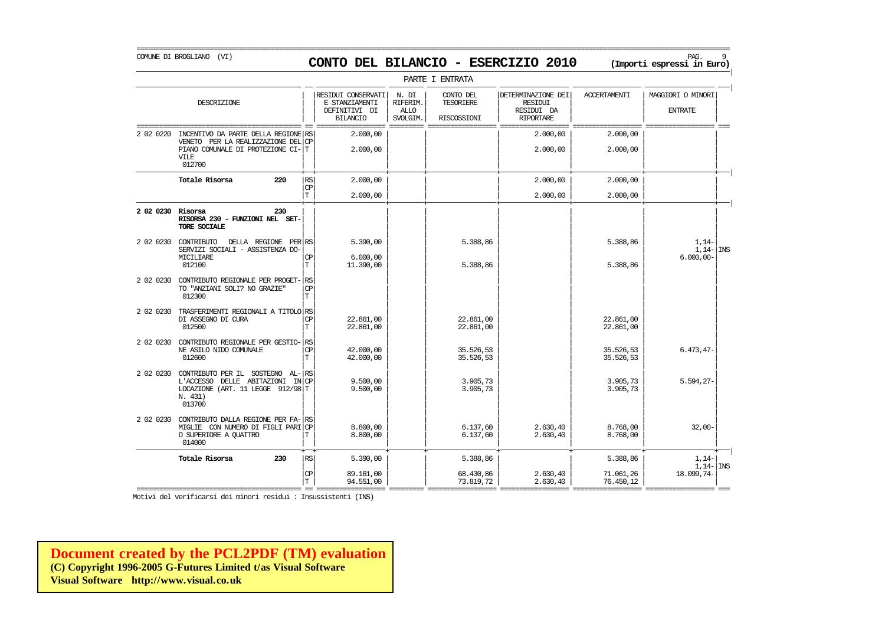### COMUNE DI BROGLIANO (VI) PAG. 9 **CONTO DEL BILANCIO - ESERCIZIO 2010 (Importi espressi in Euro)**

===========================================================================================================================================================

|                   |                                                                                                                                         |                       |                                                                          |                                              | PARTE I ENTRATA                              |                                                                        |                        |                                             |
|-------------------|-----------------------------------------------------------------------------------------------------------------------------------------|-----------------------|--------------------------------------------------------------------------|----------------------------------------------|----------------------------------------------|------------------------------------------------------------------------|------------------------|---------------------------------------------|
|                   | DESCRIZIONE                                                                                                                             |                       | RESIDUI CONSERVATI<br>E STANZIAMENTI<br>DEFINITIVI DI<br><b>BILANCIO</b> | N. DI<br>RIFERIM.<br><b>ALLO</b><br>SVOLGIM. | CONTO DEL<br><b>TESORIERE</b><br>RISCOSSIONI | DETERMINAZIONE DEI<br><b>RESIDUI</b><br>RESIDUI DA<br><b>RIPORTARE</b> | <b>ACCERTAMENTI</b>    | MAGGIORI O MINORI<br><b>ENTRATE</b>         |
| 2 02 0220         | INCENTIVO DA PARTE DELLA REGIONE RS<br>VENETO PER LA REALIZZAZIONE DEL CP<br>PIANO COMUNALE DI PROTEZIONE CI-T<br><b>VILE</b><br>012700 |                       | 2,000,00<br>2,000,00                                                     |                                              |                                              | 2,000,00<br>2.000,00                                                   | 2,000,00<br>2,000,00   |                                             |
|                   | Totale Risorsa<br>220                                                                                                                   | RS.<br><b>CP</b><br>T | 2,000,00<br>2,000,00                                                     |                                              |                                              | 2,000,00<br>2,000,00                                                   | 2,000,00<br>2,000,00   |                                             |
| 2 02 0230 Risorsa | 230<br>RISORSA 230 - FUNZIONI NEL SET-<br>TORE SOCIALE                                                                                  |                       |                                                                          |                                              |                                              |                                                                        |                        |                                             |
|                   | 2 02 0230 CONTRIBUTO<br>DELLA REGIONE PER RS<br>SERVIZI SOCIALI - ASSISTENZA DO-<br><b>MTCTLTARE</b><br>012100                          | CP<br>T               | 5.390,00<br>6.000.00<br>11,390,00                                        |                                              | 5.388,86<br>5.388,86                         |                                                                        | 5.388,86<br>5.388,86   | $1,14-$<br>$1,14$ - INS<br>$6.000,00 -$     |
| 2 02 0230         | CONTRIBUTO REGIONALE PER PROGET- RS<br>TO "ANZIANI SOLI? NO GRAZIE"<br>012300                                                           | <b>CP</b><br>T        |                                                                          |                                              |                                              |                                                                        |                        |                                             |
| 2 02 0230         | TRASFERIMENTI REGIONALI A TITOLO RS<br>DI ASSEGNO DI CURA<br>012500                                                                     | <b>CP</b><br>т        | 22.861.00<br>22.861,00                                                   |                                              | 22.861.00<br>22.861,00                       |                                                                        | 22.861.00<br>22.861,00 |                                             |
| 2 02 0230         | CONTRIBUTO REGIONALE PER GESTIO- RS<br>NE ASILO NIDO COMUNALE<br>012600                                                                 | <b>CP</b><br>T        | 42.000,00<br>42.000.00                                                   |                                              | 35.526,53<br>35.526,53                       |                                                                        | 35.526,53<br>35.526,53 | $6.473, 47-$                                |
| 2 02 0230         | CONTRIBUTO PER IL SOSTEGNO AL-RS<br>L'ACCESSO DELLE ABITAZIONI IN CP<br>LOCAZIONE (ART. 11 LEGGE 912/98 T<br>N. 431)<br>013700          |                       | 9.500,00<br>9.500,00                                                     |                                              | 3.905,73<br>3.905,73                         |                                                                        | 3.905,73<br>3.905,73   | $5.594, 27 -$                               |
| 2 02 0230         | CONTRIBUTO DALLA REGIONE PER FA-RS<br>MIGLIE CON NUMERO DI FIGLI PARI CP<br>O SUPERIORE A QUATTRO<br>014000                             | Т                     | 8.800,00<br>8.800,00                                                     |                                              | 6.137,60<br>6.137,60                         | 2.630,40<br>2.630, 40                                                  | 8.768,00<br>8.768,00   | $32,00-$                                    |
|                   | Totale Risorsa<br>230                                                                                                                   | <b>RS</b>             | 5.390.00                                                                 |                                              | 5.388.86                                     |                                                                        | 5.388.86               | $1,14-$<br>$1,14$ - $\overline{\text{INS}}$ |
|                   |                                                                                                                                         | CP<br>m.              | 89.161,00<br><b>Q4 551 00</b>                                            |                                              | 68.430,86<br>72 910 72                       | 2.630,40<br>2.620 A0                                                   | 71.061,26<br>76 450 12 | 18.099,74-                                  |

| | | | | | | | T 94.551,00 73.819,72 2.630,40 76.450,12 =========================================== == ================== ========= ================== ================== ================== ================== === Motivi del verificarsi dei minori residui : Insussistenti (INS)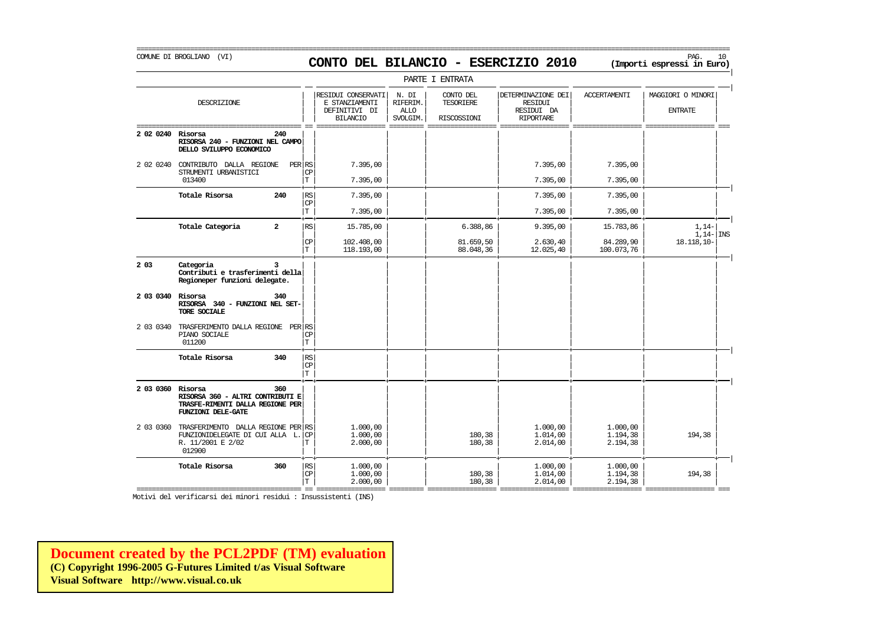### COMUNE DI BROGLIANO (VI) PAG. 10 **CONTO DEL BILANCIO - ESERCIZIO 2010 (Importi espressi in Euro)**

===========================================================================================================================================================

|                   |                                                                                                      |                                    |                                                                          |                                              | PARTE I ENTRATA                       |                                                                 |                                  |                                     |
|-------------------|------------------------------------------------------------------------------------------------------|------------------------------------|--------------------------------------------------------------------------|----------------------------------------------|---------------------------------------|-----------------------------------------------------------------|----------------------------------|-------------------------------------|
|                   | DESCRIZIONE                                                                                          |                                    | RESIDUI CONSERVATI<br>E STANZIAMENTI<br>DEFINITIVI DI<br><b>BILANCIO</b> | N. DI<br>RIFERIM.<br><b>ALLO</b><br>SVOLGIM. | CONTO DEL<br>TESORIERE<br>RISCOSSIONI | DETERMINAZIONE DEI<br>RESIDUI<br>RESIDUI DA<br><b>RIPORTARE</b> | <b>ACCERTAMENTI</b>              | MAGGIORI O MINORI<br><b>ENTRATE</b> |
| 2 02 0240 Risorsa | 240<br>RISORSA 240 - FUNZIONI NEL CAMPO<br>DELLO SVILUPPO ECONOMICO                                  |                                    |                                                                          |                                              |                                       |                                                                 |                                  |                                     |
|                   | 2 02 0240 CONTRIBUTO DALLA REGIONE<br>STRUMENTI URBANISTICI<br>013400                                | PER RS<br>СP<br>T.                 | 7.395,00<br>7.395,00                                                     |                                              |                                       | 7.395,00<br>7.395,00                                            | 7.395,00<br>7.395,00             |                                     |
|                   | Totale Risorsa<br>240                                                                                | RS                                 | 7.395,00                                                                 |                                              |                                       | 7.395,00                                                        | 7.395,00                         |                                     |
|                   |                                                                                                      | CP<br>T                            | 7.395,00                                                                 |                                              |                                       | 7.395,00                                                        | 7.395,00                         |                                     |
|                   | $\overline{\mathbf{2}}$<br>Totale Categoria                                                          | RS                                 | 15.785,00                                                                |                                              | 6.388,86                              | 9.395,00                                                        | 15.783,86                        | $1,14-$                             |
|                   |                                                                                                      | CP<br>T.                           | 102,408,00<br>118.193,00                                                 |                                              | 81.659,50<br>88.048,36                | 2.630,40<br>12.025,40                                           | 84.289,90<br>100.073,76          | $1,14-$ INS<br>$18.118.10 -$        |
| 2 0 3             | Categoria<br>3<br>Contributi e trasferimenti della<br>Regioneper funzioni delegate.                  |                                    |                                                                          |                                              |                                       |                                                                 |                                  |                                     |
| 2 03 0340 Risorsa | 340<br>RISORSA 340 - FUNZIONI NEL SET-<br>TORE SOCIALE                                               |                                    |                                                                          |                                              |                                       |                                                                 |                                  |                                     |
| 2 03 0340         | TRASFERIMENTO DALLA REGIONE PER RS<br>PIANO SOCIALE<br>011200                                        | СP<br>T                            |                                                                          |                                              |                                       |                                                                 |                                  |                                     |
|                   | Totale Risorsa<br>340                                                                                | RS<br>CP<br>T.                     |                                                                          |                                              |                                       |                                                                 |                                  |                                     |
| 2 03 0360 Risorsa | 360<br>RISORSA 360 - ALTRI CONTRIBUTI E<br>TRASFE-RIMENTI DALLA REGIONE PER<br>FUNZIONI DELE-GATE    |                                    |                                                                          |                                              |                                       |                                                                 |                                  |                                     |
| 2 03 0360         | TRASFERIMENTO DALLA REGIONE PER RS<br>FUNZIONIDELEGATE DI CUI ALLA L.<br>R. 11/2001 E 2/02<br>012900 | <b>CP</b><br>Т                     | 1,000,00<br>1,000,00<br>2.000,00                                         |                                              | 180,38<br>180,38                      | 1,000,00<br>1,014,00<br>2.014,00                                | 1,000,00<br>1.194,38<br>2.194,38 | 194,38                              |
|                   | Totale Risorsa<br>360                                                                                | $\mathbb{R}\mathbb{S}$<br>CP<br>T. | 1,000,00<br>1,000,00<br>2,000,00                                         |                                              | 180,38<br>180,38                      | 1,000,00<br>1,014,00<br>2.014,00                                | 1,000,00<br>1.194,38<br>2.194,38 | 194,38                              |

=========================================== == ================== ========= ================== ================== ================== ================== === Motivi del verificarsi dei minori residui : Insussistenti (INS)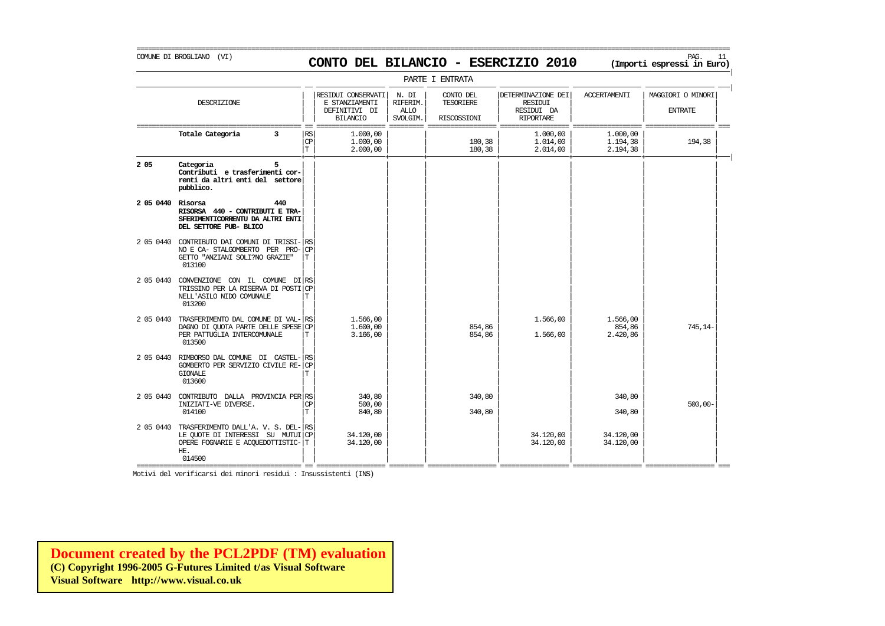### COMUNE DI BROGLIANO (VI) PAG. 11 **CONTO DEL BILANCIO - ESERCIZIO 2010 (Importi espressi in Euro)**

===========================================================================================================================================================

|                   | PARTE I ENTRATA                                                                                                                |                      |                                                                          |                                              |                                              |                                                                        |                                  |                                     |  |  |  |
|-------------------|--------------------------------------------------------------------------------------------------------------------------------|----------------------|--------------------------------------------------------------------------|----------------------------------------------|----------------------------------------------|------------------------------------------------------------------------|----------------------------------|-------------------------------------|--|--|--|
|                   | DESCRIZIONE                                                                                                                    |                      | RESIDUI CONSERVATI<br>E STANZIAMENTI<br>DEFINITIVI DI<br><b>BILANCIO</b> | N. DI<br>RIFERIM.<br><b>ALLO</b><br>SVOLGIM. | CONTO DEL<br><b>TESORIERE</b><br>RISCOSSIONI | DETERMINAZIONE DEI<br><b>RESIDUI</b><br>RESIDUI DA<br><b>RIPORTARE</b> | <b>ACCERTAMENTI</b>              | MAGGIORI O MINORI<br><b>ENTRATE</b> |  |  |  |
|                   | Totale Categoria<br>3                                                                                                          | RS<br>CP<br>T        | 1,000,00<br>1,000,00<br>2.000,00                                         |                                              | 180,38<br>180,38                             | 1,000,00<br>1,014,00<br>2.014,00                                       | 1,000,00<br>1.194,38<br>2.194,38 | 194,38                              |  |  |  |
| 2 0 5             | Categoria<br>5<br>Contributi e trasferimenti cor-<br>renti da altri enti del settore<br>pubblico.                              |                      |                                                                          |                                              |                                              |                                                                        |                                  |                                     |  |  |  |
| 2 05 0440 Risorsa | 440<br>RISORSA 440 - CONTRIBUTI E TRA-<br>SFERIMENTICORRENTU DA ALTRI ENTI<br>DEL SETTORE PUB- BLICO                           |                      |                                                                          |                                              |                                              |                                                                        |                                  |                                     |  |  |  |
| 2 05 0440         | CONTRIBUTO DAI COMUNI DI TRISSI-<br>NO E CA- STALGOMBERTO PER PRO-<br>GETTO "ANZIANI SOLI?NO GRAZIE"<br>013100                 | RS<br><b>CP</b><br>T |                                                                          |                                              |                                              |                                                                        |                                  |                                     |  |  |  |
| 2 05 0440         | CONVENZIONE CON IL COMUNE DI RS<br>TRISSINO PER LA RISERVA DI POSTI<br>NELL'ASILO NIDO COMUNALE<br>013200                      | <b>CP</b><br>T       |                                                                          |                                              |                                              |                                                                        |                                  |                                     |  |  |  |
| 2 05 0440         | TRASFERIMENTO DAL COMUNE DI VAL-<br>DAGNO DI QUOTA PARTE DELLE SPESE CP<br>PER PATTUGLIA INTERCOMUNALE<br>013500               | RS<br>T              | 1,566,00<br>1,600,00<br>3.166,00                                         |                                              | 854,86<br>854,86                             | 1.566,00<br>1.566,00                                                   | 1.566,00<br>854,86<br>2.420,86   | $745.14-$                           |  |  |  |
| 2 05 0440         | RIMBORSO DAL COMUNE DI CASTEL-<br>GOMBERTO PER SERVIZIO CIVILE RE-<br><b>GIONALE</b><br>013600                                 | RS<br><b>CP</b><br>т |                                                                          |                                              |                                              |                                                                        |                                  |                                     |  |  |  |
| 2 05 0440         | CONTRIBUTO DALLA PROVINCIA PER RS<br>INIZIATI-VE DIVERSE.<br>014100                                                            | <b>CP</b><br>T       | 340,80<br>500,00<br>840,80                                               |                                              | 340,80<br>340,80                             |                                                                        | 340,80<br>340,80                 | $500,00 -$                          |  |  |  |
| 2 05 0440         | TRASFERIMENTO DALL'A. V. S. DEL- RS<br>LE QUOTE DI INTERESSI SU MUTUI CP<br>OPERE FOGNARIE E ACQUEDOTTISTIC-T<br>HE.<br>014500 |                      | 34,120,00<br>34.120,00                                                   |                                              |                                              | 34,120,00<br>34.120,00                                                 | 34.120,00<br>34.120,00           |                                     |  |  |  |

Motivi del verificarsi dei minori residui : Insussistenti (INS)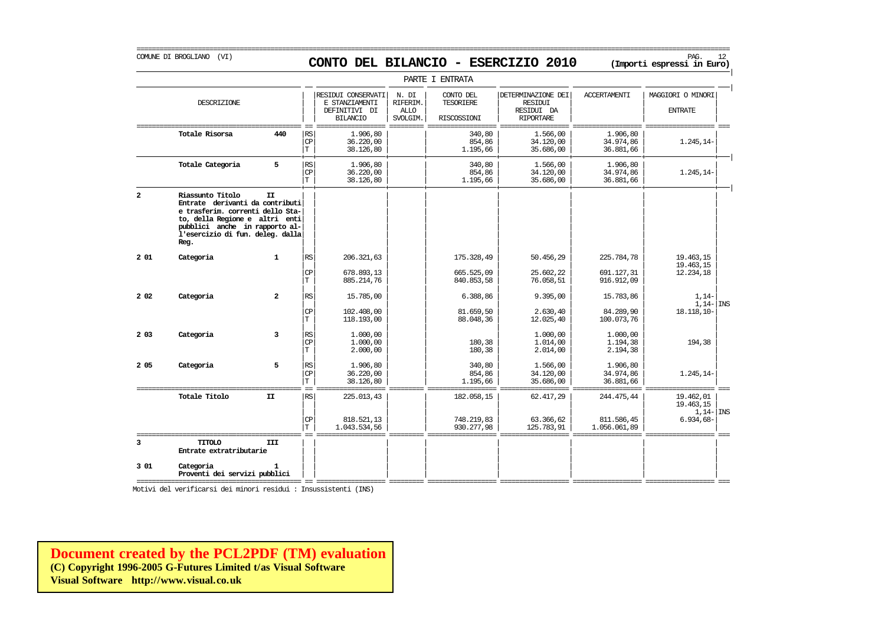# COMUNE DI BROGLIANO (VI) PAG. 12 **CONTO DEL BILANCIO - ESERCIZIO 2010 (Importi espressi in Euro)**

===========================================================================================================================================================

|                       |                                                                                                                                                                                                         |                         |                                |                                                                          |                                              | PARTE I ENTRATA                        |                                                                        |                                          |                                                         |
|-----------------------|---------------------------------------------------------------------------------------------------------------------------------------------------------------------------------------------------------|-------------------------|--------------------------------|--------------------------------------------------------------------------|----------------------------------------------|----------------------------------------|------------------------------------------------------------------------|------------------------------------------|---------------------------------------------------------|
|                       | DESCRIZIONE                                                                                                                                                                                             |                         |                                | RESIDUI CONSERVATI<br>E STANZIAMENTI<br>DEFINITIVI DI<br><b>BILANCIO</b> | N. DI<br>RIFERIM.<br><b>ALLO</b><br>SVOLGIM. | CONTO DEL<br>TESORIERE<br>RISCOSSIONI  | DETERMINAZIONE DEI<br><b>RESIDUI</b><br>RESIDUI DA<br><b>RIPORTARE</b> | <b>ACCERTAMENTI</b>                      | MAGGIORI O MINORI<br><b>ENTRATE</b>                     |
|                       | Totale Risorsa                                                                                                                                                                                          | 440                     | RS<br>CP<br>$\mathbf T$        | 1,906,80<br>36,220,00<br>38,126,80                                       |                                              | 340,80<br>854,86<br>1.195.66           | 1,566,00<br>34,120,00<br>35,686,00                                     | 1.906,80<br>34.974,86<br>36,881,66       | 1.245,14-                                               |
|                       | Totale Categoria                                                                                                                                                                                        | 5                       | RS<br>CP<br>$\mathbf T$        | 1,906,80<br>36,220,00<br>38,126,80                                       |                                              | 340,80<br>854,86<br>1.195,66           | 1.566,00<br>34,120,00<br>35.686,00                                     | 1.906,80<br>34.974,86<br>36.881,66       | $1.245, 14-$                                            |
| $\overline{a}$        | Riassunto Titolo<br>Entrate derivanti da contributi<br>e trasferim. correnti dello Sta-<br>to, della Regione e altri enti<br>pubblici anche in rapporto al-<br>l'esercizio di fun. deleg. dalla<br>Reg. | <b>TT</b>               |                                |                                                                          |                                              |                                        |                                                                        |                                          |                                                         |
| 201                   | Categoria                                                                                                                                                                                               | $\mathbf{1}$            | RS<br><b>CP</b><br>$\mathbf T$ | 206.321.63<br>678.893,13<br>885.214,76                                   |                                              | 175.328,49<br>665.525,09<br>840.853,58 | 50.456.29<br>25.602,22<br>76.058,51                                    | 225.784.78<br>691.127,31<br>916.912,09   | 19.463.15<br>19.463,15<br>12.234,18                     |
| 2 0 2                 | Categoria                                                                                                                                                                                               | $\overline{a}$          | RS<br><b>CP</b><br>T           | 15.785,00<br>102,408,00<br>118,193,00                                    |                                              | 6.388,86<br>81.659,50<br>88.048,36     | 9.395,00<br>2.630,40<br>12.025,40                                      | 15.783,86<br>84.289,90<br>100.073,76     | $1,14-$<br>$1.14 -$ INS<br>18.118.10-                   |
| 2 0 3                 | Categoria                                                                                                                                                                                               | $\overline{\mathbf{3}}$ | RS<br><b>CP</b><br>T           | 1,000,00<br>1,000,00<br>2,000,00                                         |                                              | 180,38<br>180,38                       | 1,000,00<br>1.014,00<br>2.014,00                                       | 1,000,00<br>1.194,38<br>2.194,38         | 194,38                                                  |
| 2 0 5                 | Categoria                                                                                                                                                                                               | 5                       | RS<br><b>CP</b><br>$\mathbf T$ | 1,906,80<br>36,220,00<br>38, 126, 80                                     |                                              | 340,80<br>854,86<br>1.195,66           | 1,566,00<br>34,120,00<br>35.686,00                                     | 1.906,80<br>34.974,86<br>36.881,66       | $1.245, 14-$                                            |
|                       | Totale Titolo                                                                                                                                                                                           | II                      | l RS<br>CP<br>T                | 225.013,43<br>818.521,13<br>1.043.534,56                                 |                                              | 182.058,15<br>748.219,83<br>930.277.98 | 62.417,29<br>63.366,62<br>125.783,91                                   | 244.475,44<br>811.586,45<br>1.056.061,89 | 19.462,01<br>19.463,15<br>$1.14 -  $ INS<br>$6.934,68-$ |
| $\overline{3}$<br>301 | <b>CIOTIT</b><br>Entrate extratributarie<br>Categoria<br>Proventi dei servizi pubblici                                                                                                                  | III<br>1.               |                                |                                                                          |                                              |                                        |                                                                        |                                          |                                                         |

Motivi del verificarsi dei minori residui : Insussistenti (INS)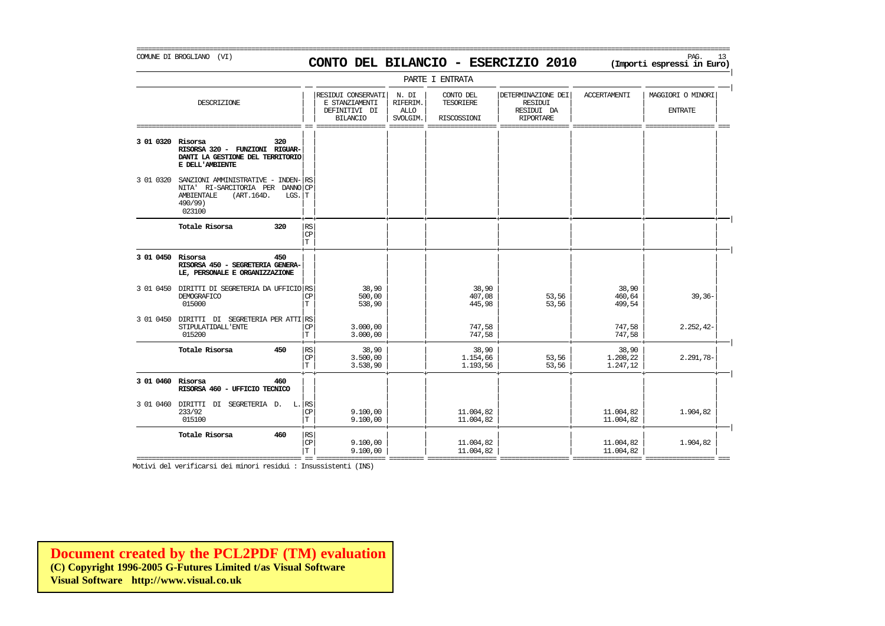### COMUNE DI BROGLIANO (VI) PAG. 13 **CONTO DEL BILANCIO - ESERCIZIO 2010 (Importi espressi in Euro)**

===========================================================================================================================================================

|                   |                                                                                                                                 |          |                          |                                                                          |                                              | PARTE I ENTRATA                              |                                                                        |                               |                                     |
|-------------------|---------------------------------------------------------------------------------------------------------------------------------|----------|--------------------------|--------------------------------------------------------------------------|----------------------------------------------|----------------------------------------------|------------------------------------------------------------------------|-------------------------------|-------------------------------------|
|                   | DESCRIZIONE                                                                                                                     |          |                          | RESIDUI CONSERVATI<br>E STANZIAMENTI<br>DEFINITIVI DI<br><b>BILANCIO</b> | N. DI<br>RIFERIM.<br><b>ALLO</b><br>SVOLGIM. | CONTO DEL<br><b>TESORIERE</b><br>RISCOSSIONI | DETERMINAZIONE DEI<br><b>RESIDUI</b><br>RESIDUI DA<br><b>RIPORTARE</b> | <b>ACCERTAMENTI</b>           | MAGGIORI O MINORI<br><b>ENTRATE</b> |
| 3 01 0320 Risorsa | RISORSA 320 - FUNZIONI RIGUAR-<br>DANTI LA GESTIONE DEL TERRITORIO<br>E DELL'AMBIENTE                                           | 320      |                          |                                                                          |                                              |                                              |                                                                        |                               |                                     |
| 3 01 0320         | SANZIONI AMMINISTRATIVE - INDEN- RS<br>NITA' RI-SARCITORIA PER DANNO CP<br><b>AMBIENTALE</b><br>(ART.164D.<br>490/99)<br>023100 | $LGS.$ T |                          |                                                                          |                                              |                                              |                                                                        |                               |                                     |
|                   | Totale Risorsa                                                                                                                  | 320      | RS<br><b>CP</b><br>T     |                                                                          |                                              |                                              |                                                                        |                               |                                     |
| 3 01 0450 Risorsa | RISORSA 450 - SEGRETERIA GENERA-<br>LE, PERSONALE E ORGANIZZAZIONE                                                              | 450      |                          |                                                                          |                                              |                                              |                                                                        |                               |                                     |
|                   | 3 01 0450 DIRITTI DI SEGRETERIA DA UFFICIO RS<br>DEMOGRAFICO<br>015000                                                          |          | <b>CP</b><br>$\mathbf T$ | 38,90<br>500,00<br>538,90                                                |                                              | 38,90<br>407,08<br>445,98                    | 53,56<br>53,56                                                         | 38,90<br>460,64<br>499,54     | $39, 36 -$                          |
| 3 01 0450         | DIRITTI DI SEGRETERIA PER ATTI RS<br>STIPULATIDALL'ENTE<br>015200                                                               |          | <b>CP</b><br>$\mathbf T$ | 3.000,00<br>3.000.00                                                     |                                              | 747,58<br>747,58                             |                                                                        | 747,58<br>747.58              | $2.252, 42-$                        |
|                   | Totale Risorsa                                                                                                                  | 450      | RS<br> CP<br>T           | 38,90<br>3.500,00<br>3.538,90                                            |                                              | 38,90<br>1.154,66<br>1.193,56                | 53,56<br>53,56                                                         | 38,90<br>1.208,22<br>1.247,12 | $2.291,78-$                         |
| 3 01 0460 Risorsa | RISORSA 460 - UFFICIO TECNICO                                                                                                   | 460      |                          |                                                                          |                                              |                                              |                                                                        |                               |                                     |
| 3 01 0460 DIRITTI | SEGRETERIA D.<br>DI<br>233/92<br>015100                                                                                         | $L.$ RS  | CP<br>$\mathbf T$        | 9.100,00<br>9.100,00                                                     |                                              | 11.004,82<br>11.004,82                       |                                                                        | 11.004,82<br>11.004,82        | 1.904,82                            |
|                   | Totale Risorsa                                                                                                                  | 460      | RS<br><b>CP</b><br>T     | 9.100,00<br>9.100,00                                                     |                                              | 11.004,82<br>11,004,82                       |                                                                        | 11.004,82<br>11.004.82        | 1.904.82                            |

Motivi del verificarsi dei minori residui : Insussistenti (INS)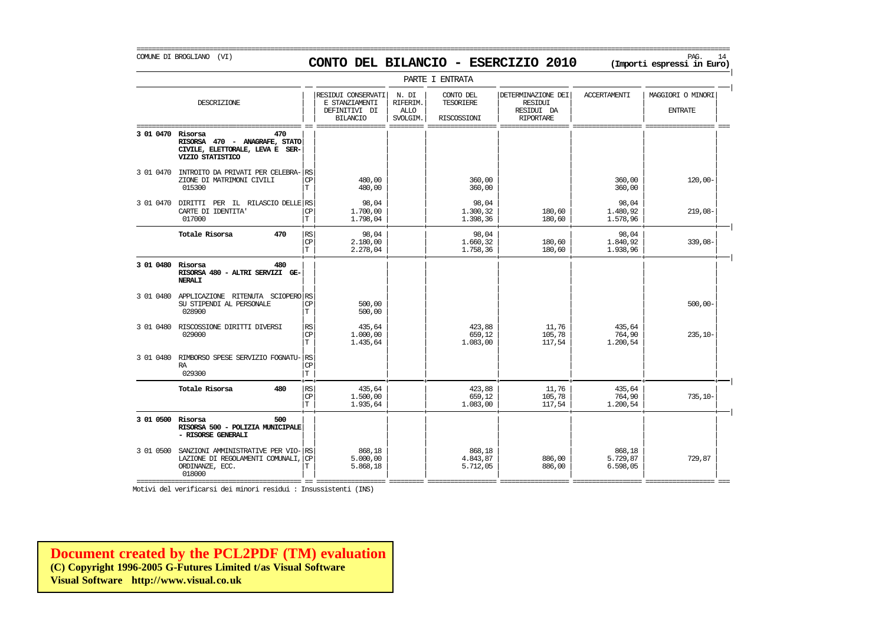COMUNE DI BROGLIANO (VI) PAG. 14 **CONTO DEL BILANCIO - ESERCIZIO 2010 (Importi espressi in Euro)** 

|                   |                                                                                                   |                                                    |                                                                          |                                              | PARTE I ENTRATA                       |                                                                 |                                |                                     |
|-------------------|---------------------------------------------------------------------------------------------------|----------------------------------------------------|--------------------------------------------------------------------------|----------------------------------------------|---------------------------------------|-----------------------------------------------------------------|--------------------------------|-------------------------------------|
|                   | DESCRIZIONE                                                                                       |                                                    | RESIDUI CONSERVATI<br>E STANZIAMENTI<br>DEFINITIVI DI<br><b>BILANCIO</b> | N. DI<br>RIFERIM.<br><b>ALLO</b><br>SVOLGIM. | CONTO DEL<br>TESORIERE<br>RISCOSSIONI | DETERMINAZIONE DEI<br>RESIDUI<br>RESIDUI DA<br><b>RIPORTARE</b> | <b>ACCERTAMENTI</b>            | MAGGIORI O MINORI<br><b>ENTRATE</b> |
| 3 01 0470 Risorsa | 470<br>RISORSA 470 - ANAGRAFE, STATO<br>CIVILE, ELETTORALE, LEVA E SER-<br>VIZIO STATISTICO       |                                                    |                                                                          |                                              |                                       |                                                                 |                                |                                     |
| 3 01 0470         | INTROITO DA PRIVATI PER CELEBRA-<br>ZIONE DI MATRIMONI CIVILI<br>015300                           | RS<br><b>CP</b><br>Т                               | 480,00<br>480,00                                                         |                                              | 360,00<br>360,00                      |                                                                 | 360,00<br>360,00               | $120,00 -$                          |
| 3 01 0470         | DIRITTI PER IL RILASCIO DELLE RS<br>CARTE DI IDENTITA<br>017000                                   | <b>CP</b><br>$\mathbf T$                           | 98,04<br>1,700,00<br>1.798,04                                            |                                              | 98,04<br>1.300,32<br>1.398,36         | 180,60<br>180,60                                                | 98,04<br>1.480,92<br>1.578,96  | $219,08-$                           |
|                   | 470<br>Totale Risorsa                                                                             | RS<br>CP<br>T                                      | 98,04<br>2,180,00<br>2.278,04                                            |                                              | 98,04<br>1.660,32<br>1.758,36         | 180,60<br>180,60                                                | 98,04<br>1.840,92<br>1.938,96  | $339,08-$                           |
| 3 01 0480 Risorsa | 480<br>RISORSA 480 - ALTRI SERVIZI GE-<br><b>NERALI</b>                                           |                                                    |                                                                          |                                              |                                       |                                                                 |                                |                                     |
|                   | 3 01 0480 APPLICAZIONE RITENUTA SCIOPERO RS<br>SU STIPENDI AL PERSONALE<br>028900                 | СP<br>$\mathbf T$                                  | 500,00<br>500,00                                                         |                                              |                                       |                                                                 |                                | $500,00 -$                          |
| 3 01 0480         | RISCOSSIONE DIRITTI DIVERSI<br>029000                                                             | RS<br>$\mathbf{C}\mathbf{P}$<br>T                  | 435,64<br>1,000,00<br>1.435,64                                           |                                              | 423,88<br>659,12<br>1.083,00          | 11,76<br>105,78<br>117,54                                       | 435,64<br>764,90<br>1.200,54   | $235,10-$                           |
| 3 01 0480         | RIMBORSO SPESE SERVIZIO FOGNATU-<br>RA<br>029300                                                  | <b>RS</b><br>$\mathbb{C}\mathbb{P}$<br>$\mathbf T$ |                                                                          |                                              |                                       |                                                                 |                                |                                     |
|                   | Totale Risorsa<br>480                                                                             | RS<br>$\mathbf{CP}$<br>T                           | 435,64<br>1,500,00<br>1.935,64                                           |                                              | 423,88<br>659.12<br>1.083,00          | 11,76<br>105,78<br>117,54                                       | 435,64<br>764,90<br>1.200,54   | $735,10-$                           |
| 3 01 0500 Risorsa | 500<br>RISORSA 500 - POLIZIA MUNICIPALE<br>- RISORSE GENERALI                                     |                                                    |                                                                          |                                              |                                       |                                                                 |                                |                                     |
| 3 01 0500         | SANZIONI AMMINISTRATIVE PER VIO-<br>LAZIONE DI REGOLAMENTI COMUNALI,<br>ORDINANZE, ECC.<br>018000 | RS<br>CP                                           | 868,18<br>5.000,00<br>5.868,18                                           |                                              | 868,18<br>4.843,87<br>5.712,05        | 886,00<br>886,00                                                | 868,18<br>5.729,87<br>6.598,05 | 729,87                              |

Motivi del verificarsi dei minori residui : Insussistenti (INS)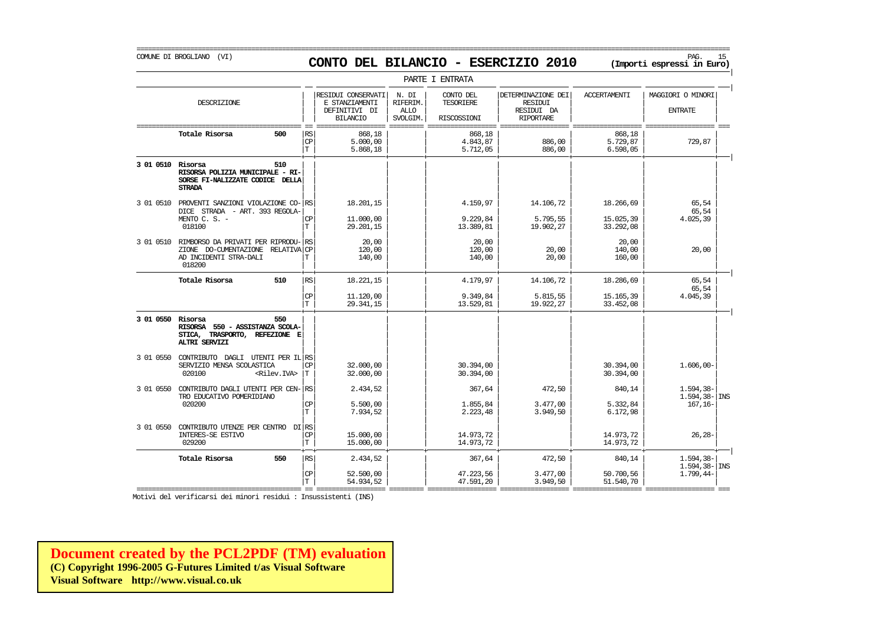### COMUNE DI BROGLIANO (VI) PAG. 15 **CONTO DEL BILANCIO - ESERCIZIO 2010 (Importi espressi in Euro)**

===========================================================================================================================================================

|                   |                                                                                                               |                           |                                                                          |                                              | PARTE I ENTRATA                              |                                                                 |                                     |                                                   |
|-------------------|---------------------------------------------------------------------------------------------------------------|---------------------------|--------------------------------------------------------------------------|----------------------------------------------|----------------------------------------------|-----------------------------------------------------------------|-------------------------------------|---------------------------------------------------|
|                   | DESCRIZIONE                                                                                                   |                           | RESIDUI CONSERVATI<br>E STANZIAMENTI<br>DEFINITIVI DI<br><b>BILANCIO</b> | N. DI<br>RIFERIM.<br><b>ALLO</b><br>SVOLGIM. | CONTO DEL<br><b>TESORIERE</b><br>RISCOSSIONI | DETERMINAZIONE DEI<br>RESIDUI<br>RESIDUI DA<br><b>RIPORTARE</b> | <b>ACCERTAMENTI</b>                 | MAGGIORI O MINORI<br><b>ENTRATE</b>               |
|                   | Totale Risorsa<br>500                                                                                         | RS<br>$\mathbf{CP}$<br>T. | 868,18<br>5.000.00<br>5.868,18                                           |                                              | 868,18<br>4.843.87<br>5.712,05               | 886,00<br>886,00                                                | 868,18<br>5.729.87<br>6.598,05      | 729,87                                            |
| 3 01 0510 Risorsa | 510<br>RISORSA POLIZIA MUNICIPALE - RI-<br>SORSE FI-NALIZZATE CODICE DELLA<br><b>STRADA</b>                   |                           |                                                                          |                                              |                                              |                                                                 |                                     |                                                   |
|                   | 3 01 0510 PROVENTI SANZIONI VIOLAZIONE CO- RS<br>DICE STRADA - ART. 393 REGOLA-<br>MENTO C. S. -<br>018100    | СP<br>T.                  | 18.201,15<br>11,000,00<br>29.201,15                                      |                                              | 4.159,97<br>9.229.84<br>13.389,81            | 14.106,72<br>5.795.55<br>19.902,27                              | 18.266,69<br>15.025.39<br>33.292,08 | 65,54<br>65,54<br>4.025,39                        |
| 3 01 0510         | RIMBORSO DA PRIVATI PER RIPRODU-<br>ZIONE DO-CUMENTAZIONE RELATIVA CP<br>AD INCIDENTI STRA-DALI<br>018200     | RS<br>T                   | 20,00<br>120,00<br>140,00                                                |                                              | 20,00<br>120,00<br>140,00                    | 20,00<br>20,00                                                  | 20.00<br>140,00<br>160,00           | 20,00                                             |
|                   | Totale Risorsa<br>510                                                                                         | RS<br>$\mathbf{CP}$<br>T. | 18.221,15<br>11.120,00<br>29.341,15                                      |                                              | 4.179,97<br>9.349,84<br>13.529,81            | 14.106,72<br>5.815,55<br>19.922,27                              | 18.286,69<br>15.165,39<br>33.452,08 | 65.54<br>65,54<br>4.045,39                        |
| 3 01 0550 Risorsa | 550<br>RISORSA 550 - ASSISTANZA SCOLA-<br>TRASPORTO, REFEZIONE E<br>STICA,<br><b>ALTRI SERVIZI</b>            |                           |                                                                          |                                              |                                              |                                                                 |                                     |                                                   |
|                   | 3 01 0550 CONTRIBUTO DAGLI UTENTI PER IL RS<br>SERVIZIO MENSA SCOLASTICA<br>020100<br><rilev.iva></rilev.iva> | СP<br>Т                   | 32.000.00<br>32,000,00                                                   |                                              | 30.394,00<br>30.394,00                       |                                                                 | 30.394,00<br>30.394,00              | $1.606,00 -$                                      |
| 3 01 0550         | CONTRIBUTO DAGLI UTENTI PER CEN- RS<br>TRO EDUCATIVO POMERIDIANO<br>020200                                    | <b>CP</b><br>T.           | 2.434,52<br>5.500.00<br>7.934,52                                         |                                              | 367,64<br>1.855,84<br>2.223,48               | 472,50<br>3.477,00<br>3.949,50                                  | 840,14<br>5.332,84<br>6.172,98      | $1.594, 38-$<br>$1.594, 38 -  $ INS<br>$167, 16-$ |
| 3 01 0550         | CONTRIBUTO UTENZE PER CENTRO DI RS<br>INTERES-SE ESTIVO<br>029200                                             | СP<br>T.                  | 15.000,00<br>15.000,00                                                   |                                              | 14.973,72<br>14.973,72                       |                                                                 | 14.973,72<br>14.973.72              | $26, 28 -$                                        |
|                   | Totale Risorsa<br>550                                                                                         | RS<br><b>CP</b><br>T      | 2.434,52<br>52.500,00<br>54.934,52                                       |                                              | 367,64<br>47.223,56<br>47.591,20             | 472,50<br>3.477,00<br>3.949,50                                  | 840,14<br>50.700,56<br>51.540,70    | $1.594, 38 -$<br>$1.594, 38 -$ INS<br>$1.799.44-$ |

Motivi del verificarsi dei minori residui : Insussistenti (INS)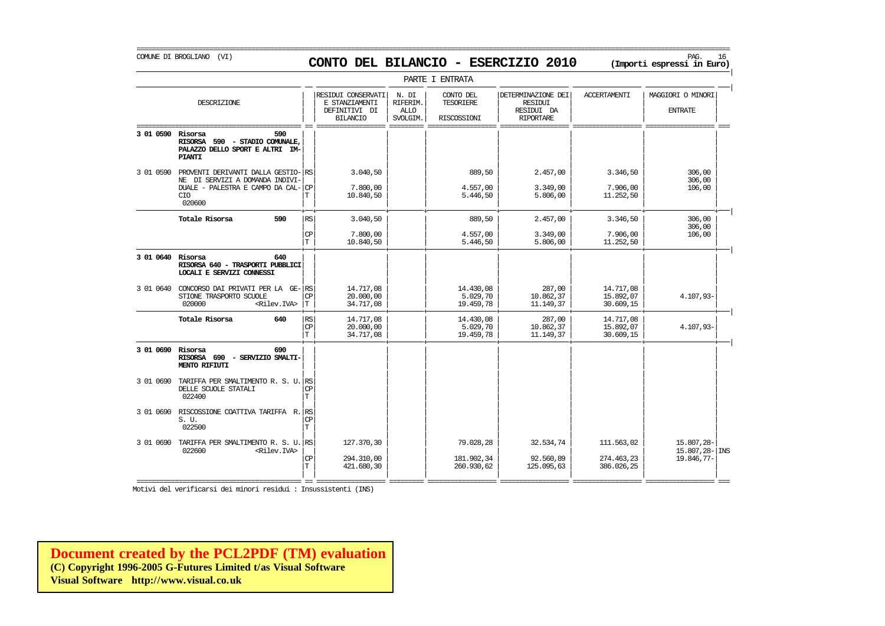COMUNE DI BROGLIANO (VI) PAG. 16 **CONTO DEL BILANCIO - ESERCIZIO 2010 (Importi espressi in Euro)** 

|                   | PARTE I ENTRATA                                                                                                             |     |                                |                                                                          |                                              |                                       |                                                                 |                                        |                                                      |  |  |
|-------------------|-----------------------------------------------------------------------------------------------------------------------------|-----|--------------------------------|--------------------------------------------------------------------------|----------------------------------------------|---------------------------------------|-----------------------------------------------------------------|----------------------------------------|------------------------------------------------------|--|--|
|                   | DESCRIZIONE                                                                                                                 |     |                                | RESIDUI CONSERVATI<br>E STANZIAMENTI<br>DEFINITIVI DI<br><b>BILANCIO</b> | N. DI<br>RIFERIM.<br><b>ALLO</b><br>SVOLGIM. | CONTO DEL<br>TESORIERE<br>RISCOSSIONI | DETERMINAZIONE DEI<br>RESIDUI<br>RESIDUI DA<br><b>RIPORTARE</b> | <b>ACCERTAMENTI</b>                    | MAGGIORI O MINORI<br><b>ENTRATE</b>                  |  |  |
| 3 01 0590 Risorsa | RISORSA 590 - STADIO COMUNALE,<br>PALAZZO DELLO SPORT E ALTRI IM-<br><b>PIANTI</b>                                          | 590 |                                |                                                                          |                                              |                                       |                                                                 |                                        |                                                      |  |  |
| 3 01 0590         | PROVENTI DERIVANTI DALLA GESTIO- RS<br>NE DI SERVIZI A DOMANDA INDIVI-<br>DUALE - PALESTRA E CAMPO DA CAL-<br>CIO<br>020600 |     | <b>CP</b><br>Т                 | 3.040,50<br>7.800,00<br>10.840,50                                        |                                              | 889,50<br>4.557,00<br>5.446,50        | 2.457,00<br>3.349,00<br>5.806,00                                | 3.346,50<br>7.906,00<br>11.252,50      | 306,00<br>306,00<br>106,00                           |  |  |
|                   | Totale Risorsa                                                                                                              | 590 | <b>RS</b><br>CP<br>$\mathbf T$ | 3.040,50<br>7.800,00<br>10.840,50                                        |                                              | 889,50<br>4.557,00<br>5.446,50        | 2.457,00<br>3.349,00<br>5.806,00                                | 3.346,50<br>7.906,00<br>11.252,50      | 306,00<br>306,00<br>106,00                           |  |  |
| 3 01 0640 Risorsa | RISORSA 640 - TRASPORTI PUBBLICI<br>LOCALI E SERVIZI CONNESSI                                                               | 640 |                                |                                                                          |                                              |                                       |                                                                 |                                        |                                                      |  |  |
| 3 01 0640         | CONCORSO DAI PRIVATI PER LA GE-RS<br>STIONE TRASPORTO SCUOLE<br><rilev.iva><br/>020000</rilev.iva>                          |     | <b>CP</b><br>Iт                | 14.717,08<br>20,000,00<br>34.717,08                                      |                                              | 14.430,08<br>5.029,70<br>19.459,78    | 287,00<br>10.862,37<br>11.149.37                                | 14.717,08<br>15.892,07<br>30.609,15    | 4.107,93-                                            |  |  |
|                   | Totale Risorsa                                                                                                              | 640 | RS<br>CP<br>T                  | 14.717,08<br>20,000,00<br>34.717,08                                      |                                              | 14.430,08<br>5.029,70<br>19.459,78    | 287,00<br>10.862,37<br>11.149,37                                | 14.717,08<br>15.892,07<br>30.609,15    | 4.107,93-                                            |  |  |
| 3 01 0690 Risorsa | RISORSA 690 - SERVIZIO SMALTI-<br>MENTO RIFIUTI                                                                             | 690 |                                |                                                                          |                                              |                                       |                                                                 |                                        |                                                      |  |  |
| 3 01 0690         | TARIFFA PER SMALTIMENTO R. S. U. RS<br>DELLE SCUOLE STATALI<br>022400                                                       |     | <b>CP</b><br>T                 |                                                                          |                                              |                                       |                                                                 |                                        |                                                      |  |  |
| 3 01 0690         | RISCOSSIONE COATTIVA TARIFFA R.<br>S. U.<br>022500                                                                          |     | l RS<br>CP<br>T                |                                                                          |                                              |                                       |                                                                 |                                        |                                                      |  |  |
| 3 01 0690         | TARIFFA PER SMALTIMENTO R. S. U.<br>022600<br><rilev.iva></rilev.iva>                                                       |     | l RS<br>СP<br>T                | 127.370,30<br>294.310,00<br>421.680,30                                   |                                              | 79.028,28<br>181.902,34<br>260.930,62 | 32.534,74<br>92.560,89<br>125.095,63                            | 111.563.02<br>274.463,23<br>386.026,25 | 15.807,28-<br>$15.807, 28 - \vert$ INS<br>19.846,77- |  |  |

Motivi del verificarsi dei minori residui : Insussistenti (INS)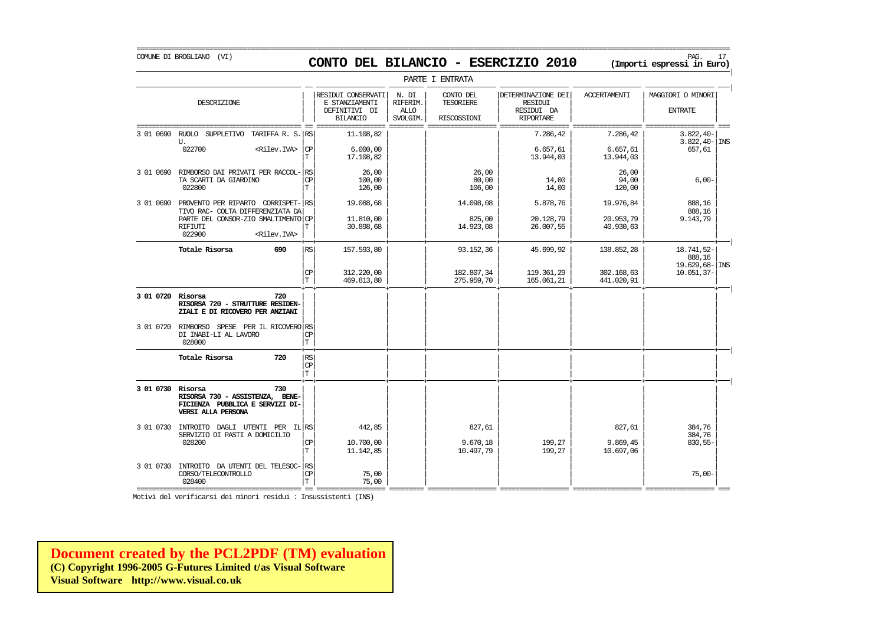### COMUNE DI BROGLIANO (VI) PAG. 17 **CONTO DEL BILANCIO - ESERCIZIO 2010 (Importi espressi in Euro)**

|                   |                                                                                                       |                         |                                                        |                                                                                                 |                                              | PARTE I ENTRATA                       |                                                                 |                          |                                                 |
|-------------------|-------------------------------------------------------------------------------------------------------|-------------------------|--------------------------------------------------------|-------------------------------------------------------------------------------------------------|----------------------------------------------|---------------------------------------|-----------------------------------------------------------------|--------------------------|-------------------------------------------------|
|                   | DESCRIZIONE                                                                                           |                         |                                                        | RESIDUI CONSERVATI<br>E STANZIAMENTI<br>DEFINITIVI DI<br><b>BILANCIO</b><br>------------------- | N. DI<br>RIFERIM.<br><b>ALLO</b><br>SVOLGIM. | CONTO DEL<br>TESORIERE<br>RISCOSSIONI | DETERMINAZIONE DEI<br>RESIDUI<br>RESIDUI DA<br><b>RIPORTARE</b> | <b>ACCERTAMENTI</b>      | MAGGIORI O MINORI<br><b>ENTRATE</b>             |
| 3 01 0690         | RUOLO SUPPLETIVO<br>U.                                                                                | TARIFFA R. S. RS        |                                                        | 11,108,82                                                                                       |                                              |                                       | 7.286,42                                                        | 7.286,42                 | $3.822, 40-$<br>$3.822, 40 - \vert$ INS         |
|                   | 022700                                                                                                | <rilev.iva></rilev.iva> | СP<br>T                                                | 6.000,00<br>17.108,82                                                                           |                                              |                                       | 6.657, 61<br>13.944,03                                          | 6.657, 61<br>13.944,03   | 657,61                                          |
| 3 01 0690         | RIMBORSO DAI PRIVATI PER RACCOL-<br>TA SCARTI DA GIARDINO<br>022800                                   |                         | RS<br>СP<br>T                                          | 26,00<br>100,00<br>126,00                                                                       |                                              | 26,00<br>80,00<br>106,00              | 14,00<br>14,00                                                  | 26,00<br>94,00<br>120,00 | $6,00-$                                         |
| 3 01 0690         | PROVENTO PER RIPARTO CORRISPET-<br>TIVO RAC- COLTA DIFFERENZIATA DA                                   |                         | RS                                                     | 19.088,68                                                                                       |                                              | 14.098,08                             | 5.878,76                                                        | 19.976,84                | 888,16<br>888,16                                |
|                   | PARTE DEL CONSOR-ZIO SMALTIMENTO CP<br>RIFIUTI<br>022900                                              | <rilev.iva></rilev.iva> | T                                                      | 11.810,00<br>30.898,68                                                                          |                                              | 825,00<br>14.923,08                   | 20.128,79<br>26.007,55                                          | 20.953,79<br>40.930,63   | 9.143,79                                        |
|                   | Totale Risorsa                                                                                        | 690                     | RS                                                     | 157.593,80                                                                                      |                                              | 93.152,36                             | 45.699,92                                                       | 138.852,28               | 18.741,52-<br>888,16<br>$19.629,68 - \vert$ INS |
|                   |                                                                                                       |                         | $\mathbf{CP}$<br>$\mathbf T$                           | 312.220,00<br>469.813,80                                                                        |                                              | 182.807,34<br>275.959,70              | 119.361,29<br>165.061,21                                        | 302.168,63<br>441.020,91 | $10.051, 37 -$                                  |
| 3 01 0720 Risorsa | RISORSA 720 - STRUTTURE RESIDEN-<br>ZIALI E DI RICOVERO PER ANZIANI                                   | 720                     |                                                        |                                                                                                 |                                              |                                       |                                                                 |                          |                                                 |
| 3 01 0720         | RIMBORSO SPESE PER IL RICOVERO RS<br>DI INABI-LI AL LAVORO<br>028000                                  |                         | СP<br>T                                                |                                                                                                 |                                              |                                       |                                                                 |                          |                                                 |
|                   | Totale Risorsa                                                                                        | 720                     | $\mathbb{R}\mathbb{S}$<br>$\mathrm{CP}$<br>$\mathbb T$ |                                                                                                 |                                              |                                       |                                                                 |                          |                                                 |
| 3 01 0730 Risorsa | RISORSA 730 - ASSISTENZA, BENE-<br>FICIENZA PUBBLICA E SERVIZI DI-<br>VERSI ALLA PERSONA              | 730                     |                                                        |                                                                                                 |                                              |                                       |                                                                 |                          |                                                 |
| 3 01 0730         | INTROITO DAGLI UTENTI PER IL RS<br>SERVIZIO DI PASTI A DOMICILIO                                      |                         |                                                        | 442,85                                                                                          |                                              | 827,61                                |                                                                 | 827,61                   | 384,76<br>384,76                                |
|                   | 028200                                                                                                |                         | $\mathbf{CP}$<br>T                                     | 10.700,00<br>11.142,85                                                                          |                                              | 9.670,18<br>10.497,79                 | 199,27<br>199,27                                                | 9.869,45<br>10.697,06    | 830,55-                                         |
| 3 01 0730         | INTROITO DA UTENTI DEL TELESOC-<br>CORSO/TELECONTROLLO<br>028400<br>================================= |                         | <b>RS</b><br>$\mathbf{CP}$<br>T                        | 75,00<br>75,00<br>$=   -  -  - - - -$                                                           |                                              |                                       |                                                                 |                          | $75,00-$                                        |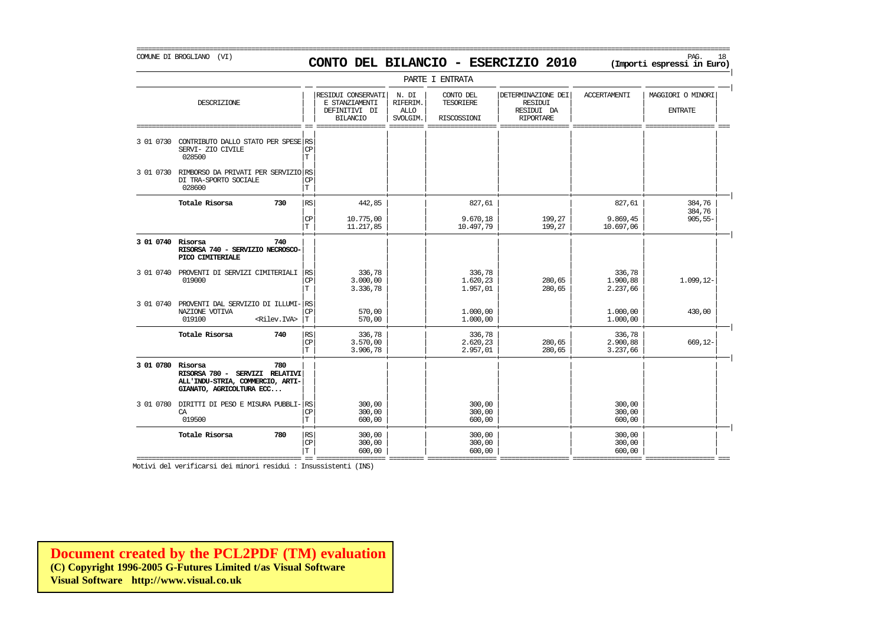=========================================================================================================================================================== COMUNE DI BROGLIANO (VI) PAG. 18 **CONTO DEL BILANCIO - ESERCIZIO 2010 (Importi espressi in Euro)** 

|                        |                                                                                                       |                                   |                                                                          |                                              | PARTE I ENTRATA                              |                                                                        |                                |                                     |
|------------------------|-------------------------------------------------------------------------------------------------------|-----------------------------------|--------------------------------------------------------------------------|----------------------------------------------|----------------------------------------------|------------------------------------------------------------------------|--------------------------------|-------------------------------------|
|                        | DESCRIZIONE                                                                                           |                                   | RESIDUI CONSERVATI<br>E STANZIAMENTI<br>DEFINITIVI DI<br><b>BILANCIO</b> | N. DI<br>RIFERIM.<br><b>ALLO</b><br>SVOLGIM. | CONTO DEL<br><b>TESORIERE</b><br>RISCOSSIONI | DETERMINAZIONE DEI<br><b>RESIDUI</b><br>RESIDUI DA<br><b>RIPORTARE</b> | <b>ACCERTAMENTI</b>            | MAGGIORI O MINORI<br><b>ENTRATE</b> |
| =========<br>3 01 0730 | CONTRIBUTO DALLO STATO PER SPESE RS<br>SERVI- ZIO CIVILE<br>028500                                    | <b>CP</b><br>T.                   |                                                                          |                                              |                                              |                                                                        |                                | ======== ===                        |
| 3 01 0730              | RIMBORSO DA PRIVATI PER SERVIZIO RS<br>DI TRA-SPORTO SOCIALE<br>028600                                | $\mathbb{C}\mathbb{P}$<br>T       |                                                                          |                                              |                                              |                                                                        |                                |                                     |
|                        | Totale Risorsa<br>730                                                                                 | RS                                | 442,85                                                                   |                                              | 827,61                                       |                                                                        | 827,61                         | 384,76                              |
|                        |                                                                                                       | $\mathbf{CP}$<br>T                | 10.775,00<br>11.217,85                                                   |                                              | 9.670,18<br>10.497,79                        | 199,27<br>199,27                                                       | 9.869,45<br>10.697,06          | 384,76<br>$905, 55 -$               |
| 3 01 0740 Risorsa      | 740<br>RISORSA 740 - SERVIZIO NECROSCO-<br>PICO CIMITERIALE                                           |                                   |                                                                          |                                              |                                              |                                                                        |                                |                                     |
| 3 01 0740              | PROVENTI DI SERVIZI CIMITERIALI<br>019000                                                             | RS<br>$\mathbb{C}\mathbb{P}$<br>T | 336,78<br>3.000,00<br>3.336,78                                           |                                              | 336,78<br>1.620,23<br>1.957,01               | 280,65<br>280,65                                                       | 336,78<br>1.900,88<br>2.237,66 | $1.099, 12-$                        |
| 3 01 0740              | PROVENTI DAL SERVIZIO DI ILLUMI-RS<br>NAZIONE VOTIVA<br>019100<br><riley.tva></riley.tva>             | CP<br>T                           | 570,00<br>570,00                                                         |                                              | 1,000,00<br>1,000,00                         |                                                                        | 1,000,00<br>1,000,00           | 430,00                              |
|                        | Totale Risorsa<br>740                                                                                 | RS<br>CP<br>T                     | 336,78<br>3.570,00<br>3.906,78                                           |                                              | 336,78<br>2.620,23<br>2.957,01               | 280,65<br>280,65                                                       | 336,78<br>2.900,88<br>3.237,66 | 669,12-                             |
| 3 01 0780 Risorsa      | 780<br>RISORSA 780 - SERVIZI RELATIVI<br>ALL'INDU-STRIA, COMMERCIO, ARTI-<br>GIANATO, AGRICOLTURA ECC |                                   |                                                                          |                                              |                                              |                                                                        |                                |                                     |
| 3 01 0780              | DIRITTI DI PESO E MISURA PUBBLI-<br>CA<br>019500                                                      | RS<br>CP<br>T                     | 300,00<br>300,00<br>600,00                                               |                                              | 300,00<br>300,00<br>600,00                   |                                                                        | 300,00<br>300,00<br>600,00     |                                     |
|                        | Totale Risorsa<br>780                                                                                 | RS<br><b>CP</b>                   | 300,00<br>300,00                                                         |                                              | 300,00<br>300,00                             |                                                                        | 300,00<br>300,00               |                                     |

=========================================== == ================== ========= ================== ================== ================== ================== ===

 $|T|$  600,00  $|$  600,00 600,00  $|$  600,00  $|$  600,00  $|$ 

Motivi del verificarsi dei minori residui : Insussistenti (INS)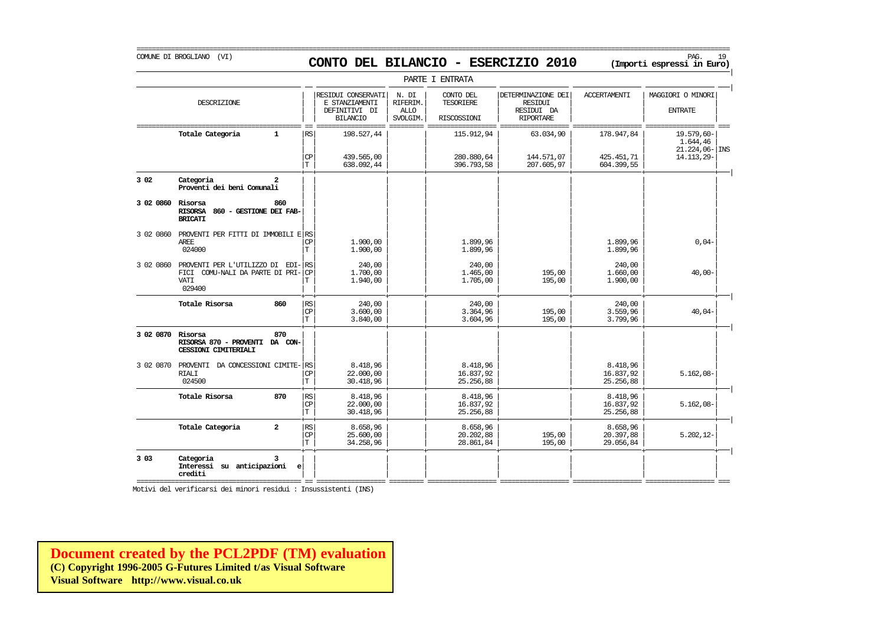### COMUNE DI BROGLIANO (VI) PAG. 19 **CONTO DEL BILANCIO - ESERCIZIO 2010 (Importi espressi in Euro)**

===========================================================================================================================================================

|                   |                                                                                               |                         |                                |                                                                          |                                              | PARTE I ENTRATA                        |                                                                        |                                        |                                                           |
|-------------------|-----------------------------------------------------------------------------------------------|-------------------------|--------------------------------|--------------------------------------------------------------------------|----------------------------------------------|----------------------------------------|------------------------------------------------------------------------|----------------------------------------|-----------------------------------------------------------|
|                   | DESCRIZIONE                                                                                   |                         |                                | RESIDUI CONSERVATI<br>E STANZIAMENTI<br>DEFINITIVI DI<br><b>BILANCIO</b> | N. DI<br>RIFERIM.<br><b>ALLO</b><br>SVOLGIM. | CONTO DEL<br>TESORIERE<br>RISCOSSIONI  | DETERMINAZIONE DEI<br><b>RESIDUI</b><br>RESIDUI DA<br><b>RIPORTARE</b> | <b>ACCERTAMENTI</b>                    | MAGGIORI O MINORI<br><b>ENTRATE</b>                       |
|                   | Totale Categoria                                                                              | 1                       | RS<br>CP<br>$\mathbf T$        | 198.527,44<br>439.565,00<br>638.092,44                                   |                                              | 115.912,94<br>280.880,64<br>396.793,58 | 63.034,90<br>144.571,07<br>207.605,97                                  | 178.947,84<br>425.451,71<br>604.399,55 | 19.579,60-<br>1.644,46<br>$21.224,06$ - INS<br>14.113,29- |
| 3 0 2             | Categoria<br>Proventi dei beni Comunali                                                       | $\overline{\mathbf{2}}$ |                                |                                                                          |                                              |                                        |                                                                        |                                        |                                                           |
| 3 02 0860 Risorsa | RISORSA 860 - GESTIONE DEI FAB-<br><b>BRICATI</b>                                             | 860                     |                                |                                                                          |                                              |                                        |                                                                        |                                        |                                                           |
| 3 02 0860         | PROVENTI PER FITTI DI IMMOBILI E RS<br>AREE.<br>024000                                        |                         | СP<br>T                        | 1,900,00<br>1,900,00                                                     |                                              | 1.899,96<br>1.899,96                   |                                                                        | 1.899,96<br>1.899,96                   | $0,04-$                                                   |
| 3 02 0860         | PROVENTI PER L'UTILIZZO DI EDI-RS<br>FICI COMU-NALI DA PARTE DI PRI-<br><b>VATT</b><br>029400 |                         | <b>CP</b>                      | 240,00<br>1,700,00<br>1.940,00                                           |                                              | 240,00<br>1.465,00<br>1.705,00         | 195,00<br>195,00                                                       | 240,00<br>1,660,00<br>1,900,00         | $40,00 -$                                                 |
|                   | Totale Risorsa                                                                                | 860                     | RS<br>CP<br>T                  | 240,00<br>3,600,00<br>3.840,00                                           |                                              | 240,00<br>3.364,96<br>3.604,96         | 195,00<br>195,00                                                       | 240,00<br>3.559,96<br>3.799,96         | $40,04-$                                                  |
| 3 02 0870 Risorsa | RISORSA 870 - PROVENTI DA CON-<br><b>CESSIONI CIMITERIALI</b>                                 | 870                     |                                |                                                                          |                                              |                                        |                                                                        |                                        |                                                           |
| 3 02 0870         | PROVENTI DA CONCESSIONI CIMITE-RS<br><b>RIALI</b><br>024500                                   |                         | <b>CP</b><br>$\mathbf T$       | 8.418,96<br>22,000,00<br>30.418,96                                       |                                              | 8.418,96<br>16.837,92<br>25.256,88     |                                                                        | 8.418,96<br>16.837,92<br>25.256,88     | $5.162,08-$                                               |
|                   | Totale Risorsa                                                                                | 870                     | RS<br>CP<br>$\mathbf T$        | 8.418.96<br>22.000,00<br>30.418,96                                       |                                              | 8.418.96<br>16.837,92<br>25.256,88     |                                                                        | 8.418.96<br>16.837,92<br>25.256,88     | $5.162,08-$                                               |
|                   | Totale Categoria                                                                              | $\overline{a}$          | RS<br><b>CP</b><br>$\mathbf T$ | 8.658,96<br>25.600,00<br>34.258,96                                       |                                              | 8.658,96<br>20.202,88<br>28.861,84     | 195,00<br>195,00                                                       | 8.658,96<br>20.397,88<br>29.056,84     | $5.202, 12-$                                              |
| 3 0 3<br>======== | Categoria<br>Interessi su anticipazioni<br>crediti                                            | 3<br>e                  |                                |                                                                          |                                              |                                        |                                                                        |                                        |                                                           |

Motivi del verificarsi dei minori residui : Insussistenti (INS)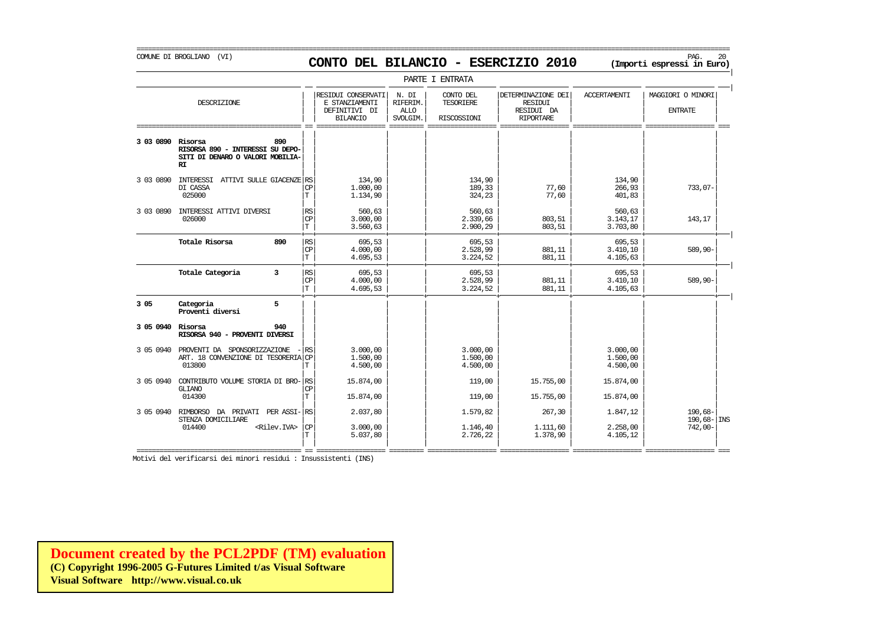COMUNE DI BROGLIANO (VI) PAG. 20 **CONTO DEL BILANCIO - ESERCIZIO 2010 (Importi espressi in Euro)** 

|           |                                                                                              |                         |                                                                          |                                              | PARTE I ENTRATA                              |                                                                        |                                  |                                     |
|-----------|----------------------------------------------------------------------------------------------|-------------------------|--------------------------------------------------------------------------|----------------------------------------------|----------------------------------------------|------------------------------------------------------------------------|----------------------------------|-------------------------------------|
|           | DESCRIZIONE                                                                                  |                         | RESIDUI CONSERVATI<br>E STANZIAMENTI<br>DEFINITIVI DI<br><b>BILANCIO</b> | N. DI<br>RIFERIM.<br><b>ALLO</b><br>SVOLGIM. | CONTO DEL<br><b>TESORIERE</b><br>RISCOSSIONI | DETERMINAZIONE DEI<br><b>RESIDUI</b><br>RESIDUI DA<br><b>RIPORTARE</b> | <b>ACCERTAMENTI</b>              | MAGGIORI O MINORI<br><b>ENTRATE</b> |
| 3 03 0890 | Risorsa<br>890<br>RISORSA 890 - INTERESSI SU DEPO-<br>SITI DI DENARO O VALORI MOBILIA-<br>RI |                         |                                                                          |                                              |                                              |                                                                        |                                  |                                     |
| 3 03 0890 | INTERESSI<br>ATTIVI SULLE GIACENZE RS<br>DI CASSA<br>025000                                  | CP<br>$\mathbf T$       | 134,90<br>1,000,00<br>1.134,90                                           |                                              | 134,90<br>189,33<br>324,23                   | 77,60<br>77,60                                                         | 134,90<br>266,93<br>401,83       | $733,07-$                           |
| 3 03 0890 | INTERESSI ATTIVI DIVERSI<br>026000                                                           | RS<br>CP<br>T           | 560,63<br>3.000,00<br>3.560,63                                           |                                              | 560,63<br>2.339,66<br>2.900,29               | 803,51<br>803,51                                                       | 560,63<br>3.143,17<br>3.703,80   | 143,17                              |
|           | Totale Risorsa<br>890                                                                        | RS<br>CP<br>$\mathbf T$ | 695,53<br>4,000,00<br>4.695,53                                           |                                              | 695,53<br>2.528,99<br>3.224,52               | 881,11<br>881,11                                                       | 695,53<br>3.410, 10<br>4.105,63  | 589,90-                             |
|           | Totale Categoria<br>3                                                                        | RS<br>CP<br>T.          | 695,53<br>4,000,00<br>4.695,53                                           |                                              | 695,53<br>2.528,99<br>3.224,52               | 881,11<br>881,11                                                       | 695,53<br>3.410,10<br>4.105,63   | $589,90-$                           |
| 3 0 5     | 5<br>Categoria<br>Proventi diversi                                                           |                         |                                                                          |                                              |                                              |                                                                        |                                  |                                     |
| 3 05 0940 | Risorsa<br>940<br>RISORSA 940 - PROVENTI DIVERSI                                             |                         |                                                                          |                                              |                                              |                                                                        |                                  |                                     |
| 3 05 0940 | PROVENTI DA SPONSORIZZAZIONE<br>ART. 18 CONVENZIONE DI TESORERIA CP<br>013800                | RS<br>Т                 | 3.000,00<br>1,500,00<br>4.500,00                                         |                                              | 3.000,00<br>1,500,00<br>4.500,00             |                                                                        | 3.000,00<br>1,500,00<br>4.500,00 |                                     |
| 3 05 0940 | CONTRIBUTO VOLUME STORIA DI BRO- RS<br>GLIANO                                                | <b>CP</b>               | 15.874,00                                                                |                                              | 119,00                                       | 15.755,00                                                              | 15.874,00                        |                                     |
|           | 014300                                                                                       | T                       | 15.874,00                                                                |                                              | 119,00                                       | 15.755,00                                                              | 15.874,00                        |                                     |
| 3 05 0940 | RIMBORSO DA PRIVATI PER ASSI-RS<br>STENZA DOMICILIARE                                        |                         | 2.037,80                                                                 |                                              | 1.579,82                                     | 267,30                                                                 | 1.847,12                         | 190,68-<br>$190,68 - \vert$ INS     |
|           | 014400<br><rilev.iva></rilev.iva>                                                            | <b>CP</b><br>T          | 3.000,00<br>5.037,80                                                     |                                              | 1.146,40<br>2.726,22                         | 1,111,60<br>1.378,90                                                   | 2.258,00<br>4.105,12             | $742,00-$                           |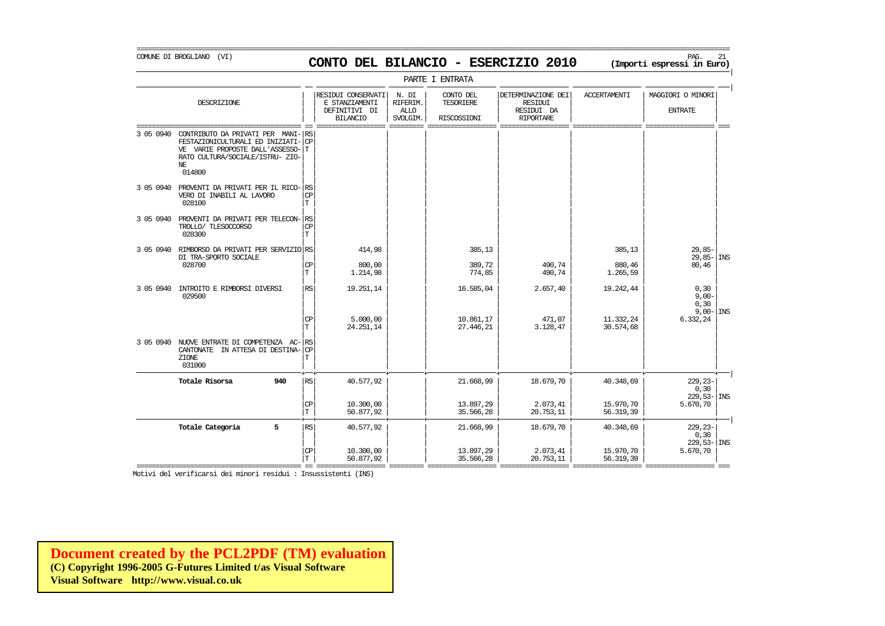COMUNE DI BROGLIANO (VI) PAG. 21 **CONTO DEL BILANCIO - ESERCIZIO 2010 (Importi espressi in Euro)** 

|           |                                                                                                                                                             |                        |                                                                          |                                              | PARTE I ENTRATA                              |                                                                 |                              |                                             |
|-----------|-------------------------------------------------------------------------------------------------------------------------------------------------------------|------------------------|--------------------------------------------------------------------------|----------------------------------------------|----------------------------------------------|-----------------------------------------------------------------|------------------------------|---------------------------------------------|
|           | DESCRIZIONE                                                                                                                                                 |                        | RESIDUI CONSERVATI<br>E STANZIAMENTI<br>DEFINITIVI DI<br><b>BILANCIO</b> | N. DI<br>RIFERIM.<br><b>ALLO</b><br>SVOLGIM. | CONTO DEL<br><b>TESORIERE</b><br>RISCOSSIONI | DETERMINAZIONE DEI<br>RESIDUI<br>RESIDUI DA<br><b>RIPORTARE</b> | <b>ACCERTAMENTI</b>          | MAGGIORI O MINORI<br><b>ENTRATE</b>         |
| 3 05 0940 | CONTRIBUTO DA PRIVATI PER MANI-<br>FESTAZIONICULTURALI ED INIZIATI-<br>VE VARIE PROPOSTE DALL'ASSESSO-<br>RATO CULTURA/SOCIALE/ISTRU- ZIO-<br>NF.<br>014800 | RS<br><b>CP</b><br>lΤ. |                                                                          |                                              |                                              |                                                                 |                              | ssesse est                                  |
| 3 05 0940 | PROVENTI DA PRIVATI PER IL RICO-RS<br>VERO DI INABILI AL LAVORO<br>028100                                                                                   | CP<br>T                |                                                                          |                                              |                                              |                                                                 |                              |                                             |
| 3 05 0940 | PROVENTI DA PRIVATI PER TELECON- RS<br>TROLLO/ TLESOCCORSO<br>028300                                                                                        | <b>CP</b><br>T.        |                                                                          |                                              |                                              |                                                                 |                              |                                             |
| 3 05 0940 | RIMBORSO DA PRIVATI PER SERVIZIO RS<br>DI TRA-SPORTO SOCIALE<br>028700                                                                                      | CP<br>T.               | 414,98<br>800,00<br>1.214,98                                             |                                              | 385,13<br>389,72<br>774,85                   | 490,74<br>490,74                                                | 385,13<br>880,46<br>1.265,59 | $29,85-$<br>$29,85-$<br><b>INS</b><br>80,46 |
| 3 05 0940 | INTROITO E RIMBORSI DIVERSI<br>029500                                                                                                                       | RS                     | 19.251,14                                                                |                                              | 16.585,04                                    | 2.657,40                                                        | 19.242,44                    | 0, 30<br>$9,00-$<br>0, 30                   |
|           | 3 05 0940 NUOVE ENTRATE DI COMPETENZA AC-                                                                                                                   | CP<br>T<br> RS         | 5.000.00<br>24.251,14                                                    |                                              | 10.861.17<br>27.446,21                       | 471,07<br>3.128,47                                              | 11.332.24<br>30.574,68       | $9,00 -  $ INS<br>6.332,24                  |
|           | CANTONATE<br>IN ATTESA DI DESTINA-<br>ZIONE<br>031000                                                                                                       | CP<br>Т                |                                                                          |                                              |                                              |                                                                 |                              |                                             |
|           | Totale Risorsa<br>940                                                                                                                                       | RS                     | 40.577,92                                                                |                                              | 21.668,99                                    | 18.679,70                                                       | 40.348,69                    | $229, 23 -$<br>0, 30<br>$229,53 -  $ INS    |
|           |                                                                                                                                                             | CP<br>$\mathbf T$      | 10.300,00<br>50.877,92                                                   |                                              | 13.897,29<br>35.566,28                       | 2.073,41<br>20.753,11                                           | 15.970,70<br>56.319,39       | 5.670,70                                    |
|           | 5<br>Totale Categoria                                                                                                                                       | RS                     | 40.577,92                                                                |                                              | 21.668,99                                    | 18.679,70                                                       | 40.348,69                    | $229, 23 -$<br>0, 30<br>$229,53 -$ INS      |

=========================================== == ================== ========= ================== ================== ================== ================== === Motivi del verificarsi dei minori residui : Insussistenti (INS)

 $|\mathbb{CP}|$  10.300,00 | 13.897,29 2.073,41 15.970,70 5.670,70 |  $|T|$  50.877,92  $|$  35.566,28 20.753,11 56.319,39

**[Document created by the PCL2PDF \(TM\) evaluation](http://www.visual.co.uk) (C) Copyright 1996-2005 G-Futures Limited t/as Visual Software Visual Software http://www.visual.co.uk**

#### ===========================================================================================================================================================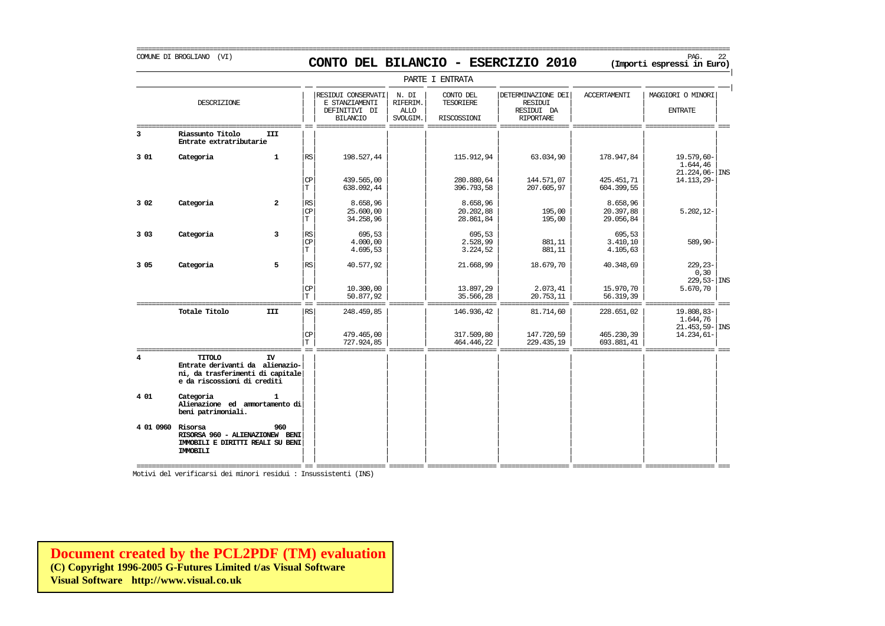# COMUNE DI BROGLIANO (VI) PAG. 22 **CONTO DEL BILANCIO - ESERCIZIO 2010 (Importi espressi in Euro)**

===========================================================================================================================================================

|                   |                                                                                                              |                |                                              |                                                                          |                                              | PARTE I ENTRATA                                     |                                                                 |                                    |                                             |
|-------------------|--------------------------------------------------------------------------------------------------------------|----------------|----------------------------------------------|--------------------------------------------------------------------------|----------------------------------------------|-----------------------------------------------------|-----------------------------------------------------------------|------------------------------------|---------------------------------------------|
|                   | DESCRIZIONE                                                                                                  |                |                                              | RESIDUI CONSERVATI<br>E STANZIAMENTI<br>DEFINITIVI DI<br><b>BILANCIO</b> | N. DI<br>RIFERIM.<br><b>ALLO</b><br>SVOLGIM. | CONTO DEL<br><b>TESORIERE</b><br><b>RISCOSSIONI</b> | DETERMINAZIONE DEI<br>RESIDUI<br>RESIDUI DA<br><b>RIPORTARE</b> | <b>ACCERTAMENTI</b>                | MAGGIORI O MINORI<br><b>ENTRATE</b>         |
| 3                 | Riassunto Titolo<br>Entrate extratributarie                                                                  | III            |                                              |                                                                          |                                              |                                                     |                                                                 |                                    |                                             |
| 301               | Categoria                                                                                                    | $\mathbf{1}$   | RS                                           | 198.527,44                                                               |                                              | 115.912,94                                          | 63.034,90                                                       | 178.947,84                         | 19.579,60-<br>1,644,46<br>$21.224,06 -$ INS |
|                   |                                                                                                              |                | $_{\rm CP}$<br>T.                            | 439.565,00<br>638.092,44                                                 |                                              | 280.880.64<br>396.793,58                            | 144.571,07<br>207.605,97                                        | 425.451,71<br>604.399,55           | 14.113,29-                                  |
| 3 0 2             | Categoria                                                                                                    | $\overline{a}$ | $\mathbb{R}\mathbb{S}$<br>CP<br>T.           | 8.658,96<br>25.600,00<br>34.258,96                                       |                                              | 8.658,96<br>20.202,88<br>28.861.84                  | 195,00<br>195,00                                                | 8.658.96<br>20.397,88<br>29.056,84 | $5.202, 12 -$                               |
| 3 0 3             | Categoria                                                                                                    | 3              | $\mathbb{R}\mathbb{S}$<br>$\mathbf{CP}$<br>T | 695,53<br>4,000,00<br>4.695,53                                           |                                              | 695,53<br>2.528,99<br>3.224,52                      | 881,11<br>881,11                                                | 695,53<br>3.410, 10<br>4.105,63    | 589,90-                                     |
| 3 0 5             | Categoria                                                                                                    | 5              | RS                                           | 40.577,92                                                                |                                              | 21.668,99                                           | 18.679,70                                                       | 40.348,69                          | $229, 23 -$<br>0, 30<br>$229,53 - 1$ INS    |
|                   | ==================================                                                                           |                | $\mathbf{C}\mathbf{P}$<br>T.                 | 10.300,00<br>50.877,92                                                   |                                              | 13.897,29<br>35.566,28                              | 2.073,41<br>20.753,11                                           | 15.970,70<br>56.319,39             | 5.670,70                                    |
|                   | Totale Titolo                                                                                                | <b>III</b>     | <b>RS</b>                                    | 248.459,85                                                               |                                              | 146.936,42                                          | 81.714,60                                                       | 228.651,02                         | 19.808,83-<br>1.644,76<br>$21.453,59 -$ INS |
|                   |                                                                                                              |                | CP<br>T                                      | 479.465,00<br>727.924,85                                                 |                                              | 317.509,80<br>464.446,22                            | 147.720,59<br>229.435,19                                        | 465.230,39<br>693.881,41           | 14.234,61-                                  |
| 4                 | TITOLO<br>Entrate derivanti da alienazio-<br>ni, da trasferimenti di capitale<br>e da riscossioni di crediti | IV             |                                              |                                                                          |                                              |                                                     |                                                                 |                                    |                                             |
| 4 01              | Categoria<br>Alienazione ed ammortamento di<br>beni patrimoniali.                                            | 1              |                                              |                                                                          |                                              |                                                     |                                                                 |                                    |                                             |
| 4 01 0960 Risorsa | RISORSA 960 - ALIENAZIONEW BENI<br>IMMOBILI E DIRITTI REALI SU BENI<br><b>IMMOBILI</b>                       | 960            |                                              |                                                                          |                                              |                                                     |                                                                 |                                    |                                             |

Motivi del verificarsi dei minori residui : Insussistenti (INS)

**[Document created by the PCL2PDF \(TM\) evaluation](http://www.visual.co.uk) (C) Copyright 1996-2005 G-Futures Limited t/as Visual Software Visual Software http://www.visual.co.uk**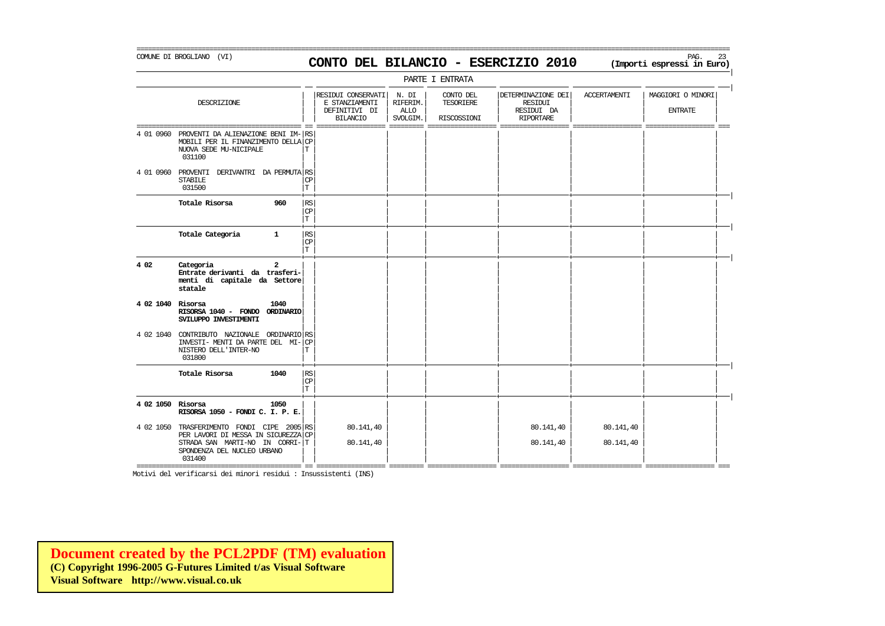=========================================================================================================================================================== COMUNE DI BROGLIANO (VI) PAG. 23 **CONTO DEL BILANCIO - ESERCIZIO 2010 (Importi espressi in Euro)** 

|                   |                                                                                                                                                |                                   |                                                                          |                                       | PARTE I ENTRATA                              |                                                                 |                        |                                     |
|-------------------|------------------------------------------------------------------------------------------------------------------------------------------------|-----------------------------------|--------------------------------------------------------------------------|---------------------------------------|----------------------------------------------|-----------------------------------------------------------------|------------------------|-------------------------------------|
|                   | DESCRIZIONE                                                                                                                                    |                                   | RESIDUI CONSERVATI<br>E STANZIAMENTI<br>DEFINITIVI DI<br><b>BILANCIO</b> | N. DI<br>RIFERIM.<br>ALLO<br>SVOLGIM. | CONTO DEL<br><b>TESORIERE</b><br>RISCOSSIONI | DETERMINAZIONE DEI<br>RESIDUI<br>RESIDUI DA<br><b>RIPORTARE</b> | <b>ACCERTAMENTI</b>    | MAGGIORI O MINORI<br><b>ENTRATE</b> |
| 4 01 0960         | PROVENTI DA ALIENAZIONE BENI IM- RS<br>MOBILI PER IL FINANZIMENTO DELLA CP<br>NUOVA SEDE MU-NICIPALE<br>031100                                 | T                                 | ———————                                                                  | ----------                            |                                              | ____________                                                    |                        | --------- ---                       |
| 4 01 0960         | PROVENTI DERIVANTRI DA PERMUTA RS<br><b>STABILE</b><br>031500                                                                                  | <b>CP</b><br>T                    |                                                                          |                                       |                                              |                                                                 |                        |                                     |
|                   | Totale Risorsa<br>960                                                                                                                          | $\mathbb{R}\mathbb{S}$<br>CP<br>T |                                                                          |                                       |                                              |                                                                 |                        |                                     |
|                   | Totale Categoria<br>$\mathbf{1}$                                                                                                               | $\mathbb{RS}$<br><b>CP</b><br>T   |                                                                          |                                       |                                              |                                                                 |                        |                                     |
| 4 0 2             | Categoria<br>$\overline{a}$<br>Entrate derivanti da trasferi-<br>menti di capitale da Settore<br>statale                                       |                                   |                                                                          |                                       |                                              |                                                                 |                        |                                     |
| 4 02 1040         | Risorsa<br>1040<br>RISORSA 1040 - FONDO ORDINARIO<br>SVILUPPO INVESTIMENTI                                                                     |                                   |                                                                          |                                       |                                              |                                                                 |                        |                                     |
| 4 02 1040         | CONTRIBUTO NAZIONALE ORDINARIO RS<br>INVESTI- MENTI DA PARTE DEL MI-<br>NISTERO DELL'INTER-NO<br>031800                                        | CP<br>T                           |                                                                          |                                       |                                              |                                                                 |                        |                                     |
|                   | Totale Risorsa<br>1040                                                                                                                         | RS<br>$\mathbb{C}\mathbb{P}$<br>T |                                                                          |                                       |                                              |                                                                 |                        |                                     |
| 4 02 1050 Risorsa | 1050<br>RISORSA 1050 - FONDI C. I. P. E.                                                                                                       |                                   |                                                                          |                                       |                                              |                                                                 |                        |                                     |
| 4 02 1050         | TRASFERIMENTO FONDI CIPE<br>2005<br>PER LAVORI DI MESSA IN SICUREZZA<br>STRADA SAN MARTI-NO IN CORRI-<br>SPONDENZA DEL NUCLEO URBANO<br>031400 | RS<br>CP<br>т                     | 80.141,40<br>80.141,40                                                   |                                       |                                              | 80.141,40<br>80.141,40                                          | 80.141,40<br>80.141,40 |                                     |

=========================================== == ================== ========= ================== ================== ================== ================== === Motivi del verificarsi dei minori residui : Insussistenti (INS)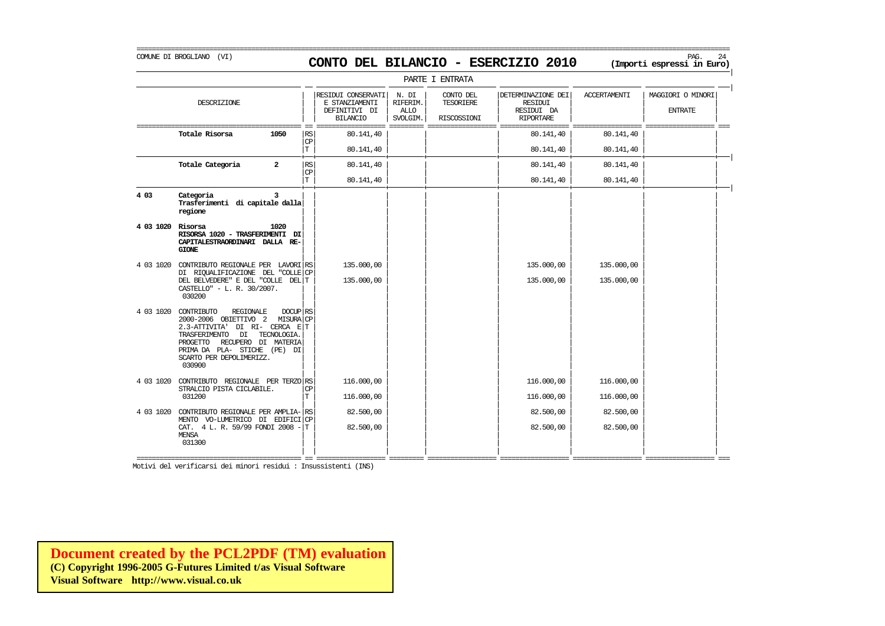### COMUNE DI BROGLIANO (VI) PAG. 24 **CONTO DEL BILANCIO - ESERCIZIO 2010 (Importi espressi in Euro)**

===========================================================================================================================================================

|                   | PARTE I ENTRATA                                                                                                                                                                                                                                         |                   |                                                                          |                                              |                                       |                                                                        |                     |                                     |  |  |  |  |
|-------------------|---------------------------------------------------------------------------------------------------------------------------------------------------------------------------------------------------------------------------------------------------------|-------------------|--------------------------------------------------------------------------|----------------------------------------------|---------------------------------------|------------------------------------------------------------------------|---------------------|-------------------------------------|--|--|--|--|
|                   | DESCRIZIONE                                                                                                                                                                                                                                             |                   | RESIDUI CONSERVATI<br>E STANZIAMENTI<br>DEFINITIVI DI<br><b>BILANCIO</b> | N. DI<br>RIFERIM.<br><b>ALLO</b><br>SVOLGIM. | CONTO DEL<br>TESORIERE<br>RISCOSSIONI | DETERMINAZIONE DEI<br><b>RESIDUI</b><br>RESIDUI DA<br><b>RIPORTARE</b> | <b>ACCERTAMENTI</b> | MAGGIORI O MINORI<br><b>ENTRATE</b> |  |  |  |  |
|                   | Totale Risorsa<br>1050                                                                                                                                                                                                                                  | <b>RS</b>         | 80.141,40                                                                |                                              |                                       | 80.141,40                                                              | 80.141,40           |                                     |  |  |  |  |
|                   |                                                                                                                                                                                                                                                         | CP<br>$\mathbf T$ | 80.141,40                                                                |                                              |                                       | 80.141,40                                                              | 80.141,40           |                                     |  |  |  |  |
|                   | Totale Categoria<br>$\overline{a}$                                                                                                                                                                                                                      | RS<br>CP          | 80.141,40                                                                |                                              |                                       | 80.141,40                                                              | 80.141,40           |                                     |  |  |  |  |
|                   |                                                                                                                                                                                                                                                         | T                 | 80.141,40                                                                |                                              |                                       | 80.141,40                                                              | 80.141,40           |                                     |  |  |  |  |
| 4 0 3             | Categoria<br>3<br>Trasferimenti di capitale dalla<br>regione                                                                                                                                                                                            |                   |                                                                          |                                              |                                       |                                                                        |                     |                                     |  |  |  |  |
| 4 03 1020 Risorsa | 1020<br>RISORSA 1020 - TRASFERIMENTI DI<br>CAPITALESTRAORDINARI DALLA RE-<br><b>GIONE</b>                                                                                                                                                               |                   |                                                                          |                                              |                                       |                                                                        |                     |                                     |  |  |  |  |
|                   | 4 03 1020 CONTRIBUTO REGIONALE PER LAVORI RS                                                                                                                                                                                                            |                   | 135,000,00                                                               |                                              |                                       | 135.000,00                                                             | 135.000,00          |                                     |  |  |  |  |
|                   | DI RIQUALIFICAZIONE DEL "COLLE <sup>CP</sup><br>DEL BELVEDERE" E DEL "COLLE DEL T<br>CASTELLO" - L. R. 30/2007.<br>030200                                                                                                                               |                   | 135.000,00                                                               |                                              |                                       | 135.000,00                                                             | 135.000,00          |                                     |  |  |  |  |
| 4 03 1020         | $DOCUP$ RS<br>CONTRIBUTO<br>REGIONALE<br>2000-2006 OBIETTIVO 2 MISURACP<br>2.3-ATTIVITA' DI RI- CERCA ET<br>TECNOLOGIA.<br>TRASFERIMENTO<br>DI<br>RECUPERO DI MATERIA<br>PROGETTO<br>PRIMA DA PLA- STICHE (PE) DI<br>SCARTO PER DEPOLIMERIZZ.<br>030900 |                   |                                                                          |                                              |                                       |                                                                        |                     |                                     |  |  |  |  |
| 4 03 1020         | CONTRIBUTO REGIONALE PER TERZO RS                                                                                                                                                                                                                       |                   | 116.000,00                                                               |                                              |                                       | 116.000,00                                                             | 116.000,00          |                                     |  |  |  |  |
|                   | STRALCIO PISTA CICLABILE.<br>031200                                                                                                                                                                                                                     | CP<br>T           | 116.000,00                                                               |                                              |                                       | 116.000,00                                                             | 116.000,00          |                                     |  |  |  |  |
| 4 03 1020         | CONTRIBUTO REGIONALE PER AMPLIA-RS<br>MENTO VO-LUMETRICO DI EDIFICICP                                                                                                                                                                                   |                   | 82.500,00                                                                |                                              |                                       | 82.500,00                                                              | 82.500,00           |                                     |  |  |  |  |
|                   | CAT. 4 L. R. 59/99 FONDI 2008 -<br><b>MENSA</b><br>031300                                                                                                                                                                                               | lΤ                | 82.500,00                                                                |                                              |                                       | 82.500,00                                                              | 82.500,00           |                                     |  |  |  |  |
|                   |                                                                                                                                                                                                                                                         |                   |                                                                          |                                              |                                       |                                                                        |                     |                                     |  |  |  |  |

Motivi del verificarsi dei minori residui : Insussistenti (INS)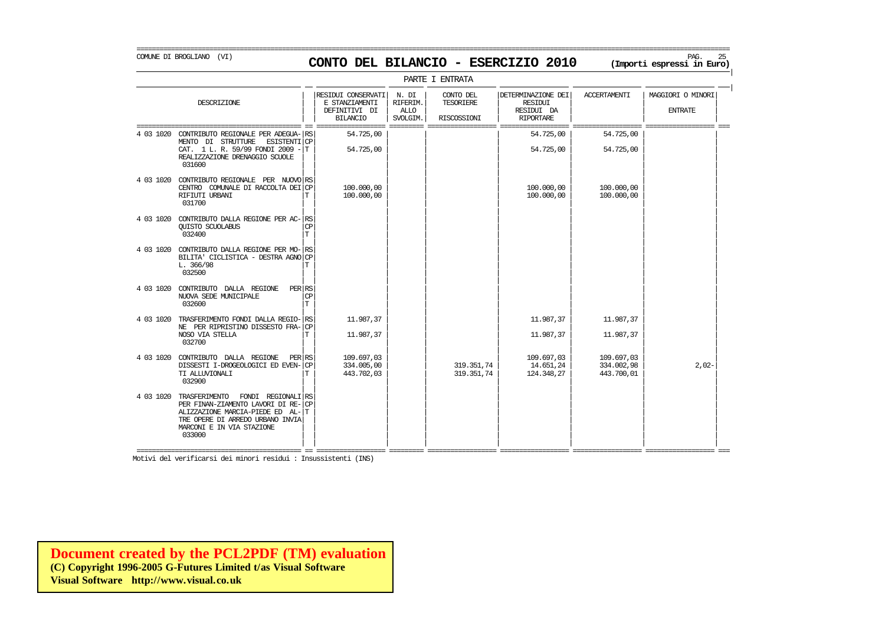COMUNE DI BROGLIANO (VI) PAG. 25 **CONTO DEL BILANCIO - ESERCIZIO 2010 (Importi espressi in Euro)** 

PARTE I ENTRATA | | | RESIDUI CONSERVATI | N. DI | CONTO DEL | DETERMINAZIONE DEI | ACCERTAMENTI | MAGGIORI O MINORI<br>| F. STANZIAMENTI | RIFERIM. | TESORIERE | | RESIDUI DESCRIZIONE E STANZIAMENTI RIFERIM. TESORIERE RESIDUI | | | | | | | |  $\begin{array}{c|c|c|c|c|c|c|c|c} \texttt{DEFINITIVI} & \texttt{DI} & \texttt{ALLO} & & & \texttt{RESIDUI} & \texttt{DA} & & & \texttt{ENTRATE} \\ \hline \texttt{BIIANCIO} & \texttt{SVOJGIM} & \texttt{RISCOSSIONI} & & \texttt{RIPORTARE} & & & & & \end{array}$ | | BILANCIO | SVOLGIM. | RISCOSSIONI | RIPORTARE | | | =========================================== == ================== ========= ================== ================== ================== ================== === 4 03 1020 CONTRIBUTO REGIONALE PER ADEGUA- $|\text{RS}|$  54.725,00 | | | | | 54.725,00 | 54.725,00 MENTO DI STRUTTURE ESISTENTI $|\text{CP}|\$ <br>
CAT. 1 L.R. 59/99 FONDI 2009 - T 54.725,00  $|$  1 = 54.725,00 = 54.725,00 = 54.725,00 = 54.725,00 CAT. 1 L. R. 59/99 FONDI 2009  $-|T|$ REALIZZAZIONE DRENAGGIO SCUOLE 031600 031600 | | | | | | | | | | | | | | | | 4 03 1020 CONTRIBUTO REGIONALE PER NUOVO| | | | | | | | RS CENTRO COMUNALE DI RACCOLTA DEI $|\text{CP}|$  = 100.000,00 | = 100.000,00 | = 100.000,00 | = 100.000,00 100.000,00 | = 100.000,00 RIFIUTI URBANI | | | | | | | | T 100.000,00 100.000,00 100.000,00 031700 | | | | | | | | | | | | | | | | 4 03 1020 CONTRIBUTO DALLA REGIONE PER AC- $\begin{bmatrix} \text{RS} \\ \text{C}\text{P} \end{bmatrix}$ QUISTO SCUOLABUS | | | | | | | | CP 032400 | | | | | | | | T | | | | | | | | 4 03 1020 CONTRIBUTO DALLA REGIONE PER MO- $|$ RS BILITA' CICLISTICA - DESTRA AGNO CP<br>L. 366/98 L. 366/98 | | | | | | | | T 032500 | | | | | | | | | | | | | | | | 4 03 1020 CONTRIBUTO DALLA REGIONE PER RS<br>NIOVA SEDE MINICIPALE NUOVA SEDE MUNICIPALE<br>032600 032600 | | | | | | | | T | | | | | | | | 4 03 1020 TRASFERIMENTO FONDI DALLA REGIO-| | | | | | | | RS 11.987,37 11.987,37 11.987,37 NE PER RIPRISTINO DISSESTO FRA- $|\text{CP}$ <br>
11.987.37 11.987.37 11.987.37 11.987.37 11.987.37 NOSO VIA STELLA | | | | | | | | T 11.987,37 11.987,37 11.987,37 032700 | | | | | | | | | | | | | | | |  $\begin{array}{c|c|c|c|c|c|c|c|c} \text{103 1020} & \text{COMTRIBUTO} & \text{DALLA} & \text{REGIONE} & \text{PER} & \text{RS} & 109.697,03 & 109.697,03 & 109.697,03 & 109.697,03 & 109.697,03 & 109.697,03 & 109.697,03 & 109.697,03 & 109.697,03 & 109.697,03 & 109.697,03 & 109.697,03 & 10$ DISSESTI I-DROGEOLOGICI ED EVEN- $|\text{CP}|$  334.005,00 34.002,98 319.351,74 14.651,24 344.27 334.002,98 34.002,98 2,02-443.700.01 TI ALLUVIONALI | | | | | | | | T 443.702,03 319.351,74 124.348,27 443.700,01 032900 | | | | | | | | | | | | | | | | 4 03 1020 TRASFERIMENTO FONDI REGIONALI<sup>E</sup>RS PER FINAN-ZIAMENTO LAVORI DI RE-CP ALIZZAZIONE MARCIA-PIEDE ED AL-T TRE OPERE DI ARREDO URBANO INVIA MARCONI E IN VIA STAZIONE<br>033000 033000 | | | | | | | |

=========================================== == ================== ========= ================== ================== ================== ================== === Motivi del verificarsi dei minori residui : Insussistenti (INS)

| | | | | | | |

**[Document created by the PCL2PDF \(TM\) evaluation](http://www.visual.co.uk) (C) Copyright 1996-2005 G-Futures Limited t/as Visual Software Visual Software http://www.visual.co.uk**

|

|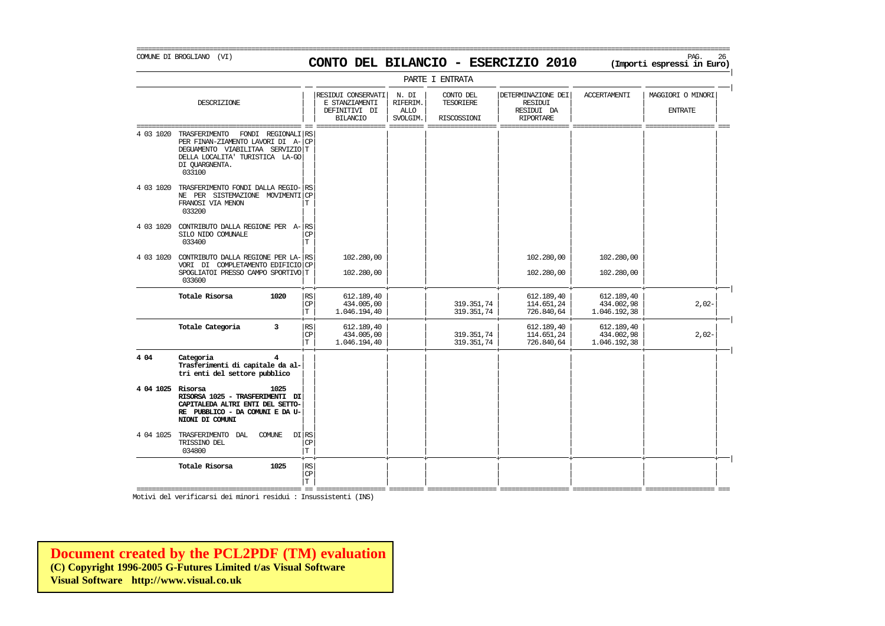### COMUNE DI BROGLIANO (VI) PAG. 26 **CONTO DEL BILANCIO - ESERCIZIO 2010 (Importi espressi in Euro)**

===========================================================================================================================================================

|

|                   |                                                                                                                                                    |                          |                                   |                                                                          |                                       | PARTE I ENTRATA                       |                                                                 |                                          |                                                |
|-------------------|----------------------------------------------------------------------------------------------------------------------------------------------------|--------------------------|-----------------------------------|--------------------------------------------------------------------------|---------------------------------------|---------------------------------------|-----------------------------------------------------------------|------------------------------------------|------------------------------------------------|
|                   | DESCRIZIONE                                                                                                                                        |                          |                                   | RESIDUI CONSERVATI<br>E STANZIAMENTI<br>DEFINITIVI DI<br><b>BILANCIO</b> | N. DI<br>RIFERIM.<br>ALLO<br>SVOLGIM. | CONTO DEL<br>TESORIERE<br>RISCOSSIONI | DETERMINAZIONE DEI<br>RESIDUI<br>RESIDUI DA<br><b>RIPORTARE</b> | <b>ACCERTAMENTI</b>                      | MAGGIORI O MINORI<br><b>ENTRATE</b><br>--- --- |
| 4 03 1020         | TRASFERIMENTO<br>PER FINAN-ZIAMENTO LAVORI DI A-<br>DEGUAMENTO VIABILITAA SERVIZIOT<br>DELLA LOCALITA' TURISTICA LA-GO<br>DI QUARGNENTA.<br>033100 | FONDI REGIONALI RS       | <b>CP</b>                         |                                                                          |                                       |                                       |                                                                 |                                          |                                                |
| 4 03 1020         | TRASFERIMENTO FONDI DALLA REGIO- RS<br>NE PER SISTEMAZIONE MOVIMENTICP<br>FRANOSI VIA MENON<br>033200                                              |                          | T                                 |                                                                          |                                       |                                       |                                                                 |                                          |                                                |
| 4 03 1020         | CONTRIBUTO DALLA REGIONE PER A-RS<br>SILO NIDO COMUNALE<br>033400                                                                                  |                          | СP<br>T                           |                                                                          |                                       |                                       |                                                                 |                                          |                                                |
|                   | 4 03 1020 CONTRIBUTO DALLA REGIONE PER LA-RS<br>VORI DI COMPLETAMENTO EDIFICIO CP<br>SPOGLIATOI PRESSO CAMPO SPORTIVO T<br>033600                  |                          |                                   | 102,280,00<br>102.280,00                                                 |                                       |                                       | 102,280,00<br>102.280,00                                        | 102,280,00<br>102.280,00                 |                                                |
|                   | Totale Risorsa                                                                                                                                     | 1020                     | RS<br>$\mathbb{C}\mathbb{P}$<br>T | 612.189,40<br>434.005,00<br>1.046.194,40                                 |                                       | 319.351,74<br>319.351,74              | 612.189,40<br>114.651,24<br>726.840,64                          | 612.189,40<br>434.002,98<br>1.046.192,38 | $2,02-$                                        |
|                   | Totale Categoria                                                                                                                                   | 3                        | $\mathbb{R}\mathbb{S}$<br>CP<br>T | 612.189,40<br>434.005,00<br>1.046.194,40                                 |                                       | 319.351,74<br>319.351,74              | 612.189,40<br>114.651,24<br>726.840,64                          | 612.189,40<br>434.002,98<br>1.046.192,38 | $2,02-$                                        |
| 4 0 4             | Categoria<br>Trasferimenti di capitale da al-<br>tri enti del settore pubblico                                                                     |                          |                                   |                                                                          |                                       |                                       |                                                                 |                                          |                                                |
| 4 04 1025 Risorsa | RISORSA 1025 - TRASFERIMENTI DI<br>CAPITALEDA ALTRI ENTI DEL SETTO-<br>RE PUBBLICO - DA COMUNI E DA U-<br>NIONI DI COMUNI                          | 1025                     |                                   |                                                                          |                                       |                                       |                                                                 |                                          |                                                |
|                   | 4 04 1025 TRASFERIMENTO<br>DAL<br>TRISSINO DEL<br>034800                                                                                           | $DI$ RS<br><b>COMUNE</b> | $_{\rm CP}$<br>$\mathbb T$        |                                                                          |                                       |                                       |                                                                 |                                          |                                                |
|                   | Totale Risorsa                                                                                                                                     | 1025                     | RS<br>CP<br>T.                    |                                                                          |                                       |                                       |                                                                 |                                          |                                                |

=========================================== == ================== ========= ================== ================== ================== ================== === Motivi del verificarsi dei minori residui : Insussistenti (INS)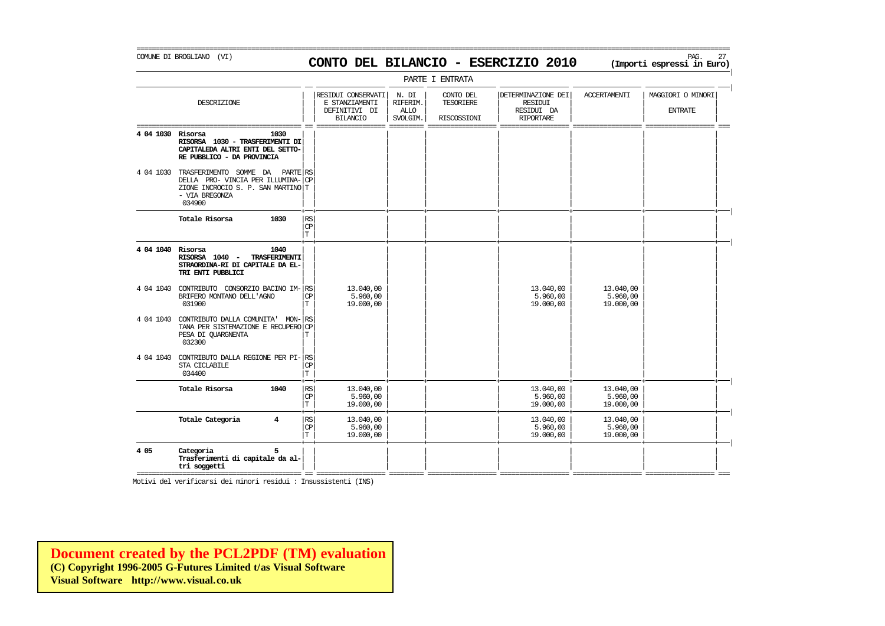COMUNE DI BROGLIANO (VI) PAG. 27 **CONTO DEL BILANCIO - ESERCIZIO 2010 (Importi espressi in Euro)**  PARTE I ENTRATA | | | RESIDUI CONSERVATI | N. DI | CONTO DEL | DETERMINAZIONE DEI | ACCERTAMENTI | MAGGIORI O MINORI<br>| F. STANZIAMENTI | RIFERIM. | TESORIERE | | RESIDUI DESCRIZIONE E STANZIAMENTI RIFERIM. TESORIERE RESIDUI | | | | | | | |  $\begin{array}{c|c|c|c|c|c|c|c|c} \texttt{DEFINITIVI} & \texttt{DI} & \texttt{ALLO} & & & \texttt{RESIDUI} & \texttt{DA} & & & \texttt{ENTRATE} \\ \hline \texttt{BIIANCIO} & \texttt{SVOJGIM} & \texttt{RISCOSSIONI} & & \texttt{RIPORTARE} & & & & & \end{array}$ | | BILANCIO | SVOLGIM. | RISCOSSIONI | RIPORTARE | | | =========================================== == ================== ========= ================== ================== ================== ================== === **4 04 1030 Risorsa 1030** | | | | | | | |  $RISORSA$  1030 - TRASFERIMENTI DI CAPITALEDA ALTRI ENTI DEL SETTO-**RE PUBBLICO - DA PROVINCIA** | | | | | | | | 4 04 1030 TRASFERIMENTO SOMME DA PARTE RS  $DELLA$  PRO- VINCIA PER ILLUMINA- $|CP$ ZIONE INCROCIO S. P. SAN MARTINO | T - VIA BREGONZA | | | | | | | | RISORSA 1040 - TRASFERIMENTI STRAORDINA-RI DI CAPITALE DA EL-<br>TRI ENTI PUBBLICI

|

|

034900 | | | | | | | | + + + + + + + + | **Totale Risorsa 1030** | | | | | | | | RS  $|\mathbb{CP}|$  , and the set of the set of the set of the set of the set of the set of the set of the set of the set of the set of the set of the set of the set of the set of the set of the set of the set of the set of the set  $|\mathbf{T}|$  , and  $|\mathbf{T}|$  , and  $|\mathbf{T}|$  , and  $|\mathbf{T}|$  , and  $|\mathbf{T}|$  , and  $|\mathbf{T}|$  , and  $|\mathbf{T}|$  , and  $|\mathbf{T}|$  , and  $|\mathbf{T}|$  , and  $|\mathbf{T}|$  , and  $|\mathbf{T}|$  , and  $|\mathbf{T}|$  , and  $|\mathbf{T}|$  , and  $|\mathbf{T}|$  , and  $|\mathbf{T}|$  , and  $|\mathbf{T}|$  , a + + + + + + + + | **4 04 1040 Risorsa 1040** | | | | | | | | **TRI ENTI PUBBLICI** | | | | | | | | | | | | | | | | 4 04 1040 CONTRIBUTO CONSORZIO BACINO IM- $\begin{vmatrix} 13.040, 00 & 13.040, 00 \\ 15.960.00 & 5.960.00 \end{vmatrix}$  13.040,00 13.040,00 13.040,00 13.040,00 13.040,00 13.040,00 13.040,00 13.040,00 13.040,00 13.040,00 13.040,00 15.960.00 15 BRIFERO MONTANO DELL'AGNO  $\begin{bmatrix} \text{CP} \\ \text{T} \end{bmatrix}$  = 5.960,00 5.960,00 5.960,00 5.960,00 5.960,00 5.960,00 5.960,00 5.960,00 5.960,00 5.960,00 5.960,00 5.960,00 5.960,00 5.960,00 5.960,00 5.960,00 5.960,00 5.960,00 5.960, 031900 | | | | | | | | T 19.000,00 19.000,00 19.000,00 | | | | | | | | 4 04 1040 CONTRIBUTO DALLA COMUNITA' MON- $|$ RS TANA PER SISTEMAZIONE E RECUPERO CP PESA DI QUARGNENTA  $\boxed{\text{T}}$ 032300 | | | | | | | | | | | | | | | | 4 04 1040 CONTRIBUTO DALLA REGIONE PER PI- $|$ RS STA CICLABILE STA CICLABILE | | | | | | | | CP 034400  $|\text{T}|$   $|\text{T}|$ + + + + + + + + | **Totale Risorsa 1040** | | | | | | | | RS 13.040,00 13.040,00 13.040,00  $|\mathbb{CP}|$  5.960,00  $|$   $|$  5.960,00 5.960,00  $|$  $|\text{T}|$  19.000,00  $|$   $|$  19.000,00 19.000,00 19.000,00 1 + + + + + + + + | **Totale Categoria 4** | | | | | | | | RS 13.040,00 13.040,00 13.040,00  $|\mathbb{CP}|$  5.960,00  $|$   $|$  5.960,00 5.960,00  $|$  $|\text{T}|$  19.000,00  $|$   $|$  19.000,00 19.000,00 19.000,00 1 + + + + + + + + | **4 05 Categoria 5** | | | | | | | | **Trasferimenti di capitale da al-<br>tri soggetti tri soggetti** | | | | | | | | =========================================== == ================== ========= ================== ================== ================== ================== ===

Motivi del verificarsi dei minori residui : Insussistenti (INS)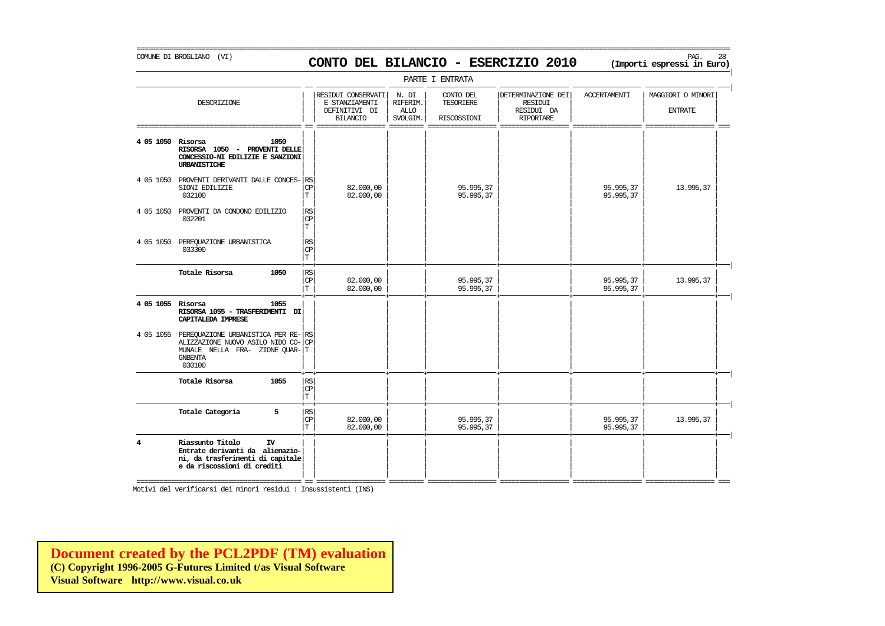# COMUNE DI BROGLIANO (VI) PAG. 28 **CONTO DEL BILANCIO - ESERCIZIO 2010 (Importi espressi in Euro)**

===========================================================================================================================================================

|                   |                                                                                                                                                    |                                       |                                                                          |                                              | PARTE I ENTRATA                              |                                                                        |                        |                                     |
|-------------------|----------------------------------------------------------------------------------------------------------------------------------------------------|---------------------------------------|--------------------------------------------------------------------------|----------------------------------------------|----------------------------------------------|------------------------------------------------------------------------|------------------------|-------------------------------------|
|                   | DESCRIZIONE                                                                                                                                        |                                       | RESIDUI CONSERVATI<br>E STANZIAMENTI<br>DEFINITIVI DI<br><b>BILANCIO</b> | N. DI<br>RIFERIM.<br><b>ALLO</b><br>SVOLGIM. | CONTO DEL<br><b>TESORIERE</b><br>RISCOSSIONI | DETERMINAZIONE DEI<br><b>RESIDUI</b><br>RESIDUI DA<br><b>RIPORTARE</b> | <b>ACCERTAMENTI</b>    | MAGGIORI O MINORI<br><b>ENTRATE</b> |
| 4 05 1050 Risorsa | 1050<br>RISORSA 1050 - PROVENTI DELLE<br>CONCESSIO-NI EDILIZIE E SANZIONI<br>URBANISTICHE                                                          |                                       |                                                                          |                                              |                                              |                                                                        |                        |                                     |
|                   | 4 05 1050 PROVENTI DERIVANTI DALLE CONCES- RS<br>SIONI EDILIZIE<br>032100                                                                          | <b>CP</b><br>$\mathbf T$              | 82,000,00<br>82.000,00                                                   |                                              | 95.995.37<br>95.995,37                       |                                                                        | 95.995,37<br>95.995,37 | 13.995,37                           |
|                   | 4 05 1050 PROVENTI DA CONDONO EDILIZIO<br>032201                                                                                                   | RS<br> CP<br>$\mathbf T$              |                                                                          |                                              |                                              |                                                                        |                        |                                     |
|                   | 4 05 1050 PEREQUAZIONE URBANISTICA<br>033300                                                                                                       | RS<br>C <sub>P</sub><br>İТ            |                                                                          |                                              |                                              |                                                                        |                        |                                     |
|                   | Totale Risorsa<br>1050                                                                                                                             | RS<br><b>CP</b><br>$\mathbf T$        | 82,000,00<br>82.000,00                                                   |                                              | 95.995,37<br>95.995,37                       |                                                                        | 95.995,37<br>95.995,37 | 13.995,37                           |
| 4 05 1055 Risorsa | 1055<br>RISORSA 1055 - TRASFERIMENTI DI<br>CAPITALEDA IMPRESE                                                                                      |                                       |                                                                          |                                              |                                              |                                                                        |                        |                                     |
|                   | 4 05 1055 PEREQUAZIONE URBANISTICA PER RE- RS<br>ALIZZAZIONE NUOVO ASILO NIDO CO- CP<br>MUNALE NEILA FRA- ZIONE QUAR-T<br><b>GNBENTA</b><br>030100 |                                       |                                                                          |                                              |                                              |                                                                        |                        |                                     |
|                   | Totale Risorsa<br>1055                                                                                                                             | <b>RS</b><br><b>CP</b><br>$\mathbb T$ |                                                                          |                                              |                                              |                                                                        |                        |                                     |
|                   | Totale Categoria<br>5                                                                                                                              | RS<br>CP<br>T                         | 82.000,00<br>82,000,00                                                   |                                              | 95.995,37<br>95.995,37                       |                                                                        | 95.995,37<br>95.995,37 | 13.995,37                           |
| 4                 | Riassunto Titolo<br>IV<br>Entrate derivanti da alienazio-<br>ni, da trasferimenti di capitale<br>e da riscossioni di crediti                       |                                       |                                                                          |                                              |                                              |                                                                        |                        |                                     |

=========================================== == ================== ========= ================== ================== ================== ================== ===

Motivi del verificarsi dei minori residui : Insussistenti (INS)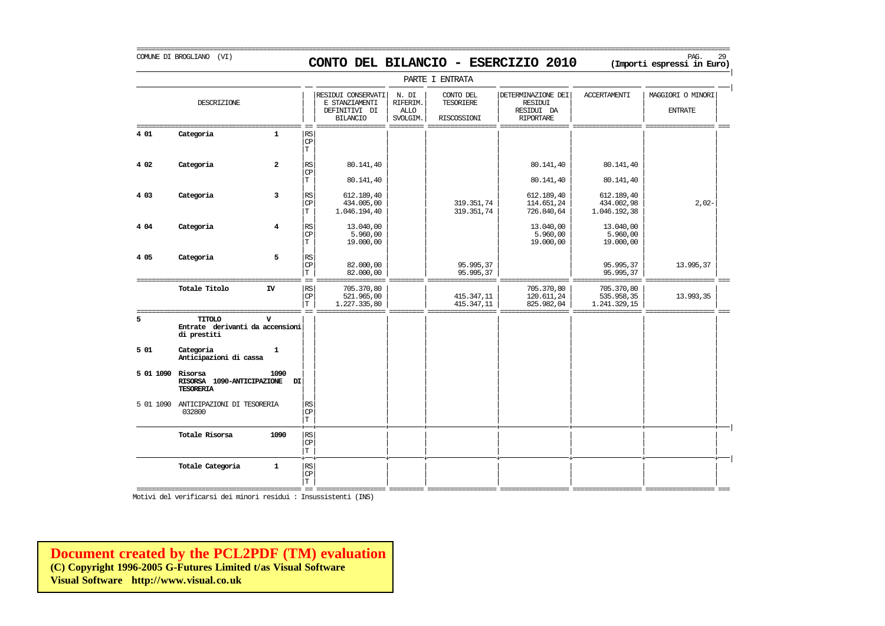COMUNE DI BROGLIANO (VI) PAG. 29 **CONTO DEL BILANCIO - ESERCIZIO 2010 (Importi espressi in Euro)** 

|

===========================================================================================================================================================

|                   |                                                                 |                |                                               |                                                                          |                                              | PARTE I ENTRATA                       |                                                          |                                                       |                                     |
|-------------------|-----------------------------------------------------------------|----------------|-----------------------------------------------|--------------------------------------------------------------------------|----------------------------------------------|---------------------------------------|----------------------------------------------------------|-------------------------------------------------------|-------------------------------------|
| ==========        | <b>DESCRIZIONE</b>                                              |                |                                               | RESIDUI CONSERVATI<br>E STANZIAMENTI<br>DEFINITIVI DI<br><b>BILANCIO</b> | N. DI<br>RIFERIM.<br><b>ALLO</b><br>SVOLGIM. | CONTO DEL<br>TESORIERE<br>RISCOSSIONI | DETERMINAZIONE DEI<br>RESIDUI<br>RESIDUI DA<br>RIPORTARE | <b>ACCERTAMENTI</b>                                   | MAGGIORI O MINORI<br><b>ENTRATE</b> |
| 4 01              | Categoria                                                       | $\mathbf{1}$   | RS<br>CP<br>$\mathbf T$                       |                                                                          |                                              |                                       |                                                          |                                                       |                                     |
| 4 0 2             | Categoria                                                       | $\overline{a}$ | RS<br><b>CP</b>                               | 80.141,40                                                                |                                              |                                       | 80.141,40                                                | 80.141,40                                             |                                     |
| 4 0 3             | Categoria                                                       | 3              | $\mathbf T$<br>RS<br><b>CP</b><br>$\mathbf T$ | 80.141,40<br>612.189,40<br>434,005,00<br>1.046.194,40                    |                                              | 319.351,74<br>319.351,74              | 80.141,40<br>612.189,40<br>114.651,24<br>726.840,64      | 80.141,40<br>612.189.40<br>434.002,98<br>1.046.192,38 | $2,02-$                             |
| 4 0 4             | Categoria                                                       | 4              | RS<br>CP<br>$\mathbf T$                       | 13.040,00<br>5.960,00<br>19.000,00                                       |                                              |                                       | 13.040,00<br>5.960,00<br>19.000,00                       | 13.040,00<br>5.960,00<br>19.000,00                    |                                     |
| 4 0 5             | Categoria                                                       | 5              | RS<br>CP<br>T.                                | 82.000,00<br>82.000,00                                                   |                                              | 95.995,37<br>95.995,37                |                                                          | 95.995,37<br>95.995,37                                | 13.995,37                           |
|                   | Totale Titolo                                                   | IV             | RS<br><b>CP</b><br>$\mathbf T$                | 705.370,80<br>521.965,00<br>1.227.335,80                                 |                                              | 415.347,11<br>415.347,11              | 705.370,80<br>120.611,24<br>825.982,04                   | 705.370,80<br>535.958,35<br>1.241.329,15              | 13.993,35                           |
| 5                 | TITOLO<br>Entrate derivanti da accensioni<br>di prestiti        |                |                                               |                                                                          |                                              |                                       |                                                          |                                                       |                                     |
| 501               | Categoria<br>Anticipazioni di cassa                             | $\mathbf{1}$   |                                               |                                                                          |                                              |                                       |                                                          |                                                       |                                     |
| 5 01 1090 Risorsa | RISORSA 1090-ANTICIPAZIONE<br><b>TESORERIA</b>                  | 1090<br>DI     |                                               |                                                                          |                                              |                                       |                                                          |                                                       |                                     |
|                   | 5 01 1090 ANTICIPAZIONI DI TESORERIA<br>032800                  |                | RS<br>CP<br>T.                                |                                                                          |                                              |                                       |                                                          |                                                       |                                     |
|                   | Totale Risorsa                                                  | 1090           | <b>RS</b><br>CP<br>T                          |                                                                          |                                              |                                       |                                                          |                                                       |                                     |
|                   | Totale Categoria                                                | $\mathbf{1}$   | RS<br>$\mathbb{C}\mathbb{P}$<br>T.            |                                                                          |                                              |                                       |                                                          |                                                       |                                     |
|                   | Motivi del verificarsi dei minori residui : Insussistenti (INS) |                |                                               | s as assam                                                               |                                              |                                       |                                                          |                                                       |                                     |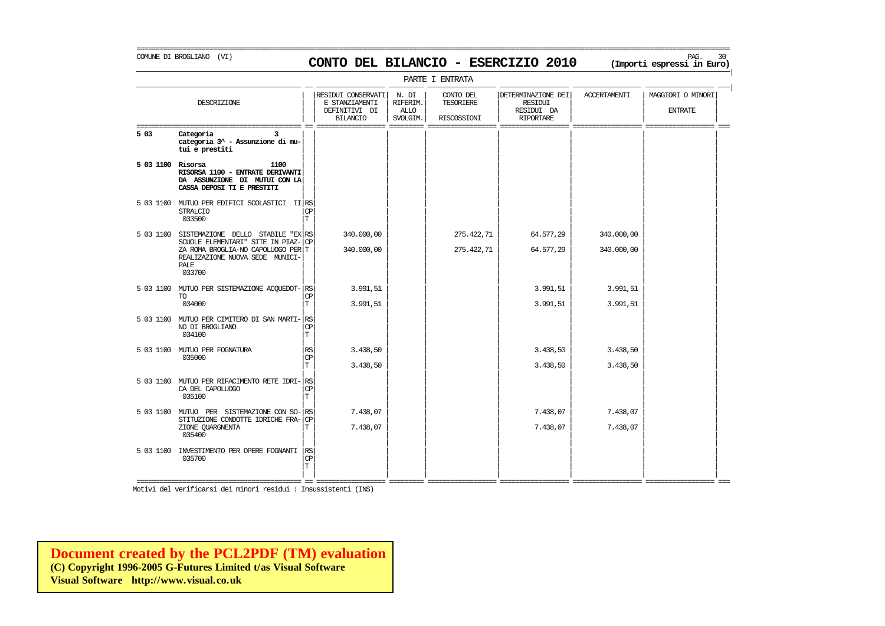### COMUNE DI BROGLIANO (VI) PAG. 30 **CONTO DEL BILANCIO - ESERCIZIO 2010 (Importi espressi in Euro)**

===========================================================================================================================================================

|                   | PARTE I ENTRATA                                                                                                                                                     |                         |                                                                          |                                              |                                       |                                                                 |                          |                                     |  |  |  |  |  |
|-------------------|---------------------------------------------------------------------------------------------------------------------------------------------------------------------|-------------------------|--------------------------------------------------------------------------|----------------------------------------------|---------------------------------------|-----------------------------------------------------------------|--------------------------|-------------------------------------|--|--|--|--|--|
|                   | DESCRIZIONE                                                                                                                                                         |                         | RESIDUI CONSERVATI<br>E STANZIAMENTI<br>DEFINITIVI DI<br><b>BILANCIO</b> | N. DI<br>RIFERIM.<br><b>ALLO</b><br>SVOLGIM. | CONTO DEL<br>TESORIERE<br>RISCOSSIONI | DETERMINAZIONE DEI<br>RESIDUI<br>RESIDUI DA<br><b>RIPORTARE</b> | <b>ACCERTAMENTI</b>      | MAGGIORI O MINORI<br><b>ENTRATE</b> |  |  |  |  |  |
| 5 03              | Categoria<br>categoria 3^ - Assunzione di mu-<br>tui e prestiti                                                                                                     |                         |                                                                          |                                              |                                       |                                                                 |                          |                                     |  |  |  |  |  |
| 5 03 1100 Risorsa | 1100<br>RISORSA 1100 - ENTRATE DERIVANTI<br>DA ASSUNZIONE DI MUTUI CON LA<br>CASSA DEPOSI TI E PRESTITI                                                             |                         |                                                                          |                                              |                                       |                                                                 |                          |                                     |  |  |  |  |  |
|                   | 5 03 1100 MUTUO PER EDIFICI SCOLASTICI II RS<br><b>STRALCIO</b><br>033500                                                                                           | <b>CP</b><br>T          |                                                                          |                                              |                                       |                                                                 |                          |                                     |  |  |  |  |  |
| 5 03 1100         | SISTEMAZIONE DELLO STABILE "EX RS<br>SCUOLE ELEMENTARI" SITE IN PIAZ- CP<br>ZA ROMA BROGLIA-NO CAPOLUOGO PER T<br>REALIZAZIONE NUOVA SEDE MUNICI-<br>PALE<br>033700 |                         | 340.000,00<br>340.000,00                                                 |                                              | 275.422,71<br>275.422,71              | 64.577,29<br>64.577,29                                          | 340.000,00<br>340.000,00 |                                     |  |  |  |  |  |
|                   | 5 03 1100 MUTUO PER SISTEMAZIONE ACQUEDOT- RS<br><b>TO</b><br>034000                                                                                                | CP<br>T                 | 3.991,51<br>3.991,51                                                     |                                              |                                       | 3.991,51<br>3.991,51                                            | 3.991,51<br>3.991,51     |                                     |  |  |  |  |  |
|                   | 5 03 1100 MUTUO PER CIMITERO DI SAN MARTI- RS<br>NO DI BROGLIANO<br>034100                                                                                          | <b>CP</b><br>T          |                                                                          |                                              |                                       |                                                                 |                          |                                     |  |  |  |  |  |
|                   | 5 03 1100 MUTUO PER FOGNATURA<br>035000                                                                                                                             | RS<br><b>CP</b><br>T    | 3.438,50<br>3.438,50                                                     |                                              |                                       | 3.438,50<br>3.438,50                                            | 3.438,50<br>3.438,50     |                                     |  |  |  |  |  |
|                   | 5 03 1100 MUTUO PER RIFACIMENTO RETE IDRI-RS<br>CA DEL CAPOLUOGO<br>035100                                                                                          | CP<br>T                 |                                                                          |                                              |                                       |                                                                 |                          |                                     |  |  |  |  |  |
|                   | 5 03 1100 MUTUO PER SISTEMAZIONE CON SO-RS<br>STITUZIONE CONDOTTE IDRICHE FRA-CP<br>ZIONE OUARGNENTA<br>035400                                                      | Т                       | 7.438,07<br>7.438,07                                                     |                                              |                                       | 7.438,07<br>7.438,07                                            | 7.438,07<br>7.438,07     |                                     |  |  |  |  |  |
|                   | 5 03 1100 INVESTIMENTO PER OPERE FOGNANTI<br>035700                                                                                                                 | RS<br>CP<br>$\mathbf T$ |                                                                          |                                              |                                       |                                                                 |                          |                                     |  |  |  |  |  |

Motivi del verificarsi dei minori residui : Insussistenti (INS)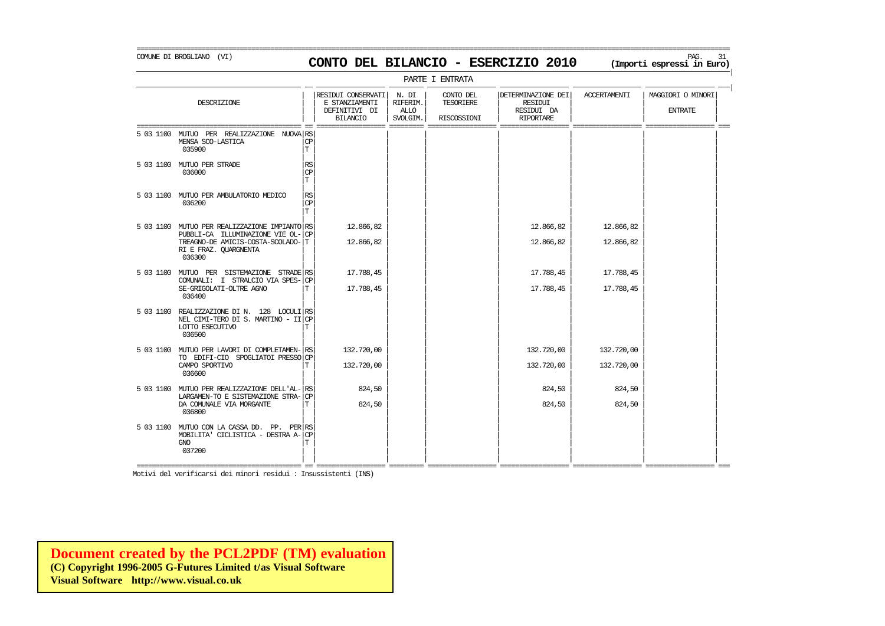### COMUNE DI BROGLIANO (VI) PAG. 31 **CONTO DEL BILANCIO - ESERCIZIO 2010 (Importi espressi in Euro)**

===========================================================================================================================================================

|

|                                                                                                                 |                                   |                                                                          |                                              | PARTE I ENTRATA                       |                                                                        |                     |                                     |
|-----------------------------------------------------------------------------------------------------------------|-----------------------------------|--------------------------------------------------------------------------|----------------------------------------------|---------------------------------------|------------------------------------------------------------------------|---------------------|-------------------------------------|
| DESCRIZIONE                                                                                                     |                                   | RESIDUI CONSERVATI<br>E STANZIAMENTI<br>DEFINITIVI DI<br><b>BILANCIO</b> | N. DI<br>RIFERIM.<br><b>ALLO</b><br>SVOLGIM. | CONTO DEL<br>TESORIERE<br>RISCOSSIONI | DETERMINAZIONE DEI<br><b>RESIDUI</b><br>RESIDUI DA<br><b>RIPORTARE</b> | <b>ACCERTAMENTI</b> | MAGGIORI O MINORI<br><b>ENTRATE</b> |
| 5 03 1100 MUTUO PER REALIZZAZIONE NUOVA RS<br>MENSA SCO-LASTICA<br>035900                                       | $_{\rm CP}$<br>T                  |                                                                          |                                              |                                       |                                                                        |                     |                                     |
| 5 03 1100 MUTUO PER STRADE<br>036000                                                                            | $\mathbb{R}\mathbb{S}$<br>СP<br>T |                                                                          |                                              |                                       |                                                                        |                     |                                     |
| 5 03 1100 MUTUO PER AMBULATORIO MEDICO<br>036200                                                                | $\mathbb{R}\mathbb{S}$<br>CP<br>T |                                                                          |                                              |                                       |                                                                        |                     |                                     |
| 5 03 1100 MUTUO PER REALIZZAZIONE IMPIANTO RS                                                                   |                                   | 12.866,82                                                                |                                              |                                       | 12.866,82                                                              | 12.866,82           |                                     |
| PUBBLI-CA ILLUMINAZIONE VIE OL-<br>TREAGNO-DE AMICIS-COSTA-SCOLADO-T<br>RI E FRAZ. QUARGNENTA<br>036300         | CP                                | 12.866,82                                                                |                                              |                                       | 12.866,82                                                              | 12.866,82           |                                     |
| 5 03 1100 MUTUO PER SISTEMAZIONE STRADE RS<br>COMUNALI: I STRALCIO VIA SPES-                                    | CP                                | 17.788,45                                                                |                                              |                                       | 17.788,45                                                              | 17.788,45           |                                     |
| SE-GRIGOLATI-OLTRE AGNO<br>036400                                                                               | т                                 | 17.788,45                                                                |                                              |                                       | 17.788,45                                                              | 17.788,45           |                                     |
| 5 03 1100 REALIZZAZIONE DI N. 128 LOCULI RS<br>NEL CIMI-TERO DI S. MARTINO - II CP<br>LOTTO ESECUTIVO<br>036500 | Т                                 |                                                                          |                                              |                                       |                                                                        |                     |                                     |
| 5 03 1100 MUTUO PER LAVORI DI COMPLETAMEN- RS                                                                   |                                   | 132,720,00                                                               |                                              |                                       | 132,720,00                                                             | 132,720,00          |                                     |
| TO EDIFI-CIO SPOGLIATOI PRESSO<br>CAMPO SPORTIVO<br>036600                                                      | <b>CP</b><br>Т                    | 132.720,00                                                               |                                              |                                       | 132.720,00                                                             | 132.720,00          |                                     |
| 5 03 1100 MUTUO PER REALIZZAZIONE DELL'AL- RS<br>LARGAMEN-TO E SISTEMAZIONE STRA-                               | <b>CP</b>                         | 824,50                                                                   |                                              |                                       | 824,50                                                                 | 824,50              |                                     |
| DA COMUNALE VIA MORGANTE<br>036800                                                                              | Т                                 | 824,50                                                                   |                                              |                                       | 824,50                                                                 | 824,50              |                                     |
| 5 03 1100 MUTUO CON LA CASSA DD. PP. PER RS<br>MOBILITA' CICLISTICA - DESTRA A-<br>GNO<br>037200                | <b>CP</b><br>Т                    |                                                                          |                                              |                                       |                                                                        |                     |                                     |

=========================================== == ================== ========= ================== ================== ================== ================== === Motivi del verificarsi dei minori residui : Insussistenti (INS)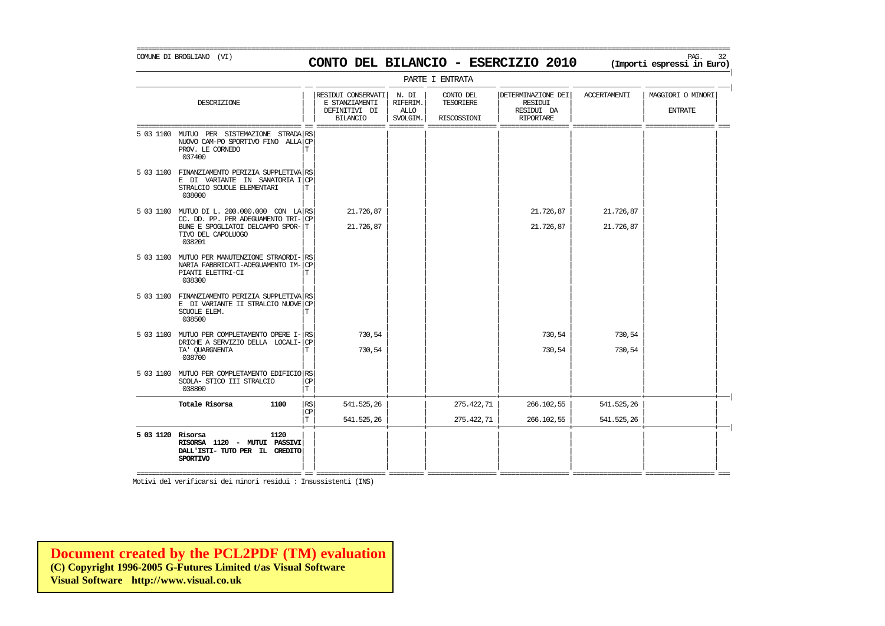### COMUNE DI BROGLIANO (VI) PAG. 32 **CONTO DEL BILANCIO - ESERCIZIO 2010 (Importi espressi in Euro)**

===========================================================================================================================================================

|                   |                                                                                                                          |                 |                                                                          |                                              | PARTE I ENTRATA                              |                                                                        |                     |                                     |
|-------------------|--------------------------------------------------------------------------------------------------------------------------|-----------------|--------------------------------------------------------------------------|----------------------------------------------|----------------------------------------------|------------------------------------------------------------------------|---------------------|-------------------------------------|
|                   | DESCRIZIONE                                                                                                              |                 | RESIDUI CONSERVATI<br>E STANZIAMENTI<br>DEFINITIVI DI<br><b>BILANCIO</b> | N. DI<br>RIFERIM.<br><b>ALLO</b><br>SVOLGIM. | CONTO DEL<br><b>TESORIERE</b><br>RISCOSSIONI | DETERMINAZIONE DEI<br><b>RESIDUI</b><br>RESIDUI DA<br><b>RIPORTARE</b> | <b>ACCERTAMENTI</b> | MAGGIORI O MINORI<br><b>ENTRATE</b> |
| 5 03 1100         | MUTUO PER SISTEMAZIONE<br>STRADA RS<br>NUOVO CAM-PO SPORTIVO FINO ALLA CP<br>PROV. LE CORNEDO<br>037400                  | Т               |                                                                          |                                              |                                              |                                                                        |                     |                                     |
|                   | 5 03 1100 FINANZIAMENTO PERIZIA SUPPLETIVA RS<br>E DI VARIANTE IN SANATORIA I CP<br>STRALCIO SCUOLE ELEMENTARI<br>038000 | Т               |                                                                          |                                              |                                              |                                                                        |                     |                                     |
|                   | 5 03 1100 MUTUO DI L. 200.000.000 CON LA RS<br>CC. DD. PP. PER ADEGUAMENTO TRI-CP                                        |                 | 21,726,87                                                                |                                              |                                              | 21.726,87                                                              | 21.726,87           |                                     |
|                   | BUNE E SPOGLIATOI DELCAMPO SPOR-T<br>TIVO DEL CAPOLUOGO<br>038201                                                        |                 | 21.726,87                                                                |                                              |                                              | 21.726,87                                                              | 21.726,87           |                                     |
|                   | 5 03 1100 MUTUO PER MANUTENZIONE STRAORDI- RS<br>NARIA FABBRICATI-ADEGUAMENTO IM-<br>PIANTI ELETTRI-CI<br>038300         | <b>CP</b><br>Т  |                                                                          |                                              |                                              |                                                                        |                     |                                     |
|                   | 5 03 1100 FINANZIAMENTO PERIZIA SUPPLETIVA RS<br>E DI VARIANTE II STRALCIO NUOVE CP<br>SCUOLE ELEM.<br>038500            | Т               |                                                                          |                                              |                                              |                                                                        |                     |                                     |
|                   | 5 03 1100 MUTUO PER COMPLETAMENTO OPERE I- RS<br>DRICHE A SERVIZIO DELLA LOCALI-                                         | <b>CP</b>       | 730.54                                                                   |                                              |                                              | 730,54                                                                 | 730,54              |                                     |
|                   | TA' QUARGNENTA<br>038700                                                                                                 | Т               | 730,54                                                                   |                                              |                                              | 730,54                                                                 | 730,54              |                                     |
|                   | 5 03 1100 MUTUO PER COMPLETAMENTO EDIFICIO RS<br>SCOLA- STICO III STRALCIO<br>038800                                     | <b>CP</b><br>T  |                                                                          |                                              |                                              |                                                                        |                     |                                     |
|                   | Totale Risorsa<br>1100                                                                                                   | RS<br><b>CP</b> | 541.525,26                                                               |                                              | 275.422,71                                   | 266.102,55                                                             | 541.525,26          |                                     |
|                   |                                                                                                                          | $\mathbf T$     | 541.525,26                                                               |                                              | 275.422,71                                   | 266.102,55                                                             | 541.525,26          |                                     |
| 5 03 1120 Risorsa | 1120<br>RISORSA 1120 - MUTUI PASSIVI<br>DALL'ISTI-TUTO PER IL CREDITO<br><b>SPORTIVO</b>                                 |                 |                                                                          |                                              |                                              |                                                                        |                     |                                     |

Motivi del verificarsi dei minori residui : Insussistenti (INS)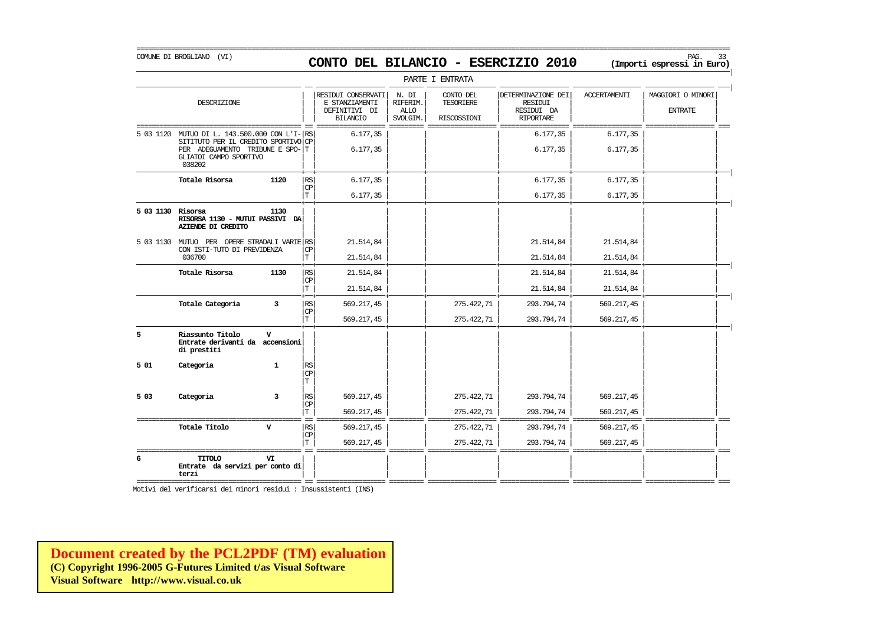### COMUNE DI BROGLIANO (VI) PAG. 33 **CONTO DEL BILANCIO - ESERCIZIO 2010 (Importi espressi in Euro)**

|                   |                                                                                                                                                             |                                                    |                                                                          |                                              | PARTE I ENTRATA                       |                                                                 |                          |                                     |
|-------------------|-------------------------------------------------------------------------------------------------------------------------------------------------------------|----------------------------------------------------|--------------------------------------------------------------------------|----------------------------------------------|---------------------------------------|-----------------------------------------------------------------|--------------------------|-------------------------------------|
|                   | DESCRIZIONE                                                                                                                                                 |                                                    | RESIDUI CONSERVATI<br>E STANZIAMENTI<br>DEFINITIVI DI<br><b>BILANCIO</b> | N. DI<br>RIFERIM.<br><b>ALLO</b><br>SVOLGIM. | CONTO DEL<br>TESORIERE<br>RISCOSSIONI | DETERMINAZIONE DEI<br>RESIDUI<br>RESIDUI DA<br><b>RIPORTARE</b> | <b>ACCERTAMENTI</b>      | MAGGIORI O MINORI<br><b>ENTRATE</b> |
|                   | 5 03 1120 MUTUO DI L. 143.500.000 CON L'I- RS<br>SITITUTO PER IL CREDITO SPORTIVO CP<br>PER ADEGUAMENTO TRIBUNE E SPO-T<br>GLIATOI CAMPO SPORTIVO<br>038202 |                                                    | 6.177,35<br>6.177, 35                                                    |                                              |                                       | 6.177,35<br>6.177,35                                            | 6.177,35<br>6.177,35     |                                     |
|                   | Totale Risorsa<br>1120                                                                                                                                      | $\mathbb{R}\mathbb{S}$<br><b>CP</b><br>$\mathbf T$ | 6.177,35<br>6.177, 35                                                    |                                              |                                       | 6.177,35<br>6.177,35                                            | 6.177,35<br>6.177, 35    |                                     |
| 5 03 1130 Risorsa | 1130<br>RISORSA 1130 - MUTUI PASSIVI DA<br>AZIENDE DI CREDITO                                                                                               |                                                    |                                                                          |                                              |                                       |                                                                 |                          |                                     |
|                   | 5 03 1130 MUTUO PER OPERE STRADALI VARIE RS<br>CON ISTI-TUTO DI PREVIDENZA<br>036700                                                                        | СP<br>T.                                           | 21.514,84<br>21.514,84                                                   |                                              |                                       | 21.514,84<br>21.514,84                                          | 21.514,84<br>21.514,84   |                                     |
|                   | Totale Risorsa<br>1130                                                                                                                                      | $\mathbb{R}\mathbb{S}$<br>CP<br>T                  | 21.514,84<br>21.514,84                                                   |                                              |                                       | 21.514,84<br>21.514,84                                          | 21.514,84<br>21.514,84   |                                     |
|                   | Totale Categoria<br>3                                                                                                                                       | RS<br><b>CP</b><br>T                               | 569.217,45<br>569.217,45                                                 |                                              | 275.422,71<br>275.422,71              | 293.794,74<br>293.794,74                                        | 569.217,45<br>569.217,45 |                                     |
| 5                 | Riassunto Titolo<br>$\mathbf{v}$<br>Entrate derivanti da accensioni<br>di prestiti                                                                          |                                                    |                                                                          |                                              |                                       |                                                                 |                          |                                     |
| 501               | Categoria<br>$\mathbf{1}$                                                                                                                                   | RS<br>CP<br>T                                      |                                                                          |                                              |                                       |                                                                 |                          |                                     |
| 5 03              | Categoria<br>3                                                                                                                                              | RS<br>СP<br>T                                      | 569.217,45<br>569.217,45                                                 |                                              | 275.422,71<br>275.422,71              | 293.794,74<br>293.794,74                                        | 569.217,45<br>569.217,45 |                                     |
| ==========        | Totale Titolo<br>v                                                                                                                                          | <b>RS</b><br>CP<br>T                               | 569.217,45<br>569.217,45                                                 |                                              | 275.422,71<br>275.422,71              | 293.794,74<br>293.794,74                                        | 569.217,45<br>569.217,45 |                                     |
| 6                 | <b>CIOTIT</b><br>VI<br>Entrate da servizi per conto di<br>terzi                                                                                             |                                                    |                                                                          |                                              |                                       |                                                                 |                          |                                     |

Motivi del verificarsi dei minori residui : Insussistenti (INS)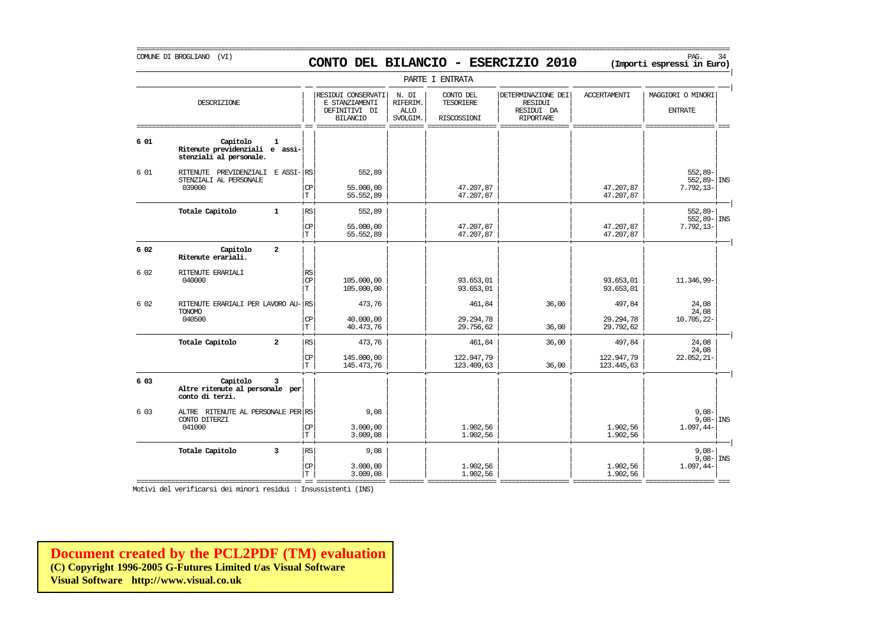# COMUNE DI BROGLIANO (VI) **CONTO DEL BILANCIO - ESERCIZIO 2010** (Importi espressi in Euro)

===========================================================================================================================================================

|       |                                                                          |                |                       |                                                                          |                                              | PARTE I ENTRATA                              |                                                                        |                                    |                                               |
|-------|--------------------------------------------------------------------------|----------------|-----------------------|--------------------------------------------------------------------------|----------------------------------------------|----------------------------------------------|------------------------------------------------------------------------|------------------------------------|-----------------------------------------------|
|       | DESCRIZIONE                                                              |                |                       | RESIDUI CONSERVATI<br>E STANZIAMENTI<br>DEFINITIVI DI<br><b>BILANCIO</b> | N. DI<br>RIFERIM.<br><b>ALLO</b><br>SVOLGIM. | CONTO DEL<br><b>TESORIERE</b><br>RISCOSSIONI | DETERMINAZIONE DEI<br><b>RESIDUI</b><br>RESIDUI DA<br><b>RIPORTARE</b> | <b>ACCERTAMENTI</b>                | MAGGIORI O MINORI<br><b>ENTRATE</b>           |
| 6 01  | Capitolo<br>Ritenute previdenziali e assi-<br>stenziali al personale.    | $\mathbf{1}$   |                       |                                                                          |                                              |                                              |                                                                        |                                    |                                               |
| 6 01  | PREVIDENZIALI E ASSI- RS<br>RITENUTE<br>STENZIALI AL PERSONALE<br>039000 |                | CP<br>T.              | 552,89<br>55,000,00<br>55.552,89                                         |                                              | 47.207,87<br>47.207,87                       |                                                                        | 47.207,87<br>47.207,87             | $552,89-$<br>$552,89 -  $ INS<br>$7.792, 13-$ |
|       | Totale Capitolo                                                          | $\mathbf{1}$   | <b>RS</b><br>CP<br>T  | 552,89<br>55.000,00<br>55.552,89                                         |                                              | 47.207,87<br>47.207,87                       |                                                                        | 47.207,87<br>47.207,87             | $552,89-$<br>$552,89 -  $ INS<br>$7.792, 13-$ |
| 6 02  | Capitolo<br>Ritenute erariali.                                           | $\overline{a}$ |                       |                                                                          |                                              |                                              |                                                                        |                                    |                                               |
| 6 0 2 | RITENUTE ERARIALI<br>040000                                              |                | RS<br>CP<br>T.        | 105.000,00<br>105.000,00                                                 |                                              | 93.653,01<br>93.653,01                       |                                                                        | 93.653,01<br>93.653,01             | 11.346,99-                                    |
| 6 0 2 | RITENUTE ERARIALI PER LAVORO AU-<br><b>TONOMO</b><br>040500              |                | RS<br>CP<br>T         | 473,76<br>40,000,00<br>40.473,76                                         |                                              | 461,84<br>29.294,78<br>29.756,62             | 36,00<br>36,00                                                         | 497,84<br>29.294,78<br>29.792,62   | 24,08<br>24,08<br>10.705,22-                  |
|       | Totale Capitolo                                                          | $\overline{a}$ | <b>RS</b><br>CP<br>T. | 473,76<br>145.000,00<br>145.473,76                                       |                                              | 461,84<br>122.947,79<br>123.409,63           | 36,00<br>36,00                                                         | 497,84<br>122.947,79<br>123.445,63 | 24,08<br>24,08<br>$22.052, 21 -$              |
| 6 03  | Capitolo<br>Altre ritenute al personale per<br>conto di terzi.           | $\overline{3}$ |                       |                                                                          |                                              |                                              |                                                                        |                                    |                                               |
| 6 0 3 | ALTRE RITENUTE AL PERSONALE PER RS<br>CONTO DITERZI<br>041000            |                | CP<br>T               | 9,08<br>3.000,00<br>3.009,08                                             |                                              | 1.902,56<br>1.902,56                         |                                                                        | 1.902,56<br>1.902,56               | $9,08-$<br>$9,08 - \vert$ INS<br>1.097,44-    |
|       | Totale Capitolo                                                          | $\overline{3}$ | <b>RS</b><br>CP<br>T. | 9,08<br>3.000,00<br>3.009,08                                             |                                              | 1.902,56<br>1.902,56                         |                                                                        | 1.902,56<br>1.902,56               | $9.08 -$<br>$9,08 -  $ INS<br>$1.097,44-$     |

=========================================== == ================== ========= ================== ================== ================== ================== ===

Motivi del verificarsi dei minori residui : Insussistenti (INS)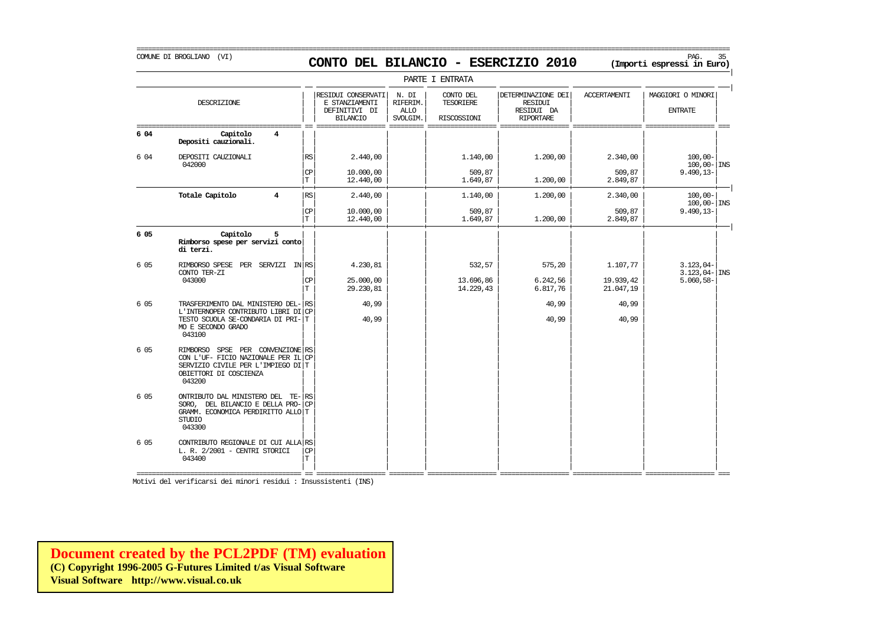### COMUNE DI BROGLIANO (VI) PAG. 35 **CONTO DEL BILANCIO - ESERCIZIO 2010 (Importi espressi in Euro)**

===========================================================================================================================================================

|      |                                                                                                                                                |                 |                                                                          |                                              | PARTE I ENTRATA                              |                                                                        |                                    |                                                            |
|------|------------------------------------------------------------------------------------------------------------------------------------------------|-----------------|--------------------------------------------------------------------------|----------------------------------------------|----------------------------------------------|------------------------------------------------------------------------|------------------------------------|------------------------------------------------------------|
|      | DESCRIZIONE                                                                                                                                    |                 | RESIDUI CONSERVATI<br>E STANZIAMENTI<br>DEFINITIVI DI<br><b>BILANCIO</b> | N. DI<br>RIFERIM.<br><b>ALLO</b><br>SVOLGIM. | CONTO DEL<br><b>TESORIERE</b><br>RISCOSSIONI | DETERMINAZIONE DEI<br><b>RESIDUI</b><br>RESIDUI DA<br><b>RIPORTARE</b> | <b>ACCERTAMENTI</b>                | MAGGIORI O MINORI<br><b>ENTRATE</b>                        |
| 6 04 | Capitolo<br>4<br>Depositi cauzionali.                                                                                                          |                 |                                                                          |                                              |                                              |                                                                        |                                    |                                                            |
| 6 04 | DEPOSITI CAUZIONALI<br>042000                                                                                                                  | RS              | 2.440,00                                                                 |                                              | 1.140,00                                     | 1,200,00                                                               | 2.340,00                           | $100.00 -$<br>$100,00 -$ INS                               |
|      |                                                                                                                                                | CP<br>T.        | 10,000,00<br>12,440,00                                                   |                                              | 509,87<br>1.649,87                           | 1,200,00                                                               | 509,87<br>2.849,87                 | $9.490, 13 -$                                              |
|      | Totale Capitolo<br>$\overline{4}$                                                                                                              | $\mathbb{RS}$   | 2.440,00                                                                 |                                              | 1.140,00                                     | 1,200,00                                                               | 2.340,00                           | $100,00 -$<br>$100,00 -$ INS                               |
|      |                                                                                                                                                | <b>CP</b><br>T  | 10,000,00<br>12,440,00                                                   |                                              | 509,87<br>1.649,87                           | 1,200,00                                                               | 509,87<br>2.849,87                 | $9.490, 13 -$                                              |
| 6 05 | Capitolo<br>5<br>Rimborso spese per servizi conto<br>di terzi.                                                                                 |                 |                                                                          |                                              |                                              |                                                                        |                                    |                                                            |
| 6 05 | RIMBORSO SPESE PER SERVIZI IN RS<br>CONTO TER-ZI<br>043000                                                                                     | СP<br>T.        | 4.230,81<br>25,000,00<br>29.230,81                                       |                                              | 532,57<br>13.696,86<br>14.229,43             | 575,20<br>6.242,56<br>6.817,76                                         | 1.107,77<br>19.939,42<br>21.047,19 | $3.123.04-$<br>$3.123,04$ - $ \text{INS}$<br>$5.060, 58 -$ |
| 6 05 | TRASFERIMENTO DAL MINISTERO DEL-<br>L'INTERNOPER CONTRIBUTO LIBRI DI<br>TESTO SCUOLA SE-CONDARIA DI PRI- T<br>MO E SECONDO GRADO<br>043100     | RS<br><b>CP</b> | 40,99<br>40,99                                                           |                                              |                                              | 40,99<br>40,99                                                         | 40,99<br>40,99                     |                                                            |
| 6 05 | RIMBORSO SPSE PER CONVENZIONE RS<br>CON L'UF- FICIO NAZIONALE PER IL<br>SERVIZIO CIVILE PER L'IMPIEGO DI T<br>OBIETTORI DI COSCIENZA<br>043200 | <b>CP</b>       |                                                                          |                                              |                                              |                                                                        |                                    |                                                            |
| 6 05 | ONTRIBUTO DAL MINISTERO DEL TE-<br>SORO, DEL BILANCIO E DELLA PRO-<br>GRAMM. ECONOMICA PERDIRITTO ALLO T<br><b>STUDIO</b><br>043300            | RS<br><b>CP</b> |                                                                          |                                              |                                              |                                                                        |                                    |                                                            |
| 6 05 | CONTRIBUTO REGIONALE DI CUI ALLA RS<br>L. R. 2/2001 - CENTRI STORICI<br>043400                                                                 | CP<br>T.        |                                                                          |                                              |                                              |                                                                        |                                    |                                                            |

Motivi del verificarsi dei minori residui : Insussistenti (INS)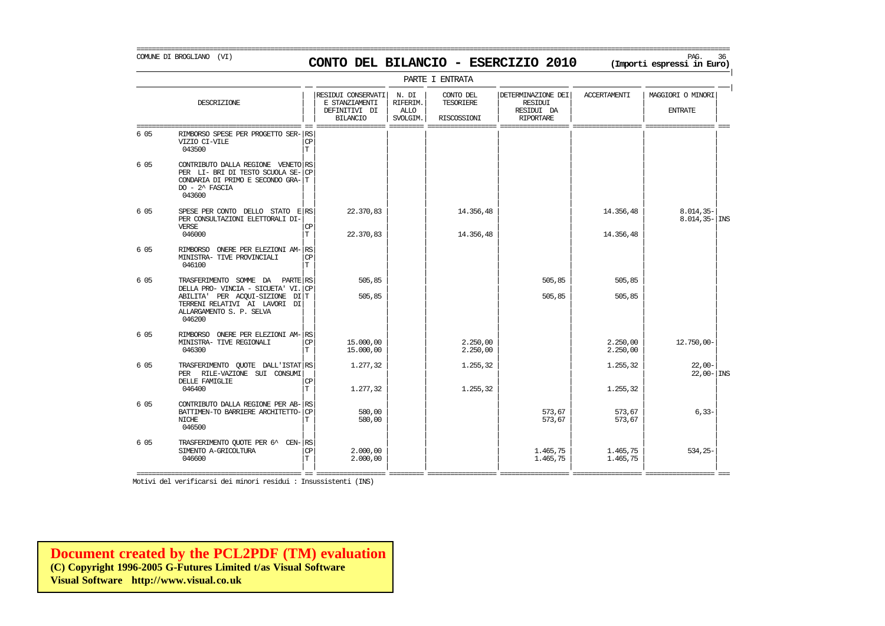### COMUNE DI BROGLIANO (VI) PAG. 36 **CONTO DEL BILANCIO - ESERCIZIO 2010 (Importi espressi in Euro)**

===========================================================================================================================================================

|      |                                                                                                                                                                                  |                         |                                                                          |                                              | PARTE I ENTRATA                       |                                                                 |                      |                                     |  |
|------|----------------------------------------------------------------------------------------------------------------------------------------------------------------------------------|-------------------------|--------------------------------------------------------------------------|----------------------------------------------|---------------------------------------|-----------------------------------------------------------------|----------------------|-------------------------------------|--|
|      | DESCRIZIONE                                                                                                                                                                      |                         | RESIDUI CONSERVATI<br>E STANZIAMENTI<br>DEFINITIVI DI<br><b>BILANCIO</b> | N. DI<br>RIFERIM.<br><b>ALLO</b><br>SVOLGIM. | CONTO DEL<br>TESORIERE<br>RISCOSSIONI | DETERMINAZIONE DEI<br>RESIDUI<br>RESIDUI DA<br><b>RIPORTARE</b> | <b>ACCERTAMENTI</b>  | MAGGIORI O MINORI<br><b>ENTRATE</b> |  |
| 6 05 | RIMBORSO SPESE PER PROGETTO SER-<br>VIZIO CI-VILE<br>043500                                                                                                                      | RS<br>CP<br>$\mathbf T$ |                                                                          |                                              |                                       |                                                                 |                      |                                     |  |
| 6 05 | CONTRIBUTO DALLA REGIONE VENETO RS<br>PER LI- BRI DI TESTO SCUOLA SE-<br>CONDARIA DI PRIMO E SECONDO GRA- T<br>$DO - 2^$ FASCIA<br>043600                                        | C <sub>P</sub>          |                                                                          |                                              |                                       |                                                                 |                      |                                     |  |
| 6 05 | SPESE PER CONTO DELLO STATO E RS<br>PER CONSULTAZIONI ELETTORALI DI-<br><b>VERSE</b>                                                                                             | CP<br>T.                | 22.370,83                                                                |                                              | 14.356,48                             |                                                                 | 14.356,48            | $8.014, 35-$<br>$8.014, 35 -  $ INS |  |
| 6 05 | 046000<br>ONERE PER ELEZIONI AM-RS<br><b>RIMBORSO</b><br>MINISTRA- TIVE PROVINCIALI<br>046100                                                                                    | <b>CP</b><br>T.         | 22.370,83                                                                |                                              | 14.356,48                             |                                                                 | 14.356,48            |                                     |  |
| 6 05 | TRASFERIMENTO SOMME DA<br>PARTE RS<br>DELLA PRO- VINCIA - SICUETA' VI.<br>ABILITA' PER ACOUI-SIZIONE DI T<br>TERRENI RELATIVI AI LAVORI DI<br>ALLARGAMENTO S. P. SELVA<br>046200 | l CP                    | 505,85<br>505,85                                                         |                                              |                                       | 505,85<br>505,85                                                | 505,85<br>505,85     |                                     |  |
| 6 05 | RIMBORSO ONERE PER ELEZIONI AM- RS<br>MINISTRA- TIVE REGIONALI<br>046300                                                                                                         | <b>CP</b><br>T          | 15.000,00<br>15.000,00                                                   |                                              | 2.250,00<br>2.250,00                  |                                                                 | 2.250,00<br>2.250,00 | 12.750,00-                          |  |
| 6 05 | TRASFERIMENTO QUOTE DALL'ISTAT RS<br>PER RILE-VAZIONE SUI CONSUMI<br>DELLE FAMIGLIE<br>046400                                                                                    | <b>CP</b><br>T          | 1.277,32<br>1,277,32                                                     |                                              | 1.255,32<br>1.255,32                  |                                                                 | 1.255,32<br>1.255,32 | $22,00-$<br>$22,00 -  $ INS         |  |
| 6 05 | CONTRIBUTO DALLA REGIONE PER AB-<br>BATTIMEN-TO BARRIERE ARCHITETTO-<br>NICHE<br>046500                                                                                          | l RS<br><b>CP</b><br>т  | 580,00<br>580,00                                                         |                                              |                                       | 573,67<br>573,67                                                | 573,67<br>573,67     | $6,33-$                             |  |
| 6 05 | TRASFERIMENTO OUOTE PER 6^ CEN-RS<br>SIMENTO A-GRICOLTURA<br>046600                                                                                                              | <b>CP</b><br>T.         | 2,000,00<br>2.000,00                                                     |                                              |                                       | 1.465,75<br>1.465,75                                            | 1.465.75<br>1.465,75 | $534.25-$                           |  |

Motivi del verificarsi dei minori residui : Insussistenti (INS)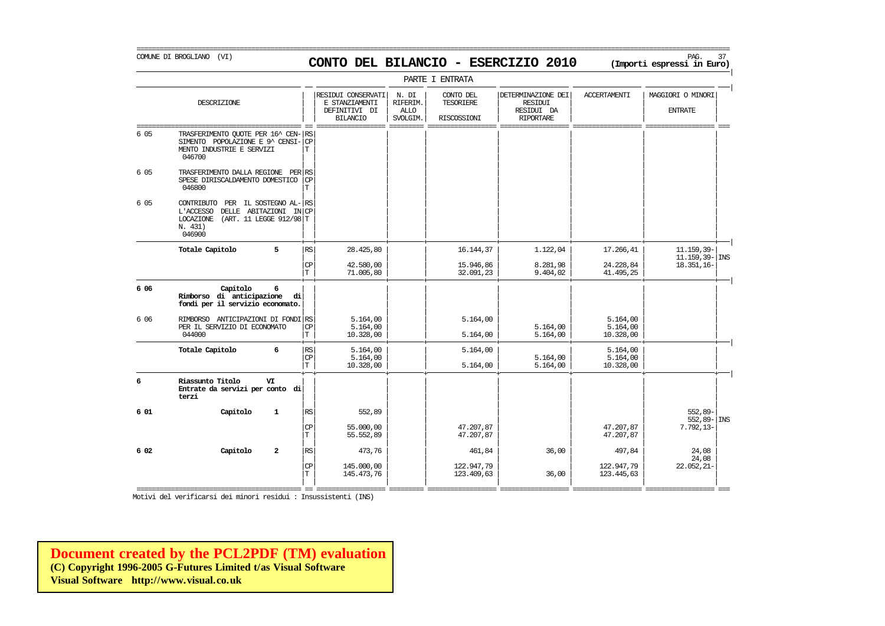COMUNE DI BROGLIANO (VI) PAG. 37 **CONTO DEL BILANCIO - ESERCIZIO 2010 (Importi espressi in Euro)**  PARTE I ENTRATA

|

|       | DESCRIZIONE                                                                                                                                    |                          | RESIDUI CONSERVATI<br>E STANZIAMENTI<br>DEFINITIVI DI<br><b>BILANCIO</b> | N. DI<br>RIFERIM.<br><b>ALLO</b><br>SVOLGIM. | CONTO DEL<br><b>TESORIERE</b><br>RISCOSSIONI | DETERMINAZIONE DEI<br><b>RESIDUI</b><br>RESIDUI DA<br><b>RIPORTARE</b> | <b>ACCERTAMENTI</b>               | MAGGIORI O MINORI<br><b>ENTRATE</b> |
|-------|------------------------------------------------------------------------------------------------------------------------------------------------|--------------------------|--------------------------------------------------------------------------|----------------------------------------------|----------------------------------------------|------------------------------------------------------------------------|-----------------------------------|-------------------------------------|
| 6 05  | TRASFERIMENTO QUOTE PER 16^ CEN- RS<br>SIMENTO POPOLAZIONE E 9^ CENSI-<br>MENTO INDUSTRIE E SERVIZI<br>046700                                  | <b>CP</b><br>T.          |                                                                          |                                              |                                              |                                                                        |                                   |                                     |
| 6 05  | TRASFERIMENTO DALLA REGIONE PER RS<br>SPESE DIRISCALDAMENTO DOMESTICO<br>046800                                                                | CP<br>T.                 |                                                                          |                                              |                                              |                                                                        |                                   |                                     |
| 6 05  | PER IL SOSTEGNO AL-RS<br>CONTRIBUTO<br>DELLE ABITAZIONI IN CP<br>L'ACCESSO<br><b>LOCAZIONE</b><br>(ART. 11 LEGGE 912/98 T<br>N. 431)<br>046900 |                          |                                                                          |                                              |                                              |                                                                        |                                   |                                     |
|       | 5<br>Totale Capitolo                                                                                                                           | $\mathbb{R}\mathbb{S}$   | 28,425,80                                                                |                                              | 16.144,37                                    | 1.122,04                                                               | 17.266,41                         | 11.159,39-<br>$11.159.39 -  $ INS   |
|       |                                                                                                                                                | CP<br>T.                 | 42.580,00<br>71.005,80                                                   |                                              | 15.946,86<br>32.091,23                       | 8.281,98<br>9.404,02                                                   | 24.228,84<br>41.495,25            | 18.351,16-                          |
| 6 0 6 | Capitolo<br>6<br>Rimborso di anticipazione<br>fondi per il servizio economato.                                                                 | di                       |                                                                          |                                              |                                              |                                                                        |                                   |                                     |
| 6 0 6 | RIMBORSO ANTICIPAZIONI DI FONDI RS<br>PER IL SERVIZIO DI ECONOMATO<br>044000                                                                   | <b>CP</b><br>T           | 5.164,00<br>5.164,00<br>10.328,00                                        |                                              | 5.164,00<br>5.164,00                         | 5.164,00<br>5.164,00                                                   | 5.164,00<br>5.164,00<br>10.328,00 |                                     |
|       | Totale Capitolo<br>6                                                                                                                           | RS<br><b>CP</b><br>T     | 5.164,00<br>5.164,00<br>10.328,00                                        |                                              | 5.164,00<br>5.164,00                         | 5.164,00<br>5.164,00                                                   | 5.164,00<br>5.164,00<br>10.328,00 |                                     |
| 6     | Riassunto Titolo<br>VI<br>Entrate da servizi per conto di<br>terzi                                                                             |                          |                                                                          |                                              |                                              |                                                                        |                                   |                                     |
| 6 01  | Capitolo<br>$\mathbf{1}$                                                                                                                       | RS                       | 552,89                                                                   |                                              |                                              |                                                                        |                                   | $552.89 -$<br>$552,89 -  $ INS      |
|       |                                                                                                                                                | <b>CP</b><br>$\mathbf T$ | 55,000,00<br>55.552,89                                                   |                                              | 47.207,87<br>47.207,87                       |                                                                        | 47.207,87<br>47.207,87            | $7.792, 13-$                        |
| 6 02  | Capitolo<br>$\overline{a}$                                                                                                                     | RS                       | 473,76                                                                   |                                              | 461,84                                       | 36,00                                                                  | 497,84                            | 24,08<br>24,08                      |
|       |                                                                                                                                                | <b>CP</b><br>T           | 145.000,00<br>145.473,76                                                 |                                              | 122.947,79<br>123.409,63                     | 36,00                                                                  | 122.947,79<br>123.445,63          | 22.052,21-                          |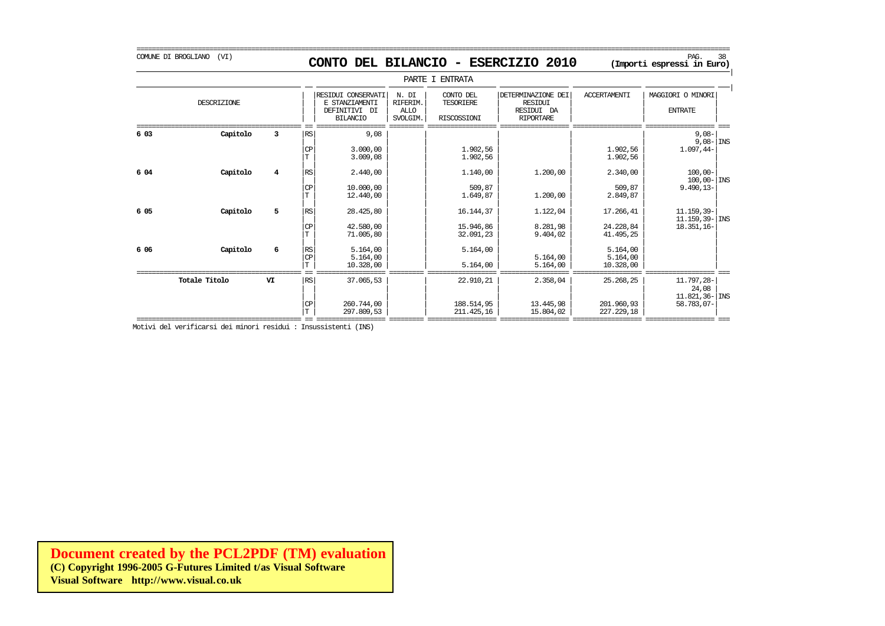|

|      |               |                |                      |                                                                             |                                                    | PARTE I ENTRATA                              |                                                                 |                                     |                                                           |
|------|---------------|----------------|----------------------|-----------------------------------------------------------------------------|----------------------------------------------------|----------------------------------------------|-----------------------------------------------------------------|-------------------------------------|-----------------------------------------------------------|
|      | DESCRIZIONE   |                |                      | RESIDUI CONSERVATI<br>E STANZIAMENTI<br>DEFINITIVI<br>DI<br><b>BILANCIO</b> | N. DI<br><b>RIFERIM</b><br><b>ALLO</b><br>SVOLGIM. | CONTO DEL<br><b>TESORIERE</b><br>RISCOSSIONI | DETERMINAZIONE DEI<br>RESIDUI<br>RESIDUI DA<br><b>RIPORTARE</b> | <b>ACCERTAMENTI</b>                 | MAGGIORI O MINORI<br><b>ENTRATE</b>                       |
| 6 03 | Capitolo      | 3              | RS<br><b>CP</b>      | 9,08<br>3.000,00<br>3.009,08                                                |                                                    | 1.902,56<br>1.902,56                         |                                                                 | 1.902,56<br>1.902,56                | $9,08-$<br>$9,08 -$ INS<br>$1.097,44-$                    |
| 6 04 | Capitolo      | $\overline{4}$ | RS<br><b>CP</b><br>T | 2.440,00<br>10.000,00<br>12,440,00                                          |                                                    | 1.140,00<br>509,87<br>1.649,87               | 1.200,00<br>1,200,00                                            | 2.340,00<br>509,87<br>2.849,87      | $100,00 -$<br>$100,00 -  \text{INS}$<br>$9.490, 13 -$     |
| 6 05 | Capitolo      | 5              | RS<br><b>CP</b><br>T | 28.425,80<br>42.580,00<br>71.005,80                                         |                                                    | 16.144,37<br>15.946,86<br>32.091,23          | 1.122,04<br>8.281,98<br>9.404,02                                | 17.266,41<br>24.228,84<br>41.495,25 | $11.159, 39-$<br>$11.159.39 -  $ INS<br>$18.351, 16-$     |
| 6 06 | Capitolo      | 6              | RS<br><b>CP</b><br>T | 5.164,00<br>5.164,00<br>10.328,00                                           |                                                    | 5.164,00<br>5.164,00                         | 5.164,00<br>5.164,00                                            | 5.164,00<br>5.164,00<br>10.328,00   |                                                           |
|      | Totale Titolo | VI             | l RS<br><b>CP</b>    | 37.065,53<br>260.744,00                                                     |                                                    | 22.910,21<br>188.514,95                      | 2.358,04<br>13.445,98                                           | 25.268,25<br>201.960,93             | 11.797,28-<br>24,08<br>$11.821, 36 -  $ INS<br>58.783,07- |

 $|\text{T}|$  297.809,53  $|$  211.425,16 15.804,02 227.229,18 227.229 =========================================== == ================== ========= ================== ================== ================== ================== === Motivi del verificarsi dei minori residui : Insussistenti (INS)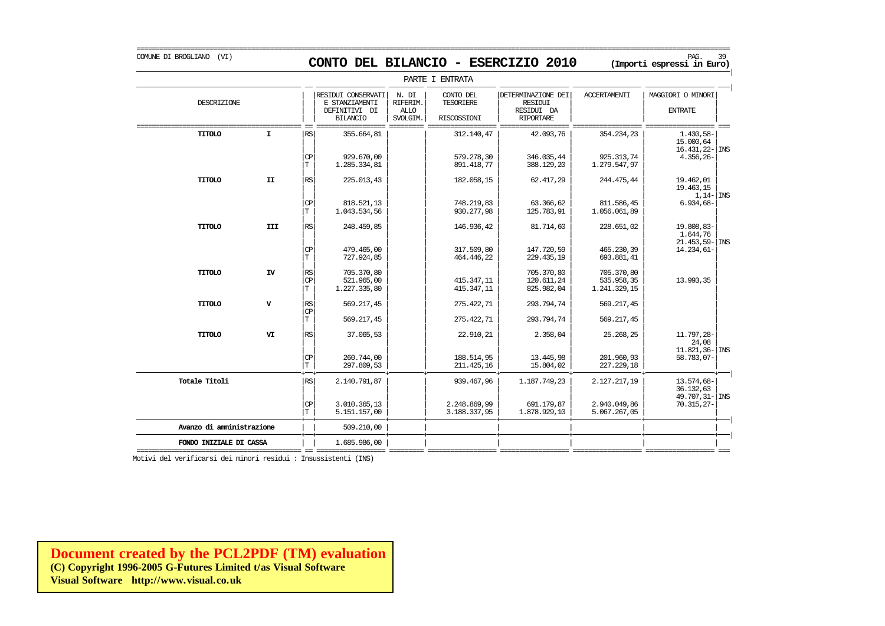COMUNE DI BROGLIANO (VI) PAG. 39 **CONTO DEL BILANCIO - ESERCIZIO 2010 (Importi espressi in Euro)** 

|                           |              |                                                                 |                                                                          |                                              | PARTE I ENTRATA                              |                                                                        |                                          |                                                           |
|---------------------------|--------------|-----------------------------------------------------------------|--------------------------------------------------------------------------|----------------------------------------------|----------------------------------------------|------------------------------------------------------------------------|------------------------------------------|-----------------------------------------------------------|
| DESCRIZIONE               |              |                                                                 | RESIDUI CONSERVATI<br>E STANZIAMENTI<br>DEFINITIVI DI<br><b>BILANCIO</b> | N. DI<br>RIFERIM.<br><b>ALLO</b><br>SVOLGIM. | CONTO DEL<br><b>TESORIERE</b><br>RISCOSSIONI | DETERMINAZIONE DEI<br><b>RESIDUI</b><br>RESIDUI DA<br><b>RIPORTARE</b> | <b>ACCERTAMENTI</b>                      | MAGGIORI O MINORI<br><b>ENTRATE</b>                       |
| TITOLO                    | $\mathbf{I}$ | RS                                                              | 355.664,81                                                               |                                              | 312.140,47                                   | 42.093,76                                                              | 354.234,23                               | 1.430,58-<br>15.000,64<br>$16.431, 22$ - INS              |
|                           |              | $\mathsf{CP}$<br>$\mathbf T$                                    | 929,670,00<br>1.285.334,81                                               |                                              | 579.278,30<br>891.418,77                     | 346.035,44<br>388.129,20                                               | 925.313.74<br>1.279.547,97               | $4.356, 26 -$                                             |
| TITOLO                    | II           | $\mathbb{RS}$                                                   | 225.013.43                                                               |                                              | 182.058,15                                   | 62.417.29                                                              | 244.475,44                               | 19.462.01<br>19.463,15<br>$1,14$ - INS                    |
|                           |              | $\mathbb{C}\mathbb{P}$<br>$\mathbf T$                           | 818.521,13<br>1.043.534,56                                               |                                              | 748.219,83<br>930.277,98                     | 63.366,62<br>125.783,91                                                | 811.586,45<br>1.056.061,89               | $6.934,68-$                                               |
| TITOLO                    | III          | $\mathbb{RS}$                                                   | 248.459,85                                                               |                                              | 146.936,42                                   | 81.714,60                                                              | 228.651,02                               | 19.808,83-<br>1,644,76<br>$21.453,59 -$ INS               |
|                           |              | $_{\rm CP}$<br>T                                                | 479.465,00<br>727.924,85                                                 |                                              | 317.509,80<br>464.446,22                     | 147.720,59<br>229.435,19                                               | 465.230,39<br>693.881,41                 | $14.234.61 -$                                             |
| TITOLO                    | IV           | $\mathbb{R}\mathbb{S}$<br>CP<br>T                               | 705.370,80<br>521,965,00<br>1.227.335,80                                 |                                              | 415.347,11<br>415.347,11                     | 705.370,80<br>120.611,24<br>825.982,04                                 | 705.370,80<br>535.958,35<br>1.241.329,15 | 13.993,35                                                 |
| TITOLO                    | $\mathbf v$  | $\mathbb{R}\mathbb{S}$<br>$\mathbb{C}\mathbb{P}$<br>$\mathbf T$ | 569.217,45<br>569.217,45                                                 |                                              | 275.422,71<br>275.422,71                     | 293.794,74<br>293.794,74                                               | 569.217,45<br>569.217,45                 |                                                           |
| TITOLO                    | VI           | <b>RS</b>                                                       | 37.065.53                                                                |                                              | 22.910,21                                    | 2.358,04                                                               | 25.268,25                                | 11.797,28-                                                |
|                           |              | $\frac{CP}{T}$                                                  | 260.744,00                                                               |                                              | 188.514,95                                   | 13.445,98                                                              | 201.960,93                               | 24,08<br>$11.821, 36 -$ INS<br>58.783,07-                 |
| Totale Titoli             |              | RS                                                              | 297.809,53<br>2.140.791,87                                               |                                              | 211.425,16<br>939.467,96                     | 15.804,02<br>1.187.749,23                                              | 227.229,18<br>2.127.217,19               | 13.574,68-                                                |
|                           |              | $\mathbf{CP}$<br>$\mathbb T$                                    | 3.010.365,13<br>5.151.157,00                                             |                                              | 2.248.869,99<br>3.188.337,95                 | 691.179,87<br>1.878.929,10                                             | 2.940.049,86<br>5.067.267,05             | 36.132,63<br>$49.707, 31 -  \text{INS}$<br>$70.315, 27 -$ |
| Avanzo di amministrazione |              |                                                                 | 509,210,00                                                               |                                              |                                              |                                                                        |                                          |                                                           |
| FONDO INIZIALE DI CASSA   |              |                                                                 | 1.685.986,00                                                             |                                              |                                              |                                                                        |                                          |                                                           |

Motivi del verificarsi dei minori residui : Insussistenti (INS)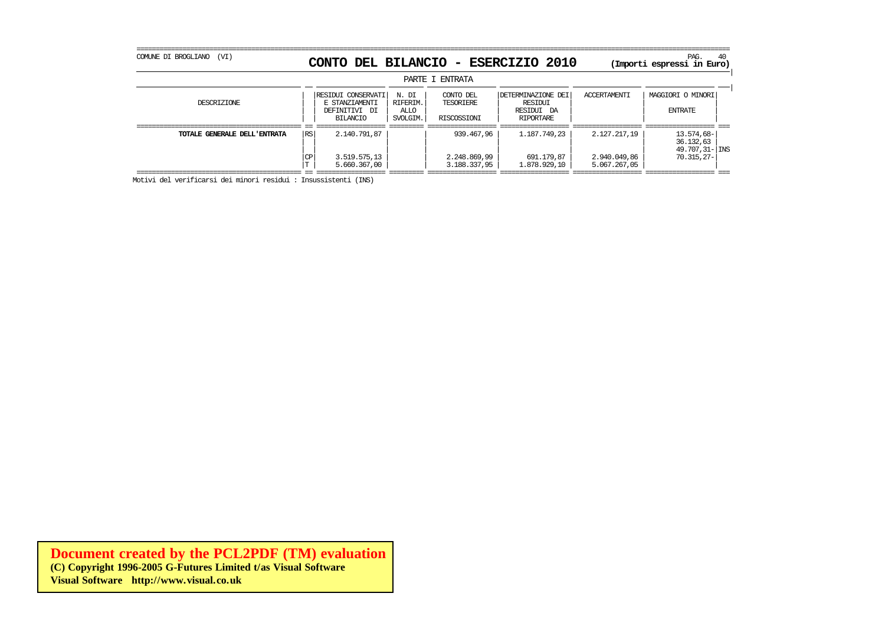| COMUNE DI BROGLIANO<br>(VI)  |                 |                                                                   |                                       |                                              | CONTO DEL BILANCIO - ESERCIZIO 2010                             |                                              | PAG.<br>40<br>(Importi espressi in Euro)                   |
|------------------------------|-----------------|-------------------------------------------------------------------|---------------------------------------|----------------------------------------------|-----------------------------------------------------------------|----------------------------------------------|------------------------------------------------------------|
|                              |                 |                                                                   |                                       | PARTE I ENTRATA                              |                                                                 |                                              |                                                            |
| DESCRIZIONE                  |                 | RESIDUI CONSERVATI<br>E STANZIAMENTI<br>DEFINITIVI DI<br>BILANCIO | N. DI<br>RIFERIM.<br>ALLO<br>SVOLGIM. | CONTO DEL<br><b>TESORTERE</b><br>RISCOSSIONI | DETERMINAZIONE DEI<br>RESIDUI<br>RESIDUI DA<br><b>RTPORTARE</b> | <b>ACCERTAMENTI</b>                          | MAGGIORI O MINORI<br><b>ENTRATE</b>                        |
| TOTALE GENERALE DELL'ENTRATA | <b>RS</b><br>CP | 2.140.791,87<br>3.519.575,13<br>5.660.367,00                      |                                       | 939,467,96<br>2.248.869,99<br>3.188.337,95   | 1.187.749.23<br>691.179,87<br>1,878,929,10                      | 2.127.217.19<br>2.940.049,86<br>5.067.267,05 | 13.574,68-<br>36.132,63<br>49.707,31- INS<br>$70.315.27 -$ |

=========================================== == ================== ========= ================== ================== ================== ================== === Motivi del verificarsi dei minori residui : Insussistenti (INS)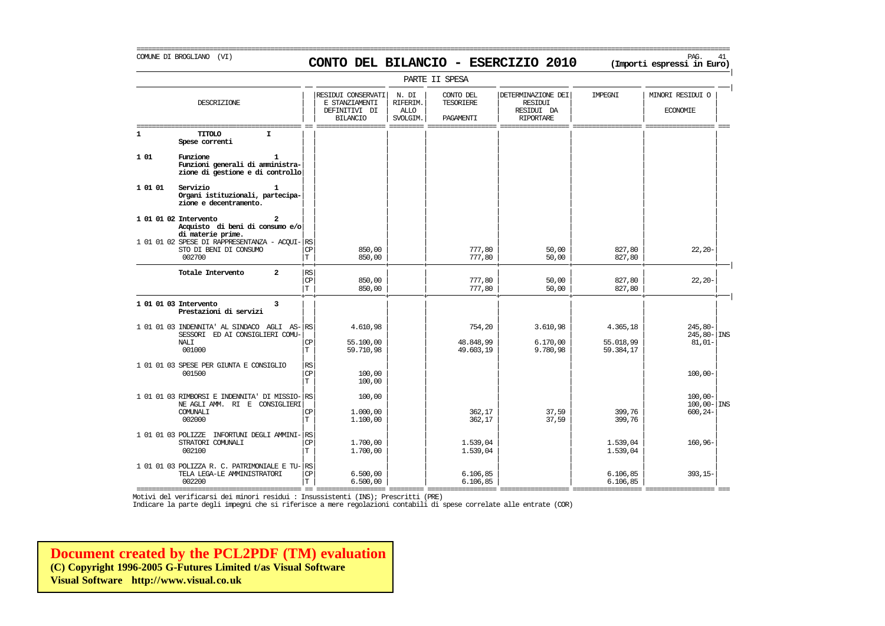## COMUNE DI BROGLIANO (VI) PAG. 41 **CONTO DEL BILANCIO - ESERCIZIO 2010 (Importi espressi in Euro)**

|                    | PARTE II SPESA                                                                                |                          |                                                                          |                                              |                                     |                                                                        |                        |                                     |  |  |  |  |
|--------------------|-----------------------------------------------------------------------------------------------|--------------------------|--------------------------------------------------------------------------|----------------------------------------------|-------------------------------------|------------------------------------------------------------------------|------------------------|-------------------------------------|--|--|--|--|
|                    | DESCRIZIONE                                                                                   |                          | RESIDUI CONSERVATI<br>E STANZIAMENTI<br>DEFINITIVI DI<br><b>BILANCIO</b> | N. DI<br>RIFERIM.<br><b>ALLO</b><br>SVOLGIM. | CONTO DEL<br>TESORIERE<br>PAGAMENTI | DETERMINAZIONE DEI<br><b>RESIDUI</b><br>RESIDUI DA<br><b>RIPORTARE</b> | IMPEGNI                | MINORI RESIDUI O<br><b>ECONOMIE</b> |  |  |  |  |
| $\mathbf{1}$       | TITOLO<br>I<br>Spese correnti                                                                 |                          |                                                                          |                                              |                                     |                                                                        |                        |                                     |  |  |  |  |
| 1 01               | Funzione<br>Funzioni generali di amministra-<br>zione di gestione e di controllo              |                          |                                                                          |                                              |                                     |                                                                        |                        |                                     |  |  |  |  |
| 1 01 01            | Servizio<br>Organi istituzionali, partecipa-<br>zione e decentramento.                        |                          |                                                                          |                                              |                                     |                                                                        |                        |                                     |  |  |  |  |
|                    | 1 01 01 02 Intervento<br>$\mathbf{z}$<br>Acquisto di beni di consumo e/o<br>di materie prime. |                          |                                                                          |                                              |                                     |                                                                        |                        |                                     |  |  |  |  |
|                    | 1 01 01 02 SPESE DI RAPPRESENTANZA - ACOUI- RS<br>STO DI BENI DI CONSUMO<br>002700            | СP<br>T                  | 850,00<br>850,00                                                         |                                              | 777,80<br>777,80                    | 50,00<br>50,00                                                         | 827,80<br>827,80       | $22, 20 -$                          |  |  |  |  |
|                    | $\overline{a}$<br>Totale Intervento                                                           | <b>RS</b><br>CP<br>T.    | 850,00<br>850,00                                                         |                                              | 777,80<br>777,80                    | 50,00<br>50,00                                                         | 827,80<br>827,80       | $22, 20 -$                          |  |  |  |  |
|                    | 1 01 01 03 Intervento<br>3<br>Prestazioni di servizi                                          |                          |                                                                          |                                              |                                     |                                                                        |                        |                                     |  |  |  |  |
|                    | 1 01 01 03 INDENNITA' AL SINDACO AGLI AS-<br>SESSORI ED AI CONSIGLIERI COMU-                  | RS                       | 4.610,98                                                                 |                                              | 754,20                              | 3.610,98                                                               | 4.365,18               | $245,80-$<br>$245,80 -  $ INS       |  |  |  |  |
|                    | NALI<br>001000                                                                                | CP<br>$\mathbf T$        | 55,100,00<br>59.710,98                                                   |                                              | 48.848,99<br>49.603,19              | 6.170,00<br>9.780,98                                                   | 55.018,99<br>59.384,17 | $81,01-$                            |  |  |  |  |
|                    | 1 01 01 03 SPESE PER GIUNTA E CONSIGLIO<br>001500                                             | RS<br>CP<br>$\mathbf T$  | 100,00<br>100,00                                                         |                                              |                                     |                                                                        |                        | $100,00 -$                          |  |  |  |  |
|                    | 1 01 01 03 RIMBORSI E INDENNITA' DI MISSIO- RS<br>NE AGLI AMM. RI E CONSIGLIERI               |                          | 100,00                                                                   |                                              |                                     |                                                                        |                        | $100.00 -$<br>$100,00 -$ INS        |  |  |  |  |
|                    | COMUNALI<br>002000                                                                            | CP<br>T                  | 1,000,00<br>1.100,00                                                     |                                              | 362,17<br>362,17                    | 37,59<br>37,59                                                         | 399,76<br>399,76       | $600, 24 -$                         |  |  |  |  |
| 1 01 01 03 POLIZZE | INFORTUNI DEGLI AMMINI- RS<br>STRATORI COMUNALI<br>002100                                     | <b>CP</b><br>$\mathbf T$ | 1,700,00<br>1,700,00                                                     |                                              | 1.539,04<br>1.539,04                |                                                                        | 1.539,04<br>1.539,04   | 160,96-                             |  |  |  |  |
|                    | 1 01 01 03 POLIZZA R. C. PATRIMONIALE E TU- RS<br>TELA LEGA-LE AMMINISTRATORI<br>002200       | СP<br>$\mathbf T$        | 6.500,00<br>6.500,00                                                     |                                              | 6.106, 85<br>6.106, 85              |                                                                        | 6.106,85<br>6.106,85   | $393, 15-$                          |  |  |  |  |

=========================================== == ================== ========= ================== ================== ================== ================== === Motivi del verificarsi dei minori residui : Insussistenti (INS); Prescritti (PRE)

Indicare la parte degli impegni che si riferisce a mere regolazioni contabili di spese correlate alle entrate (COR)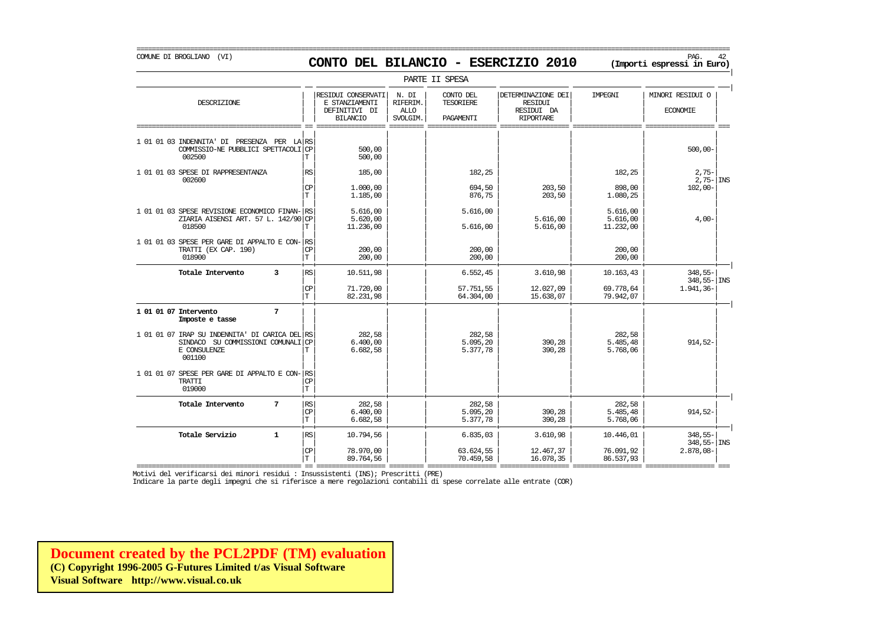COMUNE DI BROGLIANO (VI) PAG. 42 **CONTO DEL BILANCIO - ESERCIZIO 2010 (Importi espressi in Euro)** 

PARTE II SPESA | | RESIDUI CONSERVATI | N. DI | CONTO DEL | | DETERMINAZIONE DEI | IMPEGNI | | MINORI RESIDUI O DESCRIZIONE E STANZIAMENTI RIFERIM. TESORIERE RESIDUI | | | | | | | | || DEFINITIVI DI | ALLO | | RESIDUI DA | | ECONOMIE | | | BILANCIO | SVOLGIM. | PAGAMENTI | RIPORTARE | | =========================================== == ================== ========= ================== ================== ================== ================== === | | | | | | | | 1 01 01 03 INDENNITA' DI PRESENZA PER LA| | | | | | | | RS  $\text{COMMISSIO-NE PUBBLICI SPETTACOLI} \n\begin{array}{c}\n\text{CF} \\
\text{T}\n\end{array}$   $\begin{array}{c}\n\text{500,00} \\
\text{500,00}\n\end{array}$ 002500 | | | | | | | | T 500,00 | | | | | | | |  $1 \t01 \t01 \t03 \t{SESE}$  DI RAPPRESENTANZA  $\begin{bmatrix} \text{RS} \\ \text{R} \end{bmatrix}$  185,00 182,25 182,25 182,25 182,25 182,25 2,75-002600  $\hphantom{\int^{P^P}_{P_P}}2,75-\vert \hspace{0.08cm} \vert$   $\hphantom{\int^{P^P}_{P_P}}3,75-\vert \hspace{0.08cm} \vert$   $\hphantom{\int^{P^P}_{P_P}}3,75-\vert \hspace{0.08cm} \vert$   $\hphantom{\int^{P^P}_{P_P}}3,75-\vert \hspace{0.08cm} \vert$   $\hphantom{\int^{P^P}_{P_P}}3,75-\vert \hspace{0.08cm} \vert$   $\hphantom{\int^{P^P}_{P_P}}3,75-\vert \hspace{0.08cm} \vert$   $\hphant$  $|\text{CP}|$  1.000,00  $|$   $|$  694,50 203,50 898,00 102,00- $|T|$  1.185,00  $|$  876,75 203,50 1.080,25  $|$ | | | | | | | | 1 01 01 03 SPESE REVISIONE ECONOMICO FINAN- $\begin{vmatrix} 1 & 0 & 0 & 0 \\ 0 & 0 & 0 & 0 \\ 0 & 0 & 0 & 0 \\ 0 & 0 & 0 & 0 \end{vmatrix}$  = 5.616,00 5.616,00 5.616,00 5.616,00 5.616,00 5.616,00 5.616,00 5.616,00 5.616,00 5.616,00 5.616,00 5.616,00 5.616,0  $\begin{array}{|c|c|c|c|c|c|}\n\hline\n\text{ZIARIA AISENSI ART.} & 57 \text{ L.} & 142/90 & \text{CP} & 5.620,00 & 5.616,00 & 5.616,00 & 5.616,00 & 11.232,00 & 4.00 & 5.616,00 & 5.616,00 & 5.616,00 & 5.616,00 & 5.616,00 & 5.616,00 & 5.616,00 & 5.616,00 & 5.616,00 & 5.616,00 &$ 018500  $|T|$  11.236,00  $|T|$  5.616,00 5.616,00 11.232,00 1 | | | | | | | | 1 01 01 03 SPESE PER GARE DI APPALTO E CON- $|\mathbf{R}\sin \theta|$  = 000.00 = 000.00 = 000.00 = 000.00 = 000.00 = 000.00 = 000.00 = 000.00 = 000.00 = 000.00 = 000.00 = 000.00 = 000.00 = 000.00 = 000.00 = 000.00 = 000.00 = 000.00 = 0 TRATTI (EX CAP. 190) | | | | | | | | CP 200,00 200,00 200,00 018900  $|T|$   $200,00$   $200,00$   $200,00$   $200,00$   $200,00$ + + + + + + + + | **Totale Intervento 3** | | | | | | | | RS 10.511,98 6.552,45 3.610,98 10.163,43 348,55- | | | 348,55- | INS  $|\mathbb{CP}|$  71.720,00  $|$  57.751,55 12.027,09 69.778,64 1.941,36- $|T|$  82.231,98 64.304,00 15.638,07 79.942,07 + + + + + + + + | **1 01 01 07 Intervento** 7<br> **Imposte e tasse Imposte e tasse** | | | | | | | | | | | | | | | | 1 01 01 07 IRAP SU INDENNITA' DI CARICA DEL<sup>|</sup> RS
<br>
SINDACO SU COMMISSIONI COMUNALI (CP
8 45.000,00
8
5.095,20
8
5.095,20
8
5.095,20
8
8
914,52  $\begin{array}{|c|c|c|c|c|}\hline \text{SINDACO} & \text{SU COMMSSIONI COMINALI} & \text{CP} & \text{6.400,00} & \text{5.095,20} & \text{390,28} & \text{5.485,48} \ \hline \text{E CONSULENZE} & \text{F.768.06} & \text{F.768.06} & \text{F.768.06} & \text{F.768.06} \ \hline \end{array}$ E CONSULENZE | | | | | | | | T 6.682,58 5.377,78 390,28 5.768,06 001100 | | | | | | | | | | | | | | | |  $\begin{array}{r|l|l} \text{1 01 01 07 SESE PER GARE DI APPALTO E CON-} & \text{RSS TRATTI} & \text{1} & \text{1} & \text{1} \\ \end{array}$ TRATTI | | | | | | | | CP 019000 | | | | | | | | T + + + + + + + + | **Totale Intervento 7** | | | | | | | | RS 282,58 282,58 282,58  $|\mathbb{CP}|$  6.400,00  $|$  5.095,20 390,28 5.485,48 914,52- $|T|$  6.682,58  $|$  5.377,78 390,28 5.768,06  $|$ + + + + + + + + | **Totale Servizio 1** |RS| 10.794,56 | | 6.835,03 | 3.610,98 | 10.446,01 | 348,55-| | | | | | | | | 348,55- INS

=========================================== == ================== ========= ================== ================== ================== ================== === Motivi del verificarsi dei minori residui : Insussistenti (INS); Prescritti (PRE)

 $|\mathbb{CP}|$  78.970,00  $|$  63.624,55 12.467,37 76.091,92 2.878,08- $|T|$  89.764,56  $|$  70.459,58 16.078,35 86.537,93 16.078

Indicare la parte degli impegni che si riferisce a mere regolazioni contabili di spese correlate alle entrate (COR)

**[Document created by the PCL2PDF \(TM\) evaluation](http://www.visual.co.uk) (C) Copyright 1996-2005 G-Futures Limited t/as Visual Software Visual Software http://www.visual.co.uk**

### ===========================================================================================================================================================

|

|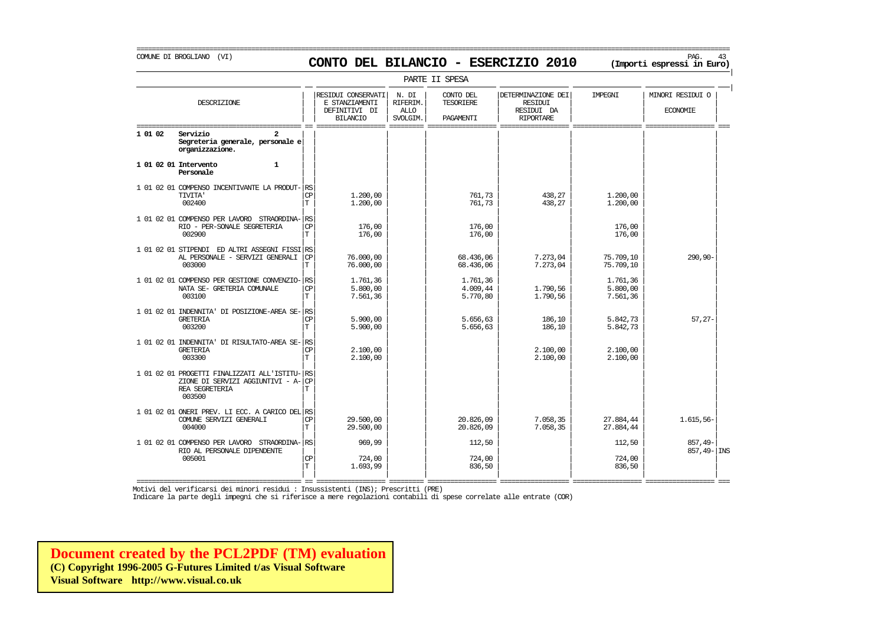### COMUNE DI BROGLIANO (VI) PAG. 43 **CONTO DEL BILANCIO - ESERCIZIO 2010 (Importi espressi in Euro)**

===========================================================================================================================================================

| PARTE II SPESA |                                                                                                                    |                                |                                                                          |                                              |                                            |                                                                        |                                  |                                     |  |  |  |
|----------------|--------------------------------------------------------------------------------------------------------------------|--------------------------------|--------------------------------------------------------------------------|----------------------------------------------|--------------------------------------------|------------------------------------------------------------------------|----------------------------------|-------------------------------------|--|--|--|
|                | DESCRIZIONE                                                                                                        |                                | RESIDUI CONSERVATI<br>E STANZIAMENTI<br>DEFINITIVI DI<br><b>BILANCIO</b> | N. DI<br>RIFERIM.<br><b>ALLO</b><br>SVOLGIM. | CONTO DEL<br><b>TESORIERE</b><br>PAGAMENTI | DETERMINAZIONE DEI<br><b>RESIDUI</b><br>RESIDUI DA<br><b>RIPORTARE</b> | <b>TMPRGNT</b>                   | MINORI RESIDUI O<br><b>ECONOMIE</b> |  |  |  |
| 1 01 02        | Servizio<br>2<br>Segreteria generale, personale e<br>organizzazione.                                               |                                |                                                                          |                                              |                                            |                                                                        |                                  |                                     |  |  |  |
|                | 1 01 02 01 Intervento<br>$\mathbf{1}$<br>Personale                                                                 |                                |                                                                          |                                              |                                            |                                                                        |                                  |                                     |  |  |  |
|                | 1 01 02 01 COMPENSO INCENTIVANTE LA PRODUT-<br><b>TIVITA'</b><br>002400                                            | RS<br><b>CP</b><br>$\mathbf T$ | 1,200,00<br>1,200,00                                                     |                                              | 761,73<br>761,73                           | 438.27<br>438,27                                                       | 1,200,00<br>1,200,00             |                                     |  |  |  |
|                | 1 01 02 01 COMPENSO PER LAVORO STRAORDINA-<br>RIO - PER-SONALE SEGRETERIA<br>002900                                | RS<br><b>CP</b><br>T           | 176,00<br>176,00                                                         |                                              | 176,00<br>176,00                           |                                                                        | 176,00<br>176,00                 |                                     |  |  |  |
|                | 1 01 02 01 STIPENDI ED ALTRI ASSEGNI FISSI RS<br>AL PERSONALE - SERVIZI GENERALI<br>003000                         | <b>CP</b><br>$\mathbf T$       | 76,000,00<br>76,000,00                                                   |                                              | 68.436,06<br>68.436,06                     | 7.273,04<br>7.273,04                                                   | 75.709,10<br>75.709,10           | 290,90-                             |  |  |  |
|                | 1 01 02 01 COMPENSO PER GESTIONE CONVENZIO-<br>NATA SE- GRETERIA COMUNALE<br>003100                                | RS<br><b>CP</b><br>$\mathbf T$ | 1.761,36<br>5.800,00<br>7.561,36                                         |                                              | 1.761,36<br>4.009,44<br>5.770,80           | 1.790,56<br>1.790,56                                                   | 1.761,36<br>5.800,00<br>7.561,36 |                                     |  |  |  |
|                | 1 01 02 01 INDENNITA' DI POSIZIONE-AREA SE- RS<br><b>GRETERIA</b><br>003200                                        | <b>CP</b><br>T                 | 5.900.00<br>5.900,00                                                     |                                              | 5.656.63<br>5.656,63                       | 186,10<br>186,10                                                       | 5.842.73<br>5.842,73             | $57.27 -$                           |  |  |  |
|                | 1 01 02 01 INDENNITA' DI RISULTATO-AREA SE-<br><b>GRETERIA</b><br>003300                                           | l RS<br><b>CP</b><br>T         | 2.100,00<br>2.100,00                                                     |                                              |                                            | 2.100,00<br>2.100,00                                                   | 2.100,00<br>2.100,00             |                                     |  |  |  |
|                | 1 01 02 01 PROGETTI FINALIZZATI ALL'ISTITU-<br>ZIONE DI SERVIZI AGGIUNTIVI - A-<br><b>REA SEGRETERIA</b><br>003500 | l RS<br><b>CP</b><br>T         |                                                                          |                                              |                                            |                                                                        |                                  |                                     |  |  |  |
|                | 1 01 02 01 ONERI PREV. LI ECC. A CARICO DEL RS<br>COMUNE SERVIZI GENERALI<br>004000                                | CP<br>$\mathbf T$              | 29.500,00<br>29.500,00                                                   |                                              | 20.826,09<br>20.826,09                     | 7.058,35<br>7.058,35                                                   | 27.884,44<br>27.884,44           | 1.615,56-                           |  |  |  |
|                | 1 01 02 01 COMPENSO PER LAVORO STRAORDINA-<br>RIO AL PERSONALE DIPENDENTE                                          | RS                             | 969,99                                                                   |                                              | 112,50                                     |                                                                        | 112,50                           | 857,49-<br>$857.49 -  \text{INS}$   |  |  |  |
|                | 005001                                                                                                             | <b>CP</b><br>T                 | 724,00<br>1.693,99                                                       |                                              | 724,00<br>836,50                           |                                                                        | 724,00<br>836,50                 |                                     |  |  |  |

=========================================== == ================== ========= ================== ================== ================== ================== === Motivi del verificarsi dei minori residui : Insussistenti (INS); Prescritti (PRE)

Indicare la parte degli impegni che si riferisce a mere regolazioni contabili di spese correlate alle entrate (COR)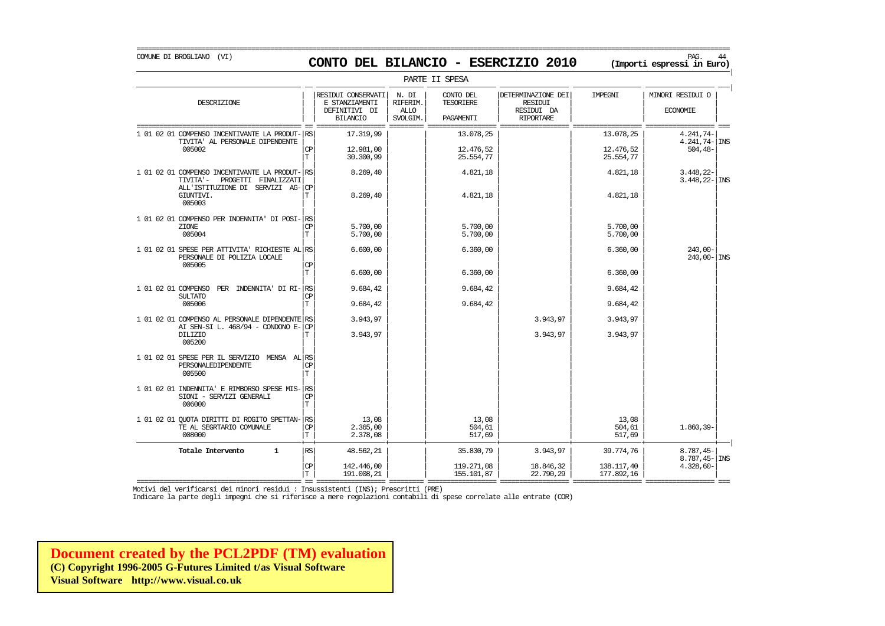COMUNE DI BROGLIANO (VI) PAG. 44 **CONTO DEL BILANCIO - ESERCIZIO 2010 (Importi espressi in Euro)** 

|                                                                                                                                             |                                    |                                                                          |                                              | PARTE II SPESA                             |                                                                        |                                       |                                                 |
|---------------------------------------------------------------------------------------------------------------------------------------------|------------------------------------|--------------------------------------------------------------------------|----------------------------------------------|--------------------------------------------|------------------------------------------------------------------------|---------------------------------------|-------------------------------------------------|
| DESCRIZIONE                                                                                                                                 |                                    | RESIDUI CONSERVATI<br>E STANZIAMENTI<br>DEFINITIVI DI<br><b>BILANCIO</b> | N. DI<br>RIFERIM.<br><b>ALLO</b><br>SVOLGIM. | CONTO DEL<br><b>TESORIERE</b><br>PAGAMENTI | DETERMINAZIONE DEI<br><b>RESIDUI</b><br>RESIDUI DA<br><b>RIPORTARE</b> | IMPEGNI                               | MINORI RESIDUI O<br><b>ECONOMIE</b>             |
| 1 01 02 01 COMPENSO INCENTIVANTE LA PRODUT- RS<br>TIVITA' AL PERSONALE DIPENDENTE<br>005002                                                 | CP<br>T                            | 17.319,99<br>12.981,00<br>30.300,99                                      |                                              | 13.078,25<br>12.476,52<br>25.554,77        |                                                                        | 13.078,25<br>12.476,52<br>25.554,77   | 4.241,74-<br>$4.241,74$ - INS<br>$504, 48-$     |
| 1 01 02 01 COMPENSO INCENTIVANTE LA PRODUT- RS<br>TIVITA'-<br>PROGETTI FINALIZZATI<br>ALL'ISTITUZIONE DI SERVIZI AG-<br>GIUNTIVI.<br>005003 | <b>CP</b><br>T                     | 8.269,40<br>8.269,40                                                     |                                              | 4.821,18<br>4.821,18                       |                                                                        | 4.821,18<br>4.821,18                  | $3.448,22-$<br>$3.448, 22 -$ INS                |
| 1 01 02 01 COMPENSO PER INDENNITA' DI POSI-<br>ZIONE<br>005004                                                                              | RS<br><b>CP</b><br>T               | 5.700,00<br>5.700,00                                                     |                                              | 5.700,00<br>5.700,00                       |                                                                        | 5.700,00<br>5.700,00                  |                                                 |
| 1 01 02 01 SPESE PER ATTIVITA' RICHIESTE AL RS<br>PERSONALE DI POLIZIA LOCALE<br>005005                                                     | CP<br>T                            | 6.600,00<br>6.600,00                                                     |                                              | 6.360,00<br>6.360,00                       |                                                                        | 6.360,00<br>6.360,00                  | $240,00-$<br>$240,00 -  \text{INS}$             |
| 1 01 02 01 COMPENSO PER INDENNITA' DI RI-<br><b>SULTATO</b><br>005006                                                                       | RS<br><b>CP</b><br>T               | 9.684,42<br>9.684,42                                                     |                                              | 9.684,42<br>9.684,42                       |                                                                        | 9.684,42<br>9.684,42                  |                                                 |
| 1 01 02 01 COMPENSO AL PERSONALE DIPENDENTE RS<br>AI SEN-SI L. 468/94 - CONDONO E-<br><b>DILIZIO</b><br>005200                              | <b>CP</b>                          | 3.943,97<br>3.943,97                                                     |                                              |                                            | 3.943,97<br>3.943,97                                                   | 3.943,97<br>3.943,97                  |                                                 |
| 1 01 02 01 SPESE PER IL SERVIZIO MENSA AL RS<br>PERSONALEDIPENDENTE<br>005500                                                               | <b>CP</b><br>T.                    |                                                                          |                                              |                                            |                                                                        |                                       |                                                 |
| 1 01 02 01 INDENNITA' E RIMBORSO SPESE MIS-<br>SIONI - SERVIZI GENERALI<br>006000                                                           | RS<br>CP<br>T.                     |                                                                          |                                              |                                            |                                                                        |                                       |                                                 |
| 1 01 02 01 QUOTA DIRITTI DI ROGITO SPETTAN-<br>TE AL SEGRTARIO COMUNALE<br>008000                                                           | $\mathbb{R}\mathbb{S}$<br>CP<br>T. | 13,08<br>2.365,00<br>2.378.08                                            |                                              | 13,08<br>504,61<br>517,69                  |                                                                        | 13,08<br>504,61<br>517,69             | 1.860,39-                                       |
| Totale Intervento<br>$\mathbf{1}$                                                                                                           | RS<br>CP<br>$\mathbf T$            | 48.562,21<br>142.446,00<br>191.008,21                                    |                                              | 35.830,79<br>119.271,08<br>155.101,87      | 3.943,97<br>18.846,32<br>22,790,29                                     | 39.774,76<br>138.117,40<br>177.892,16 | $8.787,45-$<br>$8.787, 45 -$ INS<br>$4.328,60-$ |

=========================================== == ================== ========= ================== ================== ================== ================== === Motivi del verificarsi dei minori residui : Insussistenti (INS); Prescritti (PRE)

Indicare la parte degli impegni che si riferisce a mere regolazioni contabili di spese correlate alle entrate (COR)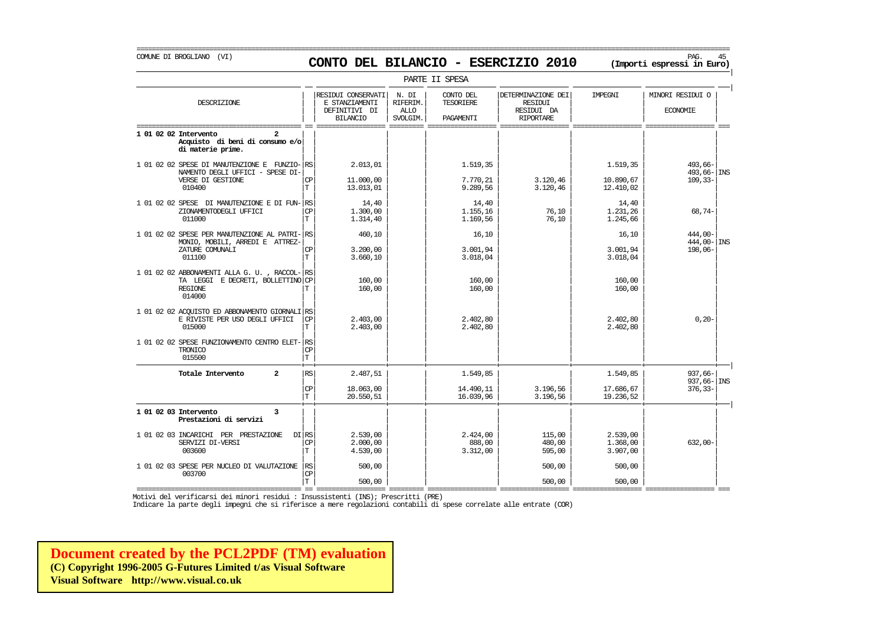## COMUNE DI BROGLIANO (VI) PAG. 45 **CONTO DEL BILANCIO - ESERCIZIO 2010 (Importi espressi in Euro)**

|                                                                                                                |                              |                                                                          |                                              | PARTE II SPESA                             |                                                                        |                                  |                                     |  |
|----------------------------------------------------------------------------------------------------------------|------------------------------|--------------------------------------------------------------------------|----------------------------------------------|--------------------------------------------|------------------------------------------------------------------------|----------------------------------|-------------------------------------|--|
| DESCRIZIONE                                                                                                    |                              | RESIDUI CONSERVATI<br>E STANZIAMENTI<br>DEFINITIVI DI<br><b>BILANCIO</b> | N. DI<br>RIFERIM.<br><b>ALLO</b><br>SVOLGIM. | CONTO DEL<br><b>TESORIERE</b><br>PAGAMENTI | DETERMINAZIONE DEI<br><b>RESIDUI</b><br>RESIDUI DA<br><b>RIPORTARE</b> | IMPEGNI                          | MINORI RESIDUI O<br><b>ECONOMIE</b> |  |
| 1 01 02 02 Intervento<br>Acquisto di beni di consumo e/o<br>di materie prime.                                  |                              |                                                                          |                                              |                                            |                                                                        |                                  |                                     |  |
| 1 01 02 02 SPESE DI MANUTENZIONE E FUNZIO- RS<br>NAMENTO DEGLI UFFICI - SPESE DI-                              |                              | 2.013,01                                                                 |                                              | 1.519,35                                   |                                                                        | 1.519,35                         | 493,66-<br>493,66-INS               |  |
| VERSE DI GESTIONE<br>010400                                                                                    | СP<br>$\mathbf T$            | 11.000,00<br>13.013,01                                                   |                                              | 7.770,21<br>9.289,56                       | 3.120,46<br>3.120,46                                                   | 10.890,67<br>12.410,02           | $109, 33 -$                         |  |
| 1 01 02 02 SPESE DI MANUTENZIONE E DI FUN- RS<br>ZIONAMENTODEGLI UFFICI<br>011000                              | <b>CP</b><br>$\mathbf T$     | 14,40<br>1,300,00<br>1.314,40                                            |                                              | 14,40<br>1.155,16<br>1.169,56              | 76,10<br>76,10                                                         | 14,40<br>1.231,26<br>1.245,66    | $68,74-$                            |  |
| 1 01 02 02 SPESE PER MANUTENZIONE AL PATRI- RS<br>MONIO, MOBILI, ARREDI E ATTREZ-                              |                              | 460,10                                                                   |                                              | 16,10                                      |                                                                        | 16,10                            | 444,00-<br>$444,00 -$ INS           |  |
| ZATURE COMUNALI<br>011100                                                                                      | <b>CP</b><br>$\mathbf T$     | 3.200,00<br>3.660.10                                                     |                                              | 3.001,94<br>3.018,04                       |                                                                        | 3.001,94<br>3.018,04             | 198,06-                             |  |
| 1 01 02 02 ABBONAMENTI ALLA G. U., RACCOL- RS<br>TA LEGGI E DECRETI, BOLLETTINO CP<br><b>REGIONE</b><br>014000 | Т                            | 160,00<br>160,00                                                         |                                              | 160,00<br>160,00                           |                                                                        | 160,00<br>160,00                 |                                     |  |
| 1 01 02 02 ACOUISTO ED ABBONAMENTO GIORNALI RS<br>E RIVISTE PER USO DEGLI UFFICI<br>015000                     | <b>CP</b><br>T               | 2.403,00<br>2.403,00                                                     |                                              | 2.402,80<br>2.402,80                       |                                                                        | 2.402,80<br>2.402,80             | $0, 20 -$                           |  |
| 1 01 02 02 SPESE FUNZIONAMENTO CENTRO ELET-RS<br>TRONICO<br>015500                                             | CP<br>T                      |                                                                          |                                              |                                            |                                                                        |                                  |                                     |  |
| $\overline{a}$<br>Totale Intervento                                                                            | <b>RS</b>                    | 2.487,51                                                                 |                                              | 1.549,85                                   |                                                                        | 1.549,85                         | $937.66 -$<br>$937,66 -$ INS        |  |
|                                                                                                                | $\mathrm{CP}$<br>$\mathbf T$ | 18.063,00<br>20.550,51                                                   |                                              | 14.490,11<br>16.039,96                     | 3.196,56<br>3.196,56                                                   | 17.686,67<br>19.236,52           | $376, 33 -$                         |  |
| 1 01 02 03 Intervento<br>3<br>Prestazioni di servizi                                                           |                              |                                                                          |                                              |                                            |                                                                        |                                  |                                     |  |
| 1 01 02 03 INCARICHI PER PRESTAZIONE<br>SERVIZI DI-VERSI<br>003600                                             | DI RS<br><b>CP</b><br>T      | 2.539,00<br>2,000,00<br>4.539,00                                         |                                              | 2.424,00<br>888,00<br>3.312,00             | 115,00<br>480,00<br>595,00                                             | 2.539,00<br>1,368,00<br>3.907,00 | $632,00-$                           |  |
| 1 01 02 03 SPESE PER NUCLEO DI VALUTAZIONE<br>003700                                                           | RS<br>CP                     | 500,00                                                                   |                                              |                                            | 500,00                                                                 | 500,00                           |                                     |  |
|                                                                                                                | $\mathbf T$                  | 500,00                                                                   |                                              |                                            | 500,00                                                                 | 500,00                           |                                     |  |

=========================================== == ================== ========= ================== ================== ================== ================== === Motivi del verificarsi dei minori residui : Insussistenti (INS); Prescritti (PRE)

Indicare la parte degli impegni che si riferisce a mere regolazioni contabili di spese correlate alle entrate (COR)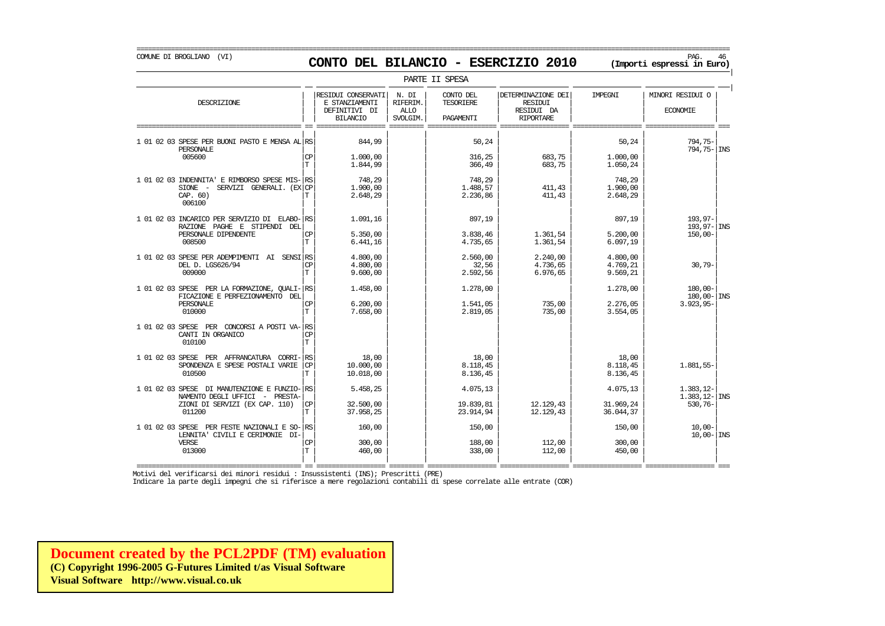| PARTE II SPESA | | RESIDUI CONSERVATI | N. DI | CONTO DEL | | DETERMINAZIONE DEI | IMPEGNI | | MINORI RESIDUI O DESCRIZIONE E STANZIAMENTI RIFERIM. TESORIERE RESIDUI | | | | | | | | || DEFINITIVI DI | ALLO | | RESIDUI DA | | ECONOMIE | | | BILANCIO | SVOLGIM. | PAGAMENTI | RIPORTARE | | =========================================== == ================== ========= ================== ================== ================== ================== === | | | | | | | | 1 01 02 03 SPESE PER BUONI PASTO E MENSA AL $\vert$ RS 844,99  $\vert$  50,24 50,24 50,24 50,24 794,75- 794,75- 794,75- 794,75-PERSONALE | | | | | | | | 794,75- INS 005600 | | | | | | | | CP 1.000,00 316,25 683,75 1.000,00  $|T|$  1.844,99 | 366,49 683,75 1.050,24 | | | | | | | | | 1 01 02 03 INDENNITA' E RIMBORSO SPESE MIS- $\begin{matrix} 29 & 748 & 29 \\ 748 & 29 & 748 & 29 \\ 748 & 29 & 748 & 29 \end{matrix}$  748,29  $\begin{matrix} 748 & 748 & 748 & 29 \\ 748 & 29 & 748 & 29 \\ 748 & 57 & 748 & 411 & 43 \end{matrix}$  748,29 SIONE - SERVIZI GENERALI. (EX| | | | | | | | CP 1.900,00 1.488,57 411,43 1.900,00 CAP. 60)  $|T|$   $2.648,29$   $2.236,86$   $411,43$   $2.648,29$ 006100 | | | | | | | | | | | | | | | | 1 01 02 03 INCARICO PER SERVIZIO DI ELABO- $\begin{vmatrix} 1.091,16 & 1.091,16 & 897,19 \\ 1.091,16 & 897,19 & 897,19 \end{vmatrix}$  897,19 897,19 897,19 193,97-RAZIONE PAGHE E STIPENDI DEL| | | | | | | | 193,97- INS PERSONALE DIPENDENTE  $|\text{CP}|$  5.350,00 | 3.838,46 | 1.361,54 | 5.200,00 | 150,00- |  $008500$   $\boxed{\text{T}}$   $6.441,16$   $4.735,65$   $1.361,54$   $6.097,19$ | | | | | | | | 1 01 02 03 SPESE PER ADEMPIMENTI AI SENSI| | | | | | | | RS 4.800,00 2.560,00 2.240,00 4.800,00 DEL D. LGS626/94 | | | | | | | | CP 4.800,00 32,56 4.736,65 4.769,21 30,79-  $009000$  |  $\boxed{\text{T}}$  9.600,00 | | 2.592,56 | 6.976,65 | 9.569,21 | | | | | | | | | | |  $1 \t01 \t02 \t03 \t{SESE} \t{PER}$  LA FORMAZIONE, QUALI- $\begin{vmatrix} \text{RS} \\ \text{R} \end{vmatrix}$   $1.458,00$   $1.278,00$   $1.278,00$   $1.278,00$   $1.278,00$   $1.278,00$   $1.278,00$   $1.278,00$   $1.278,00$   $1.278,00$  $\begin{array}{|c|c|c|c|c|c|}\n\hline \text{FICAZIONAMENTO DEL} & & & & \text{0.00} \\
\hline \text{PERSONALE} & & & & \text{1.91,05} & & & \text{0.01} \\
\hline \end{array}$ PERSONALE | | | | 1.541,05 | 735,00 | 2.276,05 | 3.923,95- | 2.2776,05 | 3.923,95- $010000$   $\boxed{\text{T}}$   $7.658,00$   $2.819,05$   $7.35,00$   $3.554,05$ | | | | | | | | 1 01 02 03 SPESE PER CONCORSI A POSTI VA- $|$ RS CANTI IN ORGANICO CANTI IN ORGANICO GANICO I (CP) (CHANGER AND HELD III) IN HELD III (CHANGER AND HELD III) IN HELD III (CHANGER 010100  $|\mathbf{T}|$   $|\mathbf{A}|\mathbf{A}$ | | | | | | | | 1 01 02 03 SPESE PER AFFRANCATURA CORRI-| | | | | | | | RS 18,00 18,00 18,00 SPONDENZA E SPESE POSTALI VARIE | | | | | | | | CP 10.000,00 8.118,45 8.118,45 1.881,55- 010500  $|T|$  10.018,00  $|S|$  8.136,45  $|S|$  8.136,45  $|S|$  8.136,45  $|S|$ | | | | | | | |  $1 \t01 \t02 \t03 \t{SPESE}$  DI MANUTENZIONE E FUNZIO- $|\text{RS}|$   $5.458,25$   $4.075,13$   $4.075,13$   $4.075,13$   $4.075,13$   $1.383,12-$ NAMENTO DEGLI UFFICI - PRESTA-<br>ZIONI DI SERVIZI (EX CAP. 110) CP 32.500,00 32.500,00 12.383,81 12.129,43 31.969,24 530,76-ZIONI DI SERVIZI (EX CAP. 110) | | | | | | | | CP 32.500,00 19.839,81 12.129,43 31.969,24 530,76- 011200  $|T|$  37.958,25  $|$  23.914,94 12.129,43 36.044,37  $|$ | | | | | | | | 1 01 02 03 SPESE PER FESTE NAZIONALI E SO- $|\text{RS}|$  160,00 150,00 150,00 150,00 150,00 150,00 150,00 150,00 150,00 150,00 10,00-LENNITA' CIVILI E CERIMONIE DI- $\begin{vmatrix} 1 & 0 & 0 & 0 \\ 0 & 0 & 0 & 0 \\ 0 & 0 & 0 & 0 \end{vmatrix}$   $\begin{vmatrix} 1 & 0 & 0 & 0 \\ 0 & 1 & 0 & 0 \\ 0 & 0 & 0 & 0 \\ 0 & 0 & 0 & 0 \end{vmatrix}$   $\begin{vmatrix} 1 & 0 & 0 & 0 \\ 0 & 1 & 0 & 0 \\ 0 & 0 & 0 & 0 \\ 0 & 0 & 0 & 0 \end{vmatrix}$   $\begin{vmatrix} 1 & 0 & 0 &$ VERSE | | | | | | | | CP 300,00 188,00 112,00 300,00  $013000$   $|T|$   $460,00$   $|$   $338,00$   $112,00$   $450,00$   $|$ | | | | | | | |

=========================================== == ================== ========= ================== ================== ================== ================== === Motivi del verificarsi dei minori residui : Insussistenti (INS); Prescritti (PRE)

Indicare la parte degli impegni che si riferisce a mere regolazioni contabili di spese correlate alle entrate (COR)

**[Document created by the PCL2PDF \(TM\) evaluation](http://www.visual.co.uk) (C) Copyright 1996-2005 G-Futures Limited t/as Visual Software Visual Software http://www.visual.co.uk**

### COMUNE DI BROGLIANO (VI) PAG. 46 **CONTO DEL BILANCIO - ESERCIZIO 2010 (Importi espressi in Euro)**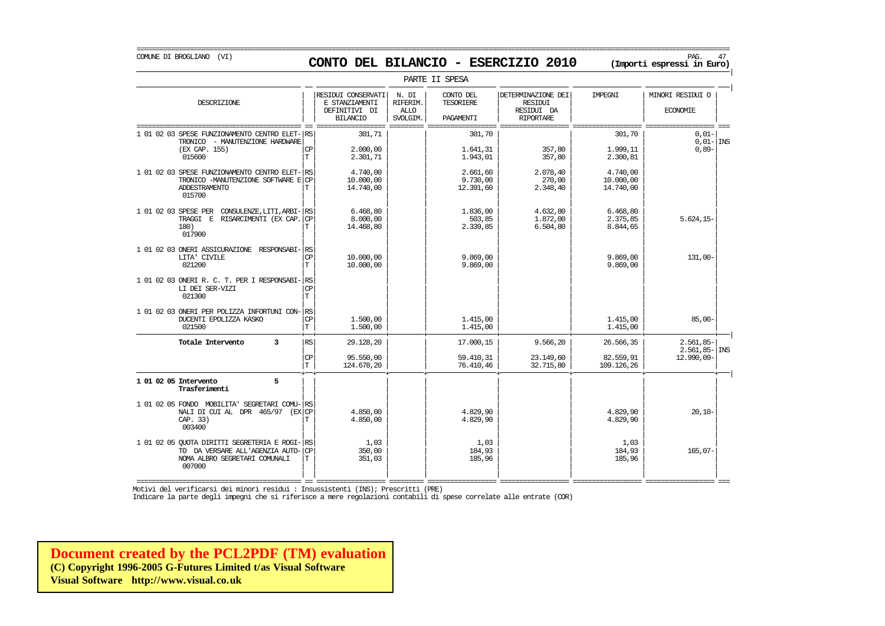=========================================================================================================================================================== COMUNE DI BROGLIANO (VI) PAG. 47 **CONTO DEL BILANCIO - ESERCIZIO 2010 (Importi espressi in Euro)** 

| PARTE II SPESA                                                                                                                                                                                                                 |                                 |                                                                          |                                              |                                                                     |                                                                        |                                                                      |                                          |  |  |  |  |
|--------------------------------------------------------------------------------------------------------------------------------------------------------------------------------------------------------------------------------|---------------------------------|--------------------------------------------------------------------------|----------------------------------------------|---------------------------------------------------------------------|------------------------------------------------------------------------|----------------------------------------------------------------------|------------------------------------------|--|--|--|--|
| DESCRIZIONE                                                                                                                                                                                                                    |                                 | RESIDUI CONSERVATI<br>E STANZIAMENTI<br>DEFINITIVI DI<br><b>BILANCIO</b> | N. DI<br>RIFERIM.<br><b>ALLO</b><br>SVOLGIM. | CONTO DEL<br><b>TESORIERE</b><br><b>PAGAMENTT</b>                   | DETERMINAZIONE DEI<br><b>RESIDUI</b><br>RESIDUI DA<br><b>RIPORTARE</b> | IMPEGNI                                                              | MINORI RESIDUI O<br><b>ECONOMIE</b>      |  |  |  |  |
| 1 01 02 03 SPESE FUNZIONAMENTO CENTRO ELET-<br>TRONICO - MANUTENZIONE HARDWARE<br>(EX CAP. 155)<br>015600<br>1 01 02 03 SPESE FUNZIONAMENTO CENTRO ELET-<br>TRONICO -MANUTENZIONE SOFTWARE E<br><b>ADDESTRAMENTO</b><br>015700 | RS<br>СP<br>T.<br>RS<br>CP<br>T | 301,71<br>2,000,00<br>2.301,71<br>4.740,00<br>10.000,00<br>14.740,00     |                                              | 301,70<br>1.641,31<br>1.943,01<br>2.661,60<br>9.730,00<br>12.391,60 | 357,80<br>357,80<br>2.078,40<br>270,00<br>2.348,40                     | 301,70<br>1.999,11<br>2.300,81<br>4.740,00<br>10.000,00<br>14.740,00 | $0,01-$<br>$0,01- \text{INS}$<br>$0,89-$ |  |  |  |  |
| 1 01 02 03 SPESE PER CONSULENZE, LITI, ARBI-<br>TRAGGI E<br>RISARCIMENTI (EX CAP.<br>180)<br>017900                                                                                                                            | RS<br><b>CP</b><br>T.           | 6.468,80<br>8.000,00<br>14.468,80                                        |                                              | 1.836,00<br>503,85<br>2.339,85                                      | 4.632,80<br>1,872,00<br>6.504,80                                       | 6.468,80<br>2.375,85<br>8.844,65                                     | $5.624, 15-$                             |  |  |  |  |
| 1 01 02 03 ONERI ASSICURAZIONE RESPONSABI-<br>LITA' CIVILE<br>021200                                                                                                                                                           | RS<br><b>CP</b><br>T.           | 10,000,00<br>10.000,00                                                   |                                              | 9.869.00<br>9.869.00                                                |                                                                        | 9.869.00<br>9.869.00                                                 | $131,00-$                                |  |  |  |  |
| 1 01 02 03 ONERI R. C. T. PER I RESPONSABI-<br>LI DEI SER-VIZI<br>021300                                                                                                                                                       | RS<br><b>CP</b><br>T.           |                                                                          |                                              |                                                                     |                                                                        |                                                                      |                                          |  |  |  |  |
| 1 01 02 03 ONERI PER POLIZZA INFORTUNI CON-<br>DUCENTI EPOLIZZA KASKO<br>021500                                                                                                                                                | RS<br>CP<br>T                   | 1,500,00<br>1,500,00                                                     |                                              | 1.415,00<br>1.415,00                                                |                                                                        | 1.415,00<br>1.415,00                                                 | $85,00-$                                 |  |  |  |  |
| $\overline{3}$<br>Totale Intervento                                                                                                                                                                                            | $\mathbb{RS}$                   | 29.128,20                                                                |                                              | 17.000,15                                                           | 9.566,20                                                               | 26.566,35                                                            | $2.561,85-$<br>$2.561,85 -$ INS          |  |  |  |  |
|                                                                                                                                                                                                                                | CP<br>$\mathbb T$               | 95.550,00<br>124.678,20                                                  |                                              | 59.410,31<br>76.410,46                                              | 23.149,60<br>32.715,80                                                 | 82.559,91<br>109.126,26                                              | 12.990,09-                               |  |  |  |  |
| 5<br>1 01 02 05 Intervento<br>Trasferimenti                                                                                                                                                                                    |                                 |                                                                          |                                              |                                                                     |                                                                        |                                                                      |                                          |  |  |  |  |
| 1 01 02 05 FONDO MOBILITA' SEGRETARI COMU-<br>NALI DI CUI AL DPR 465/97 (EXCP<br>CAP. 33)<br>003400                                                                                                                            | RS<br>T                         | 4.850,00<br>4.850,00                                                     |                                              | 4.829,90<br>4.829,90                                                |                                                                        | 4.829,90<br>4.829,90                                                 | $20,10-$                                 |  |  |  |  |
| 1 01 02 05 OUOTA DIRITTI SEGRETERIA E ROGI-<br>TO DA VERSARE ALL'AGENZIA AUTO-<br>NOMA ALBRO SEGRETARI COMUNALI<br>007000                                                                                                      | RS<br><b>CP</b><br>T            | 1,03<br>350,00<br>351,03                                                 |                                              | 1,03<br>184,93<br>185,96                                            |                                                                        | 1,03<br>184,93<br>185,96                                             | $165.07-$                                |  |  |  |  |

=========================================== == ================== ========= ================== ================== ================== ================== === Motivi del verificarsi dei minori residui : Insussistenti (INS); Prescritti (PRE)

Indicare la parte degli impegni che si riferisce a mere regolazioni contabili di spese correlate alle entrate (COR)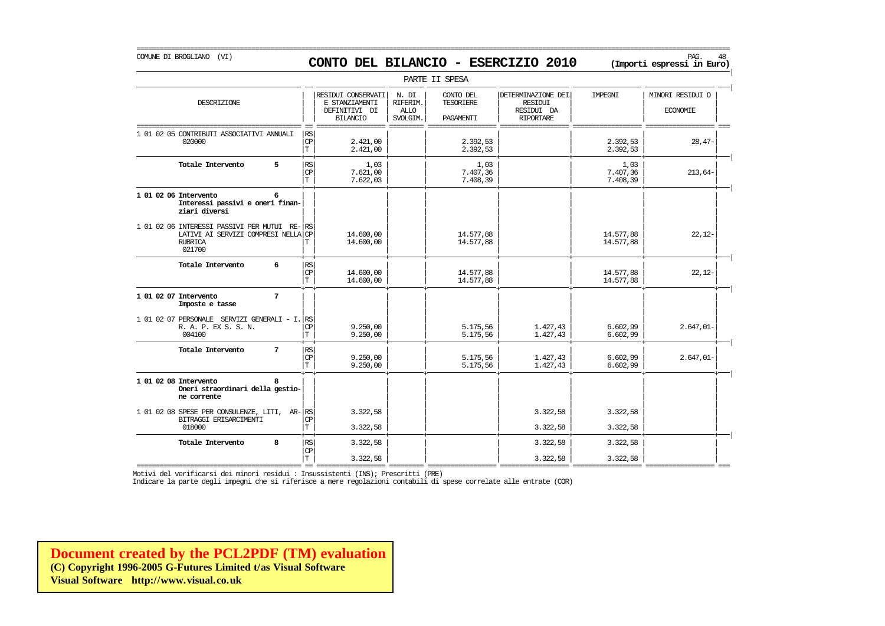## COMUNE DI BROGLIANO (VI) PAG. 48 **CONTO DEL BILANCIO - ESERCIZIO 2010 (Importi espressi in Euro)**

===========================================================================================================================================================

|                                                                                                                 |                                             |                                                                          |                                              | PARTE II SPESA                             |                                                                        |                              |                                     |
|-----------------------------------------------------------------------------------------------------------------|---------------------------------------------|--------------------------------------------------------------------------|----------------------------------------------|--------------------------------------------|------------------------------------------------------------------------|------------------------------|-------------------------------------|
| DESCRIZIONE                                                                                                     |                                             | RESIDUI CONSERVATI<br>E STANZIAMENTI<br>DEFINITIVI DI<br><b>BILANCIO</b> | N. DI<br>RIFERIM.<br><b>ALLO</b><br>SVOLGIM. | CONTO DEL<br><b>TESORIERE</b><br>PAGAMENTI | DETERMINAZIONE DEI<br><b>RESIDUI</b><br>RESIDUI DA<br><b>RIPORTARE</b> | <b>TMPRGNT</b>               | MINORI RESIDUI O<br><b>ECONOMIE</b> |
| 1 01 02 05 CONTRIBUTI ASSOCIATIVI ANNUALI<br>020000                                                             | <b>RS</b><br>$\mathbb{C}\mathbb{P}$<br>T    | 2.421,00<br>2.421,00                                                     |                                              | 2.392,53<br>2.392,53                       |                                                                        | 2.392,53<br>2.392,53         | $28,47-$                            |
| 5<br>Totale Intervento                                                                                          | RS<br><b>CP</b><br>$\mathbf T$              | 1,03<br>7.621,00<br>7.622,03                                             |                                              | 1,03<br>7.407,36<br>7.408,39               |                                                                        | 1,03<br>7.407,36<br>7.408,39 | $213,64-$                           |
| 1 01 02 06 Intervento<br>6<br>Interessi passivi e oneri finan-<br>ziari diversi                                 |                                             |                                                                          |                                              |                                            |                                                                        |                              |                                     |
| 1 01 02 06 INTERESSI PASSIVI PER MUTUI RE-RS<br>LATIVI AI SERVIZI COMPRESI NELLA CP<br><b>RUBRICA</b><br>021700 | т                                           | 14.600,00<br>14.600,00                                                   |                                              | 14.577,88<br>14.577,88                     |                                                                        | 14.577,88<br>14.577,88       | $22,12-$                            |
| 6<br>Totale Intervento                                                                                          | RS<br>$\mathbf{C}\mathbf{P}$<br>$\mathbf T$ | 14,600,00<br>14,600,00                                                   |                                              | 14.577,88<br>14.577,88                     |                                                                        | 14.577,88<br>14.577,88       | $22,12-$                            |
| $7\phantom{.0}$<br>1 01 02 07 Intervento<br>Imposte e tasse                                                     |                                             |                                                                          |                                              |                                            |                                                                        |                              |                                     |
| 1 01 02 07 PERSONALE SERVIZI GENERALI - I. RS<br>R. A. P. EX S. S. N.<br>004100                                 | <b>CP</b><br>T                              | 9.250,00<br>9.250,00                                                     |                                              | 5.175,56<br>5.175,56                       | 1.427,43<br>1.427,43                                                   | 6.602,99<br>6.602,99         | $2.647,01-$                         |
| 7<br>Totale Intervento                                                                                          | RS<br>$\mathbb{C}\mathbb{P}$<br>Iт          | 9.250,00<br>9.250,00                                                     |                                              | 5.175,56<br>5.175,56                       | 1.427,43<br>1.427,43                                                   | 6.602,99<br>6.602,99         | $2.647,01-$                         |
| 1 01 02 08 Intervento<br>R<br>Oneri straordinari della gestio-<br>ne corrente                                   |                                             |                                                                          |                                              |                                            |                                                                        |                              |                                     |
| 1 01 02 08 SPESE PER CONSULENZE, LITI, AR-RS<br>BITRAGGI ERISARCIMENTI<br>018000                                | <b>CP</b><br>$\mathbf T$                    | 3.322,58<br>3.322,58                                                     |                                              |                                            | 3.322,58<br>3.322,58                                                   | 3.322,58<br>3.322,58         |                                     |
| 8<br>Totale Intervento                                                                                          | RS<br>CP<br>$\mathbf T$                     | 3.322,58<br>3.322,58                                                     |                                              |                                            | 3.322,58<br>3.322,58                                                   | 3.322,58<br>3.322,58         |                                     |

=========================================== == ================== ========= ================== ================== ================== ================== === Motivi del verificarsi dei minori residui : Insussistenti (INS); Prescritti (PRE)

Indicare la parte degli impegni che si riferisce a mere regolazioni contabili di spese correlate alle entrate (COR)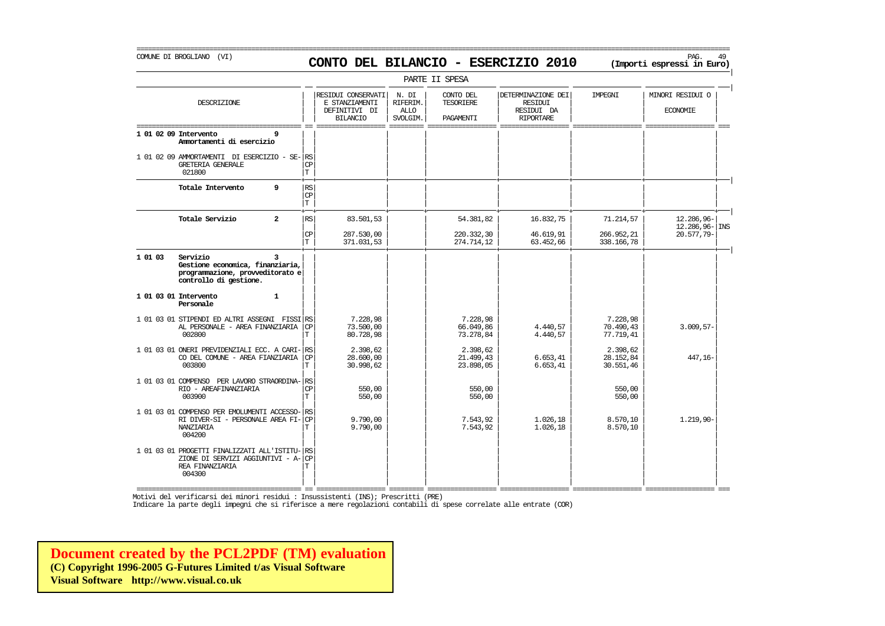### COMUNE DI BROGLIANO (VI) PAG. 49 **CONTO DEL BILANCIO - ESERCIZIO 2010 (Importi espressi in Euro)**

===========================================================================================================================================================

|         |                                                                                                                 |                                                       |                                                                          |                                              | PARTE II SPESA                      |                                                                 |                                    |                                     |
|---------|-----------------------------------------------------------------------------------------------------------------|-------------------------------------------------------|--------------------------------------------------------------------------|----------------------------------------------|-------------------------------------|-----------------------------------------------------------------|------------------------------------|-------------------------------------|
|         | DESCRIZIONE                                                                                                     |                                                       | RESIDUI CONSERVATI<br>E STANZIAMENTI<br>DEFINITIVI DI<br><b>BILANCIO</b> | N. DI<br>RIFERIM.<br><b>ALLO</b><br>SVOLGIM. | CONTO DEL<br>TESORIERE<br>PAGAMENTI | DETERMINAZIONE DEI<br>RESIDUI<br>RESIDUI DA<br><b>RIPORTARE</b> | IMPEGNI                            | MINORI RESIDUI O<br><b>ECONOMIE</b> |
|         | 1 01 02 09 Intervento<br>9<br>Ammortamenti di esercizio                                                         |                                                       |                                                                          |                                              |                                     |                                                                 |                                    |                                     |
|         | 1 01 02 09 AMMORTAMENTI DI ESERCIZIO - SE-RS<br><b>GRETERIA GENERALE</b><br>021800                              | CP<br>$\mathbb T$                                     |                                                                          |                                              |                                     |                                                                 |                                    |                                     |
|         | 9<br>Totale Intervento                                                                                          | $\mathbb{R}\mathbb{S}$<br>$\mathbb{C}\mathbb{P}$<br>T |                                                                          |                                              |                                     |                                                                 |                                    |                                     |
|         | Totale Servizio<br>$\overline{a}$                                                                               | RS                                                    | 83.501,53                                                                |                                              | 54.381,82                           | 16.832,75                                                       | 71.214,57                          | 12.286,96-<br>$12.286,96 -$ INS     |
|         |                                                                                                                 | $\mathsf{CP}$<br>T.                                   | 287.530,00<br>371.031,53                                                 |                                              | 220.332,30<br>274.714,12            | 46.619,91<br>63.452,66                                          | 266.952,21<br>338.166,78           | 20.577,79-                          |
| 1 01 03 | Servizio<br>3<br>Gestione economica, finanziaria,<br>programmazione, provveditorato e<br>controllo di gestione. |                                                       |                                                                          |                                              |                                     |                                                                 |                                    |                                     |
|         | 1 01 03 01 Intervento<br>$\mathbf{1}$<br>Personale                                                              |                                                       |                                                                          |                                              |                                     |                                                                 |                                    |                                     |
|         | 1 01 03 01 STIPENDI ED ALTRI ASSEGNI FISSI RS<br>AL PERSONALE - AREA FINANZIARIA<br>002800                      | <b>CP</b><br>T                                        | 7.228,98<br>73.500,00<br>80.728,98                                       |                                              | 7.228,98<br>66.049,86<br>73.278,84  | 4.440,57<br>4.440,57                                            | 7.228,98<br>70.490,43<br>77.719,41 | $3.009, 57 -$                       |
|         | 1 01 03 01 ONERI PREVIDENZIALI ECC. A CARI- RS<br>CO DEL COMUNE - AREA FIANZIARIA<br>003800                     | CP<br>T                                               | 2.398,62<br>28,600,00<br>30.998,62                                       |                                              | 2.398,62<br>21.499,43<br>23.898,05  | 6.653, 41<br>6.653, 41                                          | 2.398,62<br>28.152,84<br>30.551,46 | 447, 16-                            |
|         | 1 01 03 01 COMPENSO PER LAVORO STRAORDINA- RS<br>RIO - AREAFINANZIARIA<br>003900                                | <b>CP</b><br>T.                                       | 550,00<br>550,00                                                         |                                              | 550,00<br>550,00                    |                                                                 | 550,00<br>550,00                   |                                     |
|         | 1 01 03 01 COMPENSO PER EMOLUMENTI ACCESSO-<br>RI DIVER-SI - PERSONALE AREA FI-<br>NANZIARIA<br>004200          | RS<br>CP<br>T                                         | 9.790,00<br>9.790,00                                                     |                                              | 7.543,92<br>7.543,92                | 1.026,18<br>1.026,18                                            | 8.570,10<br>8.570,10               | $1.219,90-$                         |
|         | 1 01 03 01 PROGETTI FINALIZZATI ALL'ISTITU- RS<br>ZIONE DI SERVIZI AGGIUNTIVI - A-<br>REA FINANZIARIA<br>004300 | <b>CP</b><br>T.                                       |                                                                          |                                              |                                     |                                                                 |                                    |                                     |

=========================================== == ================== ========= ================== ================== ================== ================== === Motivi del verificarsi dei minori residui : Insussistenti (INS); Prescritti (PRE)

Indicare la parte degli impegni che si riferisce a mere regolazioni contabili di spese correlate alle entrate (COR)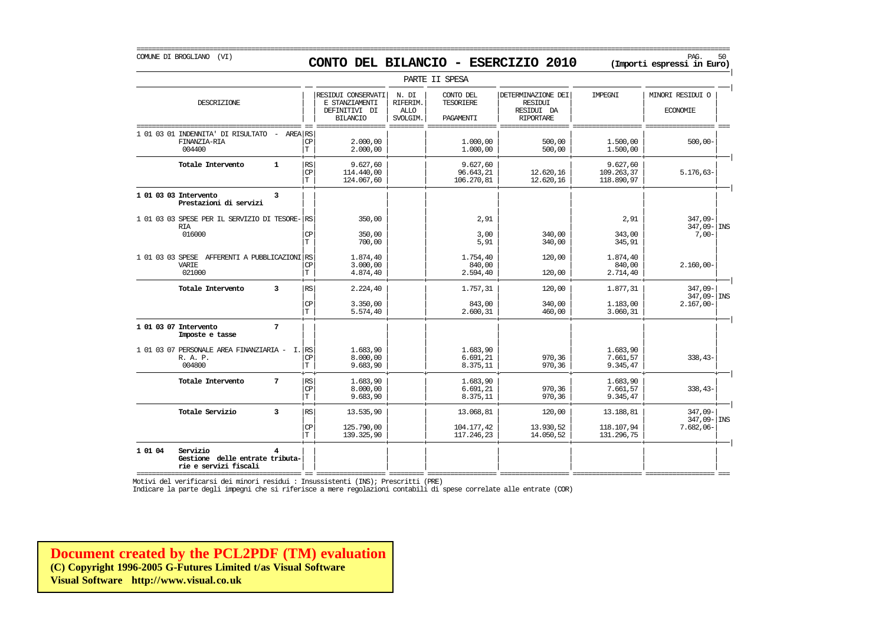## COMUNE DI BROGLIANO (VI) PAG. 50 **CONTO DEL BILANCIO - ESERCIZIO 2010 (Importi espressi in Euro)**

===========================================================================================================================================================

|                                                                                      |                                       |                                                                          |                                              | PARTE II SPESA                      |                                                                        |                                      |                                            |
|--------------------------------------------------------------------------------------|---------------------------------------|--------------------------------------------------------------------------|----------------------------------------------|-------------------------------------|------------------------------------------------------------------------|--------------------------------------|--------------------------------------------|
| DESCRIZIONE                                                                          |                                       | RESIDUI CONSERVATI<br>E STANZIAMENTI<br>DEFINITIVI DI<br><b>BILANCIO</b> | N. DI<br>RIFERIM.<br><b>ALLO</b><br>SVOLGIM. | CONTO DEL<br>TESORIERE<br>PAGAMENTI | DETERMINAZIONE DEI<br><b>RESIDUI</b><br>RESIDUI DA<br><b>RIPORTARE</b> | IMPEGNI                              | MINORI RESIDUI O<br><b>ECONOMIE</b>        |
| 1 01 03 01 INDENNITA' DI RISULTATO<br>AREA RS<br>FINANZIA-RIA<br>004400              | <b>CP</b><br>T                        | 2,000,00<br>2,000,00                                                     |                                              | 1,000,00<br>1.000,00                | 500,00<br>500,00                                                       | 1,500,00<br>1,500,00                 | $500,00 -$                                 |
| Totale Intervento<br>$\mathbf{1}$                                                    | RS<br>CP<br>İТ                        | 9.627.60<br>114.440,00<br>124,067,60                                     |                                              | 9.627,60<br>96.643,21<br>106.270,81 | 12.620,16<br>12.620,16                                                 | 9.627,60<br>109.263,37<br>118.890,97 | $5.176.63-$                                |
| 1 01 03 03 Intervento<br>3<br>Prestazioni di servizi                                 |                                       |                                                                          |                                              |                                     |                                                                        |                                      |                                            |
| 1 01 03 03 SPESE PER IL SERVIZIO DI TESORE- RS<br><b>RIA</b><br>016000               | <b>CP</b>                             | 350,00<br>350,00                                                         |                                              | 2,91<br>3,00                        | 340,00                                                                 | 2,91<br>343,00                       | 347,09-<br>$347,09 - \vert$ INS<br>$7,00-$ |
|                                                                                      | T                                     | 700,00                                                                   |                                              | 5,91                                | 340,00                                                                 | 345,91                               |                                            |
| 1 01 03 03 SPESE AFFERENTI A PUBBLICAZIONI RS<br>VARIE<br>021000                     | <b>CP</b><br>$\mathbb T$              | 1.874.40<br>3.000,00<br>4.874,40                                         |                                              | 1.754,40<br>840,00<br>2.594,40      | 120,00<br>120,00                                                       | 1.874.40<br>840,00<br>2.714,40       | $2.160,00 -$                               |
| Totale Intervento<br>$\overline{3}$                                                  | RS                                    | 2.224,40                                                                 |                                              | 1.757,31                            | 120,00                                                                 | 1.877,31                             | $347,09-$<br>347,09- INS                   |
|                                                                                      | <b>CP</b><br>T                        | 3.350,00<br>5.574,40                                                     |                                              | 843,00<br>2.600,31                  | 340,00<br>460,00                                                       | 1.183,00<br>3.060,31                 | $2.167,00 -$                               |
| $7\phantom{.0}$<br>1 01 03 07 Intervento<br>Imposte e tasse                          |                                       |                                                                          |                                              |                                     |                                                                        |                                      |                                            |
| 1 01 03 07 PERSONALE AREA FINANZIARIA -<br>R. A. P.<br>004800                        | I. RS<br><b>CP</b><br>$\mathbf T$     | 1.683,90<br>8.000,00<br>9.683,90                                         |                                              | 1.683,90<br>6.691,21<br>8.375,11    | 970,36<br>970,36                                                       | 1.683,90<br>7.661,57<br>9.345,47     | $338,43-$                                  |
| 7<br>Totale Intervento                                                               | <b>RS</b><br><b>CP</b><br>$\mathbf T$ | 1.683,90<br>8.000,00<br>9.683,90                                         |                                              | 1.683,90<br>6.691, 21<br>8.375,11   | 970,36<br>970,36                                                       | 1.683,90<br>7.661,57<br>9.345,47     | $338,43-$                                  |
| Totale Servizio<br>3                                                                 | $\mathbb{R}\mathbb{S}$                | 13.535,90                                                                |                                              | 13.068,81                           | 120,00                                                                 | 13.188,81                            | 347,09-<br>$347,09 -$ INS                  |
|                                                                                      | <b>CP</b><br>ΙT                       | 125.790,00<br>139.325,90                                                 |                                              | 104.177,42<br>117.246,23            | 13.930,52<br>14.050,52                                                 | 118.107,94<br>131.296,75             | $7.682,06-$                                |
| 1 01 04<br>Servizio<br>4<br>Gestione delle entrate tributa-<br>rie e servizi fiscali |                                       |                                                                          |                                              |                                     |                                                                        |                                      |                                            |

=========================================== == ================== ========= ================== ================== ================== ================== === Motivi del verificarsi dei minori residui : Insussistenti (INS); Prescritti (PRE)

Indicare la parte degli impegni che si riferisce a mere regolazioni contabili di spese correlate alle entrate (COR)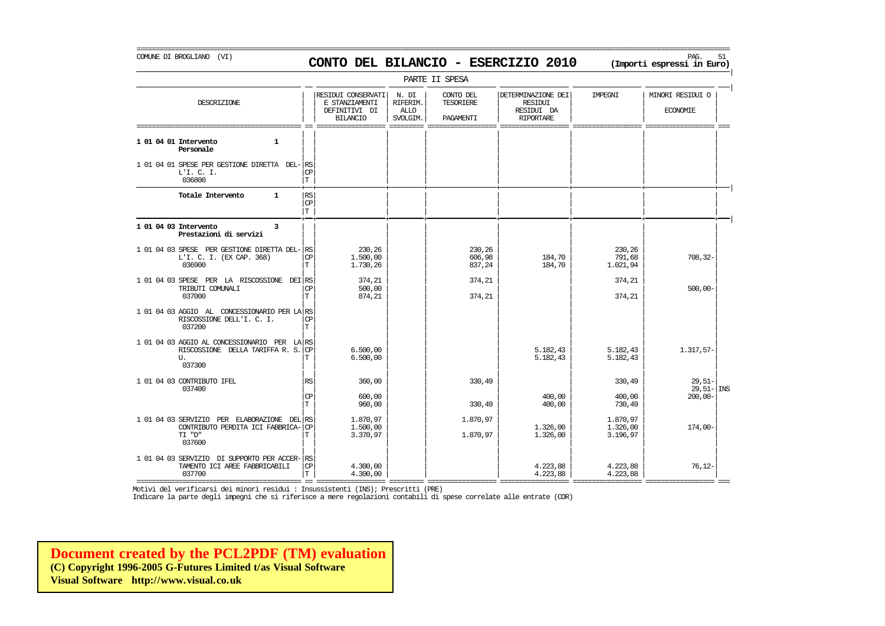### COMUNE DI BROGLIANO (VI) PAG. 51 **CONTO DEL BILANCIO - ESERCIZIO 2010 (Importi espressi in Euro)**

===========================================================================================================================================================

|                                                                                                     |                          |                                                                          |                                              | PARTE II SPESA                      |                                                                 |                                  |                                     |
|-----------------------------------------------------------------------------------------------------|--------------------------|--------------------------------------------------------------------------|----------------------------------------------|-------------------------------------|-----------------------------------------------------------------|----------------------------------|-------------------------------------|
| DESCRIZIONE                                                                                         |                          | RESIDUI CONSERVATI<br>E STANZIAMENTI<br>DEFINITIVI DI<br><b>BILANCIO</b> | N. DI<br>RIFERIM.<br><b>ALLO</b><br>SVOLGIM. | CONTO DEL<br>TESORIERE<br>PAGAMENTI | DETERMINAZIONE DEI<br>RESIDUI<br>RESIDUI DA<br><b>RIPORTARE</b> | IMPEGNI                          | MINORI RESIDUI O<br><b>ECONOMIE</b> |
| 1 01 04 01 Intervento<br>$\mathbf{1}$<br>Personale                                                  |                          |                                                                          |                                              |                                     |                                                                 |                                  |                                     |
| 1 01 04 01 SPESE PER GESTIONE DIRETTA DEL-RS<br>L'I. C. I.<br>036800                                | <b>CP</b><br>$\mathbf T$ |                                                                          |                                              |                                     |                                                                 |                                  |                                     |
| Totale Intervento<br>$\mathbf{1}$                                                                   | RS<br>CP<br>IТ           |                                                                          |                                              |                                     |                                                                 |                                  |                                     |
| 1 01 04 03 Intervento<br>3<br>Prestazioni di servizi                                                |                          |                                                                          |                                              |                                     |                                                                 |                                  |                                     |
| 1 01 04 03 SPESE PER GESTIONE DIRETTA DEL-<br>L'I. C. I. (EX CAP. 368)<br>036900                    | RS<br><b>CP</b><br>T     | 230,26<br>1,500,00<br>1.730,26                                           |                                              | 230,26<br>606,98<br>837,24          | 184,70<br>184,70                                                | 230,26<br>791,68<br>1.021,94     | $708, 32-$                          |
| 1 01 04 03 SPESE PER LA RISCOSSIONE DEI RS<br>TRIBUTI COMUNALI<br>037000                            | <b>CP</b><br>Т           | 374,21<br>500,00<br>874,21                                               |                                              | 374,21<br>374,21                    |                                                                 | 374,21<br>374,21                 | $500,00 -$                          |
| 1 01 04 03 AGGIO AL CONCESSIONARIO PER LA RS<br>RISCOSSIONE DELL'I. C. I.<br>037200                 | CP<br>T                  |                                                                          |                                              |                                     |                                                                 |                                  |                                     |
| 1 01 04 03 AGGIO AL CONCESSIONARIO PER LA RS<br>RISCOSSIONE DELLA TARIFFA R. S.<br>U.<br>037300     | <b>CP</b><br>т           | 6.500,00<br>6.500,00                                                     |                                              |                                     | 5.182,43<br>5.182,43                                            | 5.182,43<br>5.182,43             | 1.317,57-                           |
| 1 01 04 03 CONTRIBUTO IFEL<br>037400                                                                | <b>RS</b>                | 360,00                                                                   |                                              | 330,49                              |                                                                 | 330,49                           | $29,51-$<br>$29,51 -  $ INS         |
|                                                                                                     | <b>CP</b><br>$\mathbf T$ | 600,00<br>960,00                                                         |                                              | 330,49                              | 400,00<br>400,00                                                | 400,00<br>730,49                 | $200,00 -$                          |
| 1 01 04 03 SERVIZIO PER ELABORAZIONE DEL RS<br>CONTRIBUTO PERDITA ICI FABBRICA-<br>"D" TI<br>037600 | CP<br>Т                  | 1,870,97<br>1,500,00<br>3.370,97                                         |                                              | 1.870,97<br>1.870,97                | 1,326,00<br>1.326,00                                            | 1.870,97<br>1.326,00<br>3.196,97 | $174,00-$                           |
| 1 01 04 03 SERVIZIO DI SUPPORTO PER ACCER-<br>TAMENTO ICI AREE FABBRICABILI<br>037700               | RS<br><b>CP</b><br>T     | 4,300,00<br>4.300,00                                                     |                                              |                                     | 4.223,88<br>4.223,88                                            | 4.223,88<br>4.223,88             | $76, 12-$                           |

Motivi del verificarsi dei minori residui : Insussistenti (INS); Prescritti (PRE)

Indicare la parte degli impegni che si riferisce a mere regolazioni contabili di spese correlate alle entrate (COR)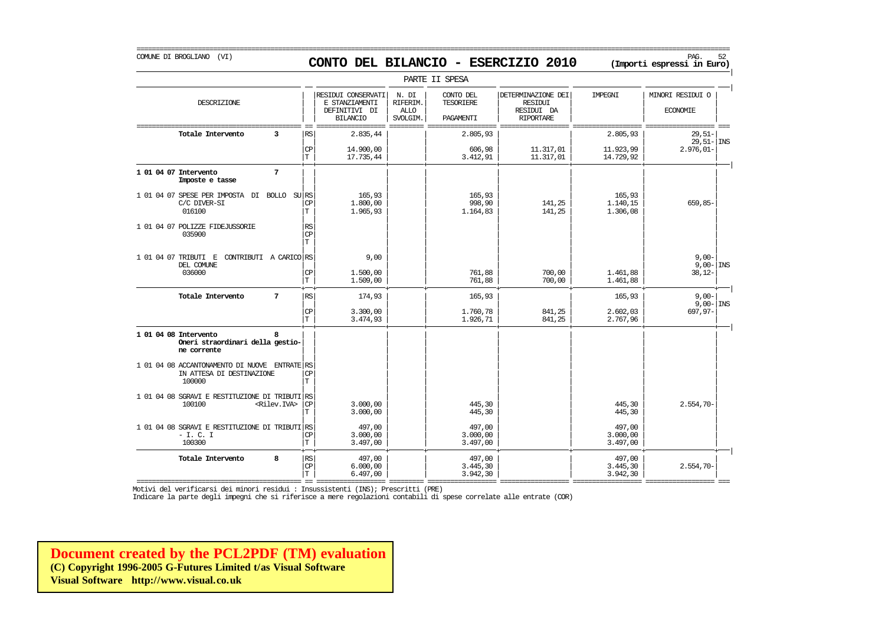| COMUNE DI BROGLIANO (VI)                                                             |    |                         |                              |                                                                          |                                              |                                            | CONTO DEL BILANCIO - ESERCIZIO 2010                                    |                                    | PAG.<br>52<br>(Importi espressi in Euro)   |
|--------------------------------------------------------------------------------------|----|-------------------------|------------------------------|--------------------------------------------------------------------------|----------------------------------------------|--------------------------------------------|------------------------------------------------------------------------|------------------------------------|--------------------------------------------|
|                                                                                      |    |                         |                              |                                                                          |                                              | PARTE II SPESA                             |                                                                        |                                    |                                            |
| DESCRIZIONE                                                                          |    |                         |                              | RESIDUI CONSERVATI<br>E STANZIAMENTI<br>DEFINITIVI DI<br><b>BILANCIO</b> | N. DI<br>RIFERIM.<br><b>ALLO</b><br>SVOLGIM. | CONTO DEL<br><b>TESORIERE</b><br>PAGAMENTI | DETERMINAZIONE DEI<br><b>RESIDUI</b><br>RESIDUI DA<br><b>RIPORTARE</b> | IMPEGNI                            | MINORI RESIDUI O<br><b>ECONOMIE</b>        |
| Totale Intervento                                                                    |    | 3                       | RS<br>CP<br>$\mathbf T$      | 2.835,44<br>14,900,00<br>17.735,44                                       |                                              | 2.805,93<br>606,98<br>3.412,91             | 11.317,01<br>11.317,01                                                 | 2.805,93<br>11.923,99<br>14.729,92 | $29,51-$<br>$29,51 -  $ INS<br>$2.976,01-$ |
| 1 01 04 07 Intervento<br>Imposte e tasse                                             |    | 7                       |                              |                                                                          |                                              |                                            |                                                                        |                                    |                                            |
| 1 01 04 07 SPESE PER IMPOSTA<br>C/C DIVER-SI<br>016100                               | DI | BOLLO SURS              | СP<br>T                      | 165,93<br>1,800,00<br>1.965,93                                           |                                              | 165,93<br>998,90<br>1.164,83               | 141,25<br>141,25                                                       | 165,93<br>1.140,15<br>1,306,08     | 659,85-                                    |
| 1 01 04 07 POLIZZE FIDEJUSSORIE<br>035900                                            |    |                         | <b>RS</b><br><b>CP</b><br>T. |                                                                          |                                              |                                            |                                                                        |                                    |                                            |
| 1 01 04 07 TRIBUTI E CONTRIBUTI A CARICO RS<br>DEL COMUNE<br>036000                  |    |                         | <b>CP</b><br>T               | 9,00<br>1.500,00<br>1.509,00                                             |                                              | 761,88<br>761,88                           | 700,00<br>700,00                                                       | 1.461,88<br>1.461,88               | $9,00-$<br>$9,00 - \vert$ INS<br>$38,12-$  |
| Totale Intervento                                                                    |    | 7                       | RS                           | 174,93                                                                   |                                              | 165,93                                     |                                                                        | 165,93                             | $9,00-$<br>$9,00 -$ INS                    |
|                                                                                      |    |                         | CP<br>$\mathbf T$            | 3.300,00<br>3.474,93                                                     |                                              | 1.760,78<br>1.926,71                       | 841,25<br>841,25                                                       | 2.602,03<br>2.767,96               | 697,97-                                    |
| 1 01 04 08 Intervento<br>Oneri straordinari della gestio-<br>ne corrente             |    |                         |                              |                                                                          |                                              |                                            |                                                                        |                                    |                                            |
| 1 01 04 08 ACCANTONAMENTO DI NUOVE ENTRATE RS<br>IN ATTESA DI DESTINAZIONE<br>100000 |    |                         | СP<br>$\mathbf T$            |                                                                          |                                              |                                            |                                                                        |                                    |                                            |
| 1 01 04 08 SGRAVI E RESTITUZIONE DI TRIBUTI RS<br>100100                             |    | <rilev.iva></rilev.iva> | <b>CP</b><br>T               | 3.000,00<br>3.000,00                                                     |                                              | 445,30<br>445,30                           |                                                                        | 445,30<br>445,30                   | $2.554,70-$                                |
| 1 01 04 08 SGRAVI E RESTITUZIONE DI TRIBUTI RS<br>$- I. C. I$<br>100300              |    |                         | СP<br>$\mathbf T$            | 497,00<br>3.000,00<br>3.497,00                                           |                                              | 497,00<br>3.000,00<br>3.497,00             |                                                                        | 497,00<br>3.000,00<br>3.497,00     |                                            |
| Totale Intervento                                                                    |    | 8                       | RS                           | 497,00                                                                   |                                              | 497,00                                     |                                                                        | 497,00                             |                                            |

 $|\mathbb{CP}|$  6.000,00  $|$  3.445,30 3.445,30 3.445,30 3.445,30 3.445,30 3.554,70- $|T|$  6.497,00  $|$  3.942,30  $|$  3.942,30  $|$ 

=========================================== == ================== ========= ================== ================== ================== ================== === Motivi del verificarsi dei minori residui : Insussistenti (INS); Prescritti (PRE)

Indicare la parte degli impegni che si riferisce a mere regolazioni contabili di spese correlate alle entrate (COR)

**[Document created by the PCL2PDF \(TM\) evaluation](http://www.visual.co.uk) (C) Copyright 1996-2005 G-Futures Limited t/as Visual Software Visual Software http://www.visual.co.uk**

#### ===========================================================================================================================================================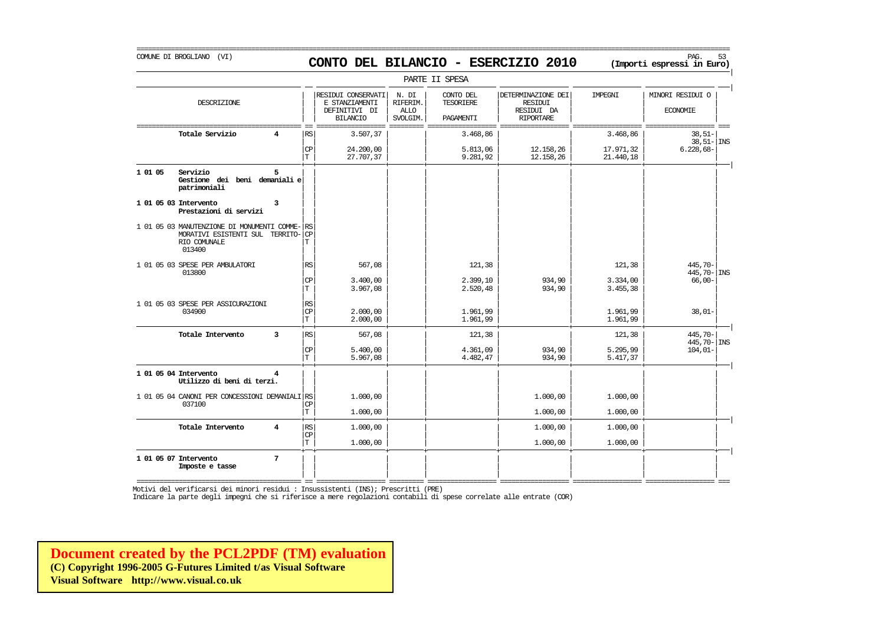## COMUNE DI BROGLIANO (VI) PAG. 53 **CONTO DEL BILANCIO - ESERCIZIO 2010 (Importi espressi in Euro)**

===========================================================================================================================================================

|         |                                                                                                          |   |                              |                                                                          |                                              | PARTE II SPESA                             |                                                                        |                        |                                     |
|---------|----------------------------------------------------------------------------------------------------------|---|------------------------------|--------------------------------------------------------------------------|----------------------------------------------|--------------------------------------------|------------------------------------------------------------------------|------------------------|-------------------------------------|
|         | DESCRIZIONE                                                                                              |   |                              | RESIDUI CONSERVATI<br>E STANZIAMENTI<br>DEFINITIVI DI<br><b>BILANCIO</b> | N. DI<br>RIFERIM.<br><b>ALLO</b><br>SVOLGIM. | CONTO DEL<br><b>TESORIERE</b><br>PAGAMENTI | DETERMINAZIONE DEI<br><b>RESIDUI</b><br>RESIDUI DA<br><b>RIPORTARE</b> | IMPEGNI                | MINORI RESIDUI O<br><b>ECONOMIE</b> |
|         | Totale Servizio                                                                                          |   | RS                           | 3.507,37                                                                 |                                              | 3.468,86                                   |                                                                        | 3.468,86               | $38,51-$<br>$38,51 -  $ INS         |
|         |                                                                                                          |   | <b>CP</b><br>T               | 24,200,00<br>27.707,37                                                   |                                              | 5.813,06<br>9.281,92                       | 12.158,26<br>12.158,26                                                 | 17.971,32<br>21.440,18 | $6.228,68-$                         |
| 1 01 05 | Servizio<br>Gestione dei beni demaniali e<br>patrimoniali                                                | 5 |                              |                                                                          |                                              |                                            |                                                                        |                        |                                     |
|         | 1 01 05 03 Intervento<br>Prestazioni di servizi                                                          | 3 |                              |                                                                          |                                              |                                            |                                                                        |                        |                                     |
|         | 1 01 05 03 MANUTENZIONE DI MONUMENTI COMME-<br>MORATIVI ESISTENTI SUL TERRITO-<br>RIO COMUNALE<br>013400 |   | RS<br>CP<br>T                |                                                                          |                                              |                                            |                                                                        |                        |                                     |
|         | 1 01 05 03 SPESE PER AMBULATORI<br>013800                                                                |   | RS                           | 567,08                                                                   |                                              | 121,38                                     |                                                                        | 121,38                 | 445,70-<br>$445,70 -  $ INS         |
|         |                                                                                                          |   | CP<br>T                      | 3.400,00<br>3.967,08                                                     |                                              | 2.399,10<br>2.520,48                       | 934,90<br>934,90                                                       | 3.334,00<br>3.455,38   | $66,00-$                            |
|         | 1 01 05 03 SPESE PER ASSICURAZIONI<br>034900                                                             |   | RS<br>CP<br>T.               | 2,000,00<br>2,000,00                                                     |                                              | 1.961,99<br>1.961,99                       |                                                                        | 1.961,99<br>1.961,99   | $38,01-$                            |
|         | Totale Intervento                                                                                        | 3 | RS                           | 567,08                                                                   |                                              | 121,38                                     |                                                                        | 121,38                 | 445,70-<br>$445,70 -  $ INS         |
|         |                                                                                                          |   | $\mathbb{C}\mathbb{P}$<br>T. | 5.400,00<br>5.967,08                                                     |                                              | 4.361,09<br>4.482,47                       | 934,90<br>934,90                                                       | 5.295,99<br>5.417,37   | $104,01-$                           |
|         | 1 01 05 04 Intervento<br>Utilizzo di beni di terzi.                                                      | 4 |                              |                                                                          |                                              |                                            |                                                                        |                        |                                     |
|         | 1 01 05 04 CANONI PER CONCESSIONI DEMANIALI RS<br>037100                                                 |   | CP                           | 1,000,00                                                                 |                                              |                                            | 1.000,00                                                               | 1.000,00               |                                     |
|         |                                                                                                          |   | T                            | 1,000,00                                                                 |                                              |                                            | 1,000,00                                                               | 1,000,00               |                                     |
|         | Totale Intervento                                                                                        | 4 | RS<br>CP                     | 1,000,00                                                                 |                                              |                                            | 1,000,00                                                               | 1,000,00               |                                     |
|         |                                                                                                          |   | T                            | 1,000,00                                                                 |                                              |                                            | 1.000,00                                                               | 1,000,00               |                                     |
|         | 1 01 05 07 Intervento<br>Imposte e tasse                                                                 | 7 |                              |                                                                          |                                              |                                            |                                                                        |                        |                                     |

=========================================== == ================== ========= ================== ================== ================== ================== ===

Motivi del verificarsi dei minori residui : Insussistenti (INS); Prescritti (PRE)

Indicare la parte degli impegni che si riferisce a mere regolazioni contabili di spese correlate alle entrate (COR)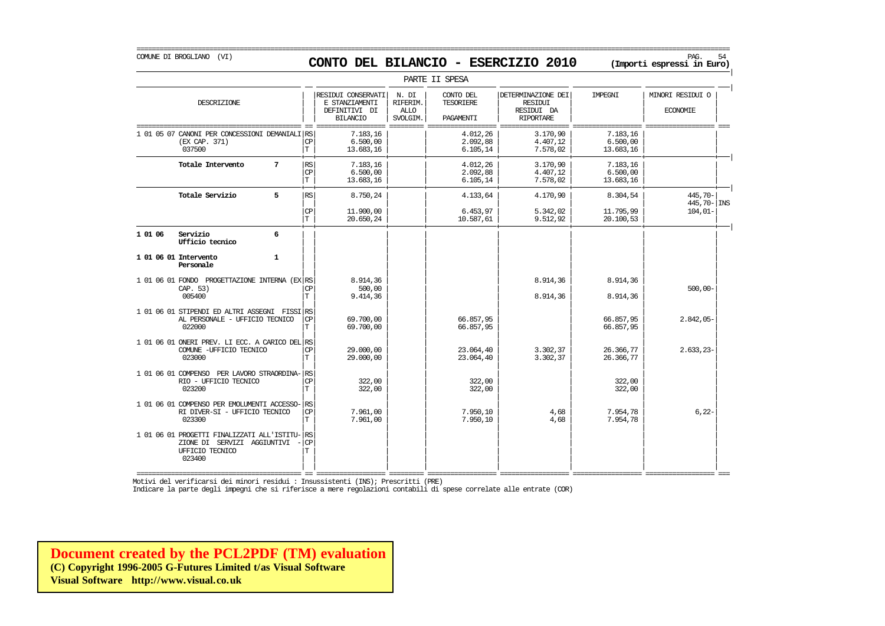COMUNE DI BROGLIANO (VI) PAG. 54 **CONTO DEL BILANCIO - ESERCIZIO 2010 (Importi espressi in Euro)** 

|         |                                                                                                         |              |                                          |                                                                          |                                              | PARTE II SPESA                             |                                                                        |                                   |                                     |
|---------|---------------------------------------------------------------------------------------------------------|--------------|------------------------------------------|--------------------------------------------------------------------------|----------------------------------------------|--------------------------------------------|------------------------------------------------------------------------|-----------------------------------|-------------------------------------|
|         | DESCRIZIONE                                                                                             |              |                                          | RESIDUI CONSERVATI<br>E STANZIAMENTI<br>DEFINITIVI DI<br><b>BILANCIO</b> | N. DI<br>RIFERIM.<br><b>ALLO</b><br>SVOLGIM. | CONTO DEL<br><b>TESORIERE</b><br>PAGAMENTI | DETERMINAZIONE DEI<br><b>RESIDUI</b><br>RESIDUI DA<br><b>RIPORTARE</b> | IMPEGNI                           | MINORI RESIDUI O<br><b>ECONOMIE</b> |
|         | 1 01 05 07 CANONI PER CONCESSIONI DEMANIALI RS<br>(EX CAP. 371)<br>037500                               |              | <b>CP</b><br>T                           | 7.183,16<br>6.500.00<br>13.683,16                                        |                                              | 4.012,26<br>2.092.88<br>6.105,14           | 3.170,90<br>4.407.12<br>7.578,02                                       | 7.183,16<br>6.500.00<br>13.683,16 |                                     |
|         | Totale Intervento                                                                                       | 7            | <b>RS</b><br>CP<br>İТ                    | 7.183,16<br>6.500,00<br>13.683.16                                        |                                              | 4.012,26<br>2.092,88<br>6.105, 14          | 3.170,90<br>4.407,12<br>7.578,02                                       | 7.183,16<br>6.500,00<br>13.683,16 |                                     |
|         | Totale Servizio                                                                                         | 5            | RS                                       | 8.750,24                                                                 |                                              | 4.133,64                                   | 4.170,90                                                               | 8.304,54                          | 445,70-<br>$445,70 -  $ INS         |
|         |                                                                                                         |              | $\mathbf{CP}$<br>$\mathbf T$             | 11.900,00<br>20.650,24                                                   |                                              | 6.453,97<br>10.587,61                      | 5.342,02<br>9.512,92                                                   | 11.795,99<br>20.100,53            | $104,01-$                           |
| 1 01 06 | Servizio<br>Ufficio tecnico                                                                             | 6            |                                          |                                                                          |                                              |                                            |                                                                        |                                   |                                     |
|         | 1 01 06 01 Intervento<br>Personale                                                                      | $\mathbf{1}$ |                                          |                                                                          |                                              |                                            |                                                                        |                                   |                                     |
|         | 1 01 06 01 FONDO PROGETTAZIONE INTERNA (EX RS<br>CAP. 53)<br>005400                                     |              | <b>CP</b><br>$\mathbf T$                 | 8.914,36<br>500,00<br>9.414,36                                           |                                              |                                            | 8.914,36<br>8.914,36                                                   | 8.914,36<br>8.914,36              | $500,00 -$                          |
|         | 1 01 06 01 STIPENDI ED ALTRI ASSEGNI FISSI RS<br>AL PERSONALE - UFFICIO TECNICO<br>022000               |              | СP<br>T                                  | 69,700,00<br>69,700,00                                                   |                                              | 66.857,95<br>66.857,95                     |                                                                        | 66.857,95<br>66.857,95            | $2.842,05-$                         |
|         | 1 01 06 01 ONERI PREV. LI ECC. A CARICO DEL RS<br>COMUNE -UFFICIO TECNICO<br>023000                     |              | CP<br>T                                  | 29,000,00<br>29,000,00                                                   |                                              | 23.064,40<br>23.064,40                     | 3.302,37<br>3.302,37                                                   | 26.366,77<br>26.366,77            | $2.633.23-$                         |
|         | 1 01 06 01 COMPENSO PER LAVORO STRAORDINA-<br>RIO - UFFICIO TECNICO<br>023200                           |              | RS<br>CP<br>$\mathbf T$                  | 322,00<br>322,00                                                         |                                              | 322,00<br>322,00                           |                                                                        | 322,00<br>322,00                  |                                     |
|         | 1 01 06 01 COMPENSO PER EMOLUMENTI ACCESSO-<br>RI DIVER-SI - UFFICIO TECNICO<br>023300                  |              | <b>RS</b><br>$\mathbb{C}\mathbb{P}$<br>T | 7.961,00<br>7.961,00                                                     |                                              | 7.950.10<br>7.950,10                       | 4,68<br>4,68                                                           | 7.954,78<br>7.954,78              | $6,22-$                             |
|         | 1 01 06 01 PROGETTI FINALIZZATI ALL'ISTITU-<br>ZIONE DI SERVIZI AGGIUNTIVI<br>UFFICIO TECNICO<br>023400 |              | RS<br>$\mathbf{C}\mathbf{P}$<br>T        |                                                                          |                                              |                                            |                                                                        |                                   |                                     |

Motivi del verificarsi dei minori residui : Insussistenti (INS); Prescritti (PRE)

Indicare la parte degli impegni che si riferisce a mere regolazioni contabili di spese correlate alle entrate (COR)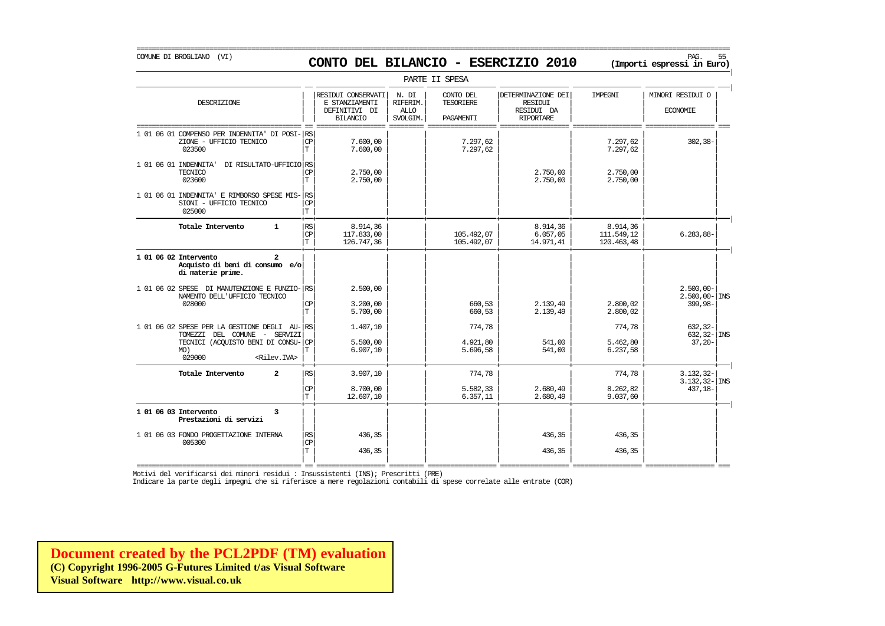### COMUNE DI BROGLIANO (VI) PAG. 55 **CONTO DEL BILANCIO - ESERCIZIO 2010 (Importi espressi in Euro)**

===========================================================================================================================================================

|                                                                                                                                                              |                                    |                                                                          |                                       | PARTE II SPESA                             |                                                                        |                                      |                                                     |
|--------------------------------------------------------------------------------------------------------------------------------------------------------------|------------------------------------|--------------------------------------------------------------------------|---------------------------------------|--------------------------------------------|------------------------------------------------------------------------|--------------------------------------|-----------------------------------------------------|
| DESCRIZIONE                                                                                                                                                  |                                    | RESIDUI CONSERVATI<br>E STANZIAMENTI<br>DEFINITIVI DI<br><b>BILANCIO</b> | N. DI<br>RIFERIM.<br>ALLO<br>SVOLGIM. | CONTO DEL<br><b>TESORIERE</b><br>PAGAMENTI | DETERMINAZIONE DEI<br><b>RESIDUI</b><br>RESIDUI DA<br><b>RIPORTARE</b> | <b>TMPRGNT</b>                       | MINORI RESIDUI O<br><b>ECONOMIE</b>                 |
| 1 01 06 01 COMPENSO PER INDENNITA' DI POSI- RS<br>ZIONE - UFFICIO TECNICO<br>023500                                                                          | CP<br>T.                           | 7.600,00<br>7.600,00                                                     |                                       | 7.297,62<br>7.297,62                       |                                                                        | 7.297,62<br>7.297,62                 | $302, 38 -$                                         |
| 1 01 06 01 INDENNITA'<br>DI RISULTATO-UFFICIO RS<br>TECNICO<br>023600                                                                                        | <b>CP</b><br>T                     | 2.750,00<br>2.750,00                                                     |                                       |                                            | 2.750.00<br>2.750,00                                                   | 2.750,00<br>2,750,00                 |                                                     |
| 1 01 06 01 INDENNITA' E RIMBORSO SPESE MIS-<br>SIONI - UFFICIO TECNICO<br>025000                                                                             | RS<br><b>CP</b><br>$\mathbb T$     |                                                                          |                                       |                                            |                                                                        |                                      |                                                     |
| Totale Intervento<br>$\mathbf{1}$                                                                                                                            | RS<br>$\mathbb{C}\mathbb{P}$<br>T. | 8.914,36<br>117.833,00<br>126.747,36                                     |                                       | 105.492,07<br>105.492,07                   | 8.914,36<br>6.057,05<br>14.971,41                                      | 8.914,36<br>111.549,12<br>120.463,48 | $6.283,88-$                                         |
| 1 01 06 02 Intervento<br>$\boldsymbol{c}$<br>Acquisto di beni di consumo e/o<br>di materie prime.                                                            |                                    |                                                                          |                                       |                                            |                                                                        |                                      |                                                     |
| 1 01 06 02 SPESE DI MANUTENZIONE E FUNZIO-<br>NAMENTO DELL'UFFICIO TECNICO<br>028000                                                                         | <b>RS</b><br><b>CP</b><br>T.       | 2.500,00<br>3.200.00<br>5.700,00                                         |                                       | 660.53<br>660,53                           | 2.139,49<br>2.139,49                                                   | 2.800.02<br>2.800,02                 | $2.500,00 -$<br>$2.500,00 -  \text{INS}$<br>399,98- |
| 1 01 06 02 SPESE PER LA GESTIONE DEGLI AU-RS<br>TOMEZZI DEL COMUNE - SERVIZI<br>TECNICI (ACOUISTO BENI DI CONSU-<br>MO)<br>029000<br><rilev.iva></rilev.iva> | CP<br>T                            | 1,407,10<br>5.500,00<br>6.907,10                                         |                                       | 774,78<br>4.921,80<br>5.696,58             | 541,00<br>541,00                                                       | 774,78<br>5.462,80<br>6.237,58       | $632, 32-$<br>$632.32 - 1$ INS<br>$37, 20 -$        |
| Totale Intervento<br>$\overline{2}$                                                                                                                          | $\mathbb{RS}$<br><b>CP</b><br>T.   | 3.907,10<br>8,700,00<br>12.607,10                                        |                                       | 774,78<br>5.582,33<br>6.357, 11            | 2.680,49<br>2.680,49                                                   | 774,78<br>8.262,82<br>9.037,60       | $3.132, 32-$<br>$3.132, 32$ - INS<br>437, 18-       |
| 1 01 06 03 Intervento<br>3<br>Prestazioni di servizi                                                                                                         |                                    |                                                                          |                                       |                                            |                                                                        |                                      |                                                     |
| 1 01 06 03 FONDO PROGETTAZIONE INTERNA<br>005300                                                                                                             | <b>RS</b><br><b>CP</b><br>T.       | 436,35<br>436,35                                                         |                                       |                                            | 436,35<br>436,35                                                       | 436,35<br>436,35                     |                                                     |

=========================================== == ================== ========= ================== ================== ================== ================== === Motivi del verificarsi dei minori residui : Insussistenti (INS); Prescritti (PRE)

Indicare la parte degli impegni che si riferisce a mere regolazioni contabili di spese correlate alle entrate (COR)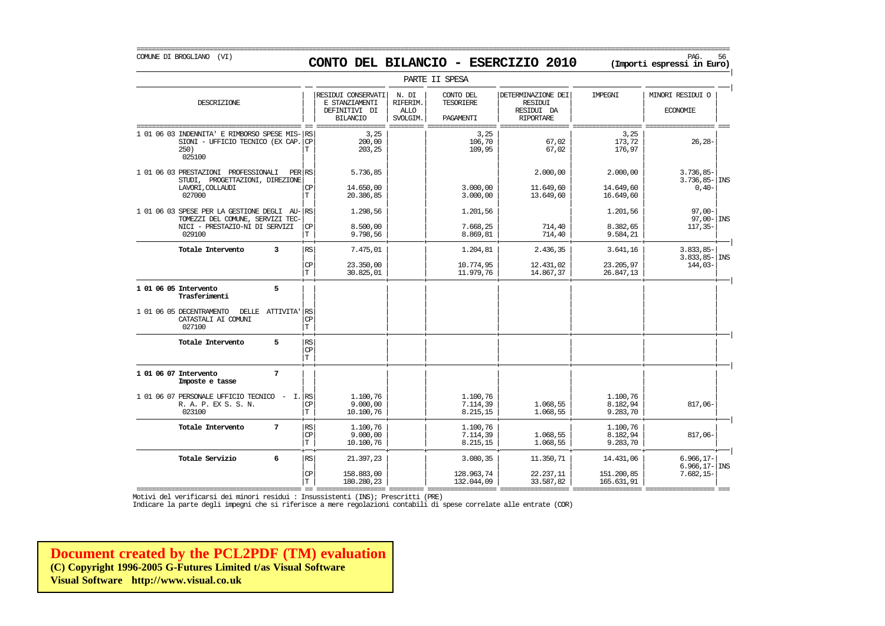## COMUNE DI BROGLIANO (VI) PAG. 56 **CONTO DEL BILANCIO - ESERCIZIO 2010 (Importi espressi in Euro)**

===========================================================================================================================================================

|                                                                                                                            |                                          |                                                                          |                                              | PARTE II SPESA                       |                                                                        |                                       |                                                   |
|----------------------------------------------------------------------------------------------------------------------------|------------------------------------------|--------------------------------------------------------------------------|----------------------------------------------|--------------------------------------|------------------------------------------------------------------------|---------------------------------------|---------------------------------------------------|
| DESCRIZIONE                                                                                                                |                                          | RESIDUI CONSERVATI<br>E STANZIAMENTI<br>DEFINITIVI DI<br><b>BILANCIO</b> | N. DI<br>RIFERIM.<br><b>ALLO</b><br>SVOLGIM. | CONTO DEL<br>TESORIERE<br>PAGAMENTI  | DETERMINAZIONE DEI<br><b>RESIDUI</b><br>RESIDUI DA<br><b>RIPORTARE</b> | IMPEGNI                               | MINORI RESIDUI O<br><b>ECONOMIE</b>               |
| 1 01 06 03 INDENNITA' E RIMBORSO SPESE MIS-<br>SIONI - UFFICIO TECNICO (EX CAP.<br>250)<br>025100                          | RS<br>CP<br>T.                           | 3,25<br>200,00<br>203,25                                                 |                                              | 3,25<br>106,70<br>109,95             | 67,02<br>67,02                                                         | 3,25<br>173,72<br>176,97              | $26, 28 -$                                        |
| 1 01 06 03 PRESTAZIONI PROFESSIONALI<br>PER<br>STUDI, PROGETTAZIONI, DIREZIONE<br>LAVORI, COLLAUDI<br>027000               | RS<br>CP<br>T.                           | 5.736,85<br>14.650,00<br>20.386,85                                       |                                              | 3.000,00<br>3.000,00                 | 2.000,00<br>11.649,60<br>13.649,60                                     | 2.000,00<br>14.649,60<br>16.649,60    | $3.736,85-$<br>$3.736, 85 -  $ INS<br>$0,40-$     |
| 1 01 06 03 SPESE PER LA GESTIONE DEGLI AU-<br>TOMEZZI DEL COMUNE, SERVIZI TEC-<br>NICI - PRESTAZIO-NI DI SERVIZI<br>029100 | RS<br>СP<br>T                            | 1.298,56<br>8.500,00<br>9.798,56                                         |                                              | 1.201,56<br>7.668,25<br>8.869,81     | 714,40<br>714,40                                                       | 1.201,56<br>8.382,65<br>9.584,21      | $97,00-$<br>$97,00 -  $ INS<br>$117, 35-$         |
| 3<br>Totale Intervento                                                                                                     | RS<br><b>CP</b><br>T.                    | 7.475,01<br>23.350,00<br>30.825,01                                       |                                              | 1.204,81<br>10.774,95<br>11.979,76   | 2.436,35<br>12.431,02<br>14.867,37                                     | 3.641,16<br>23.205,97<br>26.847,13    | $3.833,85-$<br>$3.833, 85 -  $ INS<br>$144,03-$   |
| 5<br>1 01 06 05 Intervento<br>Trasferimenti                                                                                |                                          |                                                                          |                                              |                                      |                                                                        |                                       |                                                   |
| 1 01 06 05 DECENTRAMENTO<br>DELLE ATTIVITA'<br>CATASTALI AI COMUNI<br>027100                                               | RS<br>CP<br>$\mathbf T$                  |                                                                          |                                              |                                      |                                                                        |                                       |                                                   |
| 5<br>Totale Intervento                                                                                                     | $\mathbb{R}\mathbb{S}$<br>CP<br>T.       |                                                                          |                                              |                                      |                                                                        |                                       |                                                   |
| $\overline{7}$<br>1 01 06 07 Intervento<br>Imposte e tasse                                                                 |                                          |                                                                          |                                              |                                      |                                                                        |                                       |                                                   |
| 1 01 06 07 PERSONALE UFFICIO TECNICO<br>$-$ I.<br>R. A. P. EX S. S. N.<br>023100                                           | RS<br>СP<br>T.                           | 1.100.76<br>9.000,00<br>10.100,76                                        |                                              | 1.100.76<br>7.114,39<br>8.215,15     | 1.068,55<br>1.068,55                                                   | 1.100.76<br>8.182,94<br>9.283,70      | 817,06-                                           |
| 7<br>Totale Intervento                                                                                                     | $\mathbb{R}\mathbb{S}$<br><b>CP</b><br>T | 1.100,76<br>9.000,00<br>10.100,76                                        |                                              | 1.100,76<br>7.114,39<br>8.215,15     | 1.068,55<br>1.068,55                                                   | 1.100,76<br>8.182,94<br>9.283,70      | $817,06 -$                                        |
| 6<br>Totale Servizio                                                                                                       | RS<br>CP<br>T.                           | 21.397,23<br>158.883,00<br>180.280,23                                    |                                              | 3.080,35<br>128.963,74<br>132.044,09 | 11.350,71<br>22.237,11<br>33.587,82                                    | 14.431,06<br>151.200,85<br>165.631,91 | $6.966, 17-$<br>$6.966, 17 -$ INS<br>$7.682, 15-$ |

=========================================== == ================== ========= ================== ================== ================== ================== === Motivi del verificarsi dei minori residui : Insussistenti (INS); Prescritti (PRE)

Indicare la parte degli impegni che si riferisce a mere regolazioni contabili di spese correlate alle entrate (COR)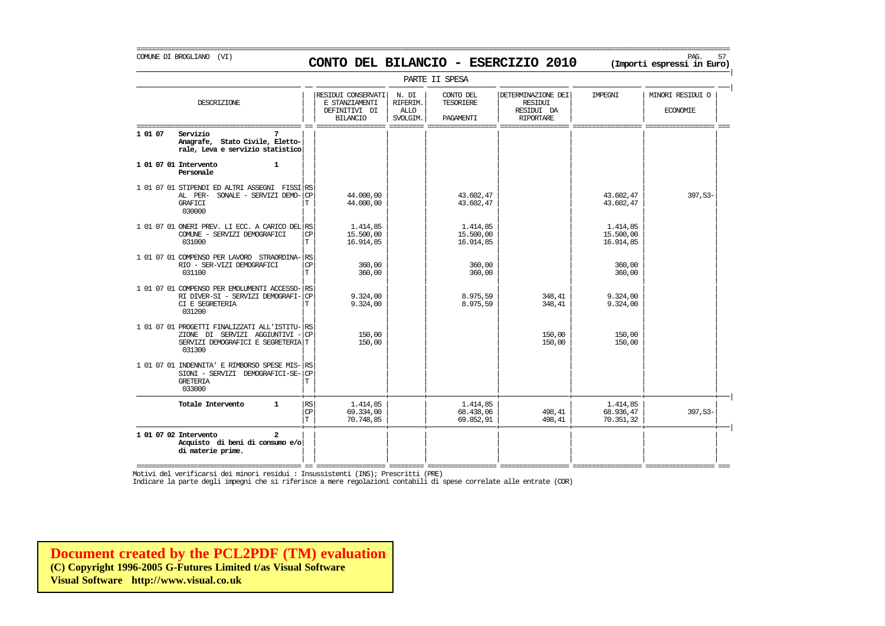### COMUNE DI BROGLIANO (VI) PAG. 57 **CONTO DEL BILANCIO - ESERCIZIO 2010 (Importi espressi in Euro)**

===========================================================================================================================================================

|         |                                                                                                                               |                          |                                                                          |                                              | PARTE II SPESA                             |                                                                        |                                    |                                     |
|---------|-------------------------------------------------------------------------------------------------------------------------------|--------------------------|--------------------------------------------------------------------------|----------------------------------------------|--------------------------------------------|------------------------------------------------------------------------|------------------------------------|-------------------------------------|
|         | DESCRIZIONE                                                                                                                   |                          | RESIDUI CONSERVATI<br>E STANZIAMENTI<br>DEFINITIVI DI<br><b>BILANCIO</b> | N. DI<br>RIFERIM.<br><b>ALLO</b><br>SVOLGIM. | CONTO DEL<br><b>TESORIERE</b><br>PAGAMENTI | DETERMINAZIONE DEI<br><b>RESIDUI</b><br>RESIDUI DA<br><b>RIPORTARE</b> | <b>TMPRGNT</b>                     | MINORI RESIDUI O<br><b>ECONOMIE</b> |
| 1 01 07 | Servizio<br>7<br>Anagrafe, Stato Civile, Eletto-<br>rale, Leva e servizio statistico                                          |                          |                                                                          |                                              |                                            |                                                                        |                                    |                                     |
|         | 1 01 07 01 Intervento<br>$\mathbf{1}$<br>Personale                                                                            |                          |                                                                          |                                              |                                            |                                                                        |                                    |                                     |
|         | 1 01 07 01 STIPENDI ED ALTRI ASSEGNI FISSI RS<br>AL PER-<br>SONALE - SERVIZI DEMO-<br><b>GRAFICI</b><br>030000                | CP<br>T                  | 44.000,00<br>44.000,00                                                   |                                              | 43.602,47<br>43.602,47                     |                                                                        | 43.602,47<br>43.602,47             | $397,53-$                           |
|         | 1 01 07 01 ONERI PREV. LI ECC. A CARICO DEL RS<br>COMUNE - SERVIZI DEMOGRAFICI<br>031000                                      | CP<br>T                  | 1.414,85<br>15.500,00<br>16.914,85                                       |                                              | 1.414,85<br>15.500,00<br>16.914,85         |                                                                        | 1.414,85<br>15.500,00<br>16.914,85 |                                     |
|         | 1 01 07 01 COMPENSO PER LAVORO STRAORDINA- RS<br>RIO - SER-VIZI DEMOGRAFICI<br>031100                                         | <b>CP</b><br>$\mathbf T$ | 360,00<br>360,00                                                         |                                              | 360,00<br>360,00                           |                                                                        | 360,00<br>360,00                   |                                     |
|         | 1 01 07 01 COMPENSO PER EMOLUMENTI ACCESSO-<br>RI DIVER-SI - SERVIZI DEMOGRAFI-<br>CI E SEGRETERIA<br>031200                  | RS<br><b>CP</b><br>T     | 9.324.00<br>9.324,00                                                     |                                              | 8.975,59<br>8.975,59                       | 348,41<br>348,41                                                       | 9.324,00<br>9.324,00               |                                     |
|         | 1 01 07 01 PROGETTI FINALIZZATI ALL'ISTITU- RS<br>ZIONE DI SERVIZI AGGIUNTIVI<br>SERVIZI DEMOGRAFICI E SEGRETERIA T<br>031300 | <b>CP</b>                | 150,00<br>150,00                                                         |                                              |                                            | 150,00<br>150,00                                                       | 150,00<br>150,00                   |                                     |
|         | 1 01 07 01 INDENNITA' E RIMBORSO SPESE MIS-<br>SIONI - SERVIZI DEMOGRAFICI-SE-<br><b>GRETERIA</b><br>033000                   | RS<br>CP<br>Т            |                                                                          |                                              |                                            |                                                                        |                                    |                                     |
|         | Totale Intervento<br>$\mathbf{1}$                                                                                             | RS<br>CP<br>T            | 1.414,85<br>69.334,00<br>70.748,85                                       |                                              | 1.414,85<br>68.438,06<br>69.852,91         | 498,41<br>498,41                                                       | 1.414,85<br>68.936,47<br>70.351,32 | $397,53-$                           |
|         | 1 01 07 02 Intervento<br>$\mathbf{2}$<br>Acquisto di beni di consumo e/o<br>di materie prime.                                 |                          |                                                                          |                                              |                                            |                                                                        |                                    |                                     |

=========================================== == ================== ========= ================== ================== ================== ================== === Motivi del verificarsi dei minori residui : Insussistenti (INS); Prescritti (PRE)

Indicare la parte degli impegni che si riferisce a mere regolazioni contabili di spese correlate alle entrate (COR)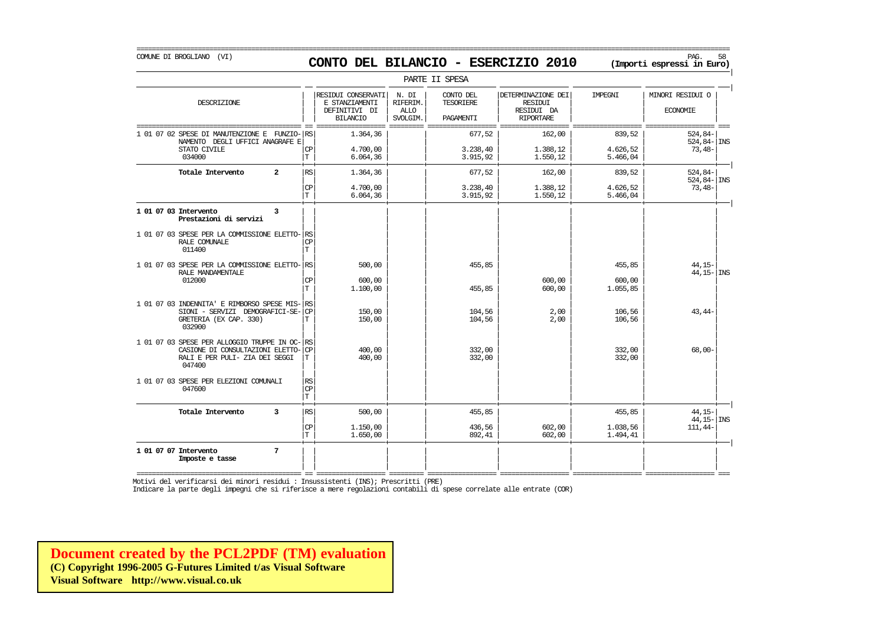COMUNE DI BROGLIANO (VI) PAG. 58 **CONTO DEL BILANCIO - ESERCIZIO 2010 (Importi espressi in Euro)** 

PARTE II SPESA | | RESIDUI CONSERVATI | N. DI | CONTO DEL | | DETERMINAZIONE DEI | IMPEGNI | | MINORI RESIDUI O DESCRIZIONE E STANZIAMENTI RIFERIM. TESORIERE RESIDUI | | | | | | | | || DEFINITIVI DI | ALLO | | RESIDUI DA | | ECONOMIE | | | BILANCIO | SVOLGIM. | PAGAMENTI | RIPORTARE | | =========================================== == ================== ========= ================== ================== ================== ================== === 1 01 07 02 SPESE DI MANUTENZIONE E FUNZIO- $|\text{RS}|$  1.364,36  $|$  677,52 162,00 839,52 839,52 524,84- $|\text{NSR}|\$ NAMENTO DEGLI UFFICI ANAGRAFE E| | | | | | | | 524,84- INS  $STATO CYILLE$   $|CP|$   $4.700,00$   $|$   $3.238,40$   $1.388,12$   $4.626,52$   $73,48$ -034000  $|T|$  6.064,36 3.915,92 1.550,12 5.466,04 5.466,04 + + + + + + + + | **Totale Intervento 2** | | | | | | | | RS 1.364,36 677,52 162,00 839,52 524,84- | | | | | | | | 524,84- INS  $|\mathbb{CP}|$  4.700,00  $|$  1.388,40 1.388,12 4.626,52 73,48- $|T|$  6.064,36 1 3.915,92 1.550,12 5.466,04 + + + + + + + + | **1 01 07 03 Intervento 3** | | | | | | | | **Prestazioni di servizi** | | | | | | | | | | | | | | | | 1 01 07 03 SPESE PER LA COMMISSIONE ELETTO-<br>RALE COMINALE RALE COMUNALE  $|\text{CP}|$ 011400 | | | | | | | | T | | | | | | | | 1 01 07 03 SPESE PER LA COMMISSIONE ELETTO- $\begin{bmatrix} \text{RS} \end{bmatrix}$  500,00  $\begin{bmatrix} 45,85 \end{bmatrix}$  455,85  $\begin{bmatrix} 44,15 \end{bmatrix}$  44,15-  $\begin{bmatrix} 44,15 \end{bmatrix}$  44,15-RALE MANDAMENTALE  $^{44.15-|\, \rm{INSR}}$  $012000$   $|CP|$  600,00  $|$   $|$  600,00  $|$  600,00 600,00  $|$  600,00  $|$  600,00  $|$  $| T |$  1.100,00  $|$  455,85 600,00 1.055,85 600,00 1.055,85 600,00 1.055,85 600,00 1.055,85 600,00 1.055,85 61 | | | | | | | | 1 01 07 03 INDENNITA' E RIMBORSO SPESE MIS-| | | | | | | | RS SIONI – SERVIZI DEMOGRAFICI-SE- $|\text{CP}|$  = 150,00  $|$  104,56  $|$  2,00 106,56 2,00 106,56 2,00 106,56 2,00 106,56 GRETERIA (EX CAP. 330)<br>032900 032900 | | | | | | | | | | | | | | | |  $1 01 07 03$  SPESE PER ALLOGGIO TRUPPE IN OC- $\begin{vmatrix} 18 & 0 & 0 \\ 0.0 & 0 & 0 \\ 0.0 & 0 & 0 \\ 0.0 & 0 & 0 \end{vmatrix}$  (232,00  $\begin{array}{|c|c|c|c|c|}\n \hline\n \text{CASTONE} & \text{DIC CONSUME JZIONE} & \text{ELE} & \text{EITIO} & \text{CPP} & \text{A00,00} & \text{A01,00} & \text{B32,00} & \text{B32,00} & \text{B332,00} & \text{B32,00} & \text{B332,00} & \text{B332,00} & \text{B332,00} & \text{B332,00} & \text{B332,00} & \text{B332,00} & \text{B332,00} & \text{$ RALI E PER PULI- ZIA DEI SEGGI 047400 047400 | | | | | | | | | | | | | | | | 1 01 07 03 SPESE PER ELEZIONI COMUNALI  $\begin{array}{c} \n\begin{array}{c} \n\end{array} \n\end{array}$ RS 047600 | | | | | | | | CP  $|\mathbf{T}|$  , and  $|\mathbf{T}|$  , and  $|\mathbf{T}|$  , and  $|\mathbf{T}|$  , and  $|\mathbf{T}|$  , and  $|\mathbf{T}|$  , and  $|\mathbf{T}|$  , and  $|\mathbf{T}|$  , and  $|\mathbf{T}|$  , and  $|\mathbf{T}|$  , and  $|\mathbf{T}|$  , and  $|\mathbf{T}|$  , and  $|\mathbf{T}|$  , and  $|\mathbf{T}|$  , and  $|\mathbf{T}|$  , and  $|\mathbf{T}|$  , a + + + + + + + + | **Totale Intervento 3** | | | | | | | | RS 500,00 455,85 455,85 44,15- | | | | | | | | 44,15- INS  $|\mathbb{CP}|$  1.150,00 1.150,00 436,56 602,00 1.038,56 111,44- $|T|$  1.650,00  $|$  892,41 602,00 1.494,41 1 + + + + + + + + | **1 01 07 07 Intervento** 7 **Imposte e tasse** 

=========================================== == ================== ========= ================== ================== ================== ================== === Motivi del verificarsi dei minori residui : Insussistenti (INS); Prescritti (PRE)

**Imposte e tasse** | | | | | | | |

| | | | | | | |

Indicare la parte degli impegni che si riferisce a mere regolazioni contabili di spese correlate alle entrate (COR)

**[Document created by the PCL2PDF \(TM\) evaluation](http://www.visual.co.uk) (C) Copyright 1996-2005 G-Futures Limited t/as Visual Software Visual Software http://www.visual.co.uk**

#### ===========================================================================================================================================================

|

|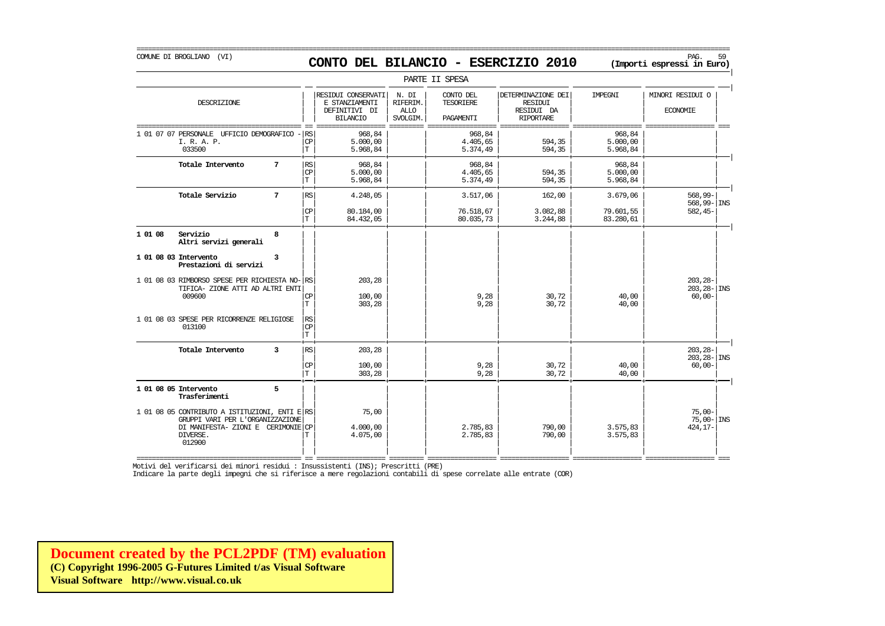COMUNE DI BROGLIANO (VI) PAG. 59 **CONTO DEL BILANCIO - ESERCIZIO 2010 (Importi espressi in Euro)** 

|                      |                                                                                                                                                |   |                   |                                                                          |                                              | PARTE II SPESA                      |                                                                        |                                |                                               |
|----------------------|------------------------------------------------------------------------------------------------------------------------------------------------|---|-------------------|--------------------------------------------------------------------------|----------------------------------------------|-------------------------------------|------------------------------------------------------------------------|--------------------------------|-----------------------------------------------|
|                      | DESCRIZIONE                                                                                                                                    |   |                   | RESIDUI CONSERVATI<br>E STANZIAMENTI<br>DEFINITIVI DI<br><b>BILANCIO</b> | N. DI<br>RIFERIM.<br><b>ALLO</b><br>SVOLGIM. | CONTO DEL<br>TESORIERE<br>PAGAMENTI | DETERMINAZIONE DEI<br><b>RESIDUI</b><br>RESIDUI DA<br><b>RIPORTARE</b> | IMPEGNI                        | MINORI RESIDUI O<br><b>ECONOMIE</b>           |
| 1 01 07 07 PERSONALE | UFFICIO DEMOGRAFICO<br>I. R. A. P.<br>033500                                                                                                   |   | RS<br>CP<br>T     | 968,84<br>5.000,00<br>5.968,84                                           |                                              | 968,84<br>4.405,65<br>5.374,49      | 594,35<br>594,35                                                       | 968,84<br>5.000,00<br>5.968,84 |                                               |
|                      | Totale Intervento                                                                                                                              | 7 | RS<br>CP<br>T     | 968,84<br>5.000,00<br>5.968,84                                           |                                              | 968,84<br>4.405,65<br>5.374,49      | 594,35<br>594,35                                                       | 968,84<br>5.000,00<br>5.968,84 |                                               |
|                      | Totale Servizio                                                                                                                                | 7 | RS                | 4.248,05                                                                 |                                              | 3.517,06                            | 162,00                                                                 | 3.679,06                       | $568,99-$<br>$568, 99 - \vert$ INS            |
|                      |                                                                                                                                                |   | CP<br>$\mathbf T$ | 80.184,00<br>84.432,05                                                   |                                              | 76.518,67<br>80.035,73              | 3.082,88<br>3.244,88                                                   | 79.601,55<br>83.280,61         | $582, 45-$                                    |
| 1 01 08              | Servizio<br>Altri servizi generali                                                                                                             | 8 |                   |                                                                          |                                              |                                     |                                                                        |                                |                                               |
|                      | 1 01 08 03 Intervento<br>Prestazioni di servizi                                                                                                | 3 |                   |                                                                          |                                              |                                     |                                                                        |                                |                                               |
|                      | 1 01 08 03 RIMBORSO SPESE PER RICHIESTA NO-<br>TIFICA- ZIONE ATTI AD ALTRI ENTI<br>009600                                                      |   | RS<br>CP<br>T     | 203,28<br>100,00<br>303,28                                               |                                              | 9,28<br>9,28                        | 30,72<br>30,72                                                         | 40,00<br>40,00                 | $203, 28 -$<br>$203, 28 -$ INS<br>$60,00-$    |
|                      | 1 01 08 03 SPESE PER RICORRENZE RELIGIOSE<br>013100                                                                                            |   | RS<br>CP<br>İТ    |                                                                          |                                              |                                     |                                                                        |                                |                                               |
|                      | Totale Intervento                                                                                                                              | 3 | RS                | 203,28                                                                   |                                              |                                     |                                                                        |                                | $203, 28 -$<br>$203, 28 -$ INS                |
|                      |                                                                                                                                                |   | CP<br>$\mathbf T$ | 100,00<br>303,28                                                         |                                              | 9,28<br>9,28                        | 30,72<br>30,72                                                         | 40,00<br>40,00                 | $60,00-$                                      |
|                      | 1 01 08 05 Intervento<br>Trasferimenti                                                                                                         | 5 |                   |                                                                          |                                              |                                     |                                                                        |                                |                                               |
|                      | 1 01 08 05 CONTRIBUTO A ISTITUZIONI, ENTI E RS<br>GRUPPI VARI PER L'ORGANIZZAZIONE<br>DI MANIFESTA- ZIONI E CERIMONIE CP<br>DIVERSE.<br>012900 |   | Т                 | 75,00<br>4.000,00<br>4.075,00                                            |                                              | 2.785,83<br>2.785,83                | 790,00<br>790,00                                                       | 3.575,83<br>3.575,83           | $75,00-$<br>$75,00 - \vert$ INS<br>$424, 17-$ |

Indicare la parte degli impegni che si riferisce a mere regolazioni contabili di spese correlate alle entrate (COR)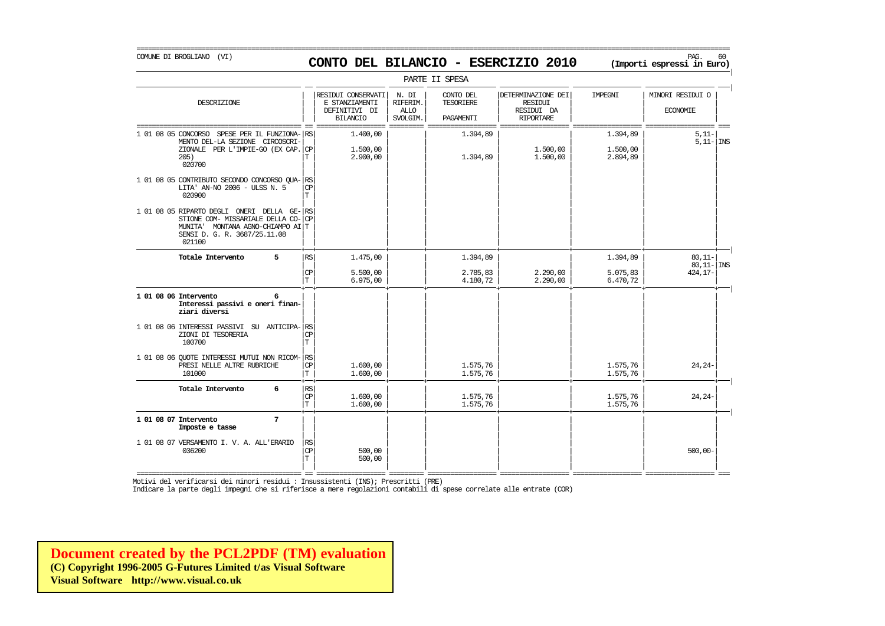=========================================================================================================================================================== COMUNE DI BROGLIANO (VI) PAG. 60 **CONTO DEL BILANCIO - ESERCIZIO 2010 (Importi espressi in Euro)** 

|                                                                                                                                                             |                             |                                                                          |                                              | PARTE II SPESA                             |                                                                        |                                  |                                     |
|-------------------------------------------------------------------------------------------------------------------------------------------------------------|-----------------------------|--------------------------------------------------------------------------|----------------------------------------------|--------------------------------------------|------------------------------------------------------------------------|----------------------------------|-------------------------------------|
| DESCRIZIONE                                                                                                                                                 |                             | RESIDUI CONSERVATI<br>E STANZIAMENTI<br>DEFINITIVI DI<br><b>BILANCIO</b> | N. DI<br>RIFERIM.<br><b>ALLO</b><br>SVOLGIM. | CONTO DEL<br><b>TESORIERE</b><br>PAGAMENTI | DETERMINAZIONE DEI<br><b>RESIDUI</b><br>RESIDUI DA<br><b>RIPORTARE</b> | IMPEGNI                          | MINORI RESIDUI O<br><b>ECONOMIE</b> |
| 1 01 08 05 CONCORSO<br>SPESE PER IL FUNZIONA-RS<br>MENTO DEL-LA SEZIONE CIRCOSCRI-<br>ZIONALE PER L'IMPIE-GO (EX CAP.<br>205)<br>020700                     | CP<br>T                     | 1,400,00<br>1,500,00<br>2.900,00                                         |                                              | 1.394,89<br>1.394,89                       | 1,500,00<br>1,500,00                                                   | 1.394,89<br>1,500,00<br>2.894,89 | $5,11-$<br>$5,11 -  $ INS           |
| 1 01 08 05 CONTRIBUTO SECONDO CONCORSO QUA-<br>LITA' AN-NO 2006 - ULSS N. 5<br>020900                                                                       | RS<br><b>CP</b><br>T.       |                                                                          |                                              |                                            |                                                                        |                                  |                                     |
| 1 01 08 05 RIPARTO DEGLI ONERI DELLA GE-<br>STIONE COM- MISSARIALE DELLA CO-<br>MUNITA' MONTANA AGNO-CHIAMPO AI T<br>SENSI D. G. R. 3687/25.11.08<br>021100 | RS<br><b>CP</b>             |                                                                          |                                              |                                            |                                                                        |                                  |                                     |
| 5<br>Totale Intervento                                                                                                                                      | RS                          | 1,475,00                                                                 |                                              | 1.394,89                                   |                                                                        | 1.394,89                         | $80.11 -$<br>$80,11 -$ INS          |
|                                                                                                                                                             | CP<br>T.                    | 5.500,00<br>6.975,00                                                     |                                              | 2.785,83<br>4.180,72                       | 2.290,00<br>2,290,00                                                   | 5.075,83<br>6.470,72             | 424, 17-                            |
| 1 01 08 06 Intervento<br>6<br>Interessi passivi e oneri finan-<br>ziari diversi                                                                             |                             |                                                                          |                                              |                                            |                                                                        |                                  |                                     |
| 1 01 08 06 INTERESSI PASSIVI SU ANTICIPA-<br>ZIONI DI TESORERIA<br>100700                                                                                   | RS<br>CP<br>T.              |                                                                          |                                              |                                            |                                                                        |                                  |                                     |
| 1 01 08 06 QUOTE INTERESSI MUTUI NON RICOM- RS<br>PRESI NELLE ALTRE RUBRICHE<br>101000                                                                      | <b>CP</b><br>T              | 1,600,00<br>1,600,00                                                     |                                              | 1.575,76<br>1.575,76                       |                                                                        | 1.575,76<br>1.575,76             | $24, 24-$                           |
| Totale Intervento<br>6                                                                                                                                      | <b>RS</b><br><b>CP</b><br>T | 1,600,00<br>1,600,00                                                     |                                              | 1.575,76<br>1.575,76                       |                                                                        | 1.575,76<br>1.575,76             | $24, 24-$                           |
| 1 01 08 07 Intervento<br>7<br>Imposte e tasse                                                                                                               |                             |                                                                          |                                              |                                            |                                                                        |                                  |                                     |
| 1 01 08 07 VERSAMENTO I. V. A. ALL'ERARIO<br>036200                                                                                                         | <b>RS</b><br>CP<br>T.       | 500,00<br>500,00                                                         |                                              |                                            |                                                                        |                                  | $500,00 -$                          |

|

=========================================== == ================== ========= ================== ================== ================== ================== === Motivi del verificarsi dei minori residui : Insussistenti (INS); Prescritti (PRE)

Indicare la parte degli impegni che si riferisce a mere regolazioni contabili di spese correlate alle entrate (COR)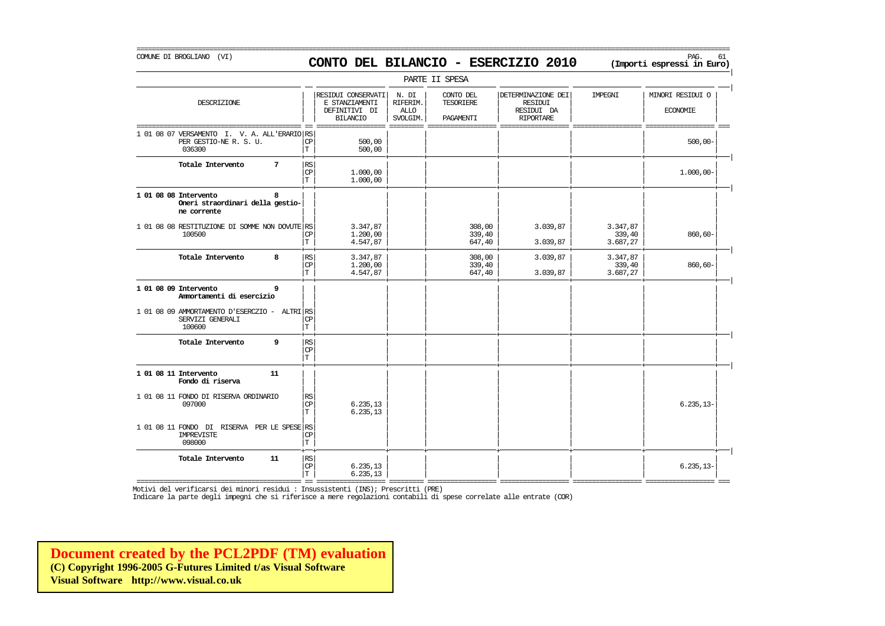### COMUNE DI BROGLIANO (VI) PAG. 61 **CONTO DEL BILANCIO - ESERCIZIO 2010 (Importi espressi in Euro)**

===========================================================================================================================================================

|                                                                                  |                                              |                                                                          |                                              | PARTE II SPESA                             |                                                                 |                                |                                     |
|----------------------------------------------------------------------------------|----------------------------------------------|--------------------------------------------------------------------------|----------------------------------------------|--------------------------------------------|-----------------------------------------------------------------|--------------------------------|-------------------------------------|
| DESCRIZIONE                                                                      |                                              | RESIDUI CONSERVATI<br>E STANZIAMENTI<br>DEFINITIVI DI<br><b>BILANCIO</b> | N. DI<br>RIFERIM.<br><b>ALLO</b><br>SVOLGIM. | CONTO DEL<br><b>TESORIERE</b><br>PAGAMENTI | DETERMINAZIONE DEI<br>RESIDUI<br>RESIDUI DA<br><b>RIPORTARE</b> | IMPEGNI                        | MINORI RESIDUI O<br><b>ECONOMIE</b> |
| 1 01 08 07 VERSAMENTO I. V. A. ALL'ERARIO RS<br>PER GESTIO-NE R. S. U.<br>036300 | CP<br>T                                      | 500,00<br>500,00                                                         |                                              |                                            |                                                                 |                                | $500,00 -$                          |
| Totale Intervento<br>7                                                           | RS<br>CP<br>١T.                              | 1,000,00<br>1,000,00                                                     |                                              |                                            |                                                                 |                                | $1.000,00 -$                        |
| 1 01 08 08 Intervento<br>8<br>Oneri straordinari della gestio-<br>ne corrente    |                                              |                                                                          |                                              |                                            |                                                                 |                                |                                     |
| 1 01 08 08 RESTITUZIONE DI SOMME NON DOVUTE RS<br>100500                         | CP<br>$\mathbf T$                            | 3.347,87<br>1.200,00<br>4.547,87                                         |                                              | 308,00<br>339,40<br>647,40                 | 3.039,87<br>3.039,87                                            | 3.347,87<br>339,40<br>3.687,27 | $860, 60 -$                         |
| Totale Intervento<br>8                                                           | RS<br>$\mathbf{CP}$<br>IТ                    | 3.347,87<br>1.200,00<br>4.547,87                                         |                                              | 308,00<br>339,40<br>647,40                 | 3.039,87<br>3.039,87                                            | 3.347,87<br>339,40<br>3.687,27 | $860, 60 -$                         |
| 1 01 08 09 Intervento<br>9<br>Ammortamenti di esercizio                          |                                              |                                                                          |                                              |                                            |                                                                 |                                |                                     |
| $1$ 01 08 09 AMMORTAMENTO D'ESERCZIO –<br>SERVIZI GENERALI<br>100600             | ALTRI RS<br>$\mathbb{C}\mathbb{P}$<br>T      |                                                                          |                                              |                                            |                                                                 |                                |                                     |
| 9<br>Totale Intervento                                                           | RS<br>$\mathbf{CP}$<br>İΤ                    |                                                                          |                                              |                                            |                                                                 |                                |                                     |
| 1 01 08 11 Intervento<br>11<br>Fondo di riserva                                  |                                              |                                                                          |                                              |                                            |                                                                 |                                |                                     |
| 1 01 08 11 FONDO DI RISERVA ORDINARIO<br>097000                                  | RS<br>CP<br>T                                | 6.235, 13<br>6.235, 13                                                   |                                              |                                            |                                                                 |                                | $6.235, 13-$                        |
| 1 01 08 11 FONDO DI RISERVA PER LE SPESE RS<br><b>IMPREVISTE</b><br>098000       | CP<br>T                                      |                                                                          |                                              |                                            |                                                                 |                                |                                     |
| Totale Intervento<br>11                                                          | RS <br>$\mathbf{C}\mathbf{P}$<br>$\mathbf T$ | 6.235, 13<br>6.235, 13                                                   |                                              |                                            |                                                                 |                                | $6.235, 13-$                        |

=========================================== == ================== ========= ================== ================== ================== ================== === Motivi del verificarsi dei minori residui : Insussistenti (INS); Prescritti (PRE)

Indicare la parte degli impegni che si riferisce a mere regolazioni contabili di spese correlate alle entrate (COR)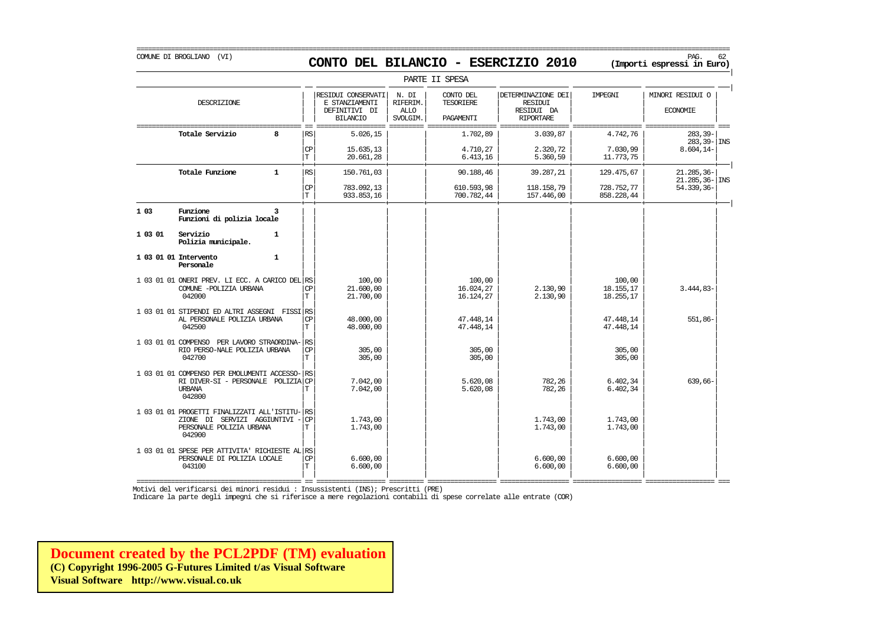### COMUNE DI BROGLIANO (VI) PAG. 62 **CONTO DEL BILANCIO - ESERCIZIO 2010 (Importi espressi in Euro)**

|                     |                                                                                                                    |                             |                                                                          |                                              | PARTE II SPESA                             |                                                                        |                                  |                                     |  |
|---------------------|--------------------------------------------------------------------------------------------------------------------|-----------------------------|--------------------------------------------------------------------------|----------------------------------------------|--------------------------------------------|------------------------------------------------------------------------|----------------------------------|-------------------------------------|--|
|                     | DESCRIZIONE                                                                                                        |                             | RESIDUI CONSERVATI<br>E STANZIAMENTI<br>DEFINITIVI DI<br><b>BILANCIO</b> | N. DI<br>RIFERIM.<br><b>ALLO</b><br>SVOLGIM. | CONTO DEL<br><b>TESORIERE</b><br>PAGAMENTI | DETERMINAZIONE DEI<br><b>RESIDUI</b><br>RESIDUI DA<br><b>RIPORTARE</b> | IMPEGNI                          | MINORI RESIDUI O<br><b>ECONOMIE</b> |  |
|                     | Totale Servizio<br>ឧ                                                                                               | RS                          | 5.026,15                                                                 |                                              | 1.702,89                                   | 3.039,87                                                               | 4.742,76                         | $283, 39-$<br>283, 39 - INS         |  |
|                     |                                                                                                                    | <b>CP</b><br>T.             | 15.635,13<br>20.661,28                                                   |                                              | 4.710,27<br>6.413, 16                      | 2.320,72<br>5.360,59                                                   | 7.030,99<br>11.773,75            | $8.604, 14-$                        |  |
|                     | Totale Funzione<br>$\mathbf{1}$                                                                                    | RS                          | 150.761,03                                                               |                                              | 90.188,46                                  | 39.287,21                                                              | 129.475,67                       | 21.285,36-<br>$21.285, 36 -  $ INS  |  |
|                     |                                                                                                                    | <b>CP</b><br>T.             | 783.092,13<br>933.853,16                                                 |                                              | 610.593,98<br>700.782,44                   | 118.158,79<br>157.446,00                                               | 728.752,77<br>858.228,44         | 54.339,36-                          |  |
| 1 0 3               | Funzione<br>3<br>Funzioni di polizia locale                                                                        |                             |                                                                          |                                              |                                            |                                                                        |                                  |                                     |  |
| 1 03 01             | Servizio<br>$\mathbf{1}$<br>Polizia municipale.                                                                    |                             |                                                                          |                                              |                                            |                                                                        |                                  |                                     |  |
|                     | 1 03 01 01 Intervento<br>$\mathbf{1}$<br>Personale                                                                 |                             |                                                                          |                                              |                                            |                                                                        |                                  |                                     |  |
|                     | 1 03 01 01 ONERI PREV. LI ECC. A CARICO DEL<br>COMUNE -POLIZIA URBANA<br>042000                                    | RS<br><b>CP</b><br>T.       | 100,00<br>21.600,00<br>21,700,00                                         |                                              | 100,00<br>16.024,27<br>16.124,27           | 2.130,90<br>2.130,90                                                   | 100,00<br>18.155,17<br>18.255,17 | $3.444,83-$                         |  |
|                     | 1 03 01 01 STIPENDI ED ALTRI ASSEGNI FISSI<br>AL PERSONALE POLIZIA URBANA<br>042500                                | <b>RS</b><br><b>CP</b><br>T | 48,000,00<br>48.000,00                                                   |                                              | 47.448.14<br>47.448,14                     |                                                                        | 47.448,14<br>47.448,14           | 551,86-                             |  |
| 1 03 01 01 COMPENSO | PER LAVORO STRAORDINA-<br>RIO PERSO-NALE POLIZIA URBANA<br>042700                                                  | RS<br><b>CP</b><br>T.       | 305,00<br>305,00                                                         |                                              | 305,00<br>305,00                           |                                                                        | 305,00<br>305,00                 |                                     |  |
|                     | 1 03 01 01 COMPENSO PER EMOLUMENTI ACCESSO-<br>RI DIVER-SI - PERSONALE<br>POLIZIA<br><b>URBANA</b><br>042800       | <b>RS</b><br><b>CP</b><br>Т | 7.042.00<br>7.042,00                                                     |                                              | 5.620.08<br>5.620,08                       | 782,26<br>782,26                                                       | 6.402.34<br>6.402,34             | 639,66-                             |  |
|                     | 1 03 01 01 PROGETTI FINALIZZATI ALL'ISTITU-<br>ZIONE DI SERVIZI AGGIUNTIVI -<br>PERSONALE POLIZIA URBANA<br>042900 | <b>RS</b><br><b>CP</b><br>T | 1,743,00<br>1,743,00                                                     |                                              |                                            | 1,743,00<br>1.743,00                                                   | 1.743,00<br>1.743,00             |                                     |  |
|                     | 1 03 01 01 SPESE PER ATTIVITA' RICHIESTE AL RS<br>PERSONALE DI POLIZIA LOCALE<br>043100                            | <b>CP</b><br>T.             | 6.600,00<br>6.600,00                                                     |                                              |                                            | 6.600,00<br>6.600,00                                                   | 6.600,00<br>6.600,00             |                                     |  |

=========================================== == ================== ========= ================== ================== ================== ================== === Motivi del verificarsi dei minori residui : Insussistenti (INS); Prescritti (PRE)

Indicare la parte degli impegni che si riferisce a mere regolazioni contabili di spese correlate alle entrate (COR)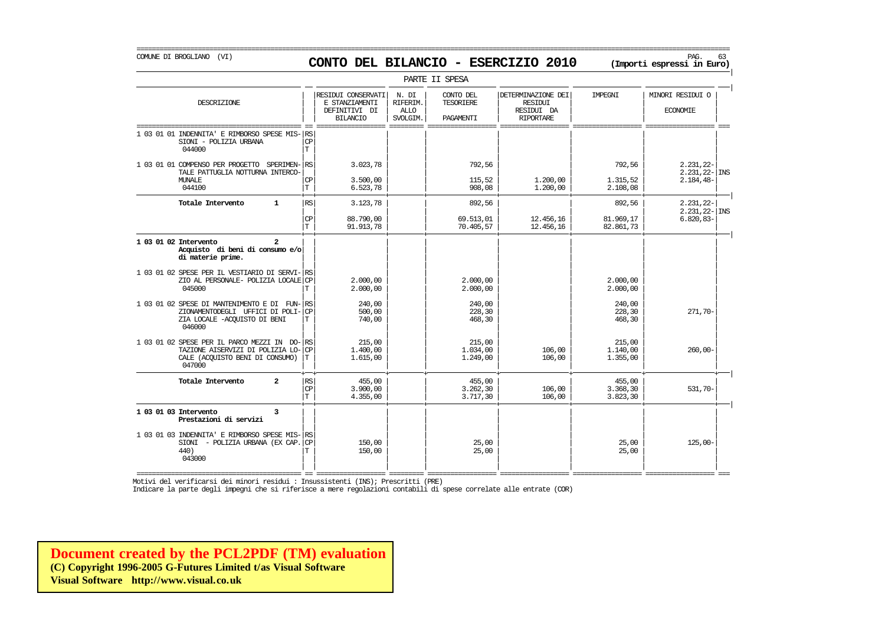## COMUNE DI BROGLIANO (VI) PAG. 63 **CONTO DEL BILANCIO - ESERCIZIO 2010 (Importi espressi in Euro)**

===========================================================================================================================================================

|                                                                                                                             |                               |                                                                          |                                              | PARTE II SPESA                             |                                                                        |                                |                                                  |
|-----------------------------------------------------------------------------------------------------------------------------|-------------------------------|--------------------------------------------------------------------------|----------------------------------------------|--------------------------------------------|------------------------------------------------------------------------|--------------------------------|--------------------------------------------------|
| DESCRIZIONE                                                                                                                 |                               | RESIDUI CONSERVATI<br>E STANZIAMENTI<br>DEFINITIVI DI<br><b>BILANCIO</b> | N. DI<br>RIFERIM.<br><b>ALLO</b><br>SVOLGIM. | CONTO DEL<br><b>TESORIERE</b><br>PAGAMENTI | DETERMINAZIONE DEI<br><b>RESIDUI</b><br>RESIDUI DA<br><b>RIPORTARE</b> | IMPEGNI                        | MINORI RESIDUI O<br><b>ECONOMIE</b>              |
| 1 03 01 01 INDENNITA'<br>E RIMBORSO SPESE MIS-<br>SIONI - POLIZIA URBANA<br>044000                                          | RS<br><b>CP</b><br>T          |                                                                          |                                              |                                            |                                                                        |                                |                                                  |
| 1 03 01 01 COMPENSO PER PROGETTO SPERIMEN-RS<br>TALE PATTUGLIA NOTTURNA INTERCO-<br><b>MUNALE</b>                           | СP                            | 3.023,78<br>3.500,00                                                     |                                              | 792,56<br>115,52                           | 1,200,00                                                               | 792,56<br>1.315,52             | $2.231, 22-$<br>$2.231, 22 -$ INS<br>$2.184,48-$ |
| 044100                                                                                                                      | T                             | 6.523,78                                                                 |                                              | 908,08                                     | 1,200,00                                                               | 2.108,08                       |                                                  |
| Totale Intervento<br>$\mathbf{1}$                                                                                           | <b>RS</b>                     | 3.123,78                                                                 |                                              | 892,56                                     |                                                                        | 892,56                         | $2.231, 22 -$<br>$2.231, 22 - \vert$ INS         |
|                                                                                                                             | CP<br>$\mathbf T$             | 88,790,00<br>91.913,78                                                   |                                              | 69.513,01<br>70.405,57                     | 12.456,16<br>12.456,16                                                 | 81.969,17<br>82.861,73         | $6.820, 83 -$                                    |
| 1 03 01 02 Intervento<br>$\mathbf{2}$<br>Acquisto di beni di consumo e/o<br>di materie prime.                               |                               |                                                                          |                                              |                                            |                                                                        |                                |                                                  |
| 1 03 01 02 SPESE PER IL VESTIARIO DI SERVI- RS<br>ZIO AL PERSONALE- POLIZIA LOCALE CP<br>045000                             | Т                             | 2.000,00<br>2.000,00                                                     |                                              | 2.000,00<br>2.000,00                       |                                                                        | 2,000,00<br>2,000,00           |                                                  |
| 1 03 01 02 SPESE DI MANTENIMENTO E DI FUN-RS<br>ZIONAMENTODEGLI UFFICI DI POLI-<br>ZIA LOCALE -ACOUISTO DI BENI<br>046000   | <b>CP</b><br>т                | 240,00<br>500,00<br>740,00                                               |                                              | 240,00<br>228,30<br>468,30                 |                                                                        | 240,00<br>228,30<br>468,30     | 271,70-                                          |
| 1 03 01 02 SPESE PER IL PARCO MEZZI IN DO-<br>TAZIONE AISERVIZI DI POLIZIA LO-<br>CALE (ACQUISTO BENI DI CONSUMO)<br>047000 | RS<br>CP<br>т                 | 215,00<br>1,400,00<br>1.615,00                                           |                                              | 215,00<br>1.034,00<br>1.249,00             | 106,00<br>106,00                                                       | 215,00<br>1,140,00<br>1.355,00 | $260,00-$                                        |
| Totale Intervento<br>$\overline{a}$                                                                                         | <b>RS</b><br><b>CP</b><br>١T. | 455,00<br>3.900.00<br>4.355,00                                           |                                              | 455,00<br>3.262,30<br>3.717,30             | 106,00<br>106,00                                                       | 455,00<br>3.368,30<br>3.823,30 | $531.70 -$                                       |
| 1 03 01 03 Intervento<br>3<br>Prestazioni di servizi                                                                        |                               |                                                                          |                                              |                                            |                                                                        |                                |                                                  |
| 1 03 01 03 INDENNITA' E RIMBORSO SPESE MIS-<br>SIONI - POLIZIA URBANA (EX CAP.<br>440)<br>043000                            | RS<br><b>CP</b><br>т          | 150,00<br>150,00                                                         |                                              | 25,00<br>25,00                             |                                                                        | 25,00<br>25,00                 | $125,00-$                                        |

Motivi del verificarsi dei minori residui : Insussistenti (INS); Prescritti (PRE)

Indicare la parte degli impegni che si riferisce a mere regolazioni contabili di spese correlate alle entrate (COR)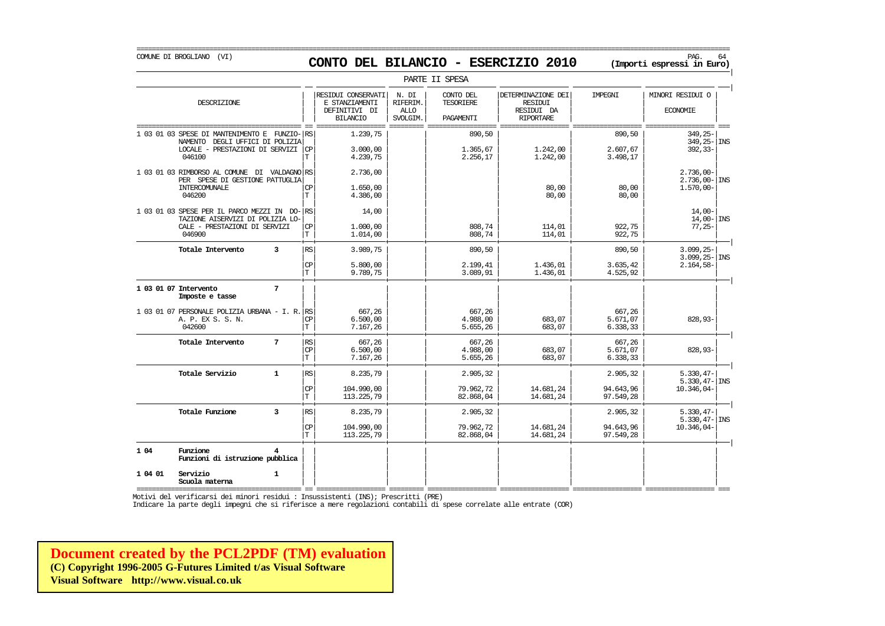COMUNE DI BROGLIANO (VI) PAG. 64 **CONTO DEL BILANCIO - ESERCIZIO 2010 (Importi espressi in Euro)** 

|                                                                                                                                   |                                    |                                                                          |                                              | PARTE II SPESA                             |                                                                        |                                    |                                                        |
|-----------------------------------------------------------------------------------------------------------------------------------|------------------------------------|--------------------------------------------------------------------------|----------------------------------------------|--------------------------------------------|------------------------------------------------------------------------|------------------------------------|--------------------------------------------------------|
| DESCRIZIONE                                                                                                                       |                                    | RESIDUI CONSERVATI<br>E STANZIAMENTI<br>DEFINITIVI DI<br><b>BILANCIO</b> | N. DI<br>RIFERIM.<br><b>ALLO</b><br>SVOLGIM. | CONTO DEL<br><b>TESORIERE</b><br>PAGAMENTI | DETERMINAZIONE DEI<br><b>RESIDUI</b><br>RESIDUI DA<br><b>RIPORTARE</b> | <b>TMPRGNT</b>                     | MINORI RESIDUI O<br><b>ECONOMIE</b>                    |
| $FWZIO-$ RS<br>1 03 01 03 SPESE DI MANTENIMENTO E<br>NAMENTO DEGLI UFFICI DI POLIZIA<br>LOCALE - PRESTAZIONI DI SERVIZI<br>046100 | CP<br>T.                           | 1.239,75<br>3.000,00<br>4.239,75                                         |                                              | 890,50<br>1.365,67<br>2.256,17             | 1,242,00<br>1,242,00                                                   | 890,50<br>2.607,67<br>3.498,17     | $349, 25 -$<br>$349.25 - 1$ INS<br>$392, 33-$          |
| 1 03 01 03 RIMBORSO AL COMUNE DI VALDAGNO RS<br>PER SPESE DI GESTIONE PATTUGLIA<br>INTERCOMUNALE<br>046200                        | СP<br>T.                           | 2.736,00<br>1,650,00<br>4.386,00                                         |                                              |                                            | 80,00<br>80,00                                                         | 80,00<br>80,00                     | $2.736,00 -$<br>$2.736.00 - \vert$ INS<br>$1.570,00 -$ |
| 1 03 01 03 SPESE PER IL PARCO MEZZI IN DO-<br>TAZIONE AISERVIZI DI POLIZIA LO-<br>CALE - PRESTAZIONI DI SERVIZI<br>046900         | RS<br><b>CP</b><br>T.              | 14,00<br>1,000,00<br>1,014,00                                            |                                              | 808,74<br>808,74                           | 114,01<br>114,01                                                       | 922,75<br>922,75                   | $14.00 -$<br>$14,00 -  $ INS<br>$77,25-$               |
| 3<br>Totale Intervento                                                                                                            | RS<br>CP<br>T.                     | 3.989,75<br>5.800,00<br>9.789,75                                         |                                              | 890,50<br>2.199,41<br>3.089,91             | 1.436,01<br>1.436,01                                                   | 890,50<br>3.635, 42<br>4.525,92    | $3.099, 25 -$<br>$3.099, 25 -$ INS<br>$2.164,58-$      |
| 7<br>1 03 01 07 Intervento<br>Imposte e tasse                                                                                     |                                    |                                                                          |                                              |                                            |                                                                        |                                    |                                                        |
| 1 03 01 07 PERSONALE POLIZIA URBANA - I. R.<br>A. P. EX S. S. N.<br>042600                                                        | RS<br><b>CP</b><br>T               | 667.26<br>6.500,00<br>7.167,26                                           |                                              | 667.26<br>4.988,00<br>5.655,26             | 683,07<br>683,07                                                       | 667.26<br>5.671,07<br>6.338,33     | 828,93-                                                |
| $7\phantom{.0}$<br>Totale Intervento                                                                                              | RS<br>CP<br>T                      | 667,26<br>6.500,00<br>7.167,26                                           |                                              | 667,26<br>4.988,00<br>5.655,26             | 683,07<br>683,07                                                       | 667,26<br>5.671,07<br>6.338,33     | $828,93-$                                              |
| Totale Servizio<br>$\mathbf{1}$                                                                                                   | $\mathbb{R}\mathbb{S}$<br>CP<br>T. | 8.235,79<br>104.990,00<br>113.225,79                                     |                                              | 2.905,32<br>79.962,72<br>82.868,04         | 14.681,24<br>14.681,24                                                 | 2.905,32<br>94.643,96<br>97.549,28 | $5.330, 47-$<br>$5.330, 47 -  $ INS<br>10.346,04-      |
| Totale Funzione<br>3                                                                                                              | RS<br>CP<br>T.                     | 8.235.79<br>104.990,00<br>113.225,79                                     |                                              | 2.905,32<br>79.962,72<br>82.868,04         | 14.681,24<br>14.681,24                                                 | 2.905,32<br>94.643,96<br>97.549,28 | $5.330.47-$<br>$5.330, 47 -$ INS<br>10.346,04-         |
| 1 04<br>Funzione<br>Funzioni di istruzione pubblica                                                                               |                                    |                                                                          |                                              |                                            |                                                                        |                                    |                                                        |

=========================================== == ================== ========= ================== ================== ================== ================== === Motivi del verificarsi dei minori residui : Insussistenti (INS); Prescritti (PRE)

**Scuola materna** | | | | | | | |

Indicare la parte degli impegni che si riferisce a mere regolazioni contabili di spese correlate alle entrate (COR)

**[Document created by the PCL2PDF \(TM\) evaluation](http://www.visual.co.uk) (C) Copyright 1996-2005 G-Futures Limited t/as Visual Software Visual Software http://www.visual.co.uk**

**1 04 01 Servizio 1** | | | | | | | |

#### ===========================================================================================================================================================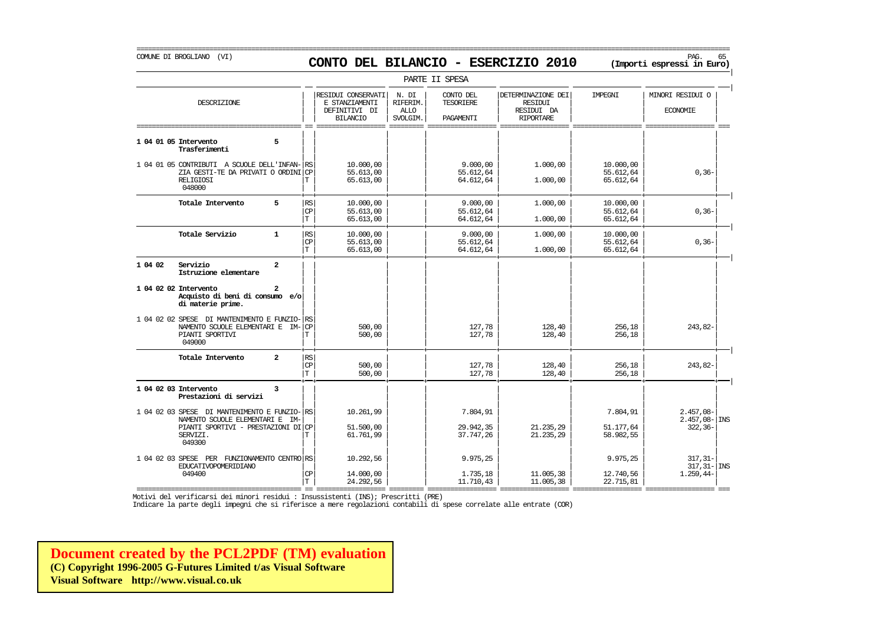## COMUNE DI BROGLIANO (VI) PAG. 65 **CONTO DEL BILANCIO - ESERCIZIO 2010 (Importi espressi in Euro)**

===========================================================================================================================================================

|                                        |                                                                                                                         |                             |                                                                          |                                       | PARTE II SPESA                      |                                                                 |                                     |                                                 |
|----------------------------------------|-------------------------------------------------------------------------------------------------------------------------|-----------------------------|--------------------------------------------------------------------------|---------------------------------------|-------------------------------------|-----------------------------------------------------------------|-------------------------------------|-------------------------------------------------|
|                                        | DESCRIZIONE                                                                                                             |                             | RESIDUI CONSERVATI<br>E STANZIAMENTI<br>DEFINITIVI DI<br><b>BILANCIO</b> | N. DI<br>RIFERIM.<br>ALLO<br>SVOLGIM. | CONTO DEL<br>TESORIERE<br>PAGAMENTI | DETERMINAZIONE DEI<br>RESIDUI<br>RESIDUI DA<br><b>RIPORTARE</b> | IMPEGNI                             | MINORI RESIDUI O<br><b>ECONOMIE</b>             |
| 1 04 01 05 Intervento<br>Trasferimenti | 5                                                                                                                       |                             |                                                                          |                                       |                                     |                                                                 |                                     |                                                 |
| <b>RELIGIOSI</b><br>048000             | 1 04 01 05 CONTRIBUTI A SCUOLE DELL'INFAN- RS<br>ZIA GESTI-TE DA PRIVATI O ORDINICP                                     | Т                           | 10.000,00<br>55.613,00<br>65.613,00                                      |                                       | 9.000,00<br>55.612,64<br>64.612,64  | 1,000,00<br>1.000,00                                            | 10.000,00<br>55.612,64<br>65.612,64 | $0, 36 -$                                       |
|                                        | 5<br>Totale Intervento                                                                                                  | <b>RS</b><br><b>CP</b><br>T | 10.000,00<br>55.613,00<br>65.613,00                                      |                                       | 9.000,00<br>55.612,64<br>64.612,64  | 1,000,00<br>1,000,00                                            | 10.000,00<br>55.612,64<br>65.612,64 | $0, 36 -$                                       |
|                                        | Totale Servizio<br>$\mathbf{1}$                                                                                         | RS<br>CP<br>T.              | 10,000,00<br>55.613,00<br>65.613,00                                      |                                       | 9.000,00<br>55.612,64<br>64.612,64  | 1,000,00<br>1.000,00                                            | 10.000,00<br>55.612,64<br>65.612,64 | $0, 36 -$                                       |
| Servizio<br>1 04 02                    | $\overline{a}$<br>Istruzione elementare                                                                                 |                             |                                                                          |                                       |                                     |                                                                 |                                     |                                                 |
| 1 04 02 02 Intervento                  | 2<br>Acquisto di beni di consumo e/o<br>di materie prime.                                                               |                             |                                                                          |                                       |                                     |                                                                 |                                     |                                                 |
| 049000                                 | 1 04 02 02 SPESE DI MANTENIMENTO E FUNZIO- RS<br>NAMENTO SCUOLE ELEMENTARI E IM-CP<br>PIANTI SPORTIVI                   | т                           | 500,00<br>500,00                                                         |                                       | 127,78<br>127,78                    | 128,40<br>128,40                                                | 256,18<br>256,18                    | 243,82-                                         |
|                                        | Totale Intervento<br>$\overline{a}$                                                                                     | RS<br>CP<br>١T.             | 500,00<br>500,00                                                         |                                       | 127,78<br>127,78                    | 128,40<br>128,40                                                | 256,18<br>256,18                    | 243,82-                                         |
| 1 04 02 03 Intervento                  | 3<br>Prestazioni di servizi                                                                                             |                             |                                                                          |                                       |                                     |                                                                 |                                     |                                                 |
| SERVIZI.<br>049300                     | 1 04 02 03 SPESE DI MANTENIMENTO E FUNZIO- RS<br>NAMENTO SCUOLE ELEMENTARI E IM-<br>PIANTI SPORTIVI - PRESTAZIONI DI CP | Т                           | 10.261,99<br>51.500,00<br>61.761,99                                      |                                       | 7.804,91<br>29.942,35<br>37.747,26  | 21.235,29<br>21.235,29                                          | 7.804,91<br>51.177,64<br>58.982,55  | $2.457,08-$<br>$2.457,08 -$ INS<br>$322, 36 -$  |
| 049400                                 | 1 04 02 03 SPESE PER FUNZIONAMENTO CENTRO RS<br>EDUCATIVOPOMERIDIANO                                                    | <b>CP</b><br>ΙT.            | 10.292,56<br>14.000,00<br>24.292,56                                      |                                       | 9.975,25<br>1.735,18<br>11.710,43   | 11.005,38<br>11.005,38                                          | 9.975,25<br>12.740,56<br>22.715,81  | $317, 31 -$<br>$317, 31 -  $ INS<br>$1.259,44-$ |

=========================================== == ================== ========= ================== ================== ================== ================== ===

Motivi del verificarsi dei minori residui : Insussistenti (INS); Prescritti (PRE)

Indicare la parte degli impegni che si riferisce a mere regolazioni contabili di spese correlate alle entrate (COR)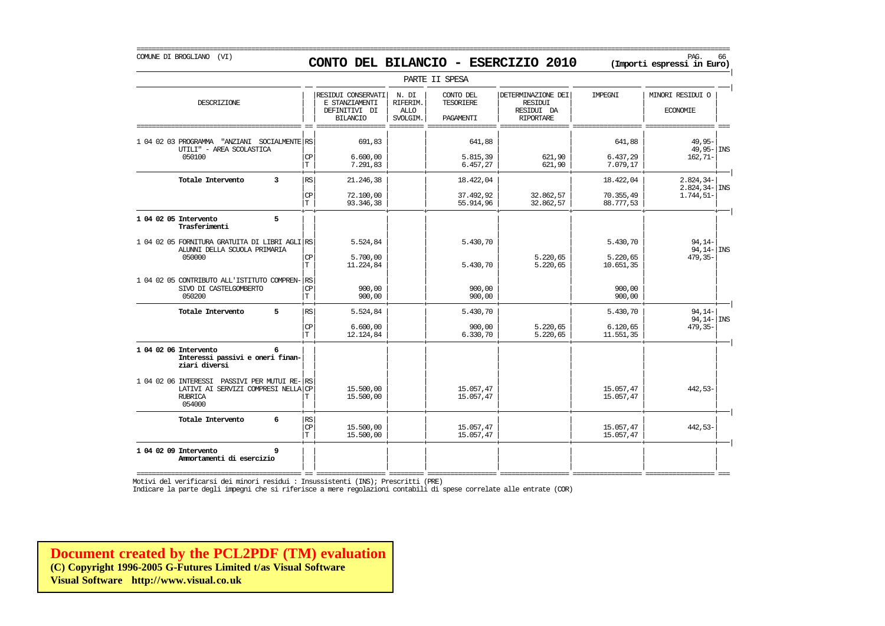## COMUNE DI BROGLIANO (VI) PAG. 66 **CONTO DEL BILANCIO - ESERCIZIO 2010 (Importi espressi in Euro)**

===========================================================================================================================================================

|                                                                                                                                                                                               |                                           |                                                                          |                                              | PARTE II SPESA                             |                                                                        |                                     |                                                          |
|-----------------------------------------------------------------------------------------------------------------------------------------------------------------------------------------------|-------------------------------------------|--------------------------------------------------------------------------|----------------------------------------------|--------------------------------------------|------------------------------------------------------------------------|-------------------------------------|----------------------------------------------------------|
| DESCRIZIONE                                                                                                                                                                                   |                                           | RESIDUI CONSERVATI<br>E STANZIAMENTI<br>DEFINITIVI DI<br><b>BILANCIO</b> | N. DI<br>RIFERIM.<br><b>ALLO</b><br>SVOLGIM. | CONTO DEL<br><b>TESORIERE</b><br>PAGAMENTI | DETERMINAZIONE DEI<br><b>RESIDUI</b><br>RESIDUI DA<br><b>RIPORTARE</b> | IMPEGNI                             | MINORI RESIDUI O<br><b>ECONOMIE</b>                      |
| 1 04 02 03 PROGRAMMA "ANZIANI SOCIALMENTE RS<br>UTILI" - AREA SCOLASTICA<br>050100                                                                                                            | CP<br>T                                   | 691,83<br>6.600,00<br>7.291,83                                           |                                              | 641,88<br>5.815,39<br>6.457,27             | 621,90<br>621,90                                                       | 641,88<br>6.437,29<br>7.079,17      | 49.95-<br>$49,95 -$ INS<br>$162, 71-$                    |
| Totale Intervento<br>$\overline{3}$                                                                                                                                                           | RS<br><b>CP</b><br>T                      | 21.246,38<br>72,100,00<br>93.346,38                                      |                                              | 18.422,04<br>37.492,92<br>55.914,96        | 32.862,57<br>32.862,57                                                 | 18.422,04<br>70.355,49<br>88.777,53 | $2.824, 34-$<br>$2.824, 34 - \vert$ INS<br>$1.744, 51 -$ |
| 5<br>1 04 02 05 Intervento<br>Trasferimenti<br>1 04 02 05 FORNITURA GRATUITA DI LIBRI AGLI RS<br>ALUNNI DELLA SCUOLA PRIMARIA<br>050000                                                       | <b>CP</b>                                 | 5.524,84<br>5.700.00                                                     |                                              | 5.430,70                                   | 5.220,65                                                               | 5.430,70<br>5.220,65                | $94.14-$<br>$94, 14 - \vert$ INS<br>$479,35-$            |
| 1 04 02 05 CONTRIBUTO ALL'ISTITUTO COMPREN-<br>SIVO DI CASTELGOMBERTO<br>050200                                                                                                               | T.<br>RS<br>CP<br>T.                      | 11.224,84<br>900,00<br>900,00                                            |                                              | 5.430,70<br>900,00<br>900,00               | 5.220,65                                                               | 10.651,35<br>900,00<br>900,00       |                                                          |
| 5<br>Totale Intervento                                                                                                                                                                        | $\mathbb{R}\mathbb{S}$<br><b>CP</b><br>T. | 5.524,84<br>6.600,00<br>12.124,84                                        |                                              | 5.430,70<br>900,00<br>6.330,70             | 5.220,65<br>5.220,65                                                   | 5.430,70<br>6.120, 65<br>11.551,35  | $94, 14-$<br>$94,14 -  \text{INS}$<br>$479, 35 -$        |
| 6<br>1 04 02 06 Intervento<br>Interessi passivi e oneri finan-<br>ziari diversi<br>1 04 02 06 INTERESSI PASSIVI PER MUTUI RE-<br>LATIVI AI SERVIZI COMPRESI NELLA<br><b>RUBRICA</b><br>054000 | RS<br><b>CP</b><br>Т                      | 15.500,00<br>15,500,00                                                   |                                              | 15.057,47<br>15.057.47                     |                                                                        | 15.057,47<br>15.057,47              | $442,53-$                                                |
| 6<br>Totale Intervento                                                                                                                                                                        | $\mathbb{R}\mathbb{S}$<br>CP<br>T.        | 15,500,00<br>15.500,00                                                   |                                              | 15.057,47<br>15.057,47                     |                                                                        | 15.057,47<br>15.057,47              | $442,53-$                                                |
| 1 04 02 09 Intervento<br>9<br>Ammortamenti di esercizio                                                                                                                                       |                                           |                                                                          |                                              |                                            |                                                                        |                                     |                                                          |

=========================================== == ================== ========= ================== ================== ================== ================== === Motivi del verificarsi dei minori residui : Insussistenti (INS); Prescritti (PRE)

Indicare la parte degli impegni che si riferisce a mere regolazioni contabili di spese correlate alle entrate (COR)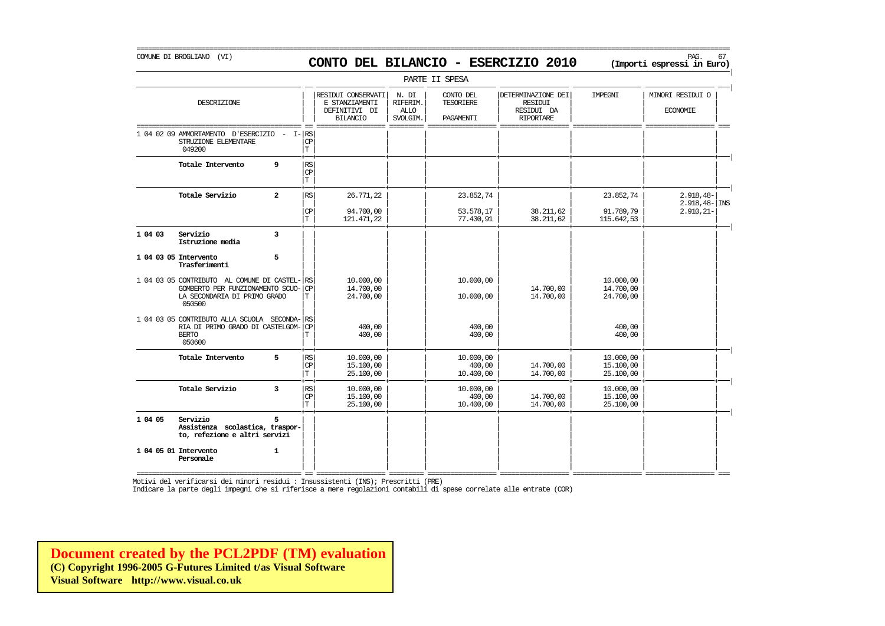### COMUNE DI BROGLIANO (VI) PAG. 67 **CONTO DEL BILANCIO - ESERCIZIO 2010 (Importi espressi in Euro)**

===========================================================================================================================================================

|         |                                                                                                                          |                         |                                    |                                                                          |                                              | PARTE II SPESA                             |                                                                 |                                     |                                         |
|---------|--------------------------------------------------------------------------------------------------------------------------|-------------------------|------------------------------------|--------------------------------------------------------------------------|----------------------------------------------|--------------------------------------------|-----------------------------------------------------------------|-------------------------------------|-----------------------------------------|
|         | DESCRIZIONE                                                                                                              |                         |                                    | RESIDUI CONSERVATI<br>E STANZIAMENTI<br>DEFINITIVI DI<br><b>BILANCIO</b> | N. DI<br>RIFERIM.<br><b>ALLO</b><br>SVOLGIM. | CONTO DEL<br><b>TESORIERE</b><br>PAGAMENTI | DETERMINAZIONE DEI<br>RESIDUI<br>RESIDUI DA<br><b>RIPORTARE</b> | IMPEGNI                             | MINORI RESIDUI O<br><b>ECONOMIE</b>     |
|         | 1 04 02 09 AMMORTAMENTO<br>D'ESERCIZIO<br>STRUZIONE ELEMENTARE<br>049200                                                 | I-                      | RS<br><b>CP</b><br>Iт              |                                                                          |                                              |                                            |                                                                 |                                     |                                         |
|         | Totale Intervento                                                                                                        | 9                       | RS<br>CP<br>T                      |                                                                          |                                              |                                            |                                                                 |                                     |                                         |
|         | Totale Servizio                                                                                                          | $\overline{a}$          | $\mathbb{R}\mathbb{S}$             | 26.771,22                                                                |                                              | 23.852,74                                  |                                                                 | 23.852,74                           | $2.918, 48-$<br>$2.918, 48 - \vert$ INS |
|         |                                                                                                                          |                         | CP<br>T.                           | 94.700,00<br>121.471,22                                                  |                                              | 53.578,17<br>77.430,91                     | 38.211,62<br>38, 211, 62                                        | 91.789,79<br>115.642,53             | $2.910, 21 -$                           |
| 1 04 03 | Servizio<br>Istruzione media                                                                                             | $\overline{\mathbf{3}}$ |                                    |                                                                          |                                              |                                            |                                                                 |                                     |                                         |
|         | 1 04 03 05 Intervento<br>Trasferimenti                                                                                   | 5                       |                                    |                                                                          |                                              |                                            |                                                                 |                                     |                                         |
|         | 1 04 03 05 CONTRIBUTO AL COMUNE DI CASTEL-<br>GOMBERTO PER FUNZIONAMENTO SCUO-<br>LA SECONDARIA DI PRIMO GRADO<br>050500 |                         | RS<br><b>CP</b><br>т               | 10.000,00<br>14.700,00<br>24,700,00                                      |                                              | 10.000,00<br>10.000,00                     | 14.700,00<br>14.700,00                                          | 10.000,00<br>14.700,00<br>24.700,00 |                                         |
|         | 1 04 03 05 CONTRIBUTO ALLA SCUOLA SECONDA-<br>RIA DI PRIMO GRADO DI CASTELGOM-<br><b>BERTO</b><br>050600                 |                         | l RS<br><b>CP</b><br>T             | 400,00<br>400,00                                                         |                                              | 400,00<br>400,00                           |                                                                 | 400,00<br>400,00                    |                                         |
|         | Totale Intervento                                                                                                        | 5                       | $\mathbb{R}\mathbb{S}$<br>CP<br>T. | 10,000,00<br>15.100,00<br>25,100,00                                      |                                              | 10.000,00<br>400,00<br>10.400,00           | 14.700,00<br>14.700,00                                          | 10.000,00<br>15.100,00<br>25,100,00 |                                         |
|         | Totale Servizio                                                                                                          | 3                       | $\mathbb{R}\mathbb{S}$<br>CP<br>Iт | 10.000,00<br>15,100,00<br>25.100,00                                      |                                              | 10.000,00<br>400,00<br>10,400,00           | 14.700,00<br>14.700,00                                          | 10.000,00<br>15,100,00<br>25,100,00 |                                         |
| 1 04 05 | Servizio<br>Assistenza scolastica, traspor-<br>to, refezione e altri servizi                                             | 5                       |                                    |                                                                          |                                              |                                            |                                                                 |                                     |                                         |
|         | 1 04 05 01 Intervento<br>Personale                                                                                       | $\mathbf{1}$            |                                    |                                                                          |                                              |                                            |                                                                 |                                     |                                         |

=========================================== == ================== ========= ================== ================== ================== ================== ===

Motivi del verificarsi dei minori residui : Insussistenti (INS); Prescritti (PRE)

Indicare la parte degli impegni che si riferisce a mere regolazioni contabili di spese correlate alle entrate (COR)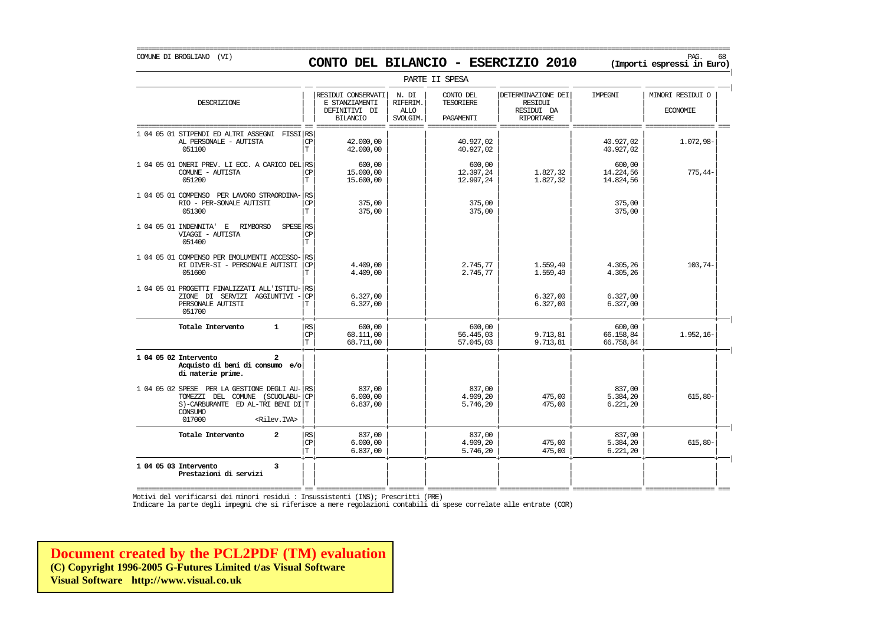### COMUNE DI BROGLIANO (VI) PAG. 68 **CONTO DEL BILANCIO - ESERCIZIO 2010 (Importi espressi in Euro)**

| PARTE II SPESA                                                                                                                                                      |                              |                                                                          |                                              |                                     |                                                                        |                                  |                                     |  |  |
|---------------------------------------------------------------------------------------------------------------------------------------------------------------------|------------------------------|--------------------------------------------------------------------------|----------------------------------------------|-------------------------------------|------------------------------------------------------------------------|----------------------------------|-------------------------------------|--|--|
| DESCRIZIONE                                                                                                                                                         |                              | RESIDUI CONSERVATI<br>E STANZIAMENTI<br>DEFINITIVI DI<br><b>BILANCIO</b> | N. DI<br>RIFERIM.<br><b>ALLO</b><br>SVOLGIM. | CONTO DEL<br>TESORIERE<br>PAGAMENTI | DETERMINAZIONE DEI<br><b>RESIDUI</b><br>RESIDUI DA<br><b>RIPORTARE</b> | IMPEGNI                          | MINORI RESIDUI O<br><b>ECONOMIE</b> |  |  |
| 1 04 05 01 STIPENDI ED ALTRI ASSEGNI<br>FISSI RS<br>AL PERSONALE - AUTISTA<br>051100                                                                                | <b>CP</b><br>T.              | 42.000,00<br>42.000,00                                                   |                                              | 40.927,02<br>40.927,02              |                                                                        | 40.927,02<br>40.927,02           | $1.072,98-$                         |  |  |
| 1 04 05 01 ONERI PREV. LI ECC. A CARICO DEL RS<br>COMUNE - AUTISTA<br>051200                                                                                        | <b>CP</b><br>T.              | 600,00<br>15,000,00<br>15.600,00                                         |                                              | 600,00<br>12.397,24<br>12.997,24    | 1.827,32<br>1.827,32                                                   | 600,00<br>14.224,56<br>14.824,56 | $775,44-$                           |  |  |
| 1 04 05 01 COMPENSO PER LAVORO STRAORDINA-<br>RIO - PER-SONALE AUTISTI<br>051300                                                                                    | <b>RS</b><br><b>CP</b><br>T. | 375,00<br>375,00                                                         |                                              | 375,00<br>375,00                    |                                                                        | 375,00<br>375,00                 |                                     |  |  |
| 1 04 05 01 INDENNITA'<br>SPESE RS<br>$\,$ E<br><b>RIMBORSO</b><br>VIAGGI - AUTISTA<br>051400                                                                        | <b>CP</b><br>T.              |                                                                          |                                              |                                     |                                                                        |                                  |                                     |  |  |
| 1 04 05 01 COMPENSO PER EMOLUMENTI ACCESSO-<br>RI DIVER-SI - PERSONALE AUTISTI<br>051600                                                                            | RS<br>CP<br>T                | 4.409.00<br>4.409,00                                                     |                                              | 2.745,77<br>2.745,77                | 1.559,49<br>1,559,49                                                   | 4.305,26<br>4.305,26             | 103,74-                             |  |  |
| 1 04 05 01 PROGETTI FINALIZZATI ALL'ISTITU-<br>ZIONE DI SERVIZI AGGIUNTIVI<br>PERSONALE AUTISTI<br>051700                                                           | <b>RS</b><br>CP<br>T         | 6.327,00<br>6.327,00                                                     |                                              |                                     | 6.327,00<br>6.327,00                                                   | 6.327,00<br>6.327,00             |                                     |  |  |
| Totale Intervento<br>$\mathbf{1}$                                                                                                                                   | RS<br>CP<br>T.               | 600,00<br>68,111,00<br>68.711,00                                         |                                              | 600,00<br>56.445,03<br>57.045,03    | 9.713,81<br>9.713,81                                                   | 600,00<br>66.158,84<br>66.758,84 | $1.952, 16-$                        |  |  |
| 1 04 05 02 Intervento<br>$\overline{a}$<br>Acquisto di beni di consumo e/o<br>di materie prime.                                                                     |                              |                                                                          |                                              |                                     |                                                                        |                                  |                                     |  |  |
| 1 04 05 02 SPESE PER LA GESTIONE DEGLI AU-<br>TOMEZZI DEL COMUNE (SCUOLABU-<br>$S$ )-CARBURANTE ED AL-TRI BENI DI T<br>CONSUMO<br>017000<br><rilev.iva></rilev.iva> | RS<br><b>CP</b>              | 837,00<br>6.000.00<br>6.837,00                                           |                                              | 837,00<br>4.909.20<br>5.746,20      | 475,00<br>475,00                                                       | 837,00<br>5.384.20<br>6.221, 20  | $615.80 -$                          |  |  |
| $\overline{a}$<br>Totale Intervento                                                                                                                                 | RS<br><b>CP</b><br>T.        | 837,00<br>6.000,00<br>6.837,00                                           |                                              | 837,00<br>4.909,20<br>5.746,20      | 475,00<br>475,00                                                       | 837,00<br>5.384,20<br>6.221, 20  | $615,80-$                           |  |  |
| 1 04 05 03 Intervento<br>3<br>Prestazioni di servizi                                                                                                                |                              |                                                                          |                                              |                                     |                                                                        |                                  |                                     |  |  |

=========================================== == ================== ========= ================== ================== ================== ================== === Motivi del verificarsi dei minori residui : Insussistenti (INS); Prescritti (PRE)

Indicare la parte degli impegni che si riferisce a mere regolazioni contabili di spese correlate alle entrate (COR)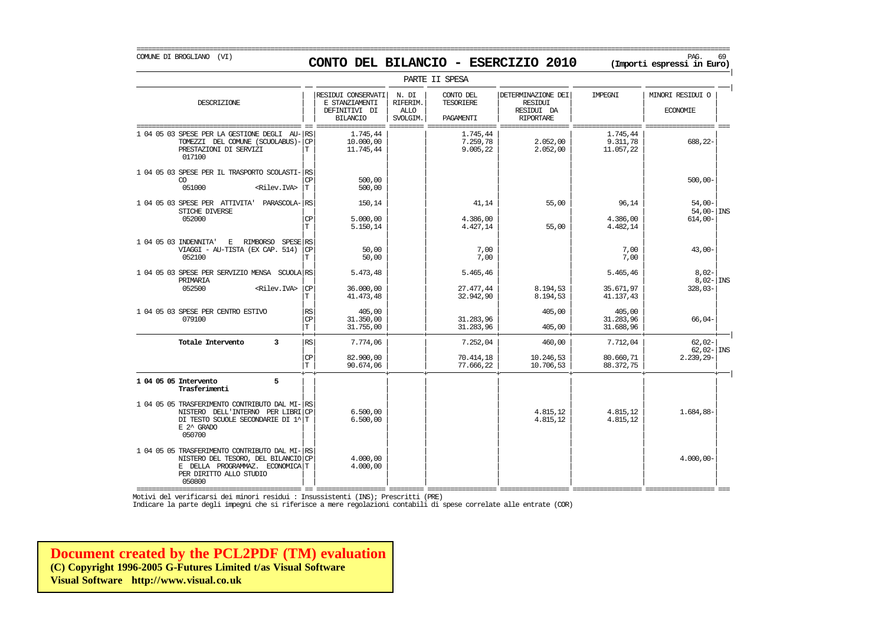| PARTE II SPESA | | | RESIDUI CONSERVATI | N. DI | CONTO DEL | | DETERMINAZIONE DEI | IMPEGNI | | MINORI RESIDUI O DESCRIZIONE E STANZIAMENTI RIFERIM. TESORIERE RESIDUI | | | | | | | | || DEFINITIVI DI | ALLO | | RESIDUI DA | | ECONOMIE | | | BILANCIO | SVOLGIM. | PAGAMENTI | RIPORTARE | | =========================================== == ================== ========= ================== ================== ================== ================== === 1 04 05 03 SPESE PER LA GESTIONE DEGLI AU- $|\text{RS}|$ <br>1.745,44 1.745,44 1.745,44 1.8 10.000.00 1.7259.78 2.052.00 9.311.78 1.745,44 688.22 TOMEZZI DEL COMUNE (SCUOLABUS)- $| \text{CP} |$  10.000,00 7.259,78 2.052,00 9.311,78 2.052,00 9.311,78 11.057,22 PRESTAZIONI DI SERVIZI<br>017100 017100 | | | | | | | | | | | | | | | | 1 04 05 03 SPESE PER IL TRASPORTO SCOLASTI- $|\text{cs}|$  500,00  $|\text{cs}|$  500,00  $|$  1  $|$  1  $|$  500,00  $|$  500,00  $|$  500,00  $|$ CO | | | | | | | | CP 500,00 500,00- 051000 <Rilev.IVA> | | | | | | | | T 500,00 | | | | | | | | 1 04 05 03 SPESE PER ATTIVITA' PARASCOLA- $\begin{bmatrix} \text{RS} \\ \text{SRI} \end{bmatrix}$  150,14  $\begin{bmatrix} 150 & 450 \\ 150 & 14 \end{bmatrix}$  150,14 54,00  $\begin{bmatrix} 41 & 44 \\ 41 & 14 \end{bmatrix}$  55,00 96,14 54,00 54,00 54,00 STICHE DIVERSE | | | | | | | | 54,00- INS 052000 | | | | | | | | CP 5.000,00 4.386,00 4.386,00 614,00-  $|\text{T}|$  5.150,14 4.427,14 55,00 4.482,14 | | | | | | | | 1 04 05 03 INDENNITA' E RIMBORSO SPESE| | | | | | | | RS VIAGGI - AU-TISTA (EX CAP. 514) | | | | | | | | CP 50,00 7,00 7,00 43,00- 052100 | | | | | | | | T 50,00 7,00 7,00 | | | | | | | | 1 04 05 03 SPESE PER SERVIZIO MENSA SCUOLA RS 5.473,48 5.473,48 5.465,46 5.465,46 5.465,46 5.465,46 5.465,46 8 PRIMARIA | | | | | | | | 8,02- INS 052500 <Rilev.IVA> | | | | | | | | CP 36.000,00 27.477,44 8.194,53 35.671,97 328,03-  $|\text{T}$  41.473,48  $|$  32.942,90 8.194,53 41.137,43 41.137 | | | | | | | | 1 04 05 03 SPESE PER CENTRO ESTIVO | | | | | | | | RS 405,00 405,00 405,00 079100 | | | | | | | | CP 31.350,00 31.283,96 31.283,96 66,04-  $|T|$  31.755,00  $|$  31.283,96 405,00 31.688,96 31.688,96 + + + + + + + + | **Totale Intervento 3** | | | | | | | | RS 7.774,06 7.252,04 460,00 7.712,04 62,02- | | | 62,02- | INS  $|\mathbb{CP}|$  82.900,00 | 70.414,18 10.246,53 80.660,71 2.239,29- $|\text{T}|$  90.674,06  $|$  77.666,22 10.706,53 88.372,75 9 + + + + + + + + | 1 04 05 05 Intervento 5<br>Trasferimenti **Trasferimenti** | | | | | | | | | | | | | | | | 1 04 05 05 TRASFERIMENTO CONTRIBUTO DAL MI-RS<br>
NISTERO DELL'INTERNO PER LIBRICP (6.500,00) (1 / 1,684,88-4.815,12 / 1,684,88-88-NISTERO DELL'INTERNO PER LIBRI $|\text{CP}|$  6.500,00 4.815,12 4.815,12 4.815,12 4.815,12 4.815,12 DI TESTO SCUOLE SECONDARIE DI 1^ $\vert$ T E 2^ GRADO E 2^ GRADO | | | | | | | | 050700 | | | | | | | | | | | | | | | | 1 04 05 05 TRASFERIMENTO CONTRIBUTO DAL MI- $\vert$ RS<br>
1 04 05 05 TRASFERIMENTO CONTRIBUTO DAL MI- $\vert$ RS
4.000,00-4.000,00 NISTERO DEL TESORO, DEL BILANCIO  $|CP|$   $=$  4.000,00 E DELLA PROGRAMMAZ. ECONOMICA  $|T|$   $=$  4.000,00 E DELLA PROGRAMMAZ. ECONOMICAT PER DIRITTO ALLO STUDIO 050800 050800 | | | | | | | |

=========================================== == ================== ========= ================== ================== ================== ================== === Motivi del verificarsi dei minori residui : Insussistenti (INS); Prescritti (PRE)

Indicare la parte degli impegni che si riferisce a mere regolazioni contabili di spese correlate alle entrate (COR)

**[Document created by the PCL2PDF \(TM\) evaluation](http://www.visual.co.uk) (C) Copyright 1996-2005 G-Futures Limited t/as Visual Software Visual Software http://www.visual.co.uk**

# COMUNE DI BROGLIANO (VI) PAG. 69 **CONTO DEL BILANCIO - ESERCIZIO 2010 (Importi espressi in Euro)**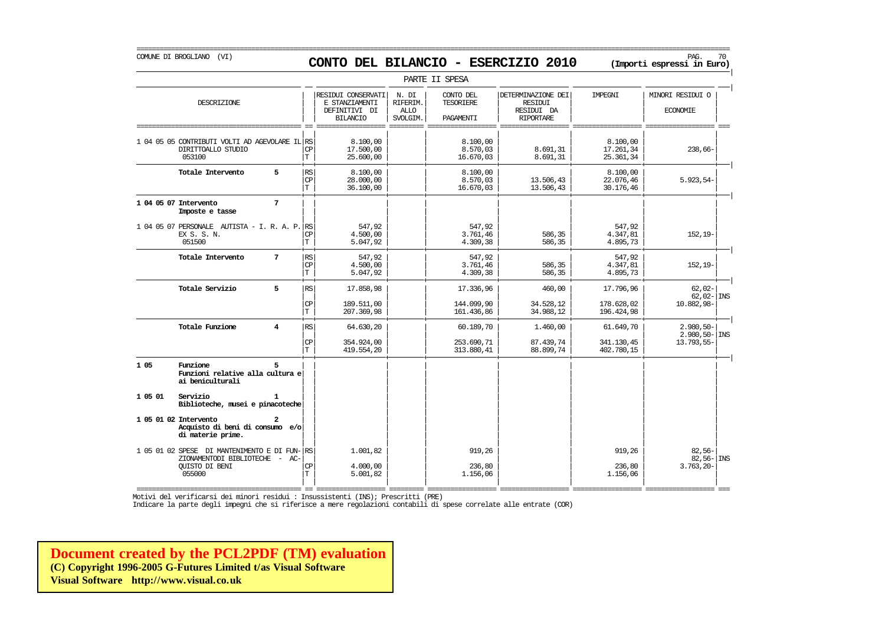### COMUNE DI BROGLIANO (VI) PAG. 70 **CONTO DEL BILANCIO - ESERCIZIO 2010 (Importi espressi in Euro)**

===========================================================================================================================================================

|         |                                                                                                                    |                         |                                  |                                                                          |                                              | PARTE II SPESA                      |                                                                 |                                    |                                              |  |
|---------|--------------------------------------------------------------------------------------------------------------------|-------------------------|----------------------------------|--------------------------------------------------------------------------|----------------------------------------------|-------------------------------------|-----------------------------------------------------------------|------------------------------------|----------------------------------------------|--|
|         | DESCRIZIONE                                                                                                        |                         |                                  | RESIDUI CONSERVATI<br>E STANZIAMENTI<br>DEFINITIVI DI<br><b>BILANCIO</b> | N. DI<br>RIFERIM.<br><b>ALLO</b><br>SVOLGIM. | CONTO DEL<br>TESORIERE<br>PAGAMENTI | DETERMINAZIONE DEI<br>RESIDUI<br>RESIDUI DA<br><b>RIPORTARE</b> | IMPEGNI                            | MINORI RESIDUI O<br><b>ECONOMIE</b>          |  |
|         | 1 04 05 05 CONTRIBUTI VOLTI AD AGEVOLARE IL RS<br>DIRITTOALLO STUDIO<br>053100                                     |                         | $\mathbf{CP}$<br>T               | 8.100,00<br>17.500,00<br>25.600,00                                       |                                              | 8.100,00<br>8.570,03<br>16.670,03   | 8.691,31<br>8.691,31                                            | 8.100,00<br>17.261,34<br>25.361,34 | $238,66-$                                    |  |
|         | Totale Intervento                                                                                                  | 5                       | <b>RS</b><br>$\mathbf{CP}$<br>T. | 8.100,00<br>28,000,00<br>36.100,00                                       |                                              | 8.100,00<br>8.570,03<br>16.670,03   | 13.506,43<br>13.506,43                                          | 8.100,00<br>22.076,46<br>30.176,46 | $5.923, 54-$                                 |  |
|         | 1 04 05 07 Intervento<br>Imposte e tasse                                                                           | 7                       |                                  |                                                                          |                                              |                                     |                                                                 |                                    |                                              |  |
|         | 1 04 05 07 PERSONALE AUTISTA - I. R. A. P. RS<br>EX S. S. N.<br>051500                                             |                         | $\mathbb{C}\mathbb{P}$<br>T      | 547,92<br>4.500,00<br>5.047,92                                           |                                              | 547,92<br>3.761,46<br>4.309,38      | 586,35<br>586,35                                                | 547,92<br>4.347,81<br>4.895,73     | $152, 19-$                                   |  |
|         | Totale Intervento                                                                                                  | 7                       | RS <br>$\mathbf{CP}$<br>T        | 547.92<br>4,500,00<br>5.047,92                                           |                                              | 547.92<br>3.761,46<br>4.309,38      | 586,35<br>586,35                                                | 547.92<br>4.347,81<br>4.895,73     | $152, 19-$                                   |  |
|         | Totale Servizio                                                                                                    | 5                       | RS                               | 17.858,98                                                                |                                              | 17.336,96                           | 460,00                                                          | 17.796,96                          | $62.02 -$<br>$62,02 -$ INS                   |  |
|         |                                                                                                                    |                         | $\mathbf{CP}$<br>T.              | 189.511,00<br>207.369,98                                                 |                                              | 144.099,90<br>161.436,86            | 34.528,12<br>34.988,12                                          | 178.628,02<br>196.424,98           | 10.882,98-                                   |  |
|         | Totale Funzione                                                                                                    | $\overline{\mathbf{4}}$ | RS                               | 64.630,20                                                                |                                              | 60.189,70                           | 1,460,00                                                        | 61.649,70                          | $2.980, 50 -$<br>$2.980, 50 -  $ INS         |  |
|         |                                                                                                                    |                         | $\mathbb{C}\mathbb{P}$<br>T      | 354.924,00<br>419.554,20                                                 |                                              | 253.690,71<br>313.880,41            | 87.439,74<br>88.899,74                                          | 341.130,45<br>402.780,15           | 13.793,55-                                   |  |
| 1 05    | Funzione<br>Funzioni relative alla cultura e<br>ai beniculturali                                                   |                         |                                  |                                                                          |                                              |                                     |                                                                 |                                    |                                              |  |
| 1 05 01 | Servizio<br>Biblioteche, musei e pinacoteche                                                                       | 1                       |                                  |                                                                          |                                              |                                     |                                                                 |                                    |                                              |  |
|         | 1 05 01 02 Intervento<br>Acquisto di beni di consumo e/o<br>di materie prime.                                      | $\mathbf{z}$            |                                  |                                                                          |                                              |                                     |                                                                 |                                    |                                              |  |
|         | 1 05 01 02 SPESE DI MANTENIMENTO E DI FUN- RS<br>ZIONAMENTODI BIBLIOTECHE - AC-<br><b>OUISTO DI BENI</b><br>055000 |                         | CP<br>T                          | 1.001,82<br>4,000,00<br>5.001,82                                         |                                              | 919,26<br>236,80<br>1.156,06        |                                                                 | 919,26<br>236,80<br>1.156,06       | $82,56-$<br>$82,56 -  $ INS<br>$3.763, 20 -$ |  |

=========================================== == ================== ========= ================== ================== ================== ================== === Motivi del verificarsi dei minori residui : Insussistenti (INS); Prescritti (PRE)

Indicare la parte degli impegni che si riferisce a mere regolazioni contabili di spese correlate alle entrate (COR)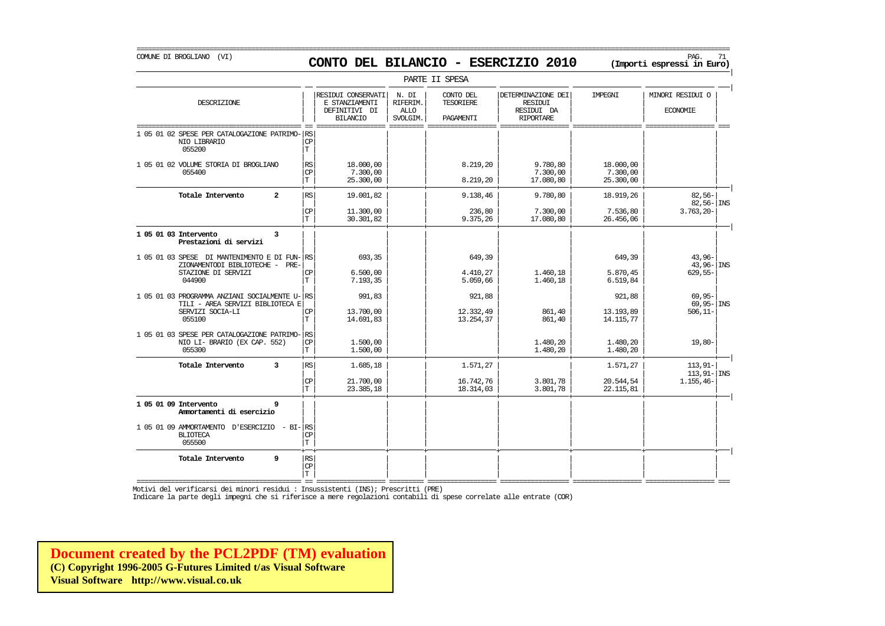## COMUNE DI BROGLIANO (VI) PAG. 71 **CONTO DEL BILANCIO - ESERCIZIO 2010 (Importi espressi in Euro)**

===========================================================================================================================================================

|                                                                                                                   |                                               |                                                                          |                                                    | PARTE II SPESA                             |                                                                        |                                    |                                          |
|-------------------------------------------------------------------------------------------------------------------|-----------------------------------------------|--------------------------------------------------------------------------|----------------------------------------------------|--------------------------------------------|------------------------------------------------------------------------|------------------------------------|------------------------------------------|
| DESCRIZIONE                                                                                                       |                                               | RESIDUI CONSERVATI<br>E STANZIAMENTI<br>DEFINITIVI DI<br><b>BILANCIO</b> | N. DI<br><b>RIFERIM</b><br><b>ALLO</b><br>SVOLGIM. | CONTO DEL<br><b>TESORIERE</b><br>PAGAMENTI | DETERMINAZIONE DEI<br><b>RESIDUI</b><br>RESIDUI DA<br><b>RIPORTARE</b> | IMPEGNI                            | MINORI RESIDUI O<br><b>ECONOMIE</b>      |
| 1 05 01 02 SPESE PER CATALOGAZIONE PATRIMO-<br>NIO LIBRARIO<br>055200                                             | RS<br>$_{\rm CP}$<br>T                        |                                                                          |                                                    |                                            |                                                                        |                                    |                                          |
| 1 05 01 02 VOLUME STORIA DI BROGLIANO<br>055400                                                                   | $\mathbb{R}\mathbb{S}$<br>$\mathbf{CP}$<br>T. | 18,000,00<br>7.300,00<br>25,300,00                                       |                                                    | 8.219,20<br>8.219,20                       | 9.780,80<br>7.300,00<br>17.080,80                                      | 18,000,00<br>7.300,00<br>25.300,00 |                                          |
| Totale Intervento<br>$\overline{2}$                                                                               | <b>RS</b>                                     | 19.001,82                                                                |                                                    | 9.138,46                                   | 9.780,80                                                               | 18.919,26                          | $82.56 -$<br>$82,56 - \vert$ INS         |
|                                                                                                                   | CP<br>T                                       | 11,300,00<br>30.301,82                                                   |                                                    | 236,80<br>9.375,26                         | 7.300,00<br>17.080,80                                                  | 7.536,80<br>26.456,06              | $3.763, 20 -$                            |
| 1 05 01 03 Intervento<br>3<br>Prestazioni di servizi                                                              |                                               |                                                                          |                                                    |                                            |                                                                        |                                    |                                          |
| 1 05 01 03 SPESE DI MANTENIMENTO E DI FUN- RS<br>ZIONAMENTODI BIBLIOTECHE - PRE-<br>STAZIONE DI SERVIZI<br>044900 | CP<br>Т                                       | 693,35<br>6.500,00<br>7.193,35                                           |                                                    | 649,39<br>4.410,27<br>5.059,66             | 1,460,18<br>1.460,18                                                   | 649,39<br>5.870,45<br>6.519,84     | $43,96-$<br>$43,96 -$ INS<br>$629,55-$   |
| 1 05 01 03 PROGRAMMA ANZIANI SOCIALMENTE U- RS<br>TILI - AREA SERVIZI BIBLIOTECA E<br>SERVIZI SOCIA-LI<br>055100  | CP<br>T                                       | 991,83<br>13.700,00<br>14.691,83                                         |                                                    | 921,88<br>12.332,49<br>13.254,37           | 861,40<br>861,40                                                       | 921,88<br>13.193,89<br>14.115,77   | $69,95-$<br>$69,95 -$ INS<br>$506, 11 -$ |
| 1 05 01 03 SPESE PER CATALOGAZIONE PATRIMO-<br>NIO LI- BRARIO (EX CAP. 552)<br>055300                             | <b>RS</b><br><b>CP</b><br>$\mathbf T$         | 1,500,00<br>1.500,00                                                     |                                                    |                                            | 1,480,20<br>1.480,20                                                   | 1.480,20<br>1.480,20               | $19,80-$                                 |
| Totale Intervento<br>3                                                                                            | $\mathbb{R}\mathbb{S}$                        | 1.685,18                                                                 |                                                    | 1.571,27                                   |                                                                        | 1.571,27                           | $113, 91 -$<br>$113, 91 -  $ INS         |
|                                                                                                                   | CP<br>T                                       | 21,700,00<br>23.385,18                                                   |                                                    | 16.742,76<br>18.314,03                     | 3.801,78<br>3.801,78                                                   | 20.544,54<br>22.115,81             | $1.155, 46-$                             |
| 1 05 01 09 Intervento<br>9<br>Ammortamenti di esercizio                                                           |                                               |                                                                          |                                                    |                                            |                                                                        |                                    |                                          |
| 1 05 01 09 AMMORTAMENTO D'ESERCIZIO<br>$- BI - RS$<br><b>BLIOTECA</b><br>055500                                   | СP<br>T                                       |                                                                          |                                                    |                                            |                                                                        |                                    |                                          |
| Totale Intervento<br>9                                                                                            | RS<br>$_{\rm CP}$<br>T.                       |                                                                          |                                                    |                                            |                                                                        |                                    |                                          |

=========================================== == ================== ========= ================== ================== ================== ================== === Motivi del verificarsi dei minori residui : Insussistenti (INS); Prescritti (PRE)

Indicare la parte degli impegni che si riferisce a mere regolazioni contabili di spese correlate alle entrate (COR)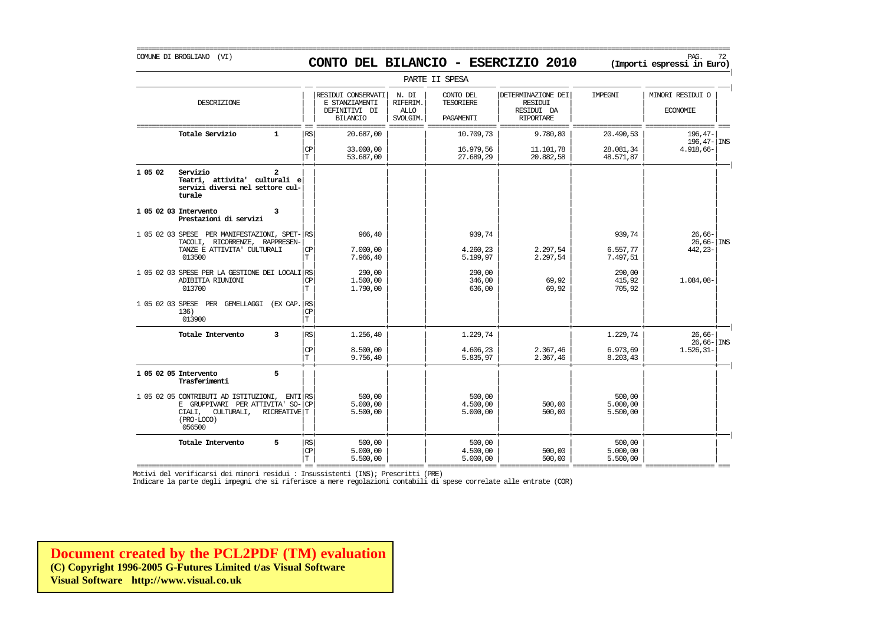## COMUNE DI BROGLIANO (VI) PAG. 72 **CONTO DEL BILANCIO - ESERCIZIO 2010 (Importi espressi in Euro)**

|         |                                                                                                                                        |                      |                                                                          |                                              | PARTE II SPESA                             |                                                                        |                                |                                     |
|---------|----------------------------------------------------------------------------------------------------------------------------------------|----------------------|--------------------------------------------------------------------------|----------------------------------------------|--------------------------------------------|------------------------------------------------------------------------|--------------------------------|-------------------------------------|
|         | DESCRIZIONE                                                                                                                            |                      | RESIDUI CONSERVATI<br>E STANZIAMENTI<br>DEFINITIVI DI<br><b>BILANCIO</b> | N. DI<br>RIFERIM.<br><b>ALLO</b><br>SVOLGIM. | CONTO DEL<br><b>TESORIERE</b><br>PAGAMENTI | DETERMINAZIONE DEI<br><b>RESIDUI</b><br>RESIDUI DA<br><b>RIPORTARE</b> | IMPEGNI                        | MINORI RESIDUI O<br><b>ECONOMIE</b> |
|         | Totale Servizio<br>$\mathbf{1}$                                                                                                        | RS                   | 20.687,00                                                                |                                              | 10.709,73                                  | 9.780,80                                                               | 20.490,53                      | $196,47-$<br>$196, 47 -$ INS        |
|         |                                                                                                                                        | <b>CP</b><br>T.      | 33,000,00<br>53.687,00                                                   |                                              | 16.979,56<br>27.689,29                     | 11.101,78<br>20.882,58                                                 | 28.081,34<br>48.571,87         | $4.918,66-$                         |
| 1 05 02 | Servizio<br>Teatri, attivita' culturali e<br>servizi diversi nel settore cul-<br>turale                                                |                      |                                                                          |                                              |                                            |                                                                        |                                |                                     |
|         | 1 05 02 03 Intervento<br>3<br>Prestazioni di servizi                                                                                   |                      |                                                                          |                                              |                                            |                                                                        |                                |                                     |
|         | 1 05 02 03 SPESE PER MANIFESTAZIONI, SPET-<br>TACOLI, RICORRENZE, RAPPRESEN-                                                           | RS                   | 966,40                                                                   |                                              | 939,74                                     |                                                                        | 939,74                         | $26,66-$<br>$26,66 -  $ INS         |
|         | TANZE E ATTIVITA' CULTURALI<br>013500                                                                                                  | <b>CP</b><br>T.      | 7.000,00<br>7.966,40                                                     |                                              | 4.260,23<br>5.199,97                       | 2.297,54<br>2.297,54                                                   | 6.557,77<br>7.497,51           | 442, 23-                            |
|         | 1 05 02 03 SPESE PER LA GESTIONE DEI LOCALI RS<br>ADIBITIA RIUNIONI<br>013700                                                          | <b>CP</b><br>T.      | 290,00<br>1,500,00<br>1,790,00                                           |                                              | 290,00<br>346,00<br>636,00                 | 69,92<br>69,92                                                         | 290,00<br>415,92<br>705,92     | 1.084,08-                           |
|         | 1 05 02 03 SPESE PER GEMELLAGGI<br>(EX CAP.<br>136)<br>013900                                                                          | RS<br>CP<br>T        |                                                                          |                                              |                                            |                                                                        |                                |                                     |
|         | Totale Intervento<br>3                                                                                                                 | RS                   | 1,256,40                                                                 |                                              | 1.229,74                                   |                                                                        | 1.229,74                       | $26.66-$<br>$26,66 -$ INS           |
|         |                                                                                                                                        | <b>CP</b><br>T.      | 8.500,00<br>9.756,40                                                     |                                              | 4.606,23<br>5.835,97                       | 2.367,46<br>2.367,46                                                   | 6.973,69<br>8.203,43           | $1.526, 31 -$                       |
|         | 5<br>1 05 02 05 Intervento<br>Trasferimenti                                                                                            |                      |                                                                          |                                              |                                            |                                                                        |                                |                                     |
|         | 1 05 02 05 CONTRIBUTI AD ISTITUZIONI,<br>E GRUPPIVARI PER ATTIVITA' SO-<br>CIALI, CULTURALI,<br>RICREATIVE T<br>$(PRO-LOCO)$<br>056500 | ENTI RS<br><b>CP</b> | 500,00<br>5.000,00<br>5.500,00                                           |                                              | 500,00<br>4.500,00<br>5.000,00             | 500,00<br>500,00                                                       | 500,00<br>5.000,00<br>5.500,00 |                                     |
|         | 5<br>Totale Intervento                                                                                                                 | RS<br>CP<br>T        | 500,00<br>5.000,00<br>5.500,00                                           |                                              | 500,00<br>4.500,00<br>5.000,00             | 500,00<br>500,00                                                       | 500,00<br>5.000,00<br>5.500,00 |                                     |

=========================================== == ================== ========= ================== ================== ================== ================== === Motivi del verificarsi dei minori residui : Insussistenti (INS); Prescritti (PRE)

Indicare la parte degli impegni che si riferisce a mere regolazioni contabili di spese correlate alle entrate (COR)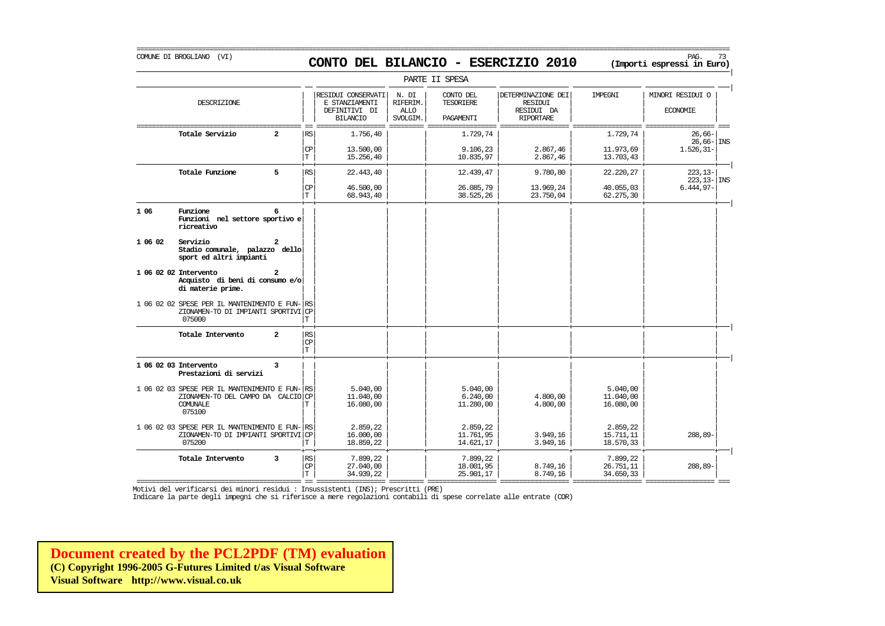# COMUNE DI BROGLIANO (VI) PAG. 73 **CONTO DEL BILANCIO - ESERCIZIO 2010 (Importi espressi in Euro)**

|         |                                                                                                            |                |                                    |                                                                          |                                              | PARTE II SPESA                             |                                                                        |                                    |                                     |
|---------|------------------------------------------------------------------------------------------------------------|----------------|------------------------------------|--------------------------------------------------------------------------|----------------------------------------------|--------------------------------------------|------------------------------------------------------------------------|------------------------------------|-------------------------------------|
|         | DESCRIZIONE                                                                                                |                |                                    | RESIDUI CONSERVATI<br>E STANZIAMENTI<br>DEFINITIVI DI<br><b>BILANCIO</b> | N. DI<br>RIFERIM.<br><b>ALLO</b><br>SVOLGIM. | CONTO DEL<br><b>TESORIERE</b><br>PAGAMENTI | DETERMINAZIONE DEI<br><b>RESIDUI</b><br>RESIDUI DA<br><b>RIPORTARE</b> | IMPEGNI                            | MINORI RESIDUI O<br><b>ECONOMIE</b> |
|         | Totale Servizio                                                                                            | 2              | RS                                 | 1.756,40                                                                 |                                              | 1.729,74                                   |                                                                        | 1.729,74                           | $26,66-$<br>$26,66 -  $ INS         |
|         |                                                                                                            |                | СP<br>T                            | 13.500,00<br>15.256,40                                                   |                                              | 9.106,23<br>10.835,97                      | 2.867,46<br>2.867,46                                                   | 11.973,69<br>13.703,43             | $1.526, 31-$                        |
|         | Totale Funzione                                                                                            | 5              | RS                                 | 22,443,40                                                                |                                              | 12.439,47                                  | 9.780,80                                                               | 22.220,27                          | $223, 13-$<br>$223.13 -$ INS        |
|         |                                                                                                            |                | CP<br>$\mathbf T$                  | 46.500,00<br>68.943,40                                                   |                                              | 26.085,79<br>38.525,26                     | 13.969,24<br>23.750,04                                                 | 40.055,03<br>62.275,30             | $6.444,97-$                         |
| 1 0 6   | Funzione<br>Funzioni nel settore sportivo e<br>ricreativo                                                  | 6              |                                    |                                                                          |                                              |                                            |                                                                        |                                    |                                     |
| 1 06 02 | Servizio<br>Stadio comunale, palazzo dello<br>sport ed altri impianti                                      |                |                                    |                                                                          |                                              |                                            |                                                                        |                                    |                                     |
|         | 1 06 02 02 Intervento<br>Acquisto di beni di consumo e/o<br>di materie prime.                              |                |                                    |                                                                          |                                              |                                            |                                                                        |                                    |                                     |
|         | 1 06 02 02 SPESE PER IL MANTENIMENTO E FUN- RS<br>ZIONAMEN-TO DI IMPIANTI SPORTIVI CP<br>075000            |                | $\mathbf T$                        |                                                                          |                                              |                                            |                                                                        |                                    |                                     |
|         | Totale Intervento                                                                                          | $\overline{a}$ | RS<br>CP<br>$\mathbf T$            |                                                                          |                                              |                                            |                                                                        |                                    |                                     |
|         | 1 06 02 03 Intervento<br>Prestazioni di servizi                                                            | 3              |                                    |                                                                          |                                              |                                            |                                                                        |                                    |                                     |
|         | 1 06 02 03 SPESE PER IL MANTENIMENTO E FUN- RS<br>ZIONAMEN-TO DEL CAMPO DA CALCIO CP<br>COMUNALE<br>075100 |                | Т                                  | 5.040,00<br>11.040,00<br>16.080,00                                       |                                              | 5.040,00<br>6.240,00<br>11.280,00          | 4.800,00<br>4.800,00                                                   | 5.040,00<br>11.040,00<br>16.080,00 |                                     |
|         | 1 06 02 03 SPESE PER IL MANTENIMENTO E FUN- RS<br>ZIONAMEN-TO DI IMPIANTI SPORTIVI CP<br>075200            |                | T                                  | 2.859,22<br>16,000,00<br>18.859,22                                       |                                              | 2.859,22<br>11.761,95<br>14.621,17         | 3.949.16<br>3.949,16                                                   | 2.859,22<br>15.711,11<br>18.570,33 | 288,89-                             |
|         | Totale Intervento                                                                                          | 3              | RS <br>$\mathbf{C}\mathbf{P}$<br>T | 7.899,22<br>27,040,00<br>34.939,22                                       |                                              | 7.899,22<br>18.001,95<br>25.901,17         | 8.749,16<br>8.749,16                                                   | 7.899,22<br>26.751,11<br>34.650,33 | 288,89-                             |

=========================================== == ================== ========= ================== ================== ================== ================== === Motivi del verificarsi dei minori residui : Insussistenti (INS); Prescritti (PRE)

Indicare la parte degli impegni che si riferisce a mere regolazioni contabili di spese correlate alle entrate (COR)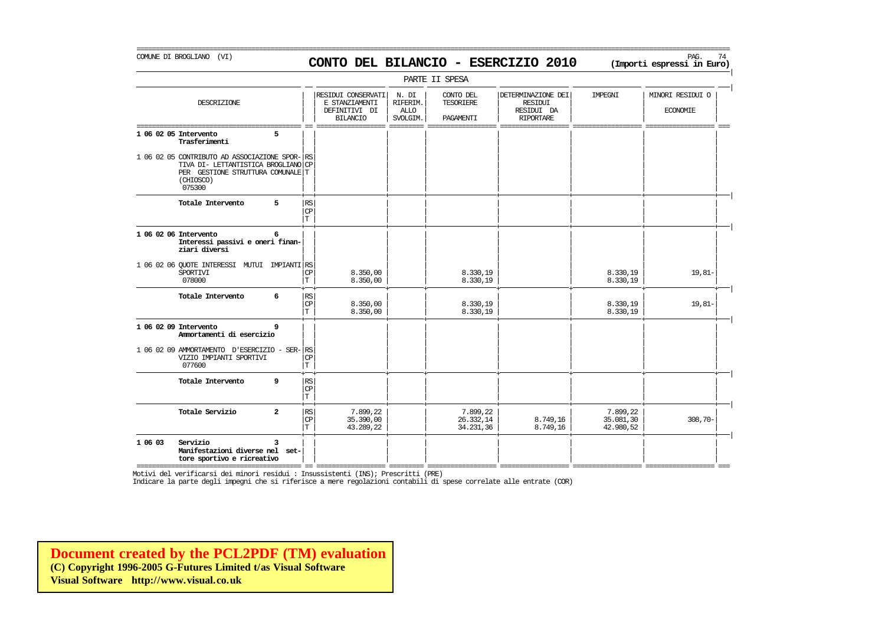# COMUNE DI BROGLIANO (VI) PAG. 74 **CONTO DEL BILANCIO - ESERCIZIO 2010 (Importi espressi in Euro)**

===========================================================================================================================================================

|                                                                                                                                                |                                           |                                                                          |                                       | PARTE II SPESA                             |                                                                        |                                    |                                     |
|------------------------------------------------------------------------------------------------------------------------------------------------|-------------------------------------------|--------------------------------------------------------------------------|---------------------------------------|--------------------------------------------|------------------------------------------------------------------------|------------------------------------|-------------------------------------|
| DESCRIZIONE                                                                                                                                    |                                           | RESIDUI CONSERVATI<br>E STANZIAMENTI<br>DEFINITIVI DI<br><b>BILANCIO</b> | N. DI<br>RIFERIM.<br>ALLO<br>SVOLGIM. | CONTO DEL<br><b>TESORIERE</b><br>PAGAMENTI | DETERMINAZIONE DEI<br><b>RESIDUI</b><br>RESIDUI DA<br><b>RIPORTARE</b> | IMPEGNI                            | MINORI RESIDUI O<br><b>ECONOMIE</b> |
| 1 06 02 05 Intervento<br>5<br>Trasferimenti                                                                                                    |                                           |                                                                          |                                       |                                            |                                                                        |                                    |                                     |
| 1 06 02 05 CONTRIBUTO AD ASSOCIAZIONE SPOR-<br>TIVA DI- LETTANTISTICA BROGLIANO CP<br>PER GESTIONE STRUTTURA COMUNALE T<br>(CHIOSCO)<br>075300 | <b>RS</b>                                 |                                                                          |                                       |                                            |                                                                        |                                    |                                     |
| Totale Intervento<br>5                                                                                                                         | RS<br><b>CP</b><br>T.                     |                                                                          |                                       |                                            |                                                                        |                                    |                                     |
| 1 06 02 06 Intervento<br>6<br>Interessi passivi e oneri finan-<br>ziari diversi                                                                |                                           |                                                                          |                                       |                                            |                                                                        |                                    |                                     |
| 1 06 02 06 QUOTE INTERESSI MUTUI IMPIANTI RS<br>SPORTIVI<br>078000                                                                             | CP<br>T                                   | 8.350,00<br>8.350,00                                                     |                                       | 8.330,19<br>8.330,19                       |                                                                        | 8.330,19<br>8.330,19               | $19,81-$                            |
| Totale Intervento<br>6                                                                                                                         | $\mathbb{RS}$<br><b>CP</b><br>T.          | 8.350,00<br>8.350,00                                                     |                                       | 8.330.19<br>8.330,19                       |                                                                        | 8.330.19<br>8.330,19               | $19,81-$                            |
| 1 06 02 09 Intervento<br>9<br>Ammortamenti di esercizio                                                                                        |                                           |                                                                          |                                       |                                            |                                                                        |                                    |                                     |
| 1 06 02 09 AMMORTAMENTO D'ESERCIZIO - SER-<br>VIZIO IMPIANTI SPORTIVI<br>077600                                                                | RS<br><b>CP</b><br>T                      |                                                                          |                                       |                                            |                                                                        |                                    |                                     |
| Totale Intervento<br>9                                                                                                                         | RS<br>CP<br>T.                            |                                                                          |                                       |                                            |                                                                        |                                    |                                     |
| Totale Servizio<br>$\overline{a}$                                                                                                              | $\mathbb{R}\mathbb{S}$<br><b>CP</b><br>T. | 7.899,22<br>35,390,00<br>43.289,22                                       |                                       | 7.899,22<br>26.332,14<br>34.231,36         | 8.749,16<br>8.749,16                                                   | 7.899,22<br>35.081,30<br>42.980,52 | $308,70-$                           |
| Servizio<br>1 06 03<br>3<br>Manifestazioni diverse nel set-<br>tore sportivo e ricreativo                                                      |                                           |                                                                          |                                       |                                            |                                                                        |                                    |                                     |

=========================================== == ================== ========= ================== ================== ================== ================== === Motivi del verificarsi dei minori residui : Insussistenti (INS); Prescritti (PRE)

Indicare la parte degli impegni che si riferisce a mere regolazioni contabili di spese correlate alle entrate (COR)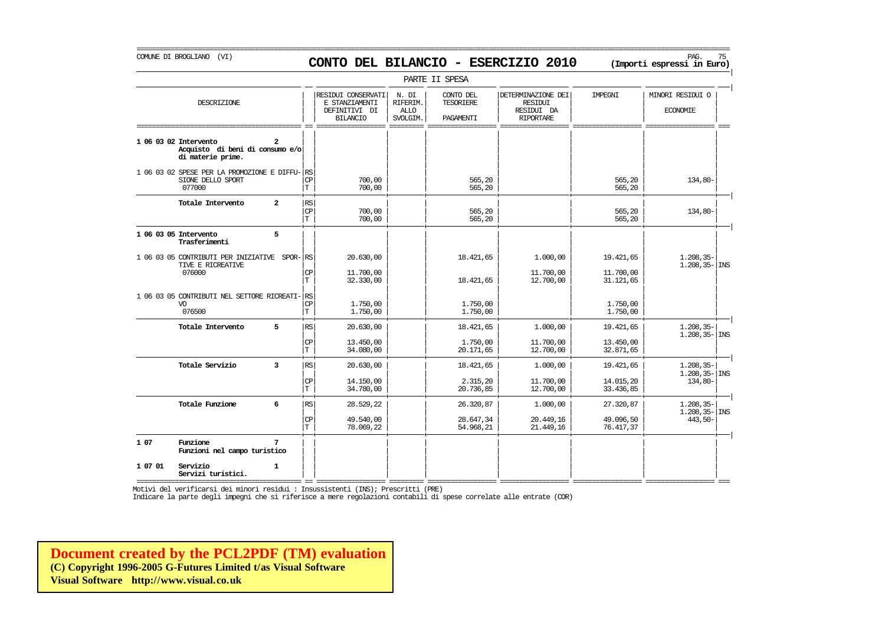### COMUNE DI BROGLIANO (VI) PAG. 75 **CONTO DEL BILANCIO - ESERCIZIO 2010 (Importi espressi in Euro)**

===========================================================================================================================================================

|                                            |                                                   |                                    |                                                                          |                                              | PARTE II SPESA                             |                                                                 |                                     |                                                  |
|--------------------------------------------|---------------------------------------------------|------------------------------------|--------------------------------------------------------------------------|----------------------------------------------|--------------------------------------------|-----------------------------------------------------------------|-------------------------------------|--------------------------------------------------|
|                                            | DESCRIZIONE                                       |                                    | RESIDUI CONSERVATI<br>E STANZIAMENTI<br>DEFINITIVI DI<br><b>BILANCIO</b> | N. DI<br>RIFERIM.<br><b>ALLO</b><br>SVOLGIM. | CONTO DEL<br><b>TESORIERE</b><br>PAGAMENTI | DETERMINAZIONE DEI<br><b>RESIDUI</b><br>RESIDUI DA<br>RIPORTARE | IMPEGNI                             | MINORI RESIDUI O<br><b>ECONOMIE</b>              |
| 1 06 03 02 Intervento<br>di materie prime. | $\overline{a}$<br>Acquisto di beni di consumo e/o |                                    |                                                                          |                                              |                                            |                                                                 |                                     |                                                  |
| SIONE DELLO SPORT<br>077000                | 1 06 03 02 SPESE PER LA PROMOZIONE E DIFFU- RS    | <b>CP</b><br>T.                    | 700,00<br>700,00                                                         |                                              | 565,20<br>565,20                           |                                                                 | 565,20<br>565,20                    | 134,80-                                          |
| Totale Intervento                          | $\overline{a}$                                    | RS<br>CP<br>T.                     | 700,00<br>700,00                                                         |                                              | 565,20<br>565,20                           |                                                                 | 565,20<br>565,20                    | $134,80-$                                        |
| 1 06 03 05 Intervento<br>Trasferimenti     | 5                                                 |                                    |                                                                          |                                              |                                            |                                                                 |                                     |                                                  |
| TIVE E RICREATIVE<br>076000                | 1 06 03 05 CONTRIBUTI PER INIZIATIVE SPOR- RS     | CP<br>T.                           | 20.630,00<br>11.700,00<br>32.330,00                                      |                                              | 18.421,65<br>18.421,65                     | 1.000,00<br>11.700,00<br>12,700,00                              | 19.421,65<br>11.700,00<br>31.121,65 | $1.208, 35-$<br>$1.208, 35 -  $ INS              |
| VO<br>076500                               | 1 06 03 05 CONTRIBUTI NEL SETTORE RICREATI-       | RS<br>CP<br>l T                    | 1,750,00<br>1,750,00                                                     |                                              | 1,750,00<br>1.750,00                       |                                                                 | 1.750,00<br>1,750,00                |                                                  |
| Totale Intervento                          | 5                                                 | RS<br><b>CP</b><br>T.              | 20.630,00<br>13.450,00<br>34.080,00                                      |                                              | 18.421,65<br>1,750,00<br>20.171,65         | 1,000,00<br>11.700,00<br>12.700,00                              | 19.421,65<br>13.450,00<br>32.871,65 | $1,208,35-$<br>$1.208, 35 -  $ INS               |
| Totale Servizio                            | $\overline{\mathbf{3}}$                           | RS<br>CP<br>İт.                    | 20.630,00<br>14.150,00<br>34.780,00                                      |                                              | 18.421,65<br>2.315,20<br>20.736,85         | 1,000,00<br>11.700,00<br>12,700,00                              | 19.421,65<br>14.015,20<br>33.436,85 | $1.208, 35-$<br>$1.208, 35 -  $ INS<br>$134,80-$ |
| Totale Funzione                            | 6                                                 | $\mathbb{R}\mathbb{S}$<br>CP<br>T. | 28.529,22<br>49.540,00<br>78.069,22                                      |                                              | 26.320,87<br>28.647,34<br>54.968,21        | 1.000,00<br>20.449,16<br>21, 449, 16                            | 27.320,87<br>49.096,50<br>76.417,37 | $1.208, 35 -$<br>$1,208,35 -$ INS<br>443,50-     |
| 1 07<br>Funzione                           | Funzioni nel campo turistico                      |                                    |                                                                          |                                              |                                            |                                                                 |                                     |                                                  |
| 1 07 01<br>Servizio<br>Servizi turistici.  | $\mathbf{1}$                                      |                                    |                                                                          |                                              |                                            |                                                                 |                                     |                                                  |

=========================================== == ================== ========= ================== ================== ================== ================== ===

Motivi del verificarsi dei minori residui : Insussistenti (INS); Prescritti (PRE)

Indicare la parte degli impegni che si riferisce a mere regolazioni contabili di spese correlate alle entrate (COR)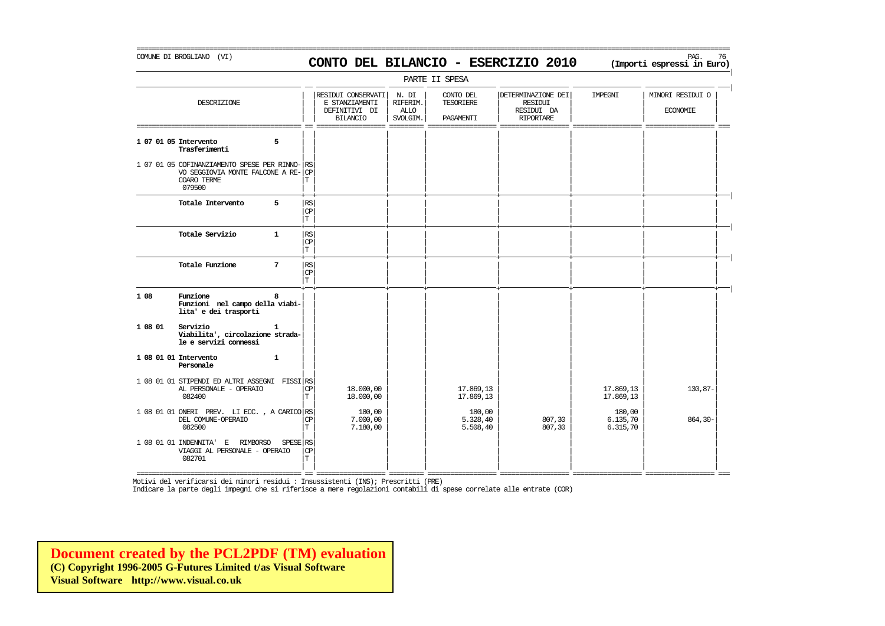# COMUNE DI BROGLIANO (VI) PAG. 76 **CONTO DEL BILANCIO - ESERCIZIO 2010 (Importi espressi in Euro)**

===========================================================================================================================================================

|         |                                                                                                          |                 |                              |                                                                          |                                              | PARTE II SPESA                             |                                                                        |                                |                                     |
|---------|----------------------------------------------------------------------------------------------------------|-----------------|------------------------------|--------------------------------------------------------------------------|----------------------------------------------|--------------------------------------------|------------------------------------------------------------------------|--------------------------------|-------------------------------------|
|         | DESCRIZIONE                                                                                              |                 |                              | RESIDUI CONSERVATI<br>E STANZIAMENTI<br>DEFINITIVI DI<br><b>BILANCIO</b> | N. DI<br>RIFERIM.<br><b>ALLO</b><br>SVOLGIM. | CONTO DEL<br><b>TESORIERE</b><br>PAGAMENTI | DETERMINAZIONE DEI<br><b>RESIDUI</b><br>RESIDUI DA<br><b>RIPORTARE</b> | IMPEGNI                        | MINORI RESIDUI O<br><b>ECONOMIE</b> |
|         | 1 07 01 05 Intervento<br>Trasferimenti                                                                   | 5               |                              |                                                                          |                                              |                                            |                                                                        |                                |                                     |
|         | 1 07 01 05 COFINANZIAMENTO SPESE PER RINNO-<br>VO SEGGIOVIA MONTE FALCONE A RE-<br>COARO TERME<br>079500 |                 | <b>RS</b><br><b>CP</b><br>T. |                                                                          |                                              |                                            |                                                                        |                                |                                     |
|         | Totale Intervento                                                                                        | 5               | RS<br>CP<br>T                |                                                                          |                                              |                                            |                                                                        |                                |                                     |
|         | Totale Servizio                                                                                          | $\mathbf{1}$    | $\mathbb{RS}$<br>CP<br>T.    |                                                                          |                                              |                                            |                                                                        |                                |                                     |
|         | Totale Funzione                                                                                          | $7\phantom{.0}$ | RS<br>CP<br>T                |                                                                          |                                              |                                            |                                                                        |                                |                                     |
| 1 08    | Funzione<br>Funzioni nel campo della viabi-<br>lita' e dei trasporti                                     | 8               |                              |                                                                          |                                              |                                            |                                                                        |                                |                                     |
| 1 08 01 | Servizio<br>Viabilita', circolazione strada-<br>le e servizi connessi                                    | 1               |                              |                                                                          |                                              |                                            |                                                                        |                                |                                     |
|         | 1 08 01 01 Intervento<br>Personale                                                                       | $\mathbf{1}$    |                              |                                                                          |                                              |                                            |                                                                        |                                |                                     |
|         | 1 08 01 01 STIPENDI ED ALTRI ASSEGNI FISSI RS<br>AL PERSONALE - OPERAIO<br>082400                        |                 | <b>CP</b><br>T.              | 18,000,00<br>18.000,00                                                   |                                              | 17.869,13<br>17.869,13                     |                                                                        | 17.869,13<br>17.869,13         | 130,87-                             |
|         | 1 08 01 01 ONERI PREV. LI ECC., A CARICO RS<br>DEL COMUNE-OPERAIO<br>082500                              |                 | CP<br>T.                     | 180,00<br>7.000,00<br>7.180,00                                           |                                              | 180,00<br>5.328,40<br>5.508,40             | 807,30<br>807,30                                                       | 180,00<br>6.135,70<br>6.315,70 | 864,30-                             |
|         | 1 08 01 01 INDENNITA' E<br>RIMBORSO<br>VIAGGI AL PERSONALE - OPERAIO<br>082701                           | SPESE RS        | <b>CP</b><br>T               |                                                                          |                                              |                                            |                                                                        |                                |                                     |

Motivi del verificarsi dei minori residui : Insussistenti (INS); Prescritti (PRE)

Indicare la parte degli impegni che si riferisce a mere regolazioni contabili di spese correlate alle entrate (COR)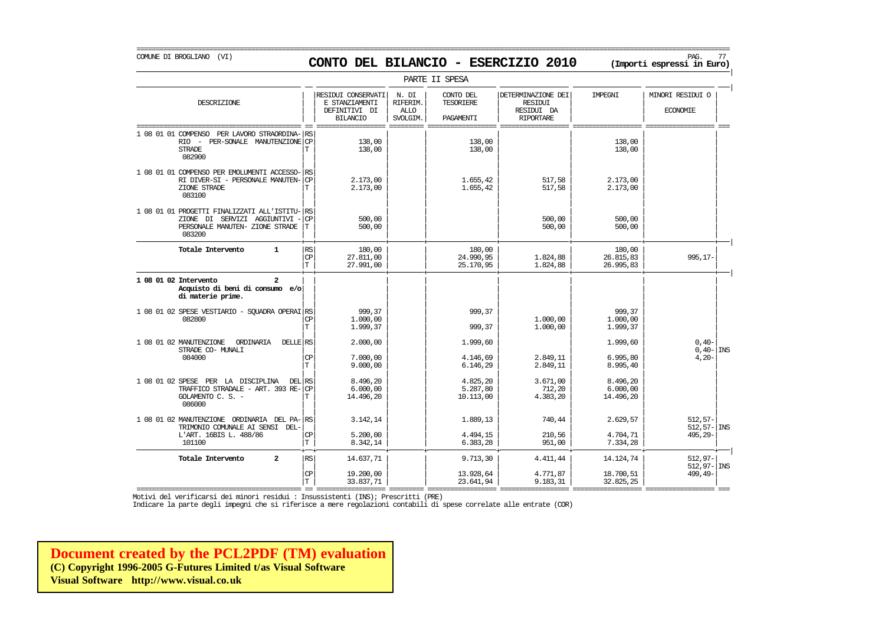# COMUNE DI BROGLIANO (VI) PAG. 77 **CONTO DEL BILANCIO - ESERCIZIO 2010 (Importi espressi in Euro)**

===========================================================================================================================================================

|                                                                                                                         |                                  |                                                                          |                                              | PARTE II SPESA                             |                                                                        |                                   |                                            |
|-------------------------------------------------------------------------------------------------------------------------|----------------------------------|--------------------------------------------------------------------------|----------------------------------------------|--------------------------------------------|------------------------------------------------------------------------|-----------------------------------|--------------------------------------------|
| DESCRIZIONE                                                                                                             |                                  | RESIDUI CONSERVATI<br>E STANZIAMENTI<br>DEFINITIVI DI<br><b>BILANCIO</b> | N. DI<br>RIFERIM.<br><b>ALLO</b><br>SVOLGIM. | CONTO DEL<br><b>TESORIERE</b><br>PAGAMENTI | DETERMINAZIONE DEI<br><b>RESIDUI</b><br>RESIDUI DA<br><b>RIPORTARE</b> | IMPEGNI                           | MINORI RESIDUI O<br><b>ECONOMIE</b>        |
| 1 08 01 01 COMPENSO<br>PER LAVORO STRAORDINA-<br>RIO - PER-SONALE MANUTENZIONE CP<br><b>STRADE</b><br>082900            | RS<br>T                          | 138,00<br>138,00                                                         |                                              | 138,00<br>138,00                           |                                                                        | 138,00<br>138,00                  |                                            |
| 1 08 01 01 COMPENSO PER EMOLUMENTI ACCESSO-<br>RI DIVER-SI - PERSONALE MANUTEN-<br>ZIONE STRADE<br>083100               | <b>RS</b><br>CP<br>T             | 2.173,00<br>2.173,00                                                     |                                              | 1.655,42<br>1.655,42                       | 517,58<br>517,58                                                       | 2.173,00<br>2.173,00              |                                            |
| 1 08 01 01 PROGETTI FINALIZZATI ALL'ISTITU-<br>ZIONE DI SERVIZI AGGIUNTIVI<br>PERSONALE MANUTEN- ZIONE STRADE<br>083200 | l RS<br><b>CP</b><br>T           | 500,00<br>500,00                                                         |                                              |                                            | 500,00<br>500,00                                                       | 500,00<br>500,00                  |                                            |
| Totale Intervento<br>$\mathbf{1}$                                                                                       | <b>RS</b><br>$\mathbf{CP}$<br>Iт | 180,00<br>27.811,00<br>27.991,00                                         |                                              | 180,00<br>24.990,95<br>25.170,95           | 1.824,88<br>1.824,88                                                   | 180,00<br>26.815,83<br>26.995,83  | $995, 17-$                                 |
| 1 08 01 02 Intervento<br>$\mathbf{z}$<br>Acquisto di beni di consumo e/o<br>di materie prime.                           |                                  |                                                                          |                                              |                                            |                                                                        |                                   |                                            |
| 1 08 01 02 SPESE VESTIARIO - SOUADRA OPERAI RS<br>082800                                                                | <b>CP</b><br>$\mathbf T$         | 999,37<br>1,000,00<br>1.999,37                                           |                                              | 999.37<br>999,37                           | 1,000,00<br>1,000,00                                                   | 999,37<br>1,000,00<br>1.999,37    |                                            |
| 1 08 01 02 MANUTENZIONE<br>ORDINARIA<br>DELLE RS<br>STRADE CO- MUNALI<br>084000                                         | CP<br>$\mathbf T$                | 2,000,00<br>7.000,00<br>9.000.00                                         |                                              | 1.999,60<br>4.146.69<br>6.146,29           | 2.849.11<br>2.849,11                                                   | 1.999,60<br>6.995.80<br>8.995,40  | $0,40-$<br>$0,40 -  $ INS<br>$4,20-$       |
| 1 08 01 02 SPESE PER LA DISCIPLINA<br>TRAFFICO STRADALE - ART. 393 RE-<br>GOLAMENTO C. S. -<br>086000                   | DEL RS<br><b>CP</b><br>Т         | 8.496,20<br>6.000,00<br>14.496,20                                        |                                              | 4.825,20<br>5.287,80<br>10.113,00          | 3.671,00<br>712,20<br>4.383,20                                         | 8.496,20<br>6.000,00<br>14.496,20 |                                            |
| 1 08 01 02 MANUTENZIONE ORDINARIA DEL PA-RS<br>TRIMONIO COMUNALE AI SENSI DEL-<br>L'ART. 16BIS L. 488/86<br>101100      | СP<br>T                          | 3.142,14<br>5.200,00<br>8.342,14                                         |                                              | 1.889,13<br>4.494,15<br>6.383,28           | 740,44<br>210,56<br>951,00                                             | 2.629,57<br>4.704,71<br>7.334,28  | $512, 57-$<br>$512, 57 -  $ INS<br>495,29- |
| $\overline{a}$<br>Totale Intervento                                                                                     | $\mathbb{R}\mathbb{S}$           | 14.637,71                                                                |                                              | 9.713,30                                   | 4.411,44                                                               | 14.124,74                         | $512.97-$<br>$512, 97 -$ INS               |
|                                                                                                                         | CP<br>m.                         | 19,200,00<br>22 227 71                                                   |                                              | 13.928,64<br>22,611,01                     | 4.771,87<br>0 1 0 2 2 1                                                | 18.700,51<br>22.925.25            | $499, 49-$                                 |

| | | | | | | | T 33.837,71 23.641,94 9.183,31 32.825,25 =========================================== == ================== ========= ================== ================== ================== ================== === Motivi del verificarsi dei minori residui : Insussistenti (INS); Prescritti (PRE)

Indicare la parte degli impegni che si riferisce a mere regolazioni contabili di spese correlate alle entrate (COR)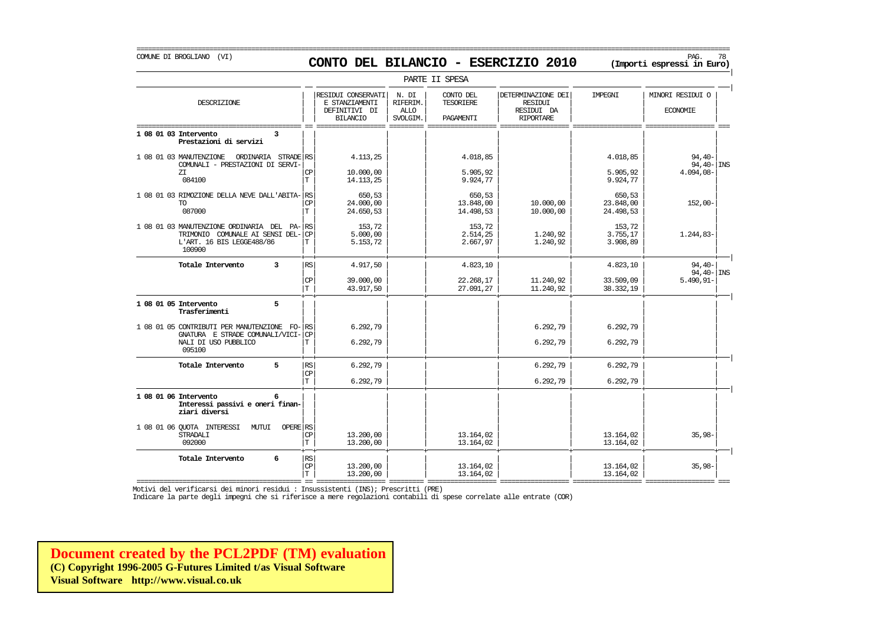# COMUNE DI BROGLIANO (VI) PAG. 78 **CONTO DEL BILANCIO - ESERCIZIO 2010 (Importi espressi in Euro)**

===========================================================================================================================================================

|                                                                                                                       |                                |                                                                          |                                              | PARTE II SPESA                                    |                                                                        |                                  |                                     |
|-----------------------------------------------------------------------------------------------------------------------|--------------------------------|--------------------------------------------------------------------------|----------------------------------------------|---------------------------------------------------|------------------------------------------------------------------------|----------------------------------|-------------------------------------|
| DESCRIZIONE                                                                                                           |                                | RESIDUI CONSERVATI<br>E STANZIAMENTI<br>DEFINITIVI DI<br><b>BILANCIO</b> | N. DI<br>RIFERIM.<br><b>ALLO</b><br>SVOLGIM. | CONTO DEL<br><b>TESORIERE</b><br><b>PAGAMENTT</b> | DETERMINAZIONE DEI<br><b>RESIDUI</b><br>RESIDUI DA<br><b>RIPORTARE</b> | <b>TMPRGNT</b>                   | MINORI RESIDUI O<br><b>ECONOMIE</b> |
| 1 08 01 03 Intervento<br>3<br>Prestazioni di servizi                                                                  |                                |                                                                          |                                              |                                                   |                                                                        |                                  |                                     |
| 1 08 01 03 MANUTENZIONE<br>ORDINARIA STRADE RS<br>COMUNALI - PRESTAZIONI DI SERVI-                                    |                                | 4.113,25                                                                 |                                              | 4.018,85                                          |                                                                        | 4.018,85                         | $94,40-$<br>$94,40 -$ INS           |
| ZT.<br>084100                                                                                                         | СP<br>T                        | 10,000,00<br>14.113,25                                                   |                                              | 5.905.92<br>9.924,77                              |                                                                        | 5.905,92<br>9.924,77             | 4.094,08-                           |
| 1 08 01 03 RIMOZIONE DELLA NEVE DALL'ABITA-<br><b>TO</b><br>087000                                                    | RS<br><b>CP</b><br>$\mathbf T$ | 650.53<br>24,000,00<br>24.650,53                                         |                                              | 650.53<br>13.848,00<br>14.498,53                  | 10.000,00<br>10.000,00                                                 | 650,53<br>23.848,00<br>24.498,53 | $152,00-$                           |
| 1 08 01 03 MANUTENZIONE ORDINARIA DEL PA-RS<br>TRIMONIO COMUNALE AI SENSI DEL-<br>L'ART. 16 BIS LEGGE488/86<br>100900 | <b>CP</b><br>Т                 | 153,72<br>5.000,00<br>5.153,72                                           |                                              | 153,72<br>2.514,25<br>2.667,97                    | 1.240,92<br>1.240,92                                                   | 153,72<br>3.755,17<br>3.908,89   | $1.244,83-$                         |
| Totale Intervento<br>3                                                                                                | <b>RS</b>                      | 4.917,50                                                                 |                                              | 4.823,10                                          |                                                                        | 4.823,10                         | $94,40-$<br>$94,40 -  $ INS         |
|                                                                                                                       | CP<br>$\mathbf T$              | 39,000,00<br>43.917,50                                                   |                                              | 22.268,17<br>27.091,27                            | 11.240,92<br>11.240,92                                                 | 33.509,09<br>38.332,19           | $5.490, 91 -$                       |
| 5<br>1 08 01 05 Intervento<br>Trasferimenti                                                                           |                                |                                                                          |                                              |                                                   |                                                                        |                                  |                                     |
| 1 08 01 05 CONTRIBUTI PER MANUTENZIONE FO- RS<br>GNATURA E STRADE COMUNALI/VICI-<br>NALI DI USO PUBBLICO<br>095100    | CP<br>Т                        | 6.292,79<br>6.292,79                                                     |                                              |                                                   | 6.292,79<br>6.292,79                                                   | 6.292,79<br>6.292,79             |                                     |
| 5<br>Totale Intervento                                                                                                | RS<br>$\mathbf{CP}$            | 6.292,79                                                                 |                                              |                                                   | 6.292,79                                                               | 6.292,79                         |                                     |
|                                                                                                                       | $\mathbf T$                    | 6.292,79                                                                 |                                              |                                                   | 6.292,79                                                               | 6.292,79                         |                                     |
| 1 08 01 06 Intervento<br>6<br>Interessi passivi e oneri finan-<br>ziari diversi                                       |                                |                                                                          |                                              |                                                   |                                                                        |                                  |                                     |
| 1 08 01 06 OUOTA INTERESSI<br>OPERE RS<br>MUTUI<br>STRADALI<br>092000                                                 | CP<br>T                        | 13,200,00<br>13,200,00                                                   |                                              | 13.164,02<br>13.164,02                            |                                                                        | 13.164,02<br>13.164,02           | $35,98-$                            |
| 6<br>Totale Intervento                                                                                                | RS <br>CP<br>$\mathbf T$       | 13,200,00<br>13,200,00                                                   |                                              | 13.164.02<br>13.164,02                            |                                                                        | 13.164,02<br>13.164,02           | $35,98-$                            |

=========================================== == ================== ========= ================== ================== ================== ================== === Motivi del verificarsi dei minori residui : Insussistenti (INS); Prescritti (PRE)

Indicare la parte degli impegni che si riferisce a mere regolazioni contabili di spese correlate alle entrate (COR)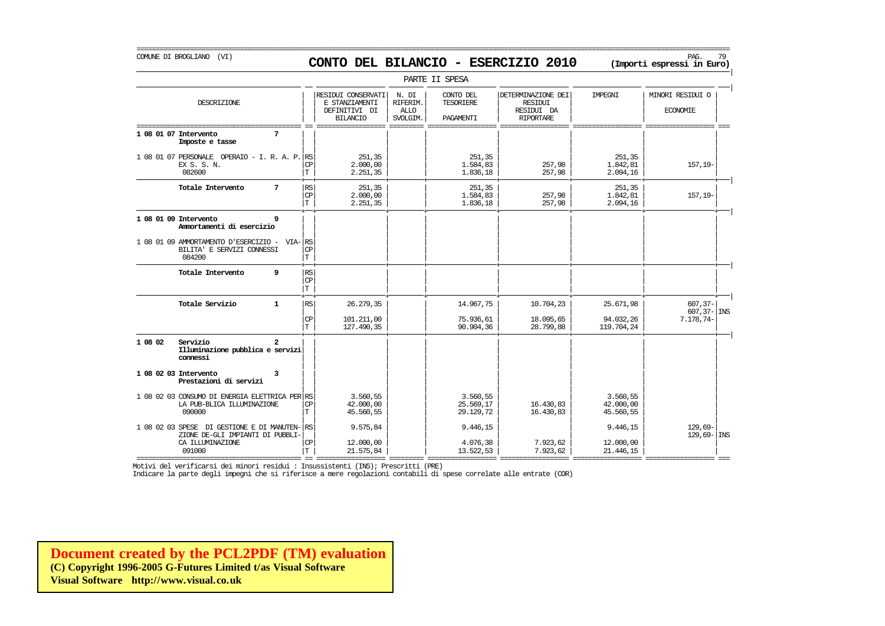# COMUNE DI BROGLIANO (VI) PAG. 79 **CONTO DEL BILANCIO - ESERCIZIO 2010 (Importi espressi in Euro)**

===========================================================================================================================================================

|                                                                                        |                          |                                                                          |                                                    | PARTE II SPESA                             |                                                                        |                                    |                                     |
|----------------------------------------------------------------------------------------|--------------------------|--------------------------------------------------------------------------|----------------------------------------------------|--------------------------------------------|------------------------------------------------------------------------|------------------------------------|-------------------------------------|
| DESCRIZIONE                                                                            |                          | RESIDUI CONSERVATI<br>E STANZIAMENTI<br>DEFINITIVI DI<br><b>BILANCIO</b> | N. DI<br><b>RIFERIM</b><br><b>ALLO</b><br>SVOLGIM. | CONTO DEL<br><b>TESORIERE</b><br>PAGAMENTI | DETERMINAZIONE DEI<br><b>RESIDUI</b><br>RESIDUI DA<br><b>RIPORTARE</b> | IMPEGNI                            | MINORI RESIDUI O<br><b>ECONOMIE</b> |
| 1 08 01 07 Intervento<br>7<br>Imposte e tasse                                          |                          |                                                                          |                                                    |                                            |                                                                        |                                    |                                     |
| 1 08 01 07 PERSONALE OPERAIO - I. R. A. P. RS<br>EX S. S. N.<br>082600                 | СP<br>T                  | 251,35<br>2,000,00<br>2.251,35                                           |                                                    | 251,35<br>1.584,83<br>1.836,18             | 257,98<br>257,98                                                       | 251,35<br>1.842,81<br>2.094,16     | 157,19-                             |
| 7<br>Totale Intervento                                                                 | $\mathbb{RS}$<br>CP<br>T | 251,35<br>2,000,00<br>2.251, 35                                          |                                                    | 251,35<br>1.584,83<br>1.836,18             | 257,98<br>257,98                                                       | 251,35<br>1.842,81<br>2.094,16     | $157, 19-$                          |
| 1 08 01 09 Intervento<br>9<br>Ammortamenti di esercizio                                |                          |                                                                          |                                                    |                                            |                                                                        |                                    |                                     |
| 1 08 01 09 AMMORTAMENTO D'ESERCIZIO - VIA-RS<br>BILITA' E SERVIZI CONNESSI<br>084200   | $_{\rm CP}$<br>T.        |                                                                          |                                                    |                                            |                                                                        |                                    |                                     |
| Totale Intervento<br>9                                                                 | RS<br>$_{\rm CP}$<br>T   |                                                                          |                                                    |                                            |                                                                        |                                    |                                     |
| Totale Servizio<br>$\mathbf{1}$                                                        | $\mathbb{RS}$            | 26, 279, 35                                                              |                                                    | 14.967,75                                  | 10.704,23                                                              | 25.671,98                          | $607, 37 -$<br>$607, 37 -  $ INS    |
|                                                                                        | $_{\rm CP}$<br>T         | 101.211,00<br>127,490,35                                                 |                                                    | 75.936,61<br>90.904,36                     | 18.095,65<br>28.799,88                                                 | 94.032,26<br>119.704,24            | 7.178,74-                           |
| 1 08 02<br>$\overline{a}$<br>Servizio<br>Illuminazione pubblica e servizi<br>connessi  |                          |                                                                          |                                                    |                                            |                                                                        |                                    |                                     |
| 1 08 02 03 Intervento<br>3<br>Prestazioni di servizi                                   |                          |                                                                          |                                                    |                                            |                                                                        |                                    |                                     |
| 1 08 02 03 CONSUMO DI ENERGIA ELETTRICA PER RS<br>LA PUB-BLICA ILLUMINAZIONE<br>090000 | $_{\mathrm{CP}}$<br>T    | 3.560,55<br>42.000,00<br>45.560,55                                       |                                                    | 3.560,55<br>25.569,17<br>29.129,72         | 16.430,83<br>16.430,83                                                 | 3.560,55<br>42.000,00<br>45.560,55 |                                     |
| 1 08 02 03 SPESE DI GESTIONE E DI MANUTEN- RS<br>ZIONE DE-GLI IMPIANTI DI PUBBLI-      |                          | 9.575,84                                                                 |                                                    | 9.446,15                                   |                                                                        | 9.446,15                           | $129.69-$<br>$129,69 -$ INS         |
| CA ILLUMINAZIONE<br>091000                                                             | $_{\mathrm{CP}}$<br>T    | 12,000,00<br>21.575,84                                                   |                                                    | 4.076,38<br>13.522,53                      | 7.923,62<br>7.923,62                                                   | 12,000,00<br>21, 446, 15           |                                     |

=========================================== == ================== ========= ================== ================== ================== ================== === Motivi del verificarsi dei minori residui : Insussistenti (INS); Prescritti (PRE)

Indicare la parte degli impegni che si riferisce a mere regolazioni contabili di spese correlate alle entrate (COR)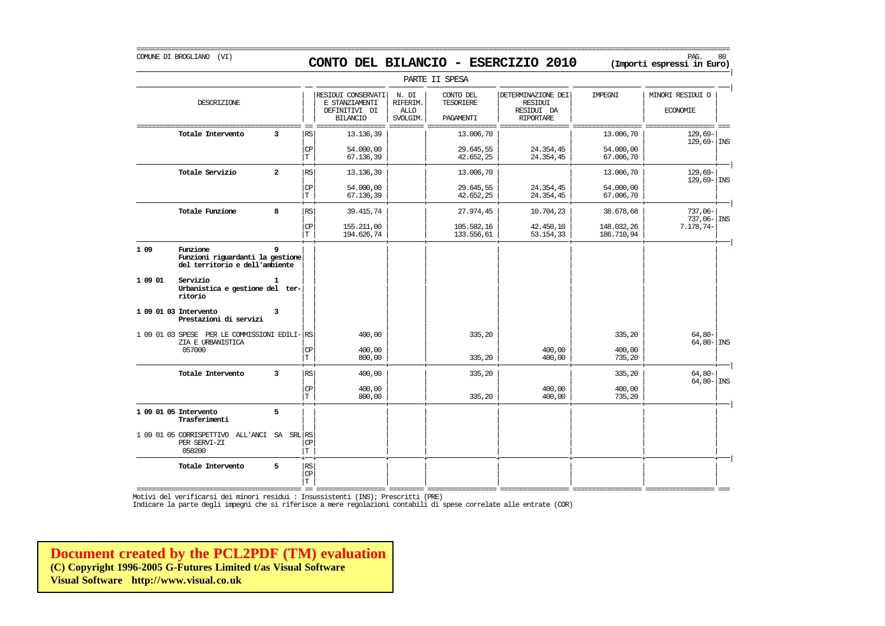COMUNE DI BROGLIANO (VI) PAG. 80 **CONTO DEL BILANCIO - ESERCIZIO 2010 (Importi espressi in Euro)** 

|         |                                                                                |                |                             |                                                                          |                                              | PARTE II SPESA                      |                                                                 |                          |                                     |
|---------|--------------------------------------------------------------------------------|----------------|-----------------------------|--------------------------------------------------------------------------|----------------------------------------------|-------------------------------------|-----------------------------------------------------------------|--------------------------|-------------------------------------|
|         | DESCRIZIONE                                                                    |                |                             | RESIDUI CONSERVATI<br>E STANZIAMENTI<br>DEFINITIVI DI<br><b>BILANCIO</b> | N. DI<br>RIFERIM.<br><b>ALLO</b><br>SVOLGIM. | CONTO DEL<br>TESORIERE<br>PAGAMENTI | DETERMINAZIONE DEI<br>RESIDUI<br>RESIDUI DA<br><b>RIPORTARE</b> | IMPEGNI                  | MINORI RESIDUI O<br><b>ECONOMIE</b> |
|         | Totale Intervento                                                              | 3              | RS                          | 13.136,39                                                                |                                              | 13.006,70                           |                                                                 | 13.006,70                | 129,69-<br>$129,69 -$ INS           |
|         |                                                                                |                | CP<br>T                     | 54.000,00<br>67.136,39                                                   |                                              | 29.645,55<br>42.652,25              | 24.354,45<br>24.354,45                                          | 54.000,00<br>67.006,70   |                                     |
|         | Totale Servizio                                                                | $\overline{a}$ | RS                          | 13.136,39                                                                |                                              | 13.006,70                           |                                                                 | 13.006,70                | $129,69-$<br>$129,69 -  $ INS       |
|         |                                                                                |                | $\mathbb{C}\mathbb{P}$<br>T | 54.000,00<br>67.136,39                                                   |                                              | 29.645,55<br>42.652,25              | 24.354,45<br>24.354,45                                          | 54.000,00<br>67.006,70   |                                     |
|         | Totale Funzione                                                                | 8              | RS                          | 39.415,74                                                                |                                              | 27.974,45                           | 10.704,23                                                       | 38.678,68                | $737,06-$<br>737,06-INS             |
|         |                                                                                |                | CP<br>$\mathbf T$           | 155.211,00<br>194.626,74                                                 |                                              | 105.582,16<br>133.556,61            | 42.450,10<br>53.154,33                                          | 148.032,26<br>186.710,94 | $7.178, 74-$                        |
| 1 09    | Funzione<br>Funzioni riguardanti la gestione<br>del territorio e dell'ambiente | 9              |                             |                                                                          |                                              |                                     |                                                                 |                          |                                     |
| 1 09 01 | Servizio<br>Urbanistica e gestione del ter-<br>ritorio                         | 1              |                             |                                                                          |                                              |                                     |                                                                 |                          |                                     |
|         | 1 09 01 03 Intervento<br>Prestazioni di servizi                                | 3              |                             |                                                                          |                                              |                                     |                                                                 |                          |                                     |
|         | 1 09 01 03 SPESE PER LE COMMISSIONI EDILI- RS<br>ZIA E URBANISTICA             |                |                             | 400,00                                                                   |                                              | 335,20                              |                                                                 | 335,20                   | $64,80-$<br>$64,80 -$ INS           |
|         | 057000                                                                         |                | СP<br>$\mathbf T$           | 400,00<br>800,00                                                         |                                              | 335,20                              | 400,00<br>400,00                                                | 400,00<br>735,20         |                                     |
|         | Totale Intervento                                                              | $\overline{3}$ | RS                          | 400,00                                                                   |                                              | 335,20                              |                                                                 | 335,20                   | $64,80-$<br>$64,80 - \vert$ INS     |
|         |                                                                                |                | $\mathbb{C}\mathbb{P}$<br>T | 400,00<br>800,00                                                         |                                              | 335,20                              | 400,00<br>400,00                                                | 400,00<br>735,20         |                                     |
|         | 1 09 01 05 Intervento<br>Trasferimenti                                         | 5              |                             |                                                                          |                                              |                                     |                                                                 |                          |                                     |
|         | 1 09 01 05 CORRISPETTIVO<br>ALL 'ANCI<br>PER SERVI-ZI<br>058200                | SA SRL RS      | СP<br>T                     |                                                                          |                                              |                                     |                                                                 |                          |                                     |
|         | Totale Intervento                                                              | 5              | RS<br>CP<br>T.              |                                                                          |                                              |                                     |                                                                 |                          |                                     |

=========================================== == ================== ========= ================== ================== ================== ================== === Motivi del verificarsi dei minori residui : Insussistenti (INS); Prescritti (PRE)

Indicare la parte degli impegni che si riferisce a mere regolazioni contabili di spese correlate alle entrate (COR)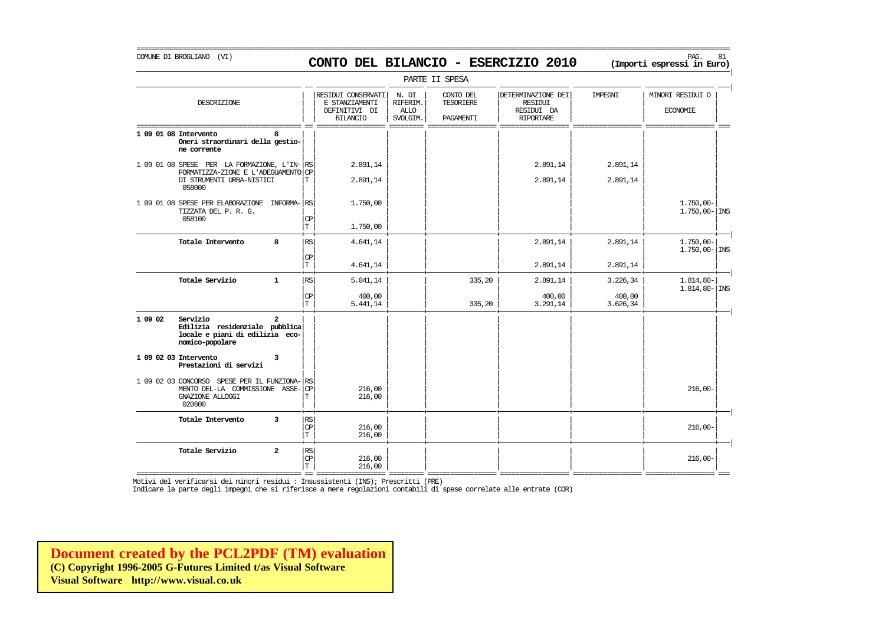# COMUNE DI BROGLIANO (VI) PAG. 81 **CONTO DEL BILANCIO - ESERCIZIO 2010 (Importi espressi in Euro)**

|                                                                                                                             |                           |                                                                          |                                              | PARTE II SPESA                      |                                                                        |                      |                                        |
|-----------------------------------------------------------------------------------------------------------------------------|---------------------------|--------------------------------------------------------------------------|----------------------------------------------|-------------------------------------|------------------------------------------------------------------------|----------------------|----------------------------------------|
| DESCRIZIONE                                                                                                                 |                           | RESIDUI CONSERVATI<br>E STANZIAMENTI<br>DEFINITIVI DI<br><b>BILANCIO</b> | N. DI<br>RIFERIM.<br><b>ALLO</b><br>SVOLGIM. | CONTO DEL<br>TESORIERE<br>PAGAMENTI | DETERMINAZIONE DEI<br><b>RESIDUI</b><br>RESIDUI DA<br><b>RIPORTARE</b> | IMPEGNI              | MINORI RESIDUI O<br><b>ECONOMIE</b>    |
| 1 09 01 08 Intervento<br>ឧ<br>Oneri straordinari della gestio-<br>ne corrente                                               |                           |                                                                          |                                              |                                     |                                                                        |                      |                                        |
| 1 09 01 08 SPESE PER LA FORMAZIONE, L'IN-<br>FORMATIZZA-ZIONE E L'ADEGUAMENTO<br>DI STRUMENTI URBA-NISTICI<br>058000        | RS<br><b>CP</b><br>T.     | 2.891,14<br>2.891,14                                                     |                                              |                                     | 2.891,14<br>2.891,14                                                   | 2.891,14<br>2.891,14 |                                        |
| 1 09 01 08 SPESE PER ELABORAZIONE INFORMA-<br>TIZZATA DEL P. R. G.<br>058100                                                | RS<br>CP<br>T             | 1,750,00<br>1.750,00                                                     |                                              |                                     |                                                                        |                      | $1.750,00 -$<br>$1.750,00 - \vert$ INS |
| Totale Intervento<br>8                                                                                                      | RS                        | 4.641,14                                                                 |                                              |                                     | 2.891,14                                                               | 2.891,14             | $1.750,00 -$<br>$1.750,00 - \vert$ INS |
|                                                                                                                             | СP<br>T.                  | 4.641,14                                                                 |                                              |                                     | 2.891,14                                                               | 2.891,14             |                                        |
| Totale Servizio<br>$\mathbf{1}$                                                                                             | RS                        | 5.041,14                                                                 |                                              | 335,20                              | 2.891,14                                                               | 3.226,34             | $1.814,80-$<br>$1.814, 80 - \vert$ INS |
|                                                                                                                             | <b>CP</b><br>T.           | 400,00<br>5.441,14                                                       |                                              | 335,20                              | 400,00<br>3.291,14                                                     | 400,00<br>3.626,34   |                                        |
| 1 09 02<br>Servizio<br>$\mathbf{2}$<br>Edilizia residenziale pubblica<br>locale e piani di edilizia eco-<br>nomico-popolare |                           |                                                                          |                                              |                                     |                                                                        |                      |                                        |
| 1 09 02 03 Intervento<br>3<br>Prestazioni di servizi                                                                        |                           |                                                                          |                                              |                                     |                                                                        |                      |                                        |
| 1 09 02 03 CONCORSO SPESE PER IL FUNZIONA-<br>MENTO DEL-LA COMMISSIONE ASSE-<br>GNAZIONE ALLOGGI<br>020600                  | RS<br><b>CP</b><br>T      | 216,00<br>216,00                                                         |                                              |                                     |                                                                        |                      | $216,00-$                              |
| $\overline{\mathbf{3}}$<br>Totale Intervento                                                                                | $\mathbb{RS}$<br>CP<br>T. | 216,00<br>216,00                                                         |                                              |                                     |                                                                        |                      | $216,00-$                              |
| Totale Servizio<br>$\overline{a}$                                                                                           | $\mathbb{RS}$<br>CP<br>T  | 216,00<br>216,00                                                         |                                              |                                     |                                                                        |                      | $216,00-$                              |

=========================================== == ================== ========= ================== ================== ================== ================== === Motivi del verificarsi dei minori residui : Insussistenti (INS); Prescritti (PRE)

Indicare la parte degli impegni che si riferisce a mere regolazioni contabili di spese correlate alle entrate (COR)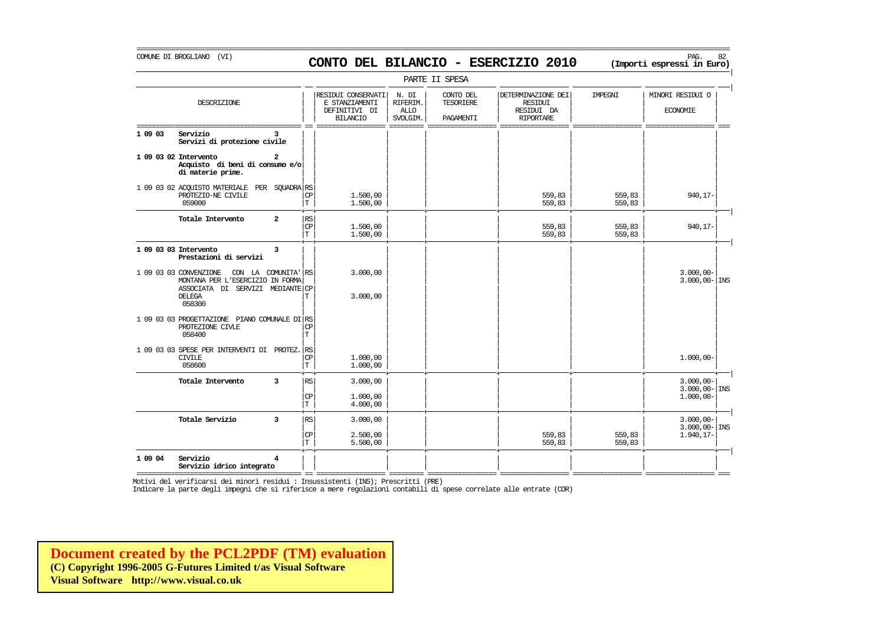# COMUNE DI BROGLIANO (VI) PAG. 82 **CONTO DEL BILANCIO - ESERCIZIO 2010 (Importi espressi in Euro)**

===========================================================================================================================================================

|         |                                                                                                                                           |                |                                       |                                                                          |                                       | PARTE II SPESA                      |                                                                 |                  |                                          |
|---------|-------------------------------------------------------------------------------------------------------------------------------------------|----------------|---------------------------------------|--------------------------------------------------------------------------|---------------------------------------|-------------------------------------|-----------------------------------------------------------------|------------------|------------------------------------------|
|         | DESCRIZIONE                                                                                                                               |                |                                       | RESIDUI CONSERVATI<br>E STANZIAMENTI<br>DEFINITIVI DI<br><b>BILANCIO</b> | N. DI<br>RIFERIM.<br>ALLO<br>SVOLGIM. | CONTO DEL<br>TESORIERE<br>PAGAMENTI | DETERMINAZIONE DEI<br>RESIDUI<br>RESIDUI DA<br><b>RIPORTARE</b> | IMPEGNI          | MINORI RESIDUI O<br><b>ECONOMIE</b>      |
| 1 09 03 | Servizio<br>Servizi di protezione civile                                                                                                  |                |                                       |                                                                          |                                       |                                     |                                                                 |                  |                                          |
|         | 1 09 03 02 Intervento<br>Acquisto di beni di consumo e/o<br>di materie prime.                                                             | 2              |                                       |                                                                          |                                       |                                     |                                                                 |                  |                                          |
|         | 1 09 03 02 ACQUISTO MATERIALE<br>PROTEZIO-NE CIVILE<br>059000                                                                             | PER SOUADRA RS | $\mathbb{C}\mathbb{P}$<br>T           | 1.500,00<br>1,500,00                                                     |                                       |                                     | 559,83<br>559,83                                                | 559,83<br>559,83 | 940,17-                                  |
|         | Totale Intervento                                                                                                                         | $\overline{a}$ | RS<br><b>CP</b><br>١T.                | 1,500,00<br>1,500,00                                                     |                                       |                                     | 559,83<br>559,83                                                | 559,83<br>559,83 | 940,17-                                  |
|         | 1 09 03 03 Intervento<br>Prestazioni di servizi                                                                                           | 3              |                                       |                                                                          |                                       |                                     |                                                                 |                  |                                          |
|         | 1 09 03 03 CONVENZIONE<br>CON LA COMUNITA' RS<br>MONTANA PER L'ESERCIZIO IN FORMA<br>ASSOCIATA DI SERVIZI MEDIANTE CP<br>DELEGA<br>058300 |                | Т                                     | 3.000,00<br>3.000,00                                                     |                                       |                                     |                                                                 |                  | $3.000,00 -$<br>$3.000,00 -  \text{INS}$ |
|         | 1 09 03 03 PROGETTAZIONE PIANO COMUNALE DI RS<br>PROTEZIONE CIVLE<br>058400                                                               |                | CP<br>T                               |                                                                          |                                       |                                     |                                                                 |                  |                                          |
|         | 1 09 03 03 SPESE PER INTERVENTI DI PROTEZ.<br><b>CIVILE</b><br>058600                                                                     |                | RS<br>CP<br>$\mathbb T$               | 1,000,00<br>1.000,00                                                     |                                       |                                     |                                                                 |                  | $1.000,00 -$                             |
|         | Totale Intervento                                                                                                                         | 3              | RS                                    | 3.000,00                                                                 |                                       |                                     |                                                                 |                  | $3.000,00 -$<br>$3.000,00 -  \text{INS}$ |
|         |                                                                                                                                           |                | $\mathbb{C}\mathbb{P}$<br>$\mathbf T$ | 1,000,00<br>4,000,00                                                     |                                       |                                     |                                                                 |                  | $1.000,00 -$                             |
|         | Totale Servizio                                                                                                                           | 3              | RS                                    | 3.000,00                                                                 |                                       |                                     |                                                                 |                  | $3.000,00 -$<br>$3.000,00 -  \text{INS}$ |
|         |                                                                                                                                           |                | $\mathbf{CP}$<br>$\mathbf T$          | 2.500,00<br>5.500,00                                                     |                                       |                                     | 559,83<br>559,83                                                | 559,83<br>559,83 | $1.940, 17-$                             |
| 1 09 04 | Servizio<br>Servizio idrico integrato                                                                                                     | $\overline{4}$ |                                       |                                                                          |                                       |                                     |                                                                 |                  |                                          |

=========================================== == ================== ========= ================== ================== ================== ================== === Motivi del verificarsi dei minori residui : Insussistenti (INS); Prescritti (PRE)

Indicare la parte degli impegni che si riferisce a mere regolazioni contabili di spese correlate alle entrate (COR)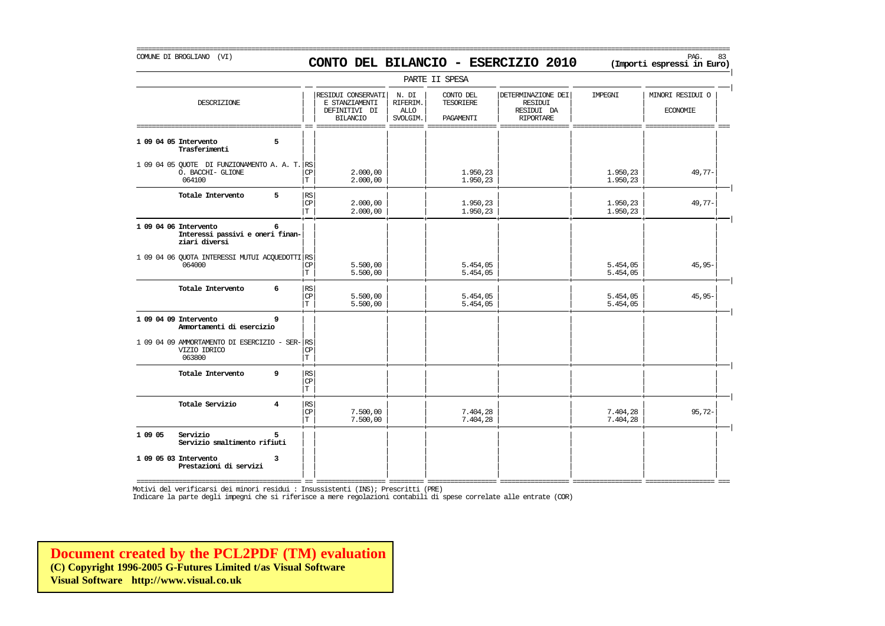#### COMUNE DI BROGLIANO (VI) PAG. 83 **CONTO DEL BILANCIO - ESERCIZIO 2010 (Importi espressi in Euro)**

===========================================================================================================================================================

|                                                                                 |                             |                                                                          |                                              | PARTE II SPESA                             |                                                                        |                      |                                     |
|---------------------------------------------------------------------------------|-----------------------------|--------------------------------------------------------------------------|----------------------------------------------|--------------------------------------------|------------------------------------------------------------------------|----------------------|-------------------------------------|
| DESCRIZIONE                                                                     |                             | RESIDUI CONSERVATI<br>E STANZIAMENTI<br>DEFINITIVI DI<br><b>BILANCIO</b> | N. DI<br>RIFERIM.<br><b>ALLO</b><br>SVOLGIM. | CONTO DEL<br><b>TESORIERE</b><br>PAGAMENTI | DETERMINAZIONE DEI<br><b>RESIDUI</b><br>RESIDUI DA<br><b>RIPORTARE</b> | IMPEGNI              | MINORI RESIDUI O<br><b>ECONOMIE</b> |
| 5<br>1 09 04 05 Intervento<br>Trasferimenti                                     |                             |                                                                          |                                              |                                            |                                                                        |                      |                                     |
| 1 09 04 05 QUOTE DI FUNZIONAMENTO A. A. T. RS<br>O. BACCHI- GLIONE<br>064100    | CP<br>T                     | 2,000,00<br>2,000,00                                                     |                                              | 1.950,23<br>1.950,23                       |                                                                        | 1.950,23<br>1.950,23 | $49,77-$                            |
| 5<br>Totale Intervento                                                          | RS<br><b>CP</b><br>IТ       | 2,000,00<br>2.000,00                                                     |                                              | 1.950,23<br>1.950,23                       |                                                                        | 1.950,23<br>1.950,23 | $49,77-$                            |
| 1 09 04 06 Intervento<br>6<br>Interessi passivi e oneri finan-<br>ziari diversi |                             |                                                                          |                                              |                                            |                                                                        |                      |                                     |
| 1 09 04 06 QUOTA INTERESSI MUTUI ACQUEDOTTI RS<br>064000                        | $\mathrm{CP}$<br>T          | 5.500,00<br>5.500,00                                                     |                                              | 5.454,05<br>5.454,05                       |                                                                        | 5.454,05<br>5.454,05 | $45,95-$                            |
| Totale Intervento<br>6                                                          | <b>RS</b><br>CP<br>T        | 5.500,00<br>5.500,00                                                     |                                              | 5.454,05<br>5.454,05                       |                                                                        | 5.454,05<br>5.454,05 | $45,95-$                            |
| 1 09 04 09 Intervento<br>9<br>Ammortamenti di esercizio                         |                             |                                                                          |                                              |                                            |                                                                        |                      |                                     |
| 1 09 04 09 AMMORTAMENTO DI ESERCIZIO - SER- RS<br>VIZIO IDRICO<br>063800        | <b>CP</b><br>$\mathbf T$    |                                                                          |                                              |                                            |                                                                        |                      |                                     |
| Totale Intervento<br>9                                                          | <b>RS</b><br><b>CP</b><br>T |                                                                          |                                              |                                            |                                                                        |                      |                                     |
| Totale Servizio<br>$\overline{\mathbf{4}}$                                      | RS <br><b>CP</b><br>T       | 7.500,00<br>7.500,00                                                     |                                              | 7.404,28<br>7.404,28                       |                                                                        | 7.404,28<br>7.404,28 | $95,72-$                            |
| 1 09 05<br>Servizio<br>5<br>Servizio smaltimento rifiuti                        |                             |                                                                          |                                              |                                            |                                                                        |                      |                                     |
| 1 09 05 03 Intervento<br>3<br>Prestazioni di servizi                            |                             |                                                                          |                                              |                                            |                                                                        |                      |                                     |

=========================================== == ================== ========= ================== ================== ================== ================== ===

Motivi del verificarsi dei minori residui : Insussistenti (INS); Prescritti (PRE)

Indicare la parte degli impegni che si riferisce a mere regolazioni contabili di spese correlate alle entrate (COR)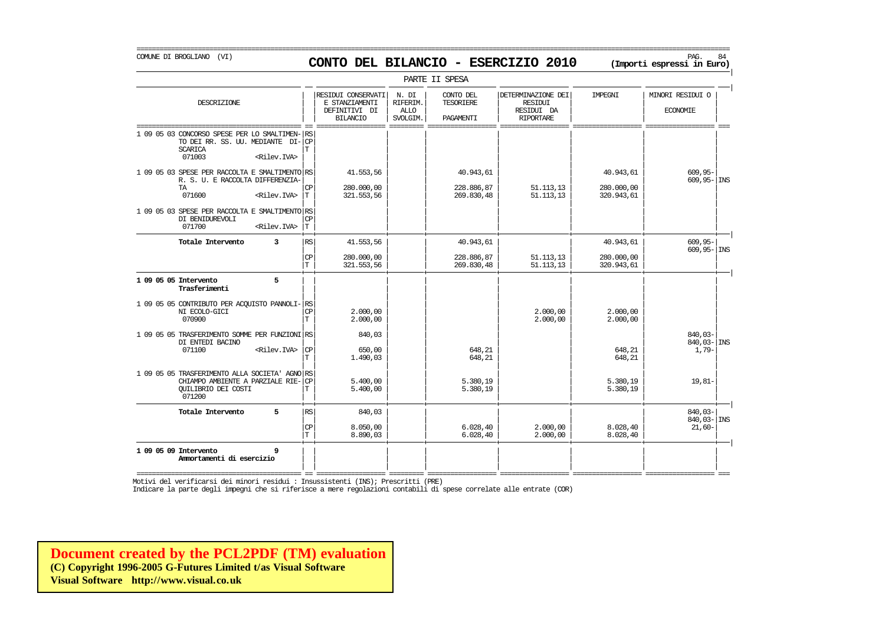| PARTE II SPESA | | | RESIDUI CONSERVATI | N. DI | CONTO DEL | | DETERMINAZIONE DEI | IMPEGNI | | MINORI RESIDUI O DESCRIZIONE E STANZIAMENTI RIFERIM. TESORIERE RESIDUI | | | | | | | | || DEFINITIVI DI | ALLO | | RESIDUI DA | | ECONOMIE | | | BILANCIO | SVOLGIM. | PAGAMENTI | RIPORTARE | | =========================================== == ================== ========= ================== ================== ================== ================== === 1 09 05 03 CONCORSO SPESE PER LO SMALTIMEN- RS TO DEI RR. SS. UU. MEDIANTE  $DI - CP$ <br>SCARICA SCARICA | | | | | | | | T 071003 <Rilev.IVA> | | | | | | | | | | | | | | | | 1 09 05 03 SPESE PER RACCOLTA E SWALTIMENTO RS 41.553,56 41.553,56 40.943,61 40.943,61 40.943,61 40.943,61 609,95-R. S. U. E RACCOLTA DIFFERENZIA- $\begin{vmatrix} \c & 280.000.00 \end{vmatrix}$  = 228.886.87 = 51.113.13 = 280.000.00 TA  $|\mathbb{CP}|$  280.000,00  $|$  228.886,87  $|$  51.113,13  $|$  280.000,00  $|$   $|$ 071600 <Rilev.IVA> | | | | | | | | T 321.553,56 269.830,48 51.113,13 320.943,61 | | | | | | | | 1 09 05 03 SPESE PER RACCOLTA E SMALTIMENTO RS<br>DI BENIDUREVOLI DI BENIDUREVOLI | | | | | | | | CP 071700 <Rilev.IVA> | | | | | | | | T + + + + + + + + | **Totale Intervento 3** | | | | | | | | RS 41.553,56 40.943,61 40.943,61 609,95- | | | 609,95- | INS  $|\mathbb{CP}|$  280.000,00  $|$  228.886,87 51.113,13 280.000,00  $|$  $|T|$  321.553,56  $|$  269.830,48 51.113,13 320.943,61  $|$ + + + + + + + + | **1 09 05 05 Intervento 5** | | | | | | | | **Trasferimenti** | | | | | | | | | | | | | | | | 1 09 05 05 CONTRIBUTO PER ACQUISTO PANNOLI-| | | | | | | | RS NI ECOLO-GICI | | | | | | | | CP 2.000,00 2.000,00 2.000,00 070900 | | | | | | | | T 2.000,00 2.000,00 2.000,00 | | | | | | | |  $1 \t09 \t05 \t05 \tTROSFERIMENTO SOME PER FUNZIONIRS \t\t 840,03 \t\t 840,03 \t\t 840,03-1$  and  $840,03-1$  and  $840,03-1$  and  $840,03-1$  and  $840,03-1$  and  $840,03-1$  and  $840,03-1$  and  $840,03-1$  and  $840,03-1$  and  $840,03-1$  and  $840,03-1$  and DI ENTEDI BACINO | | | | | | | | 840,03- INS 071100 <Rilev.IVA> | | | | | | | | CP 650,00 648,21 648,21 1,79-  $|T|$  1.490,03  $|$  648,21 648,21 648,21 648,21 648 | | | | | | | | 1 09 05 05 TRASFERIMENTO ALLA SOCIETA' AGNO RS<br>
CHIAMPO AMBIENTE A PARZIALE RIE-CP (5.400,00) (5.380,19) (5.380,19) (5.380,19) (5.380,19) (5.380,19) (19,81-CHIAMPO AMBIENTE A PARZIALE RIE- $|\mathbb{CP}|$  = 5.400,00 | | 5.380,19 | | 5.380,19 | 5.380,19 | 5.380,19 QUILIBRIO DEI COSTI<br>071200 071200 | | | | | | | | + + + + + + + + | **Totale Intervento 5** | | | | | | | | RS 840,03 840,03- | | | | | | | | 840,03- INS  $|\mathbb{CP}|$  8.050,00  $|$  6.028,40 2.000,00 8.028,40 21,60- $|T|$  8.890,03 6.028,40 8.028,40 8.028,40 8.028,40 + + + + + + + + | **1 09 05 09 Intervento 9** | | | | | | | | **Ammortamenti di esercizio** | | | | | | | | | | | | | | | |

=========================================== == ================== ========= ================== ================== ================== ================== === Motivi del verificarsi dei minori residui : Insussistenti (INS); Prescritti (PRE)

Indicare la parte degli impegni che si riferisce a mere regolazioni contabili di spese correlate alle entrate (COR)

**[Document created by the PCL2PDF \(TM\) evaluation](http://www.visual.co.uk) (C) Copyright 1996-2005 G-Futures Limited t/as Visual Software Visual Software http://www.visual.co.uk**

#### COMUNE DI BROGLIANO (VI) PAG. 84 **CONTO DEL BILANCIO - ESERCIZIO 2010 (Importi espressi in Euro)**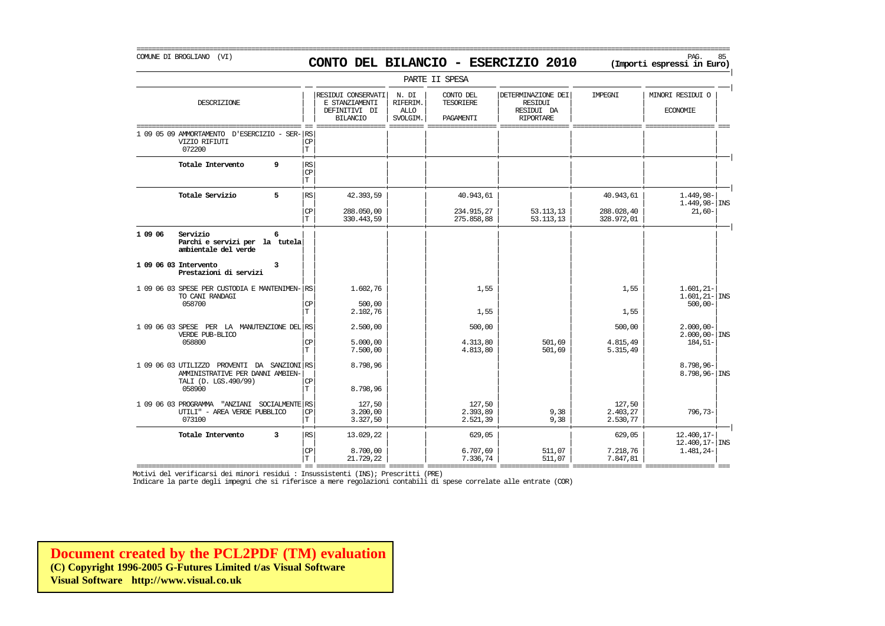# COMUNE DI BROGLIANO (VI) PAG. 85 **CONTO DEL BILANCIO - ESERCIZIO 2010 (Importi espressi in Euro)**

===========================================================================================================================================================

|                                                                         |                                     |                                       |                                                                          |                                              | PARTE II SPESA                             |                                                                        |                                |                                               |
|-------------------------------------------------------------------------|-------------------------------------|---------------------------------------|--------------------------------------------------------------------------|----------------------------------------------|--------------------------------------------|------------------------------------------------------------------------|--------------------------------|-----------------------------------------------|
| DESCRIZIONE                                                             |                                     |                                       | RESIDUI CONSERVATI<br>E STANZIAMENTI<br>DEFINITIVI DI<br><b>BILANCIO</b> | N. DI<br>RIFERIM.<br><b>ALLO</b><br>SVOLGIM. | CONTO DEL<br><b>TESORIERE</b><br>PAGAMENTI | DETERMINAZIONE DEI<br><b>RESIDUI</b><br>RESIDUI DA<br><b>RIPORTARE</b> | IMPEGNI                        | MINORI RESIDUI O<br><b>ECONOMIE</b>           |
| 1 09 05 09 AMMORTAMENTO D'ESERCIZIO<br>VIZIO RIFIUTI<br>072200          | $-$ SER- $ RS$                      | $\rm CP$<br>T                         |                                                                          |                                              |                                            |                                                                        |                                |                                               |
| Totale Intervento                                                       | 9                                   | RS<br>$\mathrm{CP}$<br>$\mathbf T$    |                                                                          |                                              |                                            |                                                                        |                                |                                               |
| Totale Servizio                                                         | 5                                   | RS                                    | 42.393,59                                                                |                                              | 40.943,61                                  |                                                                        | 40.943,61                      | 1.449,98-                                     |
|                                                                         |                                     | $\mathbb{C}\mathbb{P}$<br>İΤ          | 288.050,00<br>330.443,59                                                 |                                              | 234.915,27<br>275.858,88                   | 53.113,13<br>53.113,13                                                 | 288.028,40<br>328.972,01       | $1.449,98 -$ INS<br>$21,60-$                  |
| Servizio<br>1 09 06<br>ambientale del verde                             | 6<br>Parchi e servizi per la tutela |                                       |                                                                          |                                              |                                            |                                                                        |                                |                                               |
| 1 09 06 03 Intervento<br>Prestazioni di servizi                         | 3                                   |                                       |                                                                          |                                              |                                            |                                                                        |                                |                                               |
| 1 09 06 03 SPESE PER CUSTODIA E MANTENIMEN-<br>TO CANI RANDAGI          |                                     | l RS                                  | 1,602,76                                                                 |                                              | 1,55                                       |                                                                        | 1,55                           | $1.601, 21 -$<br>$1.601, 21 -  $ INS          |
| 058700                                                                  |                                     | $\mathrm{CP}$<br>$\mathbf T$          | 500,00<br>2.102,76                                                       |                                              | 1,55                                       |                                                                        | 1,55                           | $500.00 -$                                    |
| 1 09 06 03 SPESE PER LA MANUTENZIONE DEL RS<br>VERDE PUB-BLICO          |                                     |                                       | 2,500,00                                                                 |                                              | 500,00                                     |                                                                        | 500,00                         | $2.000,00 -$<br>$2.000.00 -$ INS              |
| 058800                                                                  |                                     | <b>CP</b><br>$\mathbf T$              | 5.000,00<br>7.500,00                                                     |                                              | 4.313,80<br>4.813,80                       | 501,69<br>501,69                                                       | 4.815,49<br>5.315,49           | $184,51-$                                     |
| 1 09 06 03 UTILIZZO PROVENTI DA SANZIONI RS                             | AMMINISTRATIVE PER DANNI AMBIEN-    |                                       | 8.798,96                                                                 |                                              |                                            |                                                                        |                                | 8.798,96-<br>$8.798, 96 -  $ INS              |
| TALI (D. LGS.490/99)<br>058900                                          |                                     | CP<br>ΙT                              | 8.798,96                                                                 |                                              |                                            |                                                                        |                                |                                               |
| 1 09 06 03 PROGRAMMA "ANZIANI<br>UTILI" - AREA VERDE PUBBLICO<br>073100 | SOCIALMENTE RS                      | $\mathbf{CP}$<br>T                    | 127,50<br>3.200,00<br>3.327,50                                           |                                              | 127,50<br>2.393,89<br>2.521,39             | 9,38<br>9,38                                                           | 127,50<br>2.403,27<br>2.530,77 | 796,73-                                       |
| Totale Intervento                                                       | 3                                   | RS                                    | 13.029,22                                                                |                                              | 629,05                                     |                                                                        | 629,05                         | 12,400,17-<br>$12.400, 17 - \vert \text{INS}$ |
|                                                                         |                                     | $\mathbf{C}\mathbf{P}$<br>$\mathbf T$ | 8,700,00<br>21.729,22                                                    |                                              | 6.707.69<br>7.336,74                       | 511,07<br>511,07                                                       | 7.218,76<br>7.847,81           | 1.481,24-                                     |

=========================================== == ================== ========= ================== ================== ================== ================== === Motivi del verificarsi dei minori residui : Insussistenti (INS); Prescritti (PRE)

Indicare la parte degli impegni che si riferisce a mere regolazioni contabili di spese correlate alle entrate (COR)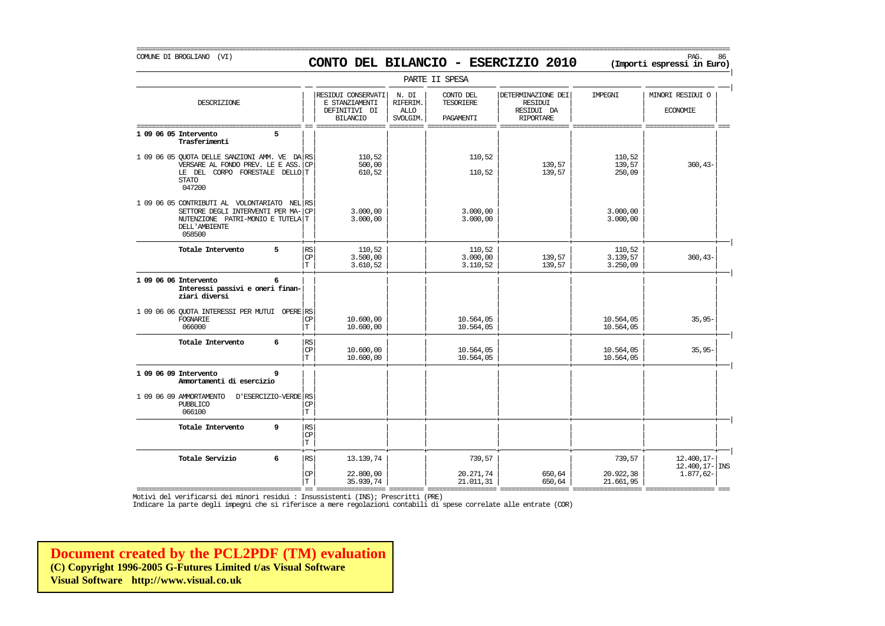# COMUNE DI BROGLIANO (VI) PAG. 86 **CONTO DEL BILANCIO - ESERCIZIO 2010 (Importi espressi in Euro)**

|                                                                                                                                                  |                                             |                                                                          |                                              | PARTE II SPESA                      |                                                                 |                                |                                     |
|--------------------------------------------------------------------------------------------------------------------------------------------------|---------------------------------------------|--------------------------------------------------------------------------|----------------------------------------------|-------------------------------------|-----------------------------------------------------------------|--------------------------------|-------------------------------------|
| DESCRIZIONE                                                                                                                                      |                                             | RESIDUI CONSERVATI<br>E STANZIAMENTI<br>DEFINITIVI DI<br><b>BILANCIO</b> | N. DI<br>RIFERIM.<br><b>ALLO</b><br>SVOLGIM. | CONTO DEL<br>TESORIERE<br>PAGAMENTI | DETERMINAZIONE DEI<br>RESIDUI<br>RESIDUI DA<br><b>RIPORTARE</b> | IMPEGNI                        | MINORI RESIDUI O<br><b>ECONOMIE</b> |
| 1 09 06 05 Intervento<br>5<br>Trasferimenti                                                                                                      |                                             |                                                                          |                                              |                                     |                                                                 |                                |                                     |
| 1 09 06 05 OUOTA DELLE SANZIONI AMM. VE DA RS<br>VERSARE AL FONDO PREV. LE E ASS. CP<br>LE DEL CORPO FORESTALE DELLO T<br><b>STATO</b><br>047200 |                                             | 110.52<br>500,00<br>610,52                                               |                                              | 110,52<br>110,52                    | 139,57<br>139,57                                                | 110,52<br>139,57<br>250,09     | $360, 43-$                          |
| 1 09 06 05 CONTRIBUTI AL VOLONTARIATO NEL RS<br>SETTORE DEGLI INTERVENTI PER MA-<br>NUTENZIONE PATRI-MONIO E TUTELA T<br>DELL'AMBIENTE<br>058500 | <b>CP</b>                                   | 3,000,00<br>3.000,00                                                     |                                              | 3.000,00<br>3.000,00                |                                                                 | 3.000,00<br>3.000,00           |                                     |
| 5<br>Totale Intervento                                                                                                                           | RS<br>$\mathbb{C}\mathbb{P}$<br>$\mathbf T$ | 110,52<br>3.500,00<br>3.610,52                                           |                                              | 110,52<br>3.000,00<br>3.110,52      | 139,57<br>139,57                                                | 110,52<br>3.139,57<br>3.250,09 | $360, 43-$                          |
| 1 09 06 06 Intervento<br>6<br>Interessi passivi e oneri finan-<br>ziari diversi                                                                  |                                             |                                                                          |                                              |                                     |                                                                 |                                |                                     |
| 1 09 06 06 OUOTA INTERESSI PER MUTUI OPERE RS<br>FOGNARIE<br>066000                                                                              | СP<br>$\mathbf T$                           | 10,600,00<br>10,600,00                                                   |                                              | 10.564,05<br>10.564,05              |                                                                 | 10.564,05<br>10.564,05         | $35,95-$                            |
| Totale Intervento<br>6                                                                                                                           | RS<br><b>CP</b><br>$\mathbf T$              | 10,600,00<br>10,600,00                                                   |                                              | 10.564,05<br>10.564,05              |                                                                 | 10.564,05<br>10.564,05         | $35,95-$                            |
| 1 09 06 09 Intervento<br>9<br>Ammortamenti di esercizio                                                                                          |                                             |                                                                          |                                              |                                     |                                                                 |                                |                                     |
| 1 09 06 09 AMMORTAMENTO<br>D'ESERCIZIO-VERDE RS<br><b>PUBBLICO</b><br>066100                                                                     | <b>CP</b><br>$\mathbb T$                    |                                                                          |                                              |                                     |                                                                 |                                |                                     |
| 9<br>Totale Intervento                                                                                                                           | RS<br>CP<br>T                               |                                                                          |                                              |                                     |                                                                 |                                |                                     |
| 6<br>Totale Servizio                                                                                                                             | $\mathbb{R}\mathbb{S}$                      | 13.139,74                                                                |                                              | 739,57                              |                                                                 | 739,57                         | 12.400,17-<br>$12.400, 17 -  $ INS  |
|                                                                                                                                                  | CP<br>T.                                    | 22,800,00<br>35.939,74                                                   |                                              | 20.271,74<br>21.011,31              | 650,64<br>650,64                                                | 20.922,38<br>21.661,95         | 1.877,62-                           |

=========================================== == ================== ========= ================== ================== ================== ================== === Motivi del verificarsi dei minori residui : Insussistenti (INS); Prescritti (PRE)

Indicare la parte degli impegni che si riferisce a mere regolazioni contabili di spese correlate alle entrate (COR)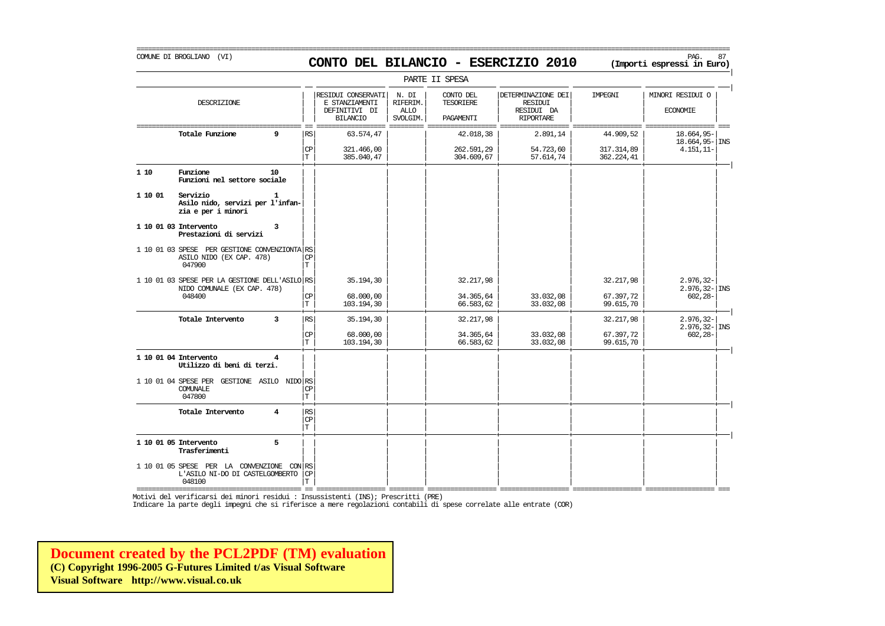# COMUNE DI BROGLIANO (VI) PAG. 87 **CONTO DEL BILANCIO - ESERCIZIO 2010 (Importi espressi in Euro)**

===========================================================================================================================================================

|         |                                                                                         |                |                                    |                                                                          |                                              | PARTE II SPESA                      |                                                                 |                          |                                                  |
|---------|-----------------------------------------------------------------------------------------|----------------|------------------------------------|--------------------------------------------------------------------------|----------------------------------------------|-------------------------------------|-----------------------------------------------------------------|--------------------------|--------------------------------------------------|
|         | DESCRIZIONE                                                                             |                |                                    | RESIDUI CONSERVATI<br>E STANZIAMENTI<br>DEFINITIVI DI<br><b>BILANCIO</b> | N. DI<br>RIFERIM.<br><b>ALLO</b><br>SVOLGIM. | CONTO DEL<br>TESORIERE<br>PAGAMENTI | DETERMINAZIONE DEI<br>RESIDUI<br>RESIDUI DA<br><b>RIPORTARE</b> | IMPEGNI                  | MINORI RESIDUI O<br><b>ECONOMIE</b>              |
|         | Totale Funzione                                                                         | 9              | RS                                 | 63.574,47                                                                |                                              | 42.018,38                           | 2.891,14                                                        | 44.909,52                | 18.664,95-<br>18.664,95- INS                     |
|         |                                                                                         |                | CP<br>IТ                           | 321.466,00<br>385.040,47                                                 |                                              | 262.591,29<br>304.609,67            | 54.723,60<br>57.614,74                                          | 317.314,89<br>362.224,41 | $4.151, 11-$                                     |
| 1 10    | Funzione<br>Funzioni nel settore sociale                                                | 10             |                                    |                                                                          |                                              |                                     |                                                                 |                          |                                                  |
| 1 10 01 | Servizio<br>Asilo nido, servizi per l'infan-<br>zia e per i minori                      | 1              |                                    |                                                                          |                                              |                                     |                                                                 |                          |                                                  |
|         | 1 10 01 03 Intervento<br>Prestazioni di servizi                                         | 3              |                                    |                                                                          |                                              |                                     |                                                                 |                          |                                                  |
|         | 1 10 01 03 SPESE PER GESTIONE CONVENZIONTA RS<br>ASILO NIDO (EX CAP. 478)<br>047900     |                | СP<br>$\mathbf T$                  |                                                                          |                                              |                                     |                                                                 |                          |                                                  |
|         | 1 10 01 03 SPESE PER LA GESTIONE DELL'ASILO RS<br>NIDO COMUNALE (EX CAP. 478)<br>048400 |                | СP                                 | 35.194,30<br>68,000,00                                                   |                                              | 32.217,98<br>34.365,64              | 33.032,08                                                       | 32.217,98<br>67.397,72   | $2.976, 32-$<br>$2.976, 32 -$ INS<br>$602, 28 -$ |
|         |                                                                                         |                | T                                  | 103.194,30                                                               |                                              | 66.583,62                           | 33.032,08                                                       | 99.615,70                |                                                  |
|         | Totale Intervento                                                                       | 3              | RS                                 | 35.194,30                                                                |                                              | 32.217,98                           |                                                                 | 32.217,98                | $2.976, 32 -$<br>$2.976, 32 -$ INS               |
|         |                                                                                         |                | $\mathsf{CP}$<br>$\mathbf T$       | 68.000,00<br>103.194,30                                                  |                                              | 34.365,64<br>66.583,62              | 33.032,08<br>33.032,08                                          | 67.397,72<br>99.615,70   | $602, 28 -$                                      |
|         | 1 10 01 04 Intervento<br>Utilizzo di beni di terzi.                                     | 4              |                                    |                                                                          |                                              |                                     |                                                                 |                          |                                                  |
|         | 1 10 01 04 SPESE PER GESTIONE ASILO NIDO RS<br>COMUNALE<br>047800                       |                | CP<br>IТ                           |                                                                          |                                              |                                     |                                                                 |                          |                                                  |
|         | Totale Intervento                                                                       | $\overline{4}$ | RS<br>$\mathbb{C}\mathbb{P}$<br>İΤ |                                                                          |                                              |                                     |                                                                 |                          |                                                  |
|         | 1 10 01 05 Intervento<br>Trasferimenti                                                  | 5              |                                    |                                                                          |                                              |                                     |                                                                 |                          |                                                  |
|         | 1 10 01 05 SPESE PER LA CONVENZIONE CON RS<br>L'ASILO NI-DO DI CASTELGOMBERTO<br>048100 |                | $\mathbb{C}\mathbb{P}$<br>T        |                                                                          |                                              |                                     |                                                                 |                          |                                                  |

=========================================== == ================== ========= ================== ================== ================== ================== === Motivi del verificarsi dei minori residui : Insussistenti (INS); Prescritti (PRE)

Indicare la parte degli impegni che si riferisce a mere regolazioni contabili di spese correlate alle entrate (COR)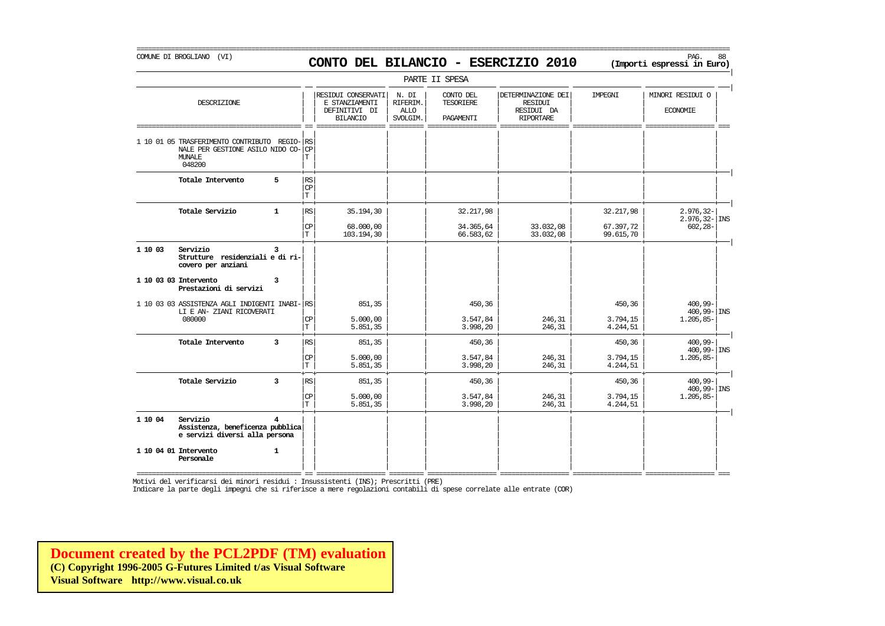PARTE II SPESA | | | | | | | | RESIDUI CONSERVATI N. DI CONTO DEL DETERMINAZIONE DEI IMPEGNI MINORI RESIDUI O DESCRIZIONE E STANZIAMENTI RIFERIM. TESORIERE RESIDUI | | | | | | | |  $\vert$  definitivi di  $\vert$  allo  $\vert$ 

|         |                                                                                                    |                |                                       | <b>BILANCIO</b>         | SVOLGIM. | PAGAMENTI              | <b>RIPORTARE</b>       |                        |                                      |
|---------|----------------------------------------------------------------------------------------------------|----------------|---------------------------------------|-------------------------|----------|------------------------|------------------------|------------------------|--------------------------------------|
|         | 1 10 01 05 TRASFERIMENTO CONTRIBUTO REGIO-<br>NALE PER GESTIONE ASILO NIDO CO-<br>MUNALE<br>048200 |                | <b>RS</b><br>CP<br>T                  |                         |          |                        |                        |                        |                                      |
|         | Totale Intervento                                                                                  | 5              | $\mathbb{RS}$<br>CP<br>$\mathbf T$    |                         |          |                        |                        |                        |                                      |
|         | Totale Servizio                                                                                    | $\mathbf{1}$   | RS                                    | 35.194,30               |          | 32.217,98              |                        | 32.217,98              | $2.976, 32 -$<br>$2.976, 32 -  $ INS |
|         |                                                                                                    |                | $\mathbf{CP}$<br>$\mathbf T$          | 68,000,00<br>103.194,30 |          | 34.365,64<br>66.583,62 | 33.032,08<br>33.032,08 | 67.397,72<br>99.615,70 | $602, 28 -$                          |
| 1 10 03 | Servizio<br>Strutture residenziali e di ri-<br>covero per anziani                                  | ર              |                                       |                         |          |                        |                        |                        |                                      |
|         | 1 10 03 03 Intervento<br>Prestazioni di servizi                                                    | 3              |                                       |                         |          |                        |                        |                        |                                      |
|         | 1 10 03 03 ASSISTENZA AGLI INDIGENTI INABI-<br>LI E AN- ZIANI RICOVERATI                           |                | RS                                    | 851,35                  |          | 450,36                 |                        | 450,36                 | 400,99-<br>$400,99 -  \text{INS}$    |
|         | 080000                                                                                             |                | $\mathbb{C}\mathbb{P}$<br>$\mathbf T$ | 5.000,00<br>5.851,35    |          | 3.547,84<br>3.998,20   | 246,31<br>246,31       | 3.794,15<br>4.244,51   | $1.205, 85 -$                        |
|         | Totale Intervento                                                                                  | 3              | RS <sup>I</sup>                       | 851,35                  |          | 450,36                 |                        | 450,36                 | $400.99 -$<br>$400,99 -  \text{INS}$ |
|         |                                                                                                    |                | $\mathsf{CP}$<br>T                    | 5.000,00<br>5.851,35    |          | 3.547,84<br>3.998,20   | 246,31<br>246,31       | 3.794,15<br>4.244,51   | $1.205, 85 -$                        |
|         | Totale Servizio                                                                                    | $\overline{3}$ | RS                                    | 851,35                  |          | 450,36                 |                        | 450,36                 | $400,99 -$<br>$400,99 -  \text{INS}$ |
|         |                                                                                                    |                | $\mathbb{C}\mathbb{P}$<br>$\mathbf T$ | 5.000,00<br>5.851,35    |          | 3.547,84<br>3.998,20   | 246,31<br>246,31       | 3.794,15<br>4.244,51   | $1.205, 85 -$                        |
| 1 10 04 | Servizio<br>Assistenza, beneficenza pubblica<br>e servizi diversi alla persona                     |                |                                       |                         |          |                        |                        |                        |                                      |
|         | 1 10 04 01 Intervento<br>Personale                                                                 | $\mathbf{1}$   |                                       |                         |          |                        |                        |                        |                                      |

Indicare la parte degli impegni che si riferisce a mere regolazioni contabili di spese correlate alle entrate (COR)

**[Document created by the PCL2PDF \(TM\) evaluation](http://www.visual.co.uk) (C) Copyright 1996-2005 G-Futures Limited t/as Visual Software Visual Software http://www.visual.co.uk**

#### COMUNE DI BROGLIANO (VI) PAG. 88 **CONTO DEL BILANCIO - ESERCIZIO 2010 (Importi espressi in Euro)**

|

|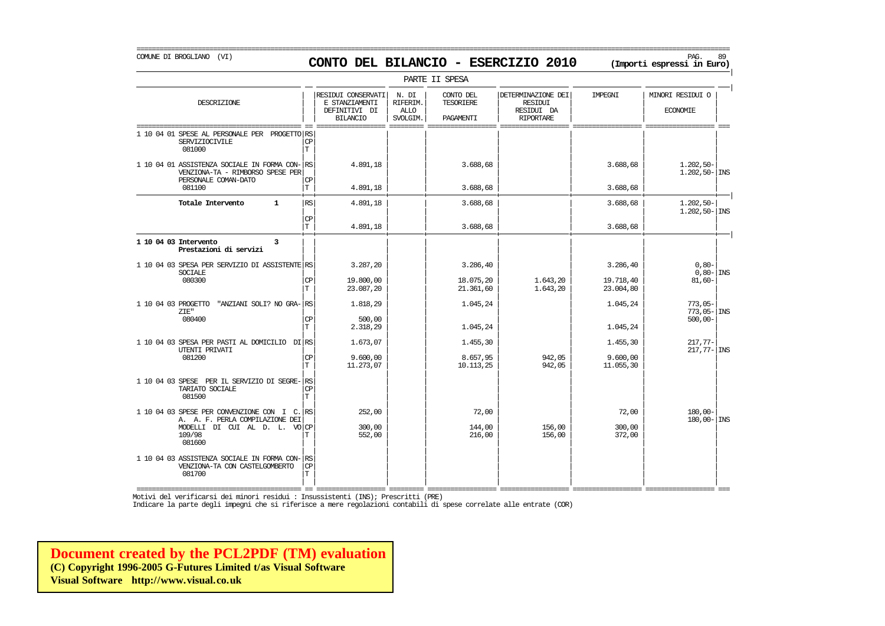PARTE II SPESA | | | | | | | | RESIDUI CONSERVATI N. DI CONTO DEL DETERMINAZIONE DEI IMPEGNI MINORI RESIDUI O DESCRIZIONE E STANZIAMENTI RIFERIM. TESORIERE RESIDUI | | | | | | | | || DEFINITIVI DI | ALLO | | RESIDUI DA | | ECONOMIE | | | BILANCIO | SVOLGIM. | PAGAMENTI | RIPORTARE | | =========================================== == ================== ========= ================== ================== ================== ================== === 1 10 04 01 SPESE AL PERSONALE PER PROGETTO RS<br>SERVIZIOCIVILE SERVIZIOCIVILE CP CP CP (CP ) and the contract of the contract of the contract of the contract of the contract of the contract of the contract of the contract of the contract of the contract of the contract of the contract 081000 | | | | | | | | T | | | | | | | |  $1 10 04 01$  ASSISTENZA SOCIALE IN FORMA CON- $\begin{vmatrix} \text{RS} \\ \text{S1} \end{vmatrix}$  = 4.891,18  $\begin{vmatrix} 4.891,18 \\ 1.202,50- \\ 1.202,50- \\ 1.202,50- \\ 1.202,50- \\ 1.202,50- \\ 1.202,50- \\ 1.202,50- \\ 1.202,50- \\ 1.202,50- \\ 1.202,50- \\ 1.202,50- \\$ VENZIONA-TA - RIMBORSO SPESE PER<br>| personale coman-pato PERSONALE COMAN-DATO | | | | | | | | CP  $081100$   $|T|$   $4.891,18$   $|$   $3.688,68$   $|$   $3.688,68$   $|$   $3.688,68$   $|$ + + + + + + + + | **Totale Intervento 1** | | | | | | | | RS 4.891,18 3.688,68 3.688,68 1.202,50- | | | | | | | | 1.202,50- INS  $|\mathbb{CP}|$   $|\mathbb{CP}|$  $|\text{T}|$  4.891,18  $|$  3.688,68  $|$  3.688,68 3.688,68 + + + + + + + + | **1 10 04 03 Intervento 3** | | | | | | | | **Prestazioni di servizi** | | | | | | | | | | | | | | | | 1 10 04 03 SPESA PER SERVIZIO DI ASSISTENTE RS<br>SOCIALE 6.80- INS SOCIALE | | | | | | | | 0,80- INS 080300 | | | | | | | | CP 19.800,00 18.075,20 1.643,20 19.718,40 81,60-  $|\text{T}|$  23.087,20  $|$  21.361,60 1.643,20 23.004,80 | | | | | | | | 1 10 04 03 PROGETTO "ANZIANI SOLI? NO GRA- $\begin{bmatrix} \text{RS} \\ \text{RSS} \end{bmatrix}$  1.818,29 1.045,24 1.045,24 1.045,24 773,05-ZIE" | | 173,05- | INS 080400 | | | | | | | | CP 500,00 500,00-  $|\text{T}|$  2.318,29 1.045,24 1.045,24 1.045,24 1.045,24 1.045 | | | | | | | | 1 10 04 03 SPESA PER PASTI AL DOMICILIO DI| | | | | | | | RS 1.673,07 1.455,30 1.455,30 217,77- UTENTI PRIVATI | | | | | | | | 217,77- INS 081200 | | | | | | | | CP 9.600,00 8.657,95 942,05 9.600,00  $|T|$  11.273,07 10.113,25 942,05 11.055,30 | | | | | | | | 1 10 04 03 SPESE PER IL SERVIZIO DI SEGRE- RS<br>TARIATO SOCIALE TARIATO SOCIALE | | | | | | | | CP 081500 | | | | | | | | T | | | | | | | | 1 10 04 03 SPESE PER CONVENZIONE CON I C. RS  $\begin{bmatrix} 1 & 0 & 0 & 0 \\ 0 & 0 & 0 & 0 \\ 0 & 0 & 0 & 0 \\ 0 & 0 & 0 & 0 \end{bmatrix}$   $\begin{bmatrix} 1 & 0 & 0 & 0 \\ 0 & 0 & 0 & 0 \\ 0 & 0 & 0 & 0 \\ 0 & 0 & 0 & 0 \end{bmatrix}$   $\begin{bmatrix} 1 & 0 & 0 & 0 \\ 0 & 0 & 0 & 0 \\ 0 & 0 & 0 & 0 \\ 0 & 0 & 0 &$ A. A. F. PERLA COMPILAZIONE DEI| | | | | | | | 180,00- INS  $\begin{array}{ccccccccc} \texttt{MODELLI} & \texttt{DI} & \texttt{CUI} & \texttt{AL} & \texttt{D} & \texttt{L} & \texttt{VO} & \texttt{CP} & & & & & & & & & & & & & 156,00 & & & & & & & & 300,00 \\ & & & & & & & & & & & & & & & & & & & & & 156,00 & & & & & & & & 372,00 \\ & & & & & & & & & & & & & & & & & & & 156,00 & & & & & & & 372,00 \\ \end{array}$  $109/98$   $|T|$  552,00  $|$  216,00  $156,00$  372,00  $|$ 081600 | | | | | | | | | | | | | | | | 1 10 04 03 ASSISTENZA SOCIALE IN FORMA CON-<br>VENZIONA-TA CON CASTELGOMBERTO VENZIONA-TA CON CASTELGOMBERTO 081700 081700 | | | | | | | | T

=========================================== == ================== ========= ================== ================== ================== ================== === Motivi del verificarsi dei minori residui : Insussistenti (INS); Prescritti (PRE)

| | | | | | | |

Indicare la parte degli impegni che si riferisce a mere regolazioni contabili di spese correlate alle entrate (COR)

**[Document created by the PCL2PDF \(TM\) evaluation](http://www.visual.co.uk) (C) Copyright 1996-2005 G-Futures Limited t/as Visual Software Visual Software http://www.visual.co.uk**

#### COMUNE DI BROGLIANO (VI) PAG. 89 **CONTO DEL BILANCIO - ESERCIZIO 2010 (Importi espressi in Euro)**

|

|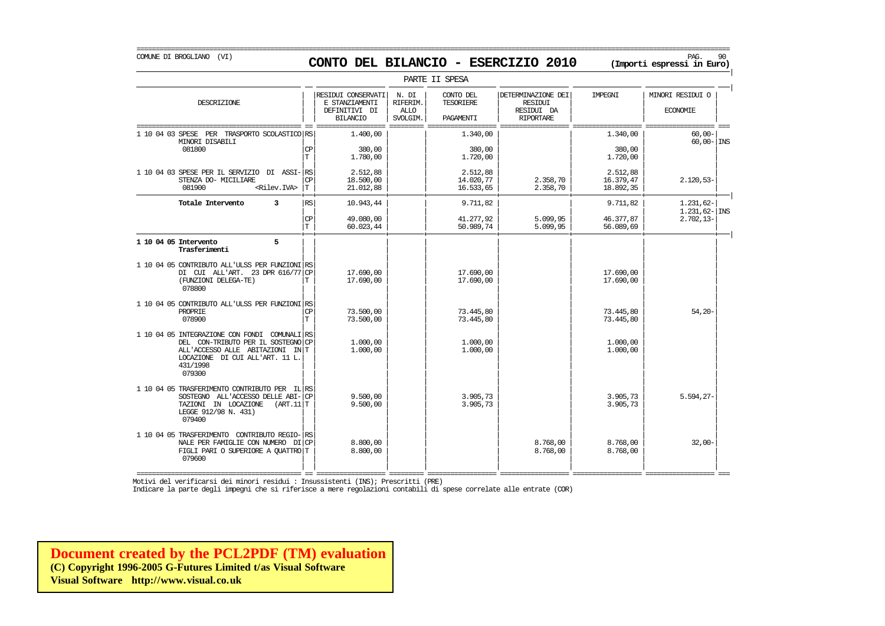COMUNE DI BROGLIANO (VI) PAG. 90 **CONTO DEL BILANCIO - ESERCIZIO 2010 (Importi espressi in Euro)** 

|                                                                                                                                                                                      | PARTE II SPESA                 |                                                                          |                                              |                                            |                                                                        |                                    |                                                  |  |  |  |  |
|--------------------------------------------------------------------------------------------------------------------------------------------------------------------------------------|--------------------------------|--------------------------------------------------------------------------|----------------------------------------------|--------------------------------------------|------------------------------------------------------------------------|------------------------------------|--------------------------------------------------|--|--|--|--|
| DESCRIZIONE                                                                                                                                                                          |                                | RESIDUI CONSERVATI<br>E STANZIAMENTI<br>DEFINITIVI DI<br><b>BILANCIO</b> | N. DI<br>RIFERIM.<br><b>ALLO</b><br>SVOLGIM. | CONTO DEL<br><b>TESORIERE</b><br>PAGAMENTI | DETERMINAZIONE DEI<br><b>RESIDUI</b><br>RESIDUI DA<br><b>RIPORTARE</b> | IMPEGNI                            | MINORI RESIDUI O<br><b>ECONOMIE</b>              |  |  |  |  |
| 1 10 04 03 SPESE<br>TRASPORTO SCOLASTICO RS<br>PER<br>MINORI DISABILI<br>081800                                                                                                      | <b>CP</b><br>T.                | 1,400,00<br>380,00<br>1,780,00                                           |                                              | 1.340,00<br>380,00<br>1.720,00             |                                                                        | 1.340,00<br>380,00<br>1,720,00     | $60,00 -$<br>$60.00 - 1$ INS                     |  |  |  |  |
| 1 10 04 03 SPESE PER IL SERVIZIO DI ASSI-<br>STENZA DO- MICILIARE<br>081900<br><rilev.iva></rilev.iva>                                                                               | RS<br><b>CP</b><br>$\mathbf T$ | 2.512,88<br>18,500,00<br>21.012,88                                       |                                              | 2.512,88<br>14.020,77<br>16.533,65         | 2.358,70<br>2.358,70                                                   | 2.512,88<br>16.379,47<br>18.892,35 | $2.120, 53 -$                                    |  |  |  |  |
| $\overline{3}$<br>Totale Intervento                                                                                                                                                  | RS<br>CP<br>T.                 | 10.943.44<br>49.080,00<br>60.023,44                                      |                                              | 9.711,82<br>41.277,92<br>50.989,74         | 5.099,95<br>5.099,95                                                   | 9.711,82<br>46.377,87<br>56.089,69 | $1.231,62-$<br>$1.231,62$ - INS<br>$2.702, 13 -$ |  |  |  |  |
| 5<br>1 10 04 05 Intervento<br>Trasferimenti                                                                                                                                          |                                |                                                                          |                                              |                                            |                                                                        |                                    |                                                  |  |  |  |  |
| 1 10 04 05 CONTRIBUTO ALL'ULSS PER FUNZIONI RS<br>DI CUI ALL'ART. 23 DPR 616/77<br>(FUNZIONI DELEGA-TE)<br>078800                                                                    | <b>CP</b><br>T                 | 17.690,00<br>17.690,00                                                   |                                              | 17.690,00<br>17.690,00                     |                                                                        | 17.690,00<br>17.690,00             |                                                  |  |  |  |  |
| 1 10 04 05 CONTRIBUTO ALL'ULSS PER FUNZIONI<br>PROPRTE<br>078900                                                                                                                     | RS<br><b>CP</b><br>T           | 73.500,00<br>73.500,00                                                   |                                              | 73.445.80<br>73.445,80                     |                                                                        | 73.445.80<br>73.445,80             | $54.20 -$                                        |  |  |  |  |
| 1 10 04 05 INTEGRAZIONE CON FONDI COMUNALI RS<br>DEL CON-TRIBUTO PER IL SOSTEGNO<br>$IN$ $T$<br>ALL'ACCESSO ALLE ABITAZIONI<br>LOCAZIONE DI CUI ALL'ART. 11 L.<br>431/1998<br>079300 | <b>CP</b>                      | 1,000,00<br>1,000,00                                                     |                                              | 1,000,00<br>1,000,00                       |                                                                        | 1,000,00<br>1,000,00               |                                                  |  |  |  |  |
| 1 10 04 05 TRASFERIMENTO CONTRIBUTO PER IL RS<br>SOSTEGNO ALL'ACCESSO DELLE ABI-<br>(ART.11 T)<br>TAZIONI IN LOCAZIONE<br>LEGGE 912/98 N. 431)<br>079400                             | <b>CP</b>                      | 9.500,00<br>9.500,00                                                     |                                              | 3.905.73<br>3.905,73                       |                                                                        | 3.905.73<br>3.905,73               | 5.594,27-                                        |  |  |  |  |
| 1 10 04 05 TRASFERIMENTO CONTRIBUTO REGIO-<br>NALE PER FAMIGLIE CON NUMERO DI<br>FIGLI PARI O SUPERIORE A OUATIRO T<br>079600                                                        | <b>RS</b><br><b>CP</b>         | 8,800,00<br>8.800,00                                                     |                                              |                                            | 8.768,00<br>8.768,00                                                   | 8.768,00<br>8.768,00               | $32,00-$                                         |  |  |  |  |

Motivi del verificarsi dei minori residui : Insussistenti (INS); Prescritti (PRE)

Indicare la parte degli impegni che si riferisce a mere regolazioni contabili di spese correlate alle entrate (COR)

**[Document created by the PCL2PDF \(TM\) evaluation](http://www.visual.co.uk) (C) Copyright 1996-2005 G-Futures Limited t/as Visual Software Visual Software http://www.visual.co.uk**

#### ===========================================================================================================================================================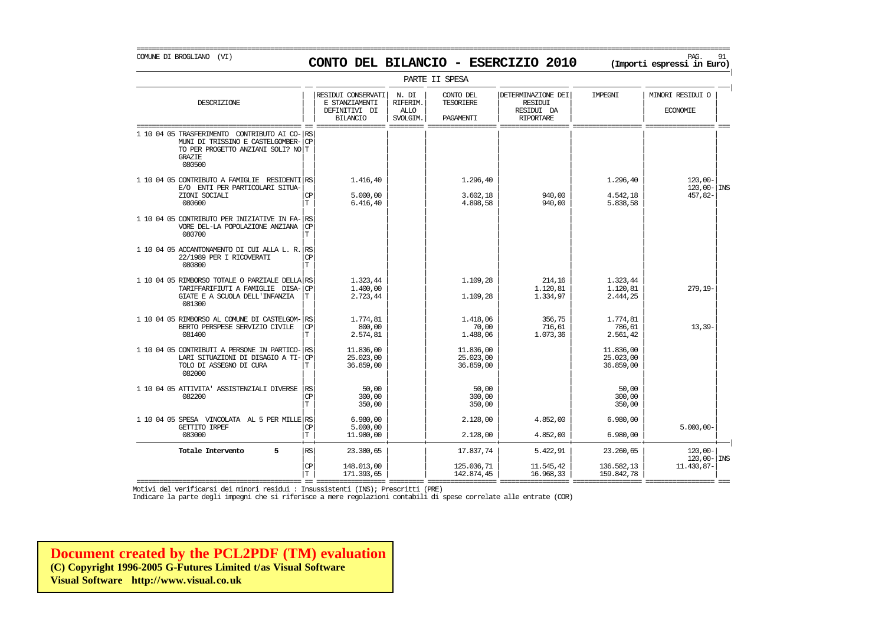COMUNE DI BROGLIANO (VI) PAG. 91 **CONTO DEL BILANCIO - ESERCIZIO 2010 (Importi espressi in Euro)** 

| PARTE II SPESA | | RESIDUI CONSERVATI | N. DI | CONTO DEL | | DETERMINAZIONE DEI | IMPEGNI | | MINORI RESIDUI O DESCRIZIONE E STANZIAMENTI RIFERIM. TESORIERE RESIDUI | | | | | | | | || DEFINITIVI DI | ALLO | | RESIDUI DA | | ECONOMIE | | | BILANCIO | SVOLGIM. | PAGAMENTI | RIPORTARE | | =========================================== == ================== ========= ================== ================== ================== ================== === 1 10 04 05 TRASFERIMENTO CONTRIBUTO AI CO- RS MUNI DI TRISSINO E CASTELGOMBER-CP TO PER PROGETTO ANZIANI SOLI? NO T GRAZIE **in die eerste gevolgde gehad in die verskap van die eerste gebeure in die verskap van die verskap van die v** 080500 | | | | | | | | | | | | | | | |  $1 10 04 05$  CONTRIBUTO A FAMIGLIE RESIDENTI $\begin{vmatrix} \text{RS} \\ \text{RES} \end{vmatrix}$   $1.416,40$   $1.296,40$   $1.296,40$   $1.296,40$   $1.296,40$   $1.296,40$   $1.296,40$   $1.296,40$   $1.296,40$ E/O ENTI PER PARTICOLARI SITUA-| | | | | | | | 120,00- INS  $\texttt{ZIONI \,\,SOCIALI} \qquad \qquad \texttt{[CP]} \qquad \texttt{5.000,00} \qquad \texttt{]} \qquad \texttt{3.602,18} \qquad \texttt{940,00} \qquad \texttt{4.542,18} \qquad \texttt{457,82-} \qquad \texttt{400,00} \qquad \texttt{4.542,18} \qquad \texttt{410,00} \qquad \texttt{420,00} \qquad \texttt{431,00} \qquad \texttt{442,00} \qquad \texttt{459,00} \qquad \texttt{$ 080600 | | | | | | | | T 6.416,40 4.898,58 940,00 5.838,58 | | | | | | | | 1 10 04 05 CONTRIBUTO PER INIZIATIVE IN FA- RS<br>VORE DEL-LA POPOLAZIONE ANZIANA VORE DEL-LA POPOLAZIONE ANZIANA<br>080700 080700 | | | | | | | | T | | | | | | | | 1 10 04 05 ACCANTONAMENTO DI CUI ALLA L. R. RS<br>22/1989 PER I RICOVERATION  $22/1989$  PER I RICOVERATI  $\begin{bmatrix} C & D \\ T & D \end{bmatrix}$ 080800 | | | | | | | | T | | | | | | | | 1 10 04 05 RIMBORSO TOTALE O PARZIALE DELLA  $\ket{RS}$  1.323,44  $\ket{1.109,28}$  1.109,28  $\ket{1.120,81}$  1.120,81 1.120,81 279.19 TARIFFARIFIUTI A FAMIGLIE DISA- $|\mathbb{CP}|$  1.400,00 1.120,00 1.120,81 1.120,81 1.120,81 1.120,81 1.120,81 1.120,81 1.120,81 1.120,81 1.120,81 1.120,81 1.120,81 1.120,81 1.120,81 1.120,81 1.120,81 1.120,81 1.120,81 1.120,81 1 GIATE E A SCUOLA DELL'INFANZIA 081300 081300 | | | | | | | | | | | | | | | | 1 10 04 05 RIMBORSO AL COMUNE DI CASTELGOM- $\begin{vmatrix} \text{RS} \\ \text{CER} \end{vmatrix}$  1.774,81 1.714,81 1.714,81 1.774,81 1.774,81 1.774,81 1.774,81 1.774,81 1.774,81 1.774,81 1.774,81 1.774,81 1.774,81 1.774,81 1.774,81 1.774,81 1.774,81 BERTO PERSPESE SERVIZIO CIVILE  $|\mathbb{CP}|$  800,00 70,00 716,61 716,61 786,61 786,61 786,61 786,61 786,61 786,61 786,61 786,61 786,61 786,61 786,61 786,61 786,61 786,61 786,61 786,61 71 2.551,42 081400  $\boxed{\text{T}}$  2.551,42  $\boxed{\text{T}}$  2.574,81 1.488,06 1.073,36 2.561,42 | | | | | | | | 1 10 04 05 CONTRIBUTI A PERSONE IN PARTICO- $|\text{rs}|$  11.836,00 11.836,00 11.836,00 11.836,00 11.836,00 11.836,00<br>25.023,00 25.023,00 25.023,00 25.023,00 11.8366 25.023,00 25.023,00 25.023,00 25.023,00 25.023,00 25.023 LARI SITUAZIONI DI DISAGIO A TI-| | | | | | | | CP 25.023,00 25.023,00 25.023,00 TOLO DI ASSEGNO DI CURA 082000 082000 | | | | | | | | | | | | | | | | 1 10 04 05 ATTIVITA' ASSISTENZIALI DIVERSE | | | | | | | | RS 50,00 50,00 50,00 082200 | | | | | | | | CP 300,00 300,00 300,00  $|T|$  350,00  $|$  350,00  $|$  350,00  $|$  350,00  $|$ | | | | | | | | 1 10 04 05 SPESA VINCOLATA AL 5 PER MILLE| | | | | | | | RS 6.980,00 2.128,00 4.852,00 6.980,00 GETTITO IRPEF  $|\text{CP}|$   $5.000,00$   $|\text{CP}|$   $5.000,00$   $|\text{CP}|$   $5.000,00$   $|\text{CP}|$   $5.000,00$   $|\text{CP}|$   $5.000,00$   $|\text{CP}|$   $5.000,00$   $|\text{CP}|$   $5.000,00$   $|\text{CP}|$   $5.000,00$   $|\text{CP}|$   $5.000,00$   $|\text{CP}|$   $5.000,00$   $|\text{CP}|$   $5.000,00$ 083000 | | | | | | | | T 11.980,00 2.128,00 4.852,00 6.980,00 + + + + + + + + | **Totale Intervento 5** |RS| 23.380,65 | | 17.837,74 | 5.422,91 | 23.260,65 | 120,00-| | | | 120,00- | INS  $|\mathbb{CP}|$  148.013,00 125.036,71 11.545,42 136.582,13 11.430,87-

 $|T|$  171.393,65 1 142.874,45 16.968,33 159.842,78 159.842,78

=========================================== == ================== ========= ================== ================== ================== ================== === Motivi del verificarsi dei minori residui : Insussistenti (INS); Prescritti (PRE)

Indicare la parte degli impegni che si riferisce a mere regolazioni contabili di spese correlate alle entrate (COR)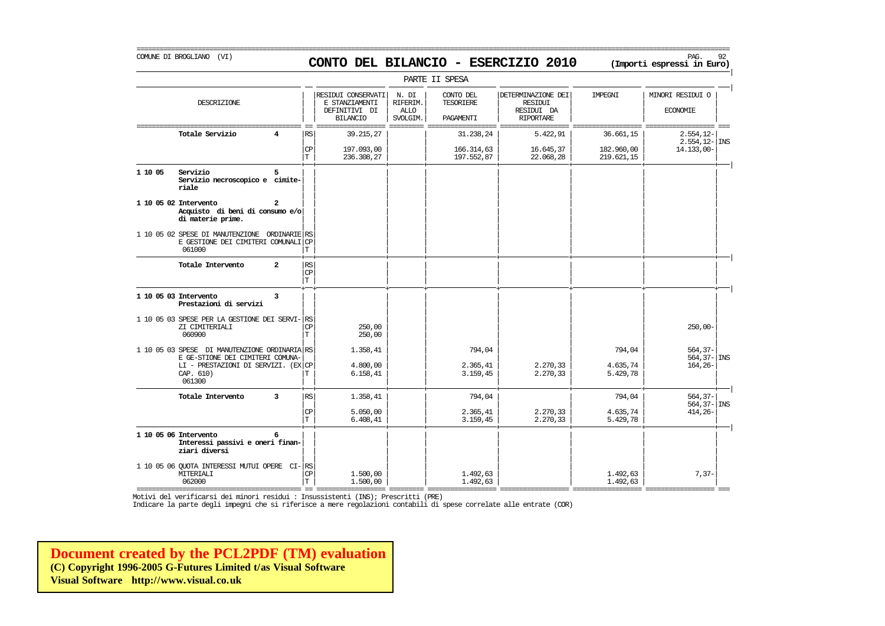# COMUNE DI BROGLIANO (VI) PAG. 92 **CONTO DEL BILANCIO - ESERCIZIO 2010 (Importi espressi in Euro)**

===========================================================================================================================================================

|         |                                                                                                |                |                                       |                                                                          |                                              | PARTE II SPESA                      |                                                                 |                          |                                     |
|---------|------------------------------------------------------------------------------------------------|----------------|---------------------------------------|--------------------------------------------------------------------------|----------------------------------------------|-------------------------------------|-----------------------------------------------------------------|--------------------------|-------------------------------------|
|         | DESCRIZIONE                                                                                    |                |                                       | RESIDUI CONSERVATI<br>E STANZIAMENTI<br>DEFINITIVI DI<br><b>BILANCIO</b> | N. DI<br>RIFERIM.<br><b>ALLO</b><br>SVOLGIM. | CONTO DEL<br>TESORIERE<br>PAGAMENTI | DETERMINAZIONE DEI<br>RESIDUI<br>RESIDUI DA<br><b>RIPORTARE</b> | IMPEGNI                  | MINORI RESIDUI O<br><b>ECONOMIE</b> |
|         | Totale Servizio                                                                                | 4              | <b>RS</b>                             | 39.215,27                                                                |                                              | 31.238,24                           | 5.422,91                                                        | 36.661,15                | $2.554, 12-$                        |
|         |                                                                                                |                | $\mathsf{CP}$<br>IТ                   | 197.093,00<br>236.308,27                                                 |                                              | 166.314,63<br>197.552,87            | 16.645,37<br>22.068,28                                          | 182.960,00<br>219.621,15 | $2.554, 12 -  $ INS<br>14.133,00-   |
| 1 10 05 | Servizio<br>Servizio necroscopico e cimite-<br>riale                                           | 5              |                                       |                                                                          |                                              |                                     |                                                                 |                          |                                     |
|         | 1 10 05 02 Intervento<br>Acquisto di beni di consumo e/o<br>di materie prime.                  | 2              |                                       |                                                                          |                                              |                                     |                                                                 |                          |                                     |
|         | 1 10 05 02 SPESE DI MANUTENZIONE ORDINARIE RS<br>E GESTIONE DEI CIMITERI COMUNALI CP<br>061000 |                | $\mathbf T$                           |                                                                          |                                              |                                     |                                                                 |                          |                                     |
|         | Totale Intervento                                                                              | $\overline{a}$ | RS<br>$\mathbf{CP}$<br>$\mathbf T$    |                                                                          |                                              |                                     |                                                                 |                          |                                     |
|         | 1 10 05 03 Intervento<br>Prestazioni di servizi                                                | 3              |                                       |                                                                          |                                              |                                     |                                                                 |                          |                                     |
|         | 1 10 05 03 SPESE PER LA GESTIONE DEI SERVI- RS<br>ZI CIMITERIALI<br>060900                     |                | <b>CP</b><br>$\mathbf T$              | 250,00<br>250,00                                                         |                                              |                                     |                                                                 |                          | $250,00-$                           |
|         | 1 10 05 03 SPESE DI MANUTENZIONE ORDINARIA RS<br>E GE-STIONE DEI CIMITERI COMUNA-              |                |                                       | 1.358,41                                                                 |                                              | 794,04                              |                                                                 | 794,04                   | $564, 37-$<br>$564, 37 -  $ INS     |
|         | LI - PRESTAZIONI DI SERVIZI. (EX CP<br>CAP. 610)<br>061300                                     |                | Т                                     | 4.800,00<br>6.158, 41                                                    |                                              | 2.365,41<br>3.159,45                | 2.270,33<br>2.270,33                                            | 4.635,74<br>5.429,78     | $164, 26 -$                         |
|         | Totale Intervento                                                                              | 3              | <b>RS</b>                             | 1.358,41                                                                 |                                              | 794,04                              |                                                                 | 794,04                   | $564, 37-$<br>$564, 37 -  $ INS     |
|         |                                                                                                |                | $\mathbb{C}\mathbb{P}$<br>$\mathbf T$ | 5.050,00<br>6.408, 41                                                    |                                              | 2.365,41<br>3.159,45                | 2.270,33<br>2.270,33                                            | 4.635,74<br>5.429,78     | $414,26-$                           |
|         | 1 10 05 06 Intervento<br>Interessi passivi e oneri finan-<br>ziari diversi                     | 6              |                                       |                                                                          |                                              |                                     |                                                                 |                          |                                     |
|         | 1 10 05 06 QUOTA INTERESSI MUTUI OPERE CI-RS<br>MITERIALI<br>062000                            |                | $\mathbb{C}\mathbb{P}$<br>$\mathbf T$ | 1.500,00<br>1.500,00                                                     |                                              | 1.492,63<br>1.492,63                |                                                                 | 1.492,63<br>1.492,63     | $7,37-$                             |

=========================================== == ================== ========= ================== ================== ================== ================== === Motivi del verificarsi dei minori residui : Insussistenti (INS); Prescritti (PRE)

Indicare la parte degli impegni che si riferisce a mere regolazioni contabili di spese correlate alle entrate (COR)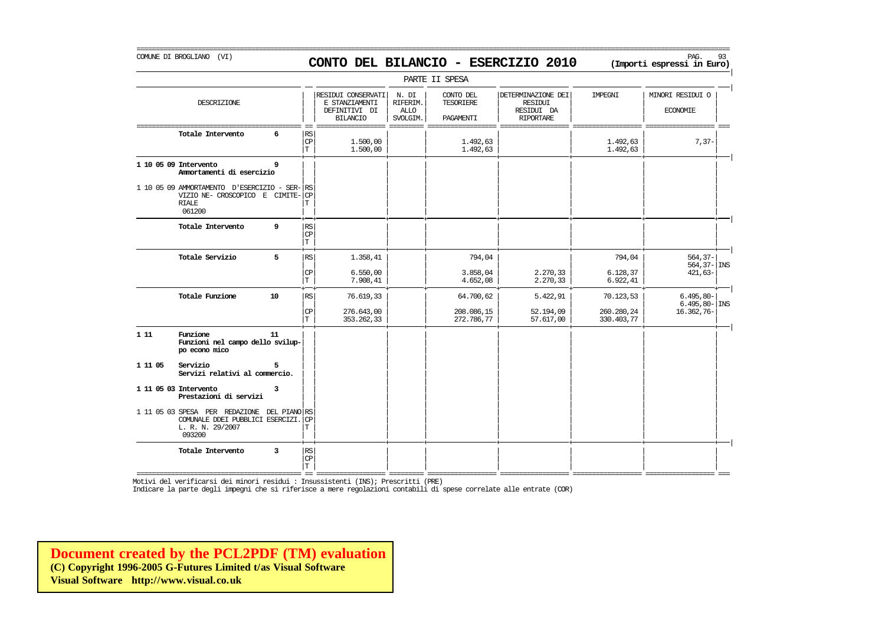#### COMUNE DI BROGLIANO (VI) PAG. 93 **CONTO DEL BILANCIO - ESERCIZIO 2010 (Importi espressi in Euro)**

===========================================================================================================================================================

|         |                                                                                                               |    |                                   |                                                                          |                                              | PARTE II SPESA                             |                                                                        |                          |                                        |
|---------|---------------------------------------------------------------------------------------------------------------|----|-----------------------------------|--------------------------------------------------------------------------|----------------------------------------------|--------------------------------------------|------------------------------------------------------------------------|--------------------------|----------------------------------------|
|         | DESCRIZIONE                                                                                                   |    |                                   | RESIDUI CONSERVATI<br>E STANZIAMENTI<br>DEFINITIVI DI<br><b>BILANCIO</b> | N. DI<br>RIFERIM.<br><b>ALLO</b><br>SVOLGIM. | CONTO DEL<br><b>TESORIERE</b><br>PAGAMENTI | DETERMINAZIONE DEI<br><b>RESIDUI</b><br>RESIDUI DA<br><b>RIPORTARE</b> | IMPEGNI                  | MINORI RESIDUI O<br><b>ECONOMIE</b>    |
|         | Totale Intervento                                                                                             | 6  | RS<br>CP<br>$\mathbf T$           | 1,500,00<br>1.500,00                                                     |                                              | 1.492,63<br>1.492,63                       |                                                                        | 1.492,63<br>1.492,63     | $7,37-$                                |
|         | 1 10 05 09 Intervento<br>Ammortamenti di esercizio                                                            | 9  |                                   |                                                                          |                                              |                                            |                                                                        |                          |                                        |
|         | 1 10 05 09 AMMORTAMENTO D'ESERCIZIO - SER- RS<br>VIZIO NE- CROSCOPICO E CIMITE-<br><b>RIALE</b><br>061200     |    | CP<br>T                           |                                                                          |                                              |                                            |                                                                        |                          |                                        |
|         | Totale Intervento                                                                                             | 9  | RS<br>$\mathbb{C}\mathbb{P}$<br>T |                                                                          |                                              |                                            |                                                                        |                          |                                        |
|         | Totale Servizio                                                                                               | 5  | RS                                | 1.358,41                                                                 |                                              | 794,04                                     |                                                                        | 794,04                   | $564, 37 -$<br>$564, 37 -  $ INS       |
|         |                                                                                                               |    | CP<br>T                           | 6.550,00<br>7.908,41                                                     |                                              | 3.858,04<br>4.652,08                       | 2.270,33<br>2.270,33                                                   | 6.128,37<br>6.922, 41    | $421,63-$                              |
|         | Totale Funzione                                                                                               | 10 | RS                                | 76.619,33                                                                |                                              | 64.700,62                                  | 5.422,91                                                               | 70.123,53                | $6.495,80-$<br>$6.495, 80 - \vert$ INS |
|         |                                                                                                               |    | CP<br>T                           | 276.643,00<br>353.262,33                                                 |                                              | 208.086,15<br>272.786,77                   | 52.194,09<br>57.617,00                                                 | 260.280,24<br>330.403,77 | 16.362,76-                             |
| 111     | Funzione<br>Funzioni nel campo dello svilup-<br>po econo mico                                                 | 11 |                                   |                                                                          |                                              |                                            |                                                                        |                          |                                        |
| 1 11 05 | Servizio<br>Servizi relativi al commercio.                                                                    |    |                                   |                                                                          |                                              |                                            |                                                                        |                          |                                        |
|         | 1 11 05 03 Intervento<br>Prestazioni di servizi                                                               | 3  |                                   |                                                                          |                                              |                                            |                                                                        |                          |                                        |
|         | 1 11 05 03 SPESA PER REDAZIONE DEL PIANO RS<br>COMUNALE DDEI PUBBLICI ESERCIZI.<br>L. R. N. 29/2007<br>093200 |    | CP<br>Т                           |                                                                          |                                              |                                            |                                                                        |                          |                                        |
|         | Totale Intervento                                                                                             | 3  | RS<br>$\mathbf{CP}$<br>T          |                                                                          |                                              |                                            |                                                                        |                          |                                        |

Motivi del verificarsi dei minori residui : Insussistenti (INS); Prescritti (PRE)

Indicare la parte degli impegni che si riferisce a mere regolazioni contabili di spese correlate alle entrate (COR)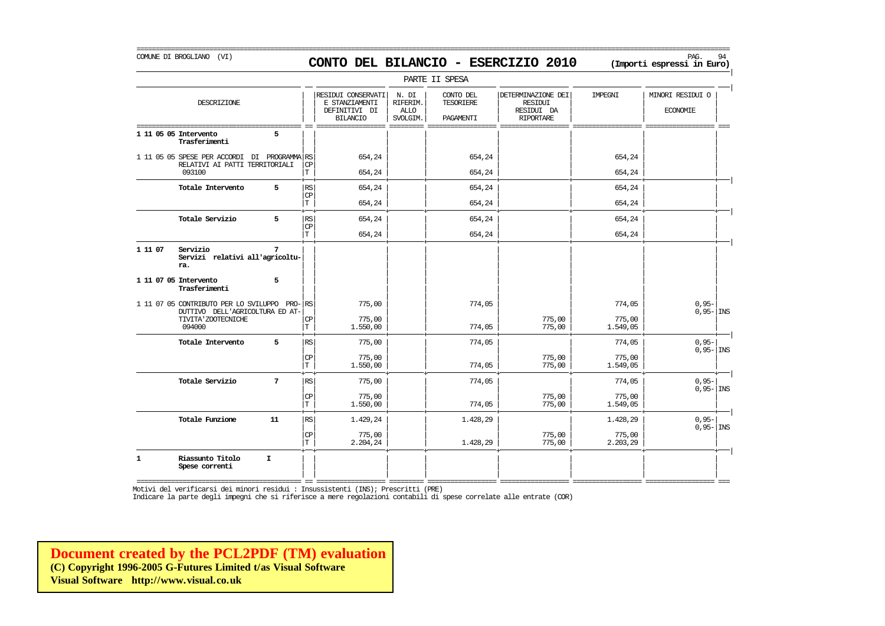# COMUNE DI BROGLIANO (VI) PAG. 94 **CONTO DEL BILANCIO - ESERCIZIO 2010 (Importi espressi in Euro)**

===========================================================================================================================================================

|              |                                                                                 |                 |                             |                                                                          |                                              | PARTE II SPESA                             |                                                                        |                    |                                     |
|--------------|---------------------------------------------------------------------------------|-----------------|-----------------------------|--------------------------------------------------------------------------|----------------------------------------------|--------------------------------------------|------------------------------------------------------------------------|--------------------|-------------------------------------|
|              | DESCRIZIONE                                                                     |                 |                             | RESIDUI CONSERVATI<br>E STANZIAMENTI<br>DEFINITIVI DI<br><b>BILANCIO</b> | N. DI<br>RIFERIM.<br><b>ALLO</b><br>SVOLGIM. | CONTO DEL<br><b>TESORIERE</b><br>PAGAMENTI | DETERMINAZIONE DEI<br><b>RESIDUI</b><br>RESIDUI DA<br><b>RIPORTARE</b> | IMPEGNI            | MINORI RESIDUI O<br><b>ECONOMIE</b> |
|              | 1 11 05 05 Intervento<br>Trasferimenti                                          | 5               |                             |                                                                          |                                              |                                            |                                                                        |                    |                                     |
|              | 1 11 05 05 SPESE PER ACCORDI DI PROGRAMMA RS<br>RELATIVI AI PATTI TERRITORIALI  |                 | СP                          | 654,24                                                                   |                                              | 654,24                                     |                                                                        | 654,24             |                                     |
|              | 093100                                                                          |                 | $\mathbb T$                 | 654,24                                                                   |                                              | 654,24                                     |                                                                        | 654,24             |                                     |
|              | Totale Intervento                                                               | 5               | RS<br>CP                    | 654,24                                                                   |                                              | 654,24                                     |                                                                        | 654,24             |                                     |
|              |                                                                                 |                 | T                           | 654,24                                                                   |                                              | 654,24                                     |                                                                        | 654,24             |                                     |
|              | Totale Servizio                                                                 | 5               | RS<br>$\mathbf{CP}$         | 654,24                                                                   |                                              | 654,24                                     |                                                                        | 654,24             |                                     |
|              |                                                                                 |                 | T.                          | 654,24                                                                   |                                              | 654,24                                     |                                                                        | 654,24             |                                     |
| 1 11 07      | Servizio<br>Servizi relativi all'agricoltu-<br>ra.                              | 7               |                             |                                                                          |                                              |                                            |                                                                        |                    |                                     |
|              | 1 11 07 05 Intervento<br>Trasferimenti                                          | 5               |                             |                                                                          |                                              |                                            |                                                                        |                    |                                     |
|              | 1 11 07 05 CONTRIBUTO PER LO SVILUPPO PRO-RS<br>DUTTIVO DELL'AGRICOLTURA ED AT- |                 |                             | 775,00                                                                   |                                              | 774,05                                     |                                                                        | 774,05             | $0,95-$<br>$0,95 -  $ INS           |
|              | TIVITA ' ZOOTECNICHE<br>094000                                                  |                 | CP<br>T                     | 775,00<br>1.550,00                                                       |                                              | 774,05                                     | 775,00<br>775,00                                                       | 775,00<br>1.549,05 |                                     |
|              | Totale Intervento                                                               | 5               | RS                          | 775,00                                                                   |                                              | 774,05                                     |                                                                        | 774,05             | $0,95-$                             |
|              |                                                                                 |                 | $\mathbb{C}\mathbb{P}$<br>T | 775,00<br>1.550,00                                                       |                                              | 774,05                                     | 775,00<br>775,00                                                       | 775,00<br>1.549,05 | $0,95 -  $ INS                      |
|              | Totale Servizio                                                                 | $7\phantom{.0}$ | RS                          | 775,00                                                                   |                                              | 774,05                                     |                                                                        | 774,05             | $0,95-$                             |
|              |                                                                                 |                 | $\mathbf{C}\mathbf{P}$<br>T | 775,00<br>1.550,00                                                       |                                              | 774,05                                     | 775,00<br>775,00                                                       | 775,00<br>1.549,05 | $0,95 -  $ INS                      |
|              | Totale Funzione                                                                 | 11              | RS                          | 1.429,24                                                                 |                                              | 1.428,29                                   |                                                                        | 1.428,29           | $0,95-$                             |
|              |                                                                                 |                 | <b>CP</b><br>T              | 775,00<br>2.204,24                                                       |                                              | 1.428,29                                   | 775,00<br>775,00                                                       | 775,00<br>2.203,29 | $0,95 -  $ INS                      |
| $\mathbf{1}$ | Riassunto Titolo<br>Spese correnti                                              | I.              |                             |                                                                          |                                              |                                            |                                                                        |                    |                                     |

=========================================== == ================== ========= ================== ================== ================== ================== === Motivi del verificarsi dei minori residui : Insussistenti (INS); Prescritti (PRE)

Indicare la parte degli impegni che si riferisce a mere regolazioni contabili di spese correlate alle entrate (COR)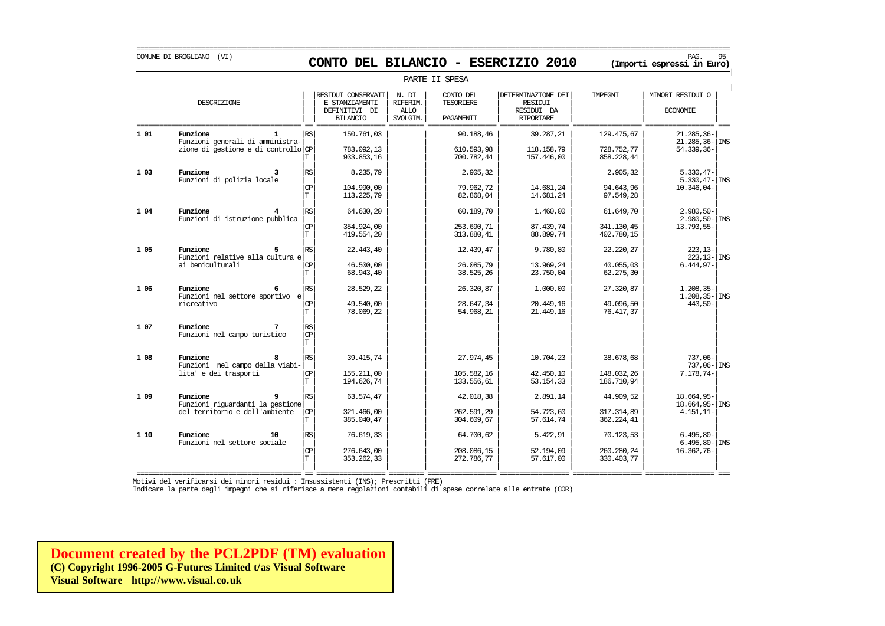# COMUNE DI BROGLIANO (VI) PAG. 95 **CONTO DEL BILANCIO - ESERCIZIO 2010 (Importi espressi in Euro)**

|       | PARTE II SPESA                                                                      |                                                        |                                                                          |                                              |                                            |                                                                        |                                        |                                                     |  |  |  |  |
|-------|-------------------------------------------------------------------------------------|--------------------------------------------------------|--------------------------------------------------------------------------|----------------------------------------------|--------------------------------------------|------------------------------------------------------------------------|----------------------------------------|-----------------------------------------------------|--|--|--|--|
|       | DESCRIZIONE                                                                         |                                                        | RESIDUI CONSERVATI<br>E STANZIAMENTI<br>DEFINITIVI DI<br><b>BILANCIO</b> | N. DI<br>RIFERIM.<br><b>ALLO</b><br>SVOLGIM. | CONTO DEL<br><b>TESORIERE</b><br>PAGAMENTI | DETERMINAZIONE DEI<br><b>RESIDUI</b><br>RESIDUI DA<br><b>RIPORTARE</b> | IMPEGNI                                | MINORI RESIDUI O<br><b>ECONOMIE</b>                 |  |  |  |  |
| 1 01  | Funzione<br>Funzioni generali di amministra-<br>zione di gestione e di controllo CP | RS<br>Т                                                | 150.761,03<br>783.092.13<br>933.853.16                                   |                                              | 90.188,46<br>610.593.98<br>700.782,44      | 39.287,21<br>118.158.79<br>157.446,00                                  | 129.475,67<br>728.752.77<br>858.228,44 | 21.285,36-<br>$21.285.36 - \vert$ INS<br>54.339,36- |  |  |  |  |
| 103   | Funzione<br>з.<br>Funzioni di polizia locale                                        | RS<br><b>CP</b><br>T                                   | 8.235,79<br>104,990,00<br>113.225,79                                     |                                              | 2.905,32<br>79.962.72<br>82.868,04         | 14.681.24<br>14.681,24                                                 | 2.905,32<br>94.643.96<br>97.549,28     | $5.330, 47-$<br>$5.330.47 -  JNS$<br>$10.346.04-$   |  |  |  |  |
| 1 04  | Funzione<br>Funzioni di istruzione pubblica                                         | RS.<br><b>CP</b><br>T                                  | 64.630,20<br>354.924,00<br>419.554.20                                    |                                              | 60.189,70<br>253.690.71<br>313.880,41      | 1,460,00<br>87.439.74<br>88.899,74                                     | 61.649,70<br>341.130.45<br>402.780,15  | $2.980, 50 -$<br>$2.980, 50 -  $ INS<br>13.793,55-  |  |  |  |  |
| 1 0 5 | Eunzione<br>Funzioni relative alla cultura e<br>ai beniculturali                    | RS<br>CP<br>T                                          | 22.443,40<br>46.500,00<br>68.943,40                                      |                                              | 12.439,47<br>26.085.79<br>38.525,26        | 9.780,80<br>13.969.24<br>23.750,04                                     | 22.220,27<br>40.055,03<br>62.275,30    | $223, 13-$<br>$223.13 -  $ INS<br>$6.444.97-$       |  |  |  |  |
| 1 0 6 | Funzione<br>Funzioni nel settore sportivo e<br>ricreativo                           | RS<br><b>CP</b><br>T                                   | 28.529,22<br>49.540,00<br>78.069.22                                      |                                              | 26.320,87<br>28.647,34<br>54.968,21        | 1,000,00<br>20.449,16<br>21.449,16                                     | 27.320,87<br>49.096,50<br>76.417,37    | $1.208, 35 -$<br>$1.208, 35 -  $ INS<br>$443,50-$   |  |  |  |  |
| 1 07  | Funzione<br>Funzioni nel campo turistico                                            | RS<br><b>CP</b><br>T.                                  |                                                                          |                                              |                                            |                                                                        |                                        |                                                     |  |  |  |  |
| 1 08  | Eunzione<br>Funzioni nel campo della viabi-<br>lita' e dei trasporti                | $\mathbb{R}\mathbb{S}$<br>$\mathbf{CP}$<br>$\mathbf T$ | 39.415,74<br>155.211,00<br>194.626,74                                    |                                              | 27.974,45<br>105.582,16<br>133.556,61      | 10.704,23<br>42.450,10<br>53.154,33                                    | 38.678,68<br>148.032,26<br>186.710,94  | $737.06 -$<br>$737.06 - \vert$ INS<br>$7.178,74-$   |  |  |  |  |
| 1 0 9 | Funzione<br>Funzioni riquardanti la gestione<br>del territorio e dell'ambiente      | RS<br><b>CP</b><br>T                                   | 63.574,47<br>321, 466, 00<br>385.040,47                                  |                                              | 42.018,38<br>262.591,29<br>304.609,67      | 2.891,14<br>54.723,60<br>57.614,74                                     | 44.909,52<br>317.314.89<br>362.224,41  | 18.664.95-<br>$18.664, 95 -$ INS<br>$4.151, 11-$    |  |  |  |  |
| 1 10  | Eunzione<br>10<br>Funzioni nel settore sociale                                      | RS<br><b>CP</b><br>T                                   | 76.619,33<br>276.643,00<br>353.262,33                                    |                                              | 64.700,62<br>208.086,15<br>272.786,77      | 5.422,91<br>52.194,09<br>57.617,00                                     | 70.123,53<br>260.280,24<br>330.403,77  | $6.495.80 -$<br>$6.495.80 -$ INS<br>$16.362,76-$    |  |  |  |  |

Motivi del verificarsi dei minori residui : Insussistenti (INS); Prescritti (PRE)

Indicare la parte degli impegni che si riferisce a mere regolazioni contabili di spese correlate alle entrate (COR)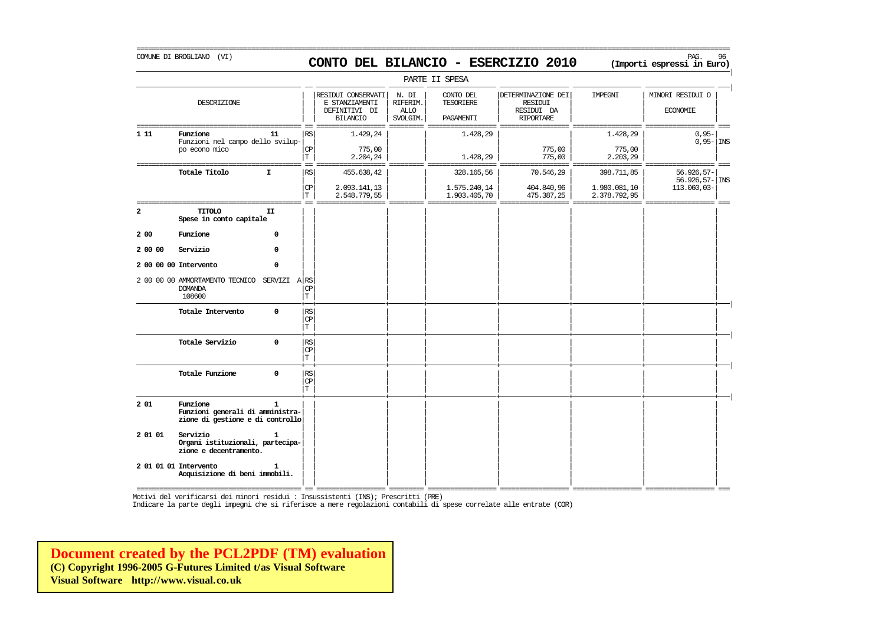### COMUNE DI BROGLIANO (VI) PAG. 96 **CONTO DEL BILANCIO - ESERCIZIO 2010 (Importi espressi in Euro)**

===========================================================================================================================================================

|              |                                                                                  |              |                                           |                                                                          |                                              | PARTE II SPESA                             |                                                                 |                                            |                                                       |  |
|--------------|----------------------------------------------------------------------------------|--------------|-------------------------------------------|--------------------------------------------------------------------------|----------------------------------------------|--------------------------------------------|-----------------------------------------------------------------|--------------------------------------------|-------------------------------------------------------|--|
|              | DESCRIZIONE                                                                      |              |                                           | RESIDUI CONSERVATI<br>E STANZIAMENTI<br>DEFINITIVI DI<br><b>BILANCIO</b> | N. DI<br>RIFERIM.<br><b>ALLO</b><br>SVOLGIM. | CONTO DEL<br>TESORIERE<br>PAGAMENTI        | DETERMINAZIONE DEI<br>RESIDUI<br>RESIDUI DA<br><b>RIPORTARE</b> | IMPEGNI                                    | MINORI RESIDUI O<br><b>ECONOMIE</b>                   |  |
| 1 1 1        | Funzione<br>Funzioni nel campo dello svilup-<br>po econo mico                    | 11           | <b>RS</b><br><b>CP</b><br>T.              | 1.429,24<br>775,00<br>2.204,24                                           |                                              | 1.428,29<br>1.428,29                       | 775,00<br>775,00                                                | 1.428,29<br>775,00<br>2.203,29             | $0,95-$<br>$0,95 -$ INS                               |  |
|              | Totale Titolo                                                                    | I.           | RS<br>CP<br>T                             | 455.638,42<br>2.093.141,13<br>2.548.779,55                               |                                              | 328.165,56<br>1.575.240,14<br>1.903.405,70 | 70.546,29<br>404.840,96<br>475.387,25                           | 398.711,85<br>1.980.081,10<br>2.378.792,95 | 56.926,57-<br>$56.926, 57 - \vert$ INS<br>113.060,03- |  |
| $\mathbf{2}$ | <b>TITOLO</b><br>Spese in conto capitale                                         | II           |                                           |                                                                          |                                              |                                            |                                                                 |                                            |                                                       |  |
| 2 00         | Funzione                                                                         | 0            |                                           |                                                                          |                                              |                                            |                                                                 |                                            |                                                       |  |
| 2 00 00      | Servizio                                                                         | 0            |                                           |                                                                          |                                              |                                            |                                                                 |                                            |                                                       |  |
|              | 2 00 00 00 Intervento                                                            | 0            |                                           |                                                                          |                                              |                                            |                                                                 |                                            |                                                       |  |
|              | 2 00 00 00 AMMORTAMENTO TECNICO<br><b>DOMANDA</b><br>108600                      | SERVIZI ARS  | CP<br>T                                   |                                                                          |                                              |                                            |                                                                 |                                            |                                                       |  |
|              | Totale Intervento                                                                | $\Omega$     | <b>RS</b><br>$\mathbb{C}\mathbb{P}$<br>T  |                                                                          |                                              |                                            |                                                                 |                                            |                                                       |  |
|              | Totale Servizio                                                                  | $\mathbf 0$  | <b>RS</b><br>$\mathbb{C}\mathbb{P}$<br>T. |                                                                          |                                              |                                            |                                                                 |                                            |                                                       |  |
|              | Totale Funzione                                                                  | $\Omega$     | <b>RS</b><br>CP<br>T                      |                                                                          |                                              |                                            |                                                                 |                                            |                                                       |  |
| 201          | Funzione<br>Funzioni generali di amministra-<br>zione di gestione e di controllo | $\mathbf{1}$ |                                           |                                                                          |                                              |                                            |                                                                 |                                            |                                                       |  |
| 2 01 01      | Servizio<br>Organi istituzionali, partecipa-<br>zione e decentramento.           | $\mathbf{1}$ |                                           |                                                                          |                                              |                                            |                                                                 |                                            |                                                       |  |
|              | 2 01 01 01 Intervento<br>Acquisizione di beni immobili.                          | 1            |                                           |                                                                          |                                              |                                            |                                                                 |                                            |                                                       |  |

=========================================== == ================== ========= ================== ================== ================== ================== === Motivi del verificarsi dei minori residui : Insussistenti (INS); Prescritti (PRE)

Indicare la parte degli impegni che si riferisce a mere regolazioni contabili di spese correlate alle entrate (COR)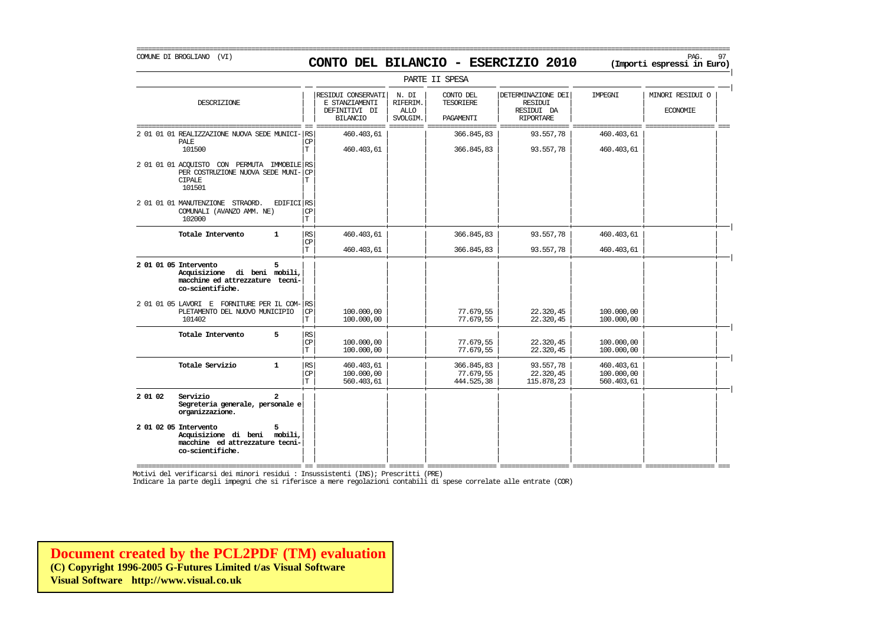# COMUNE DI BROGLIANO (VI) PAG. 97 **CONTO DEL BILANCIO - ESERCIZIO 2010 (Importi espressi in Euro)**

===========================================================================================================================================================

|                                                                                                                    |                  |                                                                          |                                              | PARTE II SPESA                             |                                                                        |                                        |                                     |
|--------------------------------------------------------------------------------------------------------------------|------------------|--------------------------------------------------------------------------|----------------------------------------------|--------------------------------------------|------------------------------------------------------------------------|----------------------------------------|-------------------------------------|
| DESCRIZIONE                                                                                                        |                  | RESIDUI CONSERVATI<br>E STANZIAMENTI<br>DEFINITIVI DI<br><b>BILANCIO</b> | N. DI<br>RIFERIM.<br><b>ALLO</b><br>SVOLGIM. | CONTO DEL<br><b>TESORIERE</b><br>PAGAMENTI | DETERMINAZIONE DEI<br><b>RESIDUI</b><br>RESIDUI DA<br><b>RIPORTARE</b> | <b>TMPRGNT</b>                         | MINORI RESIDUI O<br><b>ECONOMIE</b> |
| 2 01 01 01 REALIZZAZIONE NUOVA SEDE MUNICI- RS<br><b>PALE</b><br>101500                                            | <b>CP</b><br>T   | 460.403,61<br>460.403,61                                                 |                                              | 366.845,83<br>366.845,83                   | 93.557,78<br>93.557,78                                                 | 460.403,61<br>460.403,61               |                                     |
| 2 01 01 01 ACOUISTO CON PERMUTA IMMOBILE RS<br>PER COSTRUZIONE NUOVA SEDE MUNI- CP<br><b>CIPALE</b><br>101501      |                  |                                                                          |                                              |                                            |                                                                        |                                        |                                     |
| EDIFICI RS<br>2 01 01 01 MANUTENZIONE STRAORD.<br>COMUNALI (AVANZO AMM. NE)<br>102000                              | CP<br>T          |                                                                          |                                              |                                            |                                                                        |                                        |                                     |
| Totale Intervento<br>$\mathbf{1}$                                                                                  | RS<br>CP         | 460.403,61                                                               |                                              | 366.845,83                                 | 93.557,78                                                              | 460.403,61                             |                                     |
|                                                                                                                    | T.               | 460.403,61                                                               |                                              | 366.845,83                                 | 93.557,78                                                              | 460.403,61                             |                                     |
| 2 01 01 05 Intervento<br>5.<br>Acquisizione di beni mobili,<br>macchine ed attrezzature tecni-<br>co-scientifiche. |                  |                                                                          |                                              |                                            |                                                                        |                                        |                                     |
| 2 01 01 05 LAVORI E FORNITURE PER IL COM- RS<br>PLETAMENTO DEL NUOVO MUNICIPIO<br>101402                           | <b>CP</b><br>lΤ. | 100,000,00<br>100,000,00                                                 |                                              | 77.679,55<br>77.679,55                     | 22.320,45<br>22.320,45                                                 | 100.000,00<br>100.000,00               |                                     |
| 5<br>Totale Intervento                                                                                             | RS<br>CP<br>T    | 100,000,00<br>100,000,00                                                 |                                              | 77.679,55<br>77.679,55                     | 22.320,45<br>22.320,45                                                 | 100,000,00<br>100,000,00               |                                     |
| Totale Servizio<br>$\mathbf{1}$                                                                                    | RS<br>CP<br>ΙT.  | 460.403,61<br>100.000,00<br>560.403,61                                   |                                              | 366.845,83<br>77.679,55<br>444.525,38      | 93.557,78<br>22.320,45<br>115.878,23                                   | 460.403,61<br>100.000,00<br>560.403,61 |                                     |
| 2 01 02<br>Servizio<br>$\mathbf{z}$<br>Segreteria generale, personale e<br>organizzazione.                         |                  |                                                                          |                                              |                                            |                                                                        |                                        |                                     |
| 2 01 02 05 Intervento<br>5<br>Acquisizione di beni mobili,<br>macchine ed attrezzature tecni-<br>co-scientifiche.  |                  |                                                                          |                                              |                                            |                                                                        |                                        |                                     |

=========================================== == ================== ========= ================== ================== ================== ================== === Motivi del verificarsi dei minori residui : Insussistenti (INS); Prescritti (PRE)

Indicare la parte degli impegni che si riferisce a mere regolazioni contabili di spese correlate alle entrate (COR)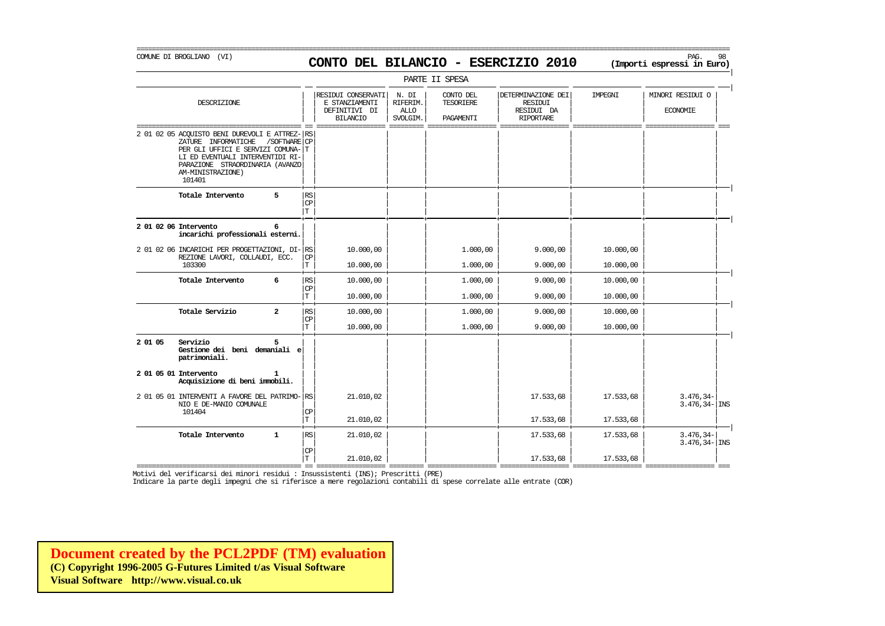#### COMUNE DI BROGLIANO (VI) PAG. 98 **CONTO DEL BILANCIO - ESERCIZIO 2010 (Importi espressi in Euro)**

|

|         |                                                                                                                                                                                                                                  |                                       |                                                                          |                                              | PARTE II SPESA                      |                                                                        |           |                                     |
|---------|----------------------------------------------------------------------------------------------------------------------------------------------------------------------------------------------------------------------------------|---------------------------------------|--------------------------------------------------------------------------|----------------------------------------------|-------------------------------------|------------------------------------------------------------------------|-----------|-------------------------------------|
|         | DESCRIZIONE                                                                                                                                                                                                                      |                                       | RESIDUI CONSERVATI<br>E STANZIAMENTI<br>DEFINITIVI DI<br><b>BILANCIO</b> | N. DI<br>RIFERIM.<br><b>ALLO</b><br>SVOLGIM. | CONTO DEL<br>TESORIERE<br>PAGAMENTI | DETERMINAZIONE DEI<br><b>RESIDUI</b><br>RESIDUI DA<br><b>RIPORTARE</b> | IMPEGNI   | MINORI RESIDUI O<br><b>ECONOMIE</b> |
|         | 2 01 02 05 ACQUISTO BENI DUREVOLI E ATTREZ- RS<br>ZATURE INFORMATICHE<br>/SOFTWARE CP<br>PER GLI UFFICI E SERVIZI COMUNA-T<br>LI ED EVENTUALI INTERVENTIDI RI-<br>PARAZIONE STRAORDINARIA (AVANZO<br>AM-MINISTRAZIONE)<br>101401 |                                       |                                                                          |                                              |                                     |                                                                        |           |                                     |
|         | Totale Intervento<br>5                                                                                                                                                                                                           | RS<br>CP<br>$\mathbf T$               |                                                                          |                                              |                                     |                                                                        |           |                                     |
|         | 2 01 02 06 Intervento<br>6<br>incarichi professionali esterni.                                                                                                                                                                   |                                       |                                                                          |                                              |                                     |                                                                        |           |                                     |
|         | 2 01 02 06 INCARICHI PER PROGETTAZIONI, DI-RS                                                                                                                                                                                    |                                       | 10.000,00                                                                |                                              | 1,000,00                            | 9.000,00                                                               | 10.000,00 |                                     |
|         | REZIONE LAVORI, COLLAUDI, ECC.<br>103300                                                                                                                                                                                         | CP<br>T                               | 10,000,00                                                                |                                              | 1,000,00                            | 9.000,00                                                               | 10,000,00 |                                     |
|         | Totale Intervento<br>6                                                                                                                                                                                                           | RS                                    | 10,000,00                                                                |                                              | 1,000,00                            | 9.000,00                                                               | 10.000,00 |                                     |
|         |                                                                                                                                                                                                                                  | <b>CP</b><br>T                        | 10,000,00                                                                |                                              | 1.000,00                            | 9.000,00                                                               | 10.000,00 |                                     |
|         | Totale Servizio<br>$\overline{a}$                                                                                                                                                                                                | RS                                    | 10.000,00                                                                |                                              | 1,000,00                            | 9.000,00                                                               | 10.000,00 |                                     |
|         |                                                                                                                                                                                                                                  | $\mathbf{CP}$<br>T                    | 10,000,00                                                                |                                              | 1,000,00                            | 9.000,00                                                               | 10,000,00 |                                     |
| 2 01 05 | Servizio<br>Gestione dei beni demaniali e<br>patrimoniali.                                                                                                                                                                       |                                       |                                                                          |                                              |                                     |                                                                        |           |                                     |
|         | 2 01 05 01 Intervento<br>Acquisizione di beni immobili.                                                                                                                                                                          |                                       |                                                                          |                                              |                                     |                                                                        |           |                                     |
|         | 2 01 05 01 INTERVENTI A FAVORE DEL PATRIMO- RS<br>NIO E DE-MANIO COMUNALE                                                                                                                                                        |                                       | 21.010,02                                                                |                                              |                                     | 17.533,68                                                              | 17.533,68 | $3.476, 34-$<br>$3.476, 34 -  $ INS |
|         | 101404                                                                                                                                                                                                                           | $\mathbb{C}\mathbb{P}$<br>$\mathbf T$ | 21,010,02                                                                |                                              |                                     | 17.533,68                                                              | 17.533,68 |                                     |
|         | Totale Intervento<br>$\mathbf{1}$                                                                                                                                                                                                | RS.                                   | 21,010,02                                                                |                                              |                                     | 17.533,68                                                              | 17.533,68 | $3.476, 34-$<br>$3.476, 34 -$ INS   |
|         |                                                                                                                                                                                                                                  | СP<br>$\mathbf T$                     | 21,010,02                                                                |                                              |                                     | 17.533,68                                                              | 17.533,68 |                                     |

=========================================== == ================== ========= ================== ================== ================== ================== === Motivi del verificarsi dei minori residui : Insussistenti (INS); Prescritti (PRE)

Indicare la parte degli impegni che si riferisce a mere regolazioni contabili di spese correlate alle entrate (COR)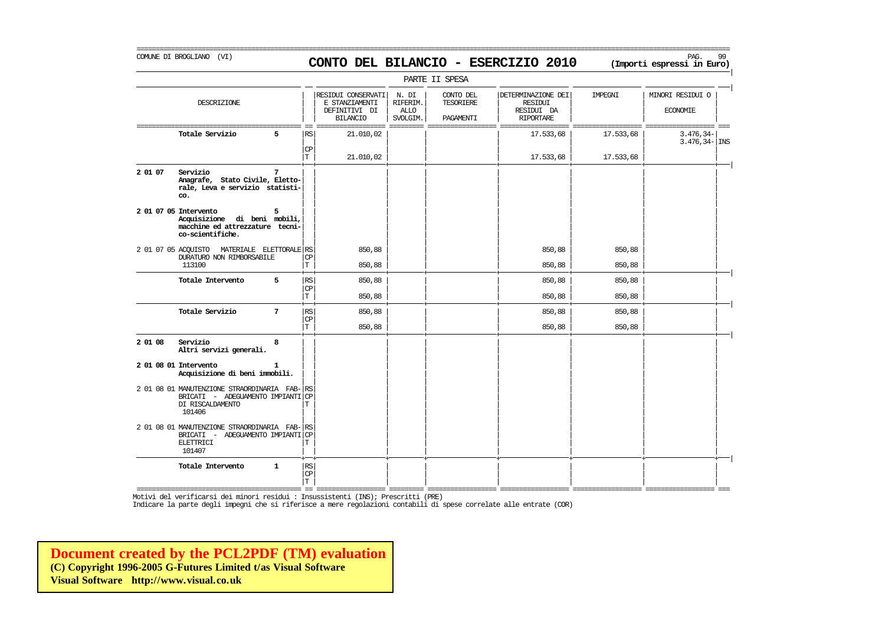# COMUNE DI BROGLIANO (VI) PAG. 99 **CONTO DEL BILANCIO - ESERCIZIO 2010 (Importi espressi in Euro)**

===========================================================================================================================================================

|                     |                                                                                                               |              |                              |                                                                          |                                              | PARTE II SPESA                      |                                                                        |           |                                     |
|---------------------|---------------------------------------------------------------------------------------------------------------|--------------|------------------------------|--------------------------------------------------------------------------|----------------------------------------------|-------------------------------------|------------------------------------------------------------------------|-----------|-------------------------------------|
|                     | DESCRIZIONE                                                                                                   |              |                              | RESIDUI CONSERVATI<br>E STANZIAMENTI<br>DEFINITIVI DI<br><b>BILANCIO</b> | N. DI<br>RIFERIM.<br><b>ALLO</b><br>SVOLGIM. | CONTO DEL<br>TESORIERE<br>PAGAMENTI | DETERMINAZIONE DEI<br><b>RESIDUI</b><br>RESIDUI DA<br><b>RIPORTARE</b> | IMPEGNI   | MINORI RESIDUI O<br><b>ECONOMIE</b> |
|                     | Totale Servizio                                                                                               | 5            | RS<br>CP                     | 21.010,02                                                                |                                              |                                     | 17.533,68                                                              | 17.533,68 | 3.476,34-<br>$3.476, 34 -  $ INS    |
|                     |                                                                                                               |              | T.                           | 21,010,02                                                                |                                              |                                     | 17.533,68                                                              | 17.533,68 |                                     |
| 2 01 07             | Servizio<br>Anagrafe, Stato Civile, Eletto-<br>rale, Leva e servizio statisti-<br>co.                         | 7            |                              |                                                                          |                                              |                                     |                                                                        |           |                                     |
|                     | 2 01 07 05 Intervento<br>Acquisizione di beni mobili,<br>macchine ed attrezzature tecni-<br>co-scientifiche.  | 5            |                              |                                                                          |                                              |                                     |                                                                        |           |                                     |
| 2 01 07 05 ACOUISTO | MATERIALE ELETTORALE RS                                                                                       |              | CP                           | 850,88                                                                   |                                              |                                     | 850,88                                                                 | 850,88    |                                     |
|                     | DURATURO NON RIMBORSABILE<br>113100                                                                           |              | T                            | 850,88                                                                   |                                              |                                     | 850,88                                                                 | 850,88    |                                     |
|                     | Totale Intervento                                                                                             | 5            | RS<br><b>CP</b>              | 850,88                                                                   |                                              |                                     | 850,88                                                                 | 850,88    |                                     |
|                     |                                                                                                               |              | T                            | 850,88                                                                   |                                              |                                     | 850,88                                                                 | 850,88    |                                     |
|                     | Totale Servizio                                                                                               | 7            | RS<br>$\mathbb{C}\mathbb{P}$ | 850,88                                                                   |                                              |                                     | 850,88                                                                 | 850,88    |                                     |
|                     |                                                                                                               |              | T                            | 850,88                                                                   |                                              |                                     | 850,88                                                                 | 850,88    |                                     |
| 2 01 08             | Servizio<br>Altri servizi generali.                                                                           | 8            |                              |                                                                          |                                              |                                     |                                                                        |           |                                     |
|                     | 2 01 08 01 Intervento<br>Acquisizione di beni immobili.                                                       |              |                              |                                                                          |                                              |                                     |                                                                        |           |                                     |
|                     | 2 01 08 01 MANUTENZIONE STRAORDINARIA FAB-<br>BRICATI - ADEGUAMENTO IMPIANTI<br>DI RISCALDAMENTO<br>101406    |              | RS<br><b>CP</b><br>T         |                                                                          |                                              |                                     |                                                                        |           |                                     |
|                     | 2 01 08 01 MANUTENZIONE STRAORDINARIA FAB-<br>BRICATI - ADEGUAMENTO IMPIANTI CP<br><b>ELETTRICI</b><br>101407 |              | RS<br>T                      |                                                                          |                                              |                                     |                                                                        |           |                                     |
|                     | Totale Intervento                                                                                             | $\mathbf{1}$ | RS<br>CP<br>T.               |                                                                          |                                              |                                     |                                                                        |           |                                     |

=========================================== == ================== ========= ================== ================== ================== ================== === Motivi del verificarsi dei minori residui : Insussistenti (INS); Prescritti (PRE)

Indicare la parte degli impegni che si riferisce a mere regolazioni contabili di spese correlate alle entrate (COR)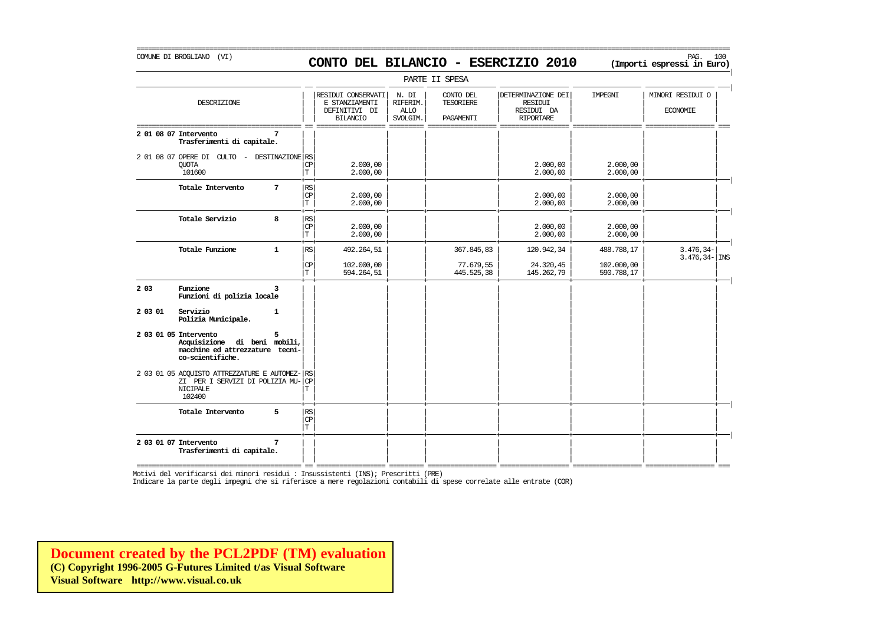### COMUNE DI BROGLIANO (VI) PAG. 100 **CONTO DEL BILANCIO - ESERCIZIO 2010 (Importi espressi in Euro)**

===========================================================================================================================================================

|         |                                                                                                                |                 |                                                        |                                                                          |                                              | PARTE II SPESA                        |                                                                        |                                        |                                     |
|---------|----------------------------------------------------------------------------------------------------------------|-----------------|--------------------------------------------------------|--------------------------------------------------------------------------|----------------------------------------------|---------------------------------------|------------------------------------------------------------------------|----------------------------------------|-------------------------------------|
|         | DESCRIZIONE                                                                                                    |                 |                                                        | RESIDUI CONSERVATI<br>E STANZIAMENTI<br>DEFINITIVI DI<br><b>BILANCIO</b> | N. DI<br>RIFERIM.<br><b>ALLO</b><br>SVOLGIM. | CONTO DEL<br>TESORIERE<br>PAGAMENTI   | DETERMINAZIONE DEI<br><b>RESIDUI</b><br>RESIDUI DA<br><b>RIPORTARE</b> | IMPEGNI                                | MINORI RESIDUI O<br><b>ECONOMIE</b> |
|         | 2 01 08 07 Intervento<br>Trasferimenti di capitale.                                                            | 7               |                                                        |                                                                          |                                              |                                       |                                                                        |                                        |                                     |
|         | 2 01 08 07 OPERE DI CULTO -<br><b>OUOTA</b><br>101600                                                          | DESTINAZIONE RS | <b>CP</b><br>$\mathbf T$                               | 2.000,00<br>2,000,00                                                     |                                              |                                       | 2,000,00<br>2,000,00                                                   | 2,000,00<br>2,000,00                   |                                     |
|         | Totale Intervento                                                                                              | 7               | $\mathbb{RS}$<br>$\mathbb{C}\mathbb{P}$<br>$\mathbf T$ | 2.000,00<br>2,000,00                                                     |                                              |                                       | 2,000,00<br>2.000,00                                                   | 2,000,00<br>2,000,00                   |                                     |
|         | Totale Servizio                                                                                                | 8               | RS<br>$\mathbb{C}\mathbb{P}$<br>T                      | 2.000,00<br>2.000,00                                                     |                                              |                                       | 2.000,00<br>2.000,00                                                   | 2.000,00<br>2.000,00                   |                                     |
|         | Totale Funzione                                                                                                | $\mathbf{1}$    | RS<br>$\mathbf{CP}$<br>$\mathbf T$                     | 492.264,51<br>102,000,00<br>594.264,51                                   |                                              | 367.845,83<br>77.679,55<br>445.525,38 | 120.942,34<br>24.320,45<br>145.262,79                                  | 488.788,17<br>102,000,00<br>590.788,17 | $3.476, 34-$<br>$3.476, 34 -  $ INS |
| 2 0 3   | Funzione<br>Funzioni di polizia locale                                                                         | 3               |                                                        |                                                                          |                                              |                                       |                                                                        |                                        |                                     |
| 2 03 01 | Servizio<br>Polizia Municipale.                                                                                | $\mathbf{1}$    |                                                        |                                                                          |                                              |                                       |                                                                        |                                        |                                     |
|         | 2 03 01 05 Intervento<br>Acquisizione di beni mobili,<br>macchine ed attrezzature tecni-<br>co-scientifiche.   | 5               |                                                        |                                                                          |                                              |                                       |                                                                        |                                        |                                     |
|         | 2 03 01 05 ACQUISTO ATTREZZATURE E AUTOMEZ- RS<br>ZI PER I SERVIZI DI POLIZIA MU-<br><b>NICIPALE</b><br>102400 |                 | CP<br>T                                                |                                                                          |                                              |                                       |                                                                        |                                        |                                     |
|         | Totale Intervento                                                                                              | 5               | RS <br>CP<br>$\mathbf T$                               |                                                                          |                                              |                                       |                                                                        |                                        |                                     |
|         | 2 03 01 07 Intervento<br>Trasferimenti di capitale.                                                            | 7               |                                                        |                                                                          |                                              |                                       |                                                                        |                                        |                                     |

=========================================== == ================== ========= ================== ================== ================== ================== === Motivi del verificarsi dei minori residui : Insussistenti (INS); Prescritti (PRE)

Indicare la parte degli impegni che si riferisce a mere regolazioni contabili di spese correlate alle entrate (COR)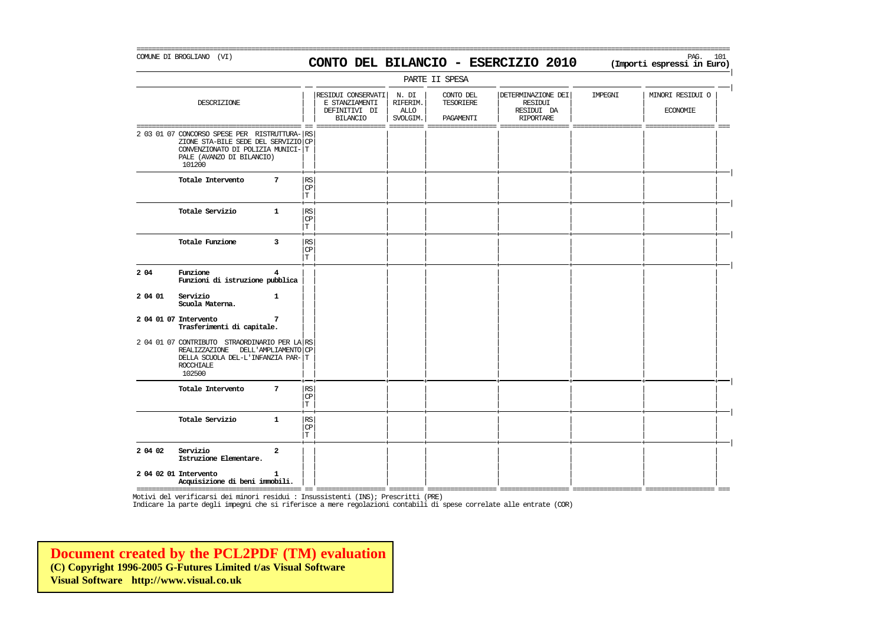#### COMUNE DI BROGLIANO (VI) PAG. 101 **CONTO DEL BILANCIO - ESERCIZIO 2010 (Importi espressi in Euro)**

|

|         | PARTE II SPESA                                                                                                                                                    |                         |                                   |                                                                                     |                                                |                                                 |                                                                             |                          |                                                                                                                                                                                                                                                                                                                                                                                                                                                                                                                        |  |
|---------|-------------------------------------------------------------------------------------------------------------------------------------------------------------------|-------------------------|-----------------------------------|-------------------------------------------------------------------------------------|------------------------------------------------|-------------------------------------------------|-----------------------------------------------------------------------------|--------------------------|------------------------------------------------------------------------------------------------------------------------------------------------------------------------------------------------------------------------------------------------------------------------------------------------------------------------------------------------------------------------------------------------------------------------------------------------------------------------------------------------------------------------|--|
|         | DESCRIZIONE                                                                                                                                                       |                         |                                   | RESIDUI CONSERVATI<br>E STANZIAMENTI<br>DEFINITIVI DI<br><b>BILANCIO</b><br>——————— | N. DI<br>RIFERIM.<br>ALLO<br>SVOLGIM.<br>$---$ | CONTO DEL<br>TESORIERE<br>PAGAMENTI<br>________ | DETERMINAZIONE DEI<br>RESIDUI<br>RESIDUI DA<br><b>RIPORTARE</b><br>———————— | IMPEGNI<br>============= | MINORI RESIDUI O<br><b>ECONOMIE</b><br>$\begin{minipage}{0.03\linewidth} \hspace*{0.03\linewidth} \hspace*{0.03\linewidth} \hspace*{0.03\linewidth} \hspace*{0.03\linewidth} \hspace*{0.03\linewidth} \hspace*{0.03\linewidth} \hspace*{0.03\linewidth} \hspace*{0.03\linewidth} \hspace*{0.03\linewidth} \hspace*{0.03\linewidth} \hspace*{0.03\linewidth} \hspace*{0.03\linewidth} \hspace*{0.03\linewidth} \hspace*{0.03\linewidth} \hspace*{0.03\linewidth} \hspace*{0.03\linewidth} \hspace*{0.03\linewidth} \hs$ |  |
| ======  | 2 03 01 07 CONCORSO SPESE PER RISTRUTTURA- RS<br>ZIONE STA-BILE SEDE DEL SERVIZIO CP<br>CONVENZIONATO DI POLIZIA MUNICI- T<br>PALE (AVANZO DI BILANCIO)<br>101200 |                         |                                   |                                                                                     |                                                |                                                 |                                                                             |                          |                                                                                                                                                                                                                                                                                                                                                                                                                                                                                                                        |  |
|         | Totale Intervento                                                                                                                                                 | $7\phantom{.0}$         | <b>RS</b><br>CP<br>T              |                                                                                     |                                                |                                                 |                                                                             |                          |                                                                                                                                                                                                                                                                                                                                                                                                                                                                                                                        |  |
|         | Totale Servizio<br>$\mathbf{1}$                                                                                                                                   |                         | RS<br><b>CP</b><br>T              |                                                                                     |                                                |                                                 |                                                                             |                          |                                                                                                                                                                                                                                                                                                                                                                                                                                                                                                                        |  |
|         | Totale Funzione                                                                                                                                                   | 3                       | <b>RS</b><br>CP<br>T              |                                                                                     |                                                |                                                 |                                                                             |                          |                                                                                                                                                                                                                                                                                                                                                                                                                                                                                                                        |  |
| 2 04    | Funzione<br>Funzioni di istruzione pubblica                                                                                                                       | 4                       |                                   |                                                                                     |                                                |                                                 |                                                                             |                          |                                                                                                                                                                                                                                                                                                                                                                                                                                                                                                                        |  |
| 2 04 01 | Servizio<br>$\mathbf{1}$<br>Scuola Materna.                                                                                                                       |                         |                                   |                                                                                     |                                                |                                                 |                                                                             |                          |                                                                                                                                                                                                                                                                                                                                                                                                                                                                                                                        |  |
|         | 2 04 01 07 Intervento<br>Trasferimenti di capitale.                                                                                                               | 7                       |                                   |                                                                                     |                                                |                                                 |                                                                             |                          |                                                                                                                                                                                                                                                                                                                                                                                                                                                                                                                        |  |
|         | 2 04 01 07 CONTRIBUTO STRAORDINARIO PER LA RS<br>REALIZZAZIONE DELL'AMPLIAMENTO CP<br>DELLA SCUOLA DEL-L'INFANZIA PAR-T<br><b>ROCCHIALE</b><br>102500             |                         |                                   |                                                                                     |                                                |                                                 |                                                                             |                          |                                                                                                                                                                                                                                                                                                                                                                                                                                                                                                                        |  |
|         | Totale Intervento                                                                                                                                                 | $7\phantom{.0}$         | RS<br>$\mathbb{C}\mathbb{P}$<br>T |                                                                                     |                                                |                                                 |                                                                             |                          |                                                                                                                                                                                                                                                                                                                                                                                                                                                                                                                        |  |
|         | Totale Servizio<br>$\mathbf{1}$                                                                                                                                   |                         | <b>RS</b><br>CP<br>T              |                                                                                     |                                                |                                                 |                                                                             |                          |                                                                                                                                                                                                                                                                                                                                                                                                                                                                                                                        |  |
| 2 04 02 | Servizio<br>Istruzione Elementare.                                                                                                                                | $\overline{\mathbf{2}}$ |                                   |                                                                                     |                                                |                                                 |                                                                             |                          |                                                                                                                                                                                                                                                                                                                                                                                                                                                                                                                        |  |
|         | 2 04 02 01 Intervento<br>1<br>Acquisizione di beni immobili.                                                                                                      |                         |                                   |                                                                                     |                                                |                                                 |                                                                             |                          |                                                                                                                                                                                                                                                                                                                                                                                                                                                                                                                        |  |

=========================================== == ================== ========= ================== ================== ================== ================== === Motivi del verificarsi dei minori residui : Insussistenti (INS); Prescritti (PRE)

Indicare la parte degli impegni che si riferisce a mere regolazioni contabili di spese correlate alle entrate (COR)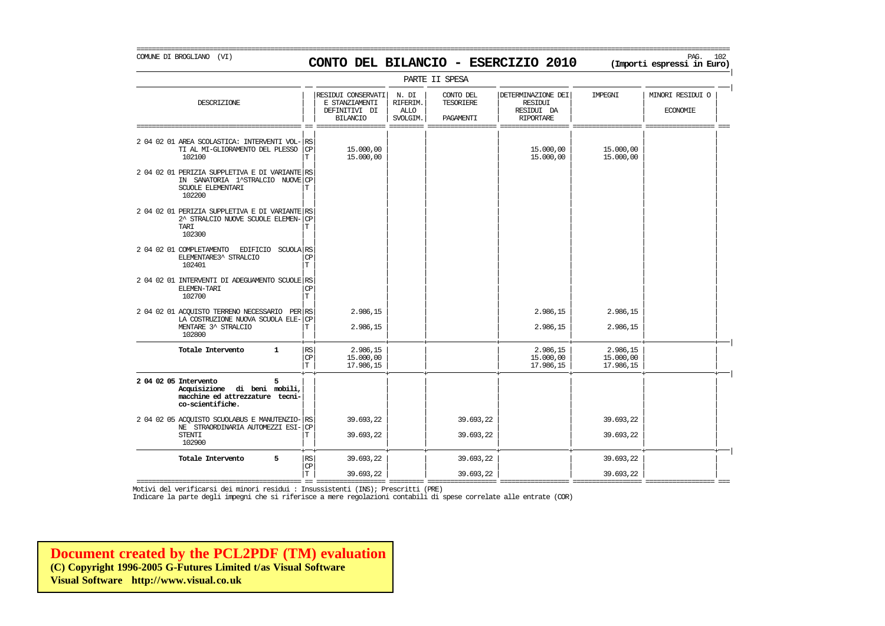COMUNE DI BROGLIANO (VI) PAG. 102 **CONTO DEL BILANCIO - ESERCIZIO 2010 (Importi espressi in Euro)** 

PARTE II SPESA | | RESIDUI CONSERVATI | N. DI | CONTO DEL | | DETERMINAZIONE DEI | IMPEGNI | | MINORI RESIDUI O DESCRIZIONE E STANZIAMENTI RIFERIM. TESORIERE RESIDUI | | | | | | | |  $\begin{tabular}{c|c|c|c|c|c} \hline \texttt{DEFINITION} & \texttt{DIF} & \texttt{ALLO} & & & \texttt{RESIDUL} & \texttt{DA} & & & \texttt{ECONOMET} \\ \hline \texttt{BILANCIO} & \texttt{SVOLGIN.} & \texttt{PAGAMENTI} & & \texttt{RIDORTARE} & & & & \texttt{PAPORTARE} & & & \texttt{PAPORTARE} \\ \hline \end{tabular}$ | | BILANCIO | SVOLGIM. | PAGAMENTI | RIPORTARE | | =========================================== == ================== ========= ================== ================== ================== ================== === | | | | | | | | 2 04 02 01 AREA SCOLASTICA: INTERVENTI VOL- RS<br>
TI AL MI-GLIORAMENTO DEL PLESSO CP (2000,00) (2000,00) (2000,00) (2000,000) (215.000,00 TI AL MI-GLIORAMENTO DEL PLESSO  $|\text{CP}|$  = 15.000,00 15.000,00 15.000,00 15.000,00 15.000,00 15.000,00 15.000,00  $102100$   $\boxed{\text{T}}$   $15.000,00$   $\boxed{\text{ }}$   $15.000,00$   $\boxed{\text{ }}$   $15.000,00$   $\boxed{\text{ }}$   $15.000,00$   $\boxed{\text{ }}$ | | | | | | | | 2 04 02 01 PERIZIA SUPPLETIVA E DI VARIANTE RS  $\begin{array}{lll} \text{IN} & \text{SANATORIA} & 1^\star \text{STRALCIO} & \text{NUVIE} \end{array} \begin{array}{lll} \text{CP} & \text{SCUOLE} & \text{ELEMENTARI} & \text{I}^\star \end{array}$ SCUOLE ELEMENTARI  $|\mathrm{T}|$   $|\mathrm{T}|$   $|\mathrm{T}|$   $|\mathrm{T}|$   $|\mathrm{T}|$   $|\mathrm{T}|$   $|\mathrm{T}|$   $|\mathrm{T}|$   $|\mathrm{T}|$   $|\mathrm{T}|$   $|\mathrm{T}|$   $|\mathrm{T}|$   $|\mathrm{T}|$   $|\mathrm{T}|$   $|\mathrm{T}|$   $|\mathrm{T}|$   $|\mathrm{T}|$   $|\mathrm{T}|$   $|\mathrm{T}|$   $|\mathrm{T}|$   $|\mathrm{T}|$   $|\mathrm{T}|$   $|\mathrm{T}|$   $|\mathrm{T}|$   $|\mathrm{T}|$   $|\mathrm{T}|$   $|\mathrm{T}|$   $|\mathrm{T}|$   $|\mathrm{T}|$  102200 | | | | | | | | | | | | | | | |  $2.04$  02.01 PERIZIA SUPPLETIVA E DI VARIANTE RS 2^ STRALCIO NUOVE SCUOLE ELEMEN- $|{\rm CP}\over {\rm T}$ TARI | | | | | | | | T 102300 | | | | | | | | | | | | | | | | 2 04 02 01 COMPLETAMENTO EDIFICIO SCUOLA RS<br>ELEMENTARE3^ STRALCIO  $\begin{array}{c|c}\n\text{ELEMENTARE3}^{\wedge} & \text{STRALClO} \\
\hline\n102401 & & \text{T}\n\end{array}$  $102401$   $|T|$   $|T|$   $|T|$   $|T|$   $|T|$   $|T|$   $|T|$   $|T|$   $|T|$   $|T|$   $|T|$   $|T|$   $|T|$   $|T|$   $|T|$   $|T|$   $|T|$   $|T|$   $|T|$   $|T|$   $|T|$   $|T|$   $|T|$   $|T|$   $|T|$   $|T|$   $|T|$   $|T|$   $|T|$   $|T|$   $|T|$   $|T|$   $|T|$   $|T|$   $|T|$   $|$ | | | | | | | | 2 04 02 01 INTERVENTI DI ADEGUAMENTO SCUOLE RS
ELEMEN-TARI ELEMEN-TARI | | | | | | | | CP  $102700$   $\boxed{\text{T}}$   $\boxed{\text{T}}$ | | | | | | | | 2 04 02 01 ACQUISTO TERRENO NECESSARIO PER| | | | | | | | RS 2.986,15 2.986,15 2.986,15 LA COSTRUZIONE NUOVA SCUOLA ELE-| | | | | | | | CP MENTARE 3^ STRALCIO | | | | | | | | T 2.986,15 2.986,15 2.986,15  $102800$  , and the set of the set of the set of the set of the set of the set of the set of the set of the set of the set of the set of the set of the set of the set of the set of the set of the set of the set of the set + + + + + + + + | **Totale Intervento 1** | | | | | | | | RS 2.986,15 2.986,15 2.986,15  $|\mathbb{CP}|$  15.000,00 | | 15.000,00 15.000,00 | |  $|T|$  17.986,15  $|$   $|$   $|$  17.986,15 17.986,15 17.986,15 17.986,15 17.986,15 17.986,15 17.986,15 17.986,15 17.986,15 17.986,15 17.986,15 17.986,15 17.986,15 17.986,15 17.986,15 17.986,15 17.986,15 17.986,15 17.986,15 17. + + + + + + + + | **2 04 02 05 Intervento 5** | | | | | | | | **Acquisizione di beni mobili,**| | | | | | | | macchine ed attrezzature tecni-<br>co-scientifiche. **co-scientifiche.** | | | | | | | | | | | | | | | | 2 04 02 05 ACQUISTO SCUOLABUS E MANUTENZIO- $\begin{vmatrix} \text{RS} \\ \text{RS} \end{vmatrix}$  39.693,22 39.693,22 39.693,22 39.693,22 39.693,22 39.693,22 39.693,22 39.693,22 39.693,22 39.693,22 39.693,22 39.693,22 39.693,22 39.693,22 39.693,22 39.

NE STRAORDINARIA AUTOMEZZI ESI- $|\mathbb{CP}|$   $\begin{array}{c|c} \mathbb{CP} & \mathbb{CP} \ \hline \end{array}$   $\begin{array}{c|c} \mathbb{CP} & \mathbb{CP} \ \mathbb{CP} & \mathbb{CP} \ \mathbb{CP} & \mathbb{CP} \ \mathbb{CP} & \mathbb{CP} \ \mathbb{CP} & \mathbb{CP} \ \mathbb{CP} & \mathbb{CP} \ \mathbb{CP} & \mathbb{CP} \ \mathbb{CP} & \mathbb{CP} \ \mathbb{CP} & \mathbb{CP} \ \mathbb{CP} & \mathbb{$ 

STENTI | | | | | | | | T 39.693,22 39.693,22 39.693,22  $102900$  , and the set of the set of the set of the set of the set of the set of the set of the set of the set of the set of the set of the set of the set of the set of the set of the set of the set of the set of the set

**Totale Intervento 5** | | | | | | | | RS 39.693,22 39.693,22 39.693,22

+ + + + + + + + |

 $|\mathbb{CP}|$  $|T|$  39.693,22  $|$  39.693,22  $|$  39.693,22 39.693,22  $|$ 

=========================================== == ================== ========= ================== ================== ================== ================== === Motivi del verificarsi dei minori residui : Insussistenti (INS); Prescritti (PRE)

Indicare la parte degli impegni che si riferisce a mere regolazioni contabili di spese correlate alle entrate (COR)

**[Document created by the PCL2PDF \(TM\) evaluation](http://www.visual.co.uk) (C) Copyright 1996-2005 G-Futures Limited t/as Visual Software Visual Software http://www.visual.co.uk**

|

|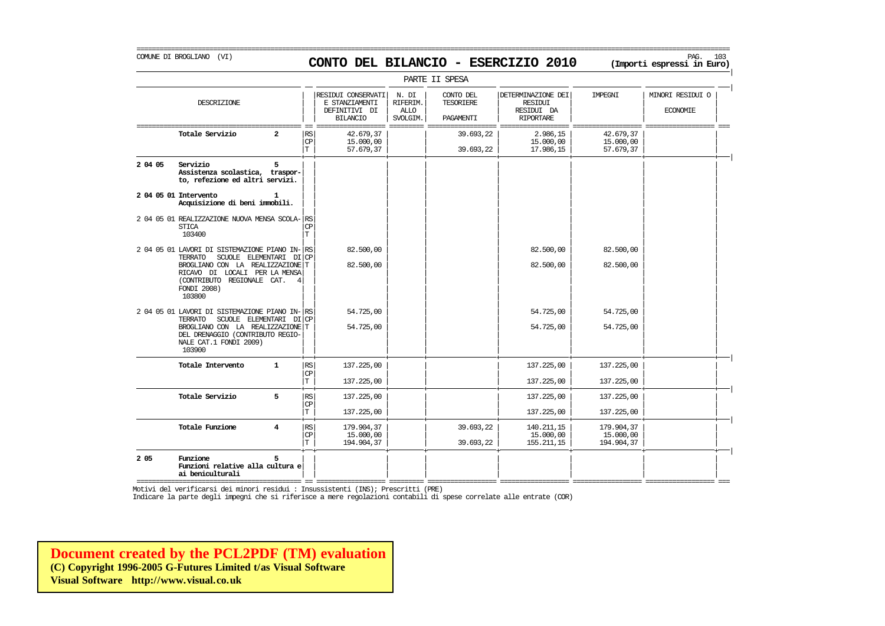# COMUNE DI BROGLIANO (VI) PAG. 103 **CONTO DEL BILANCIO - ESERCIZIO 2010 (Importi espressi in Euro)**

|         |                                                                                                                                                                                                          |                |                             |                                                                          |                                              | PARTE II SPESA                                    |                                                                        |                                       |                                     |
|---------|----------------------------------------------------------------------------------------------------------------------------------------------------------------------------------------------------------|----------------|-----------------------------|--------------------------------------------------------------------------|----------------------------------------------|---------------------------------------------------|------------------------------------------------------------------------|---------------------------------------|-------------------------------------|
|         | DESCRIZIONE                                                                                                                                                                                              |                |                             | RESIDUI CONSERVATI<br>E STANZIAMENTI<br>DEFINITIVI DI<br><b>BILANCIO</b> | N. DI<br>RIFERIM.<br><b>ALLO</b><br>SVOLGIM. | CONTO DEL<br><b>TESORIERE</b><br><b>PAGAMENTT</b> | DETERMINAZIONE DEI<br><b>RESIDUI</b><br>RESIDUI DA<br><b>RIPORTARE</b> | IMPEGNI                               | MINORI RESIDUI O<br><b>ECONOMIE</b> |
|         | Totale Servizio                                                                                                                                                                                          | 2              | RS<br>CP<br>T.              | 42.679,37<br>15,000,00<br>57.679,37                                      |                                              | 39.693,22<br>39.693,22                            | 2.986,15<br>15.000,00<br>17.986,15                                     | 42.679,37<br>15,000,00<br>57.679,37   |                                     |
| 2 04 05 | Servizio<br>Assistenza scolastica, traspor-<br>to, refezione ed altri servizi.                                                                                                                           | 5              |                             |                                                                          |                                              |                                                   |                                                                        |                                       |                                     |
|         | 2 04 05 01 Intervento<br>Acquisizione di beni immobili.                                                                                                                                                  | -1             |                             |                                                                          |                                              |                                                   |                                                                        |                                       |                                     |
|         | 2 04 05 01 REALIZZAZIONE NUOVA MENSA SCOLA-<br><b>STICA</b><br>103400                                                                                                                                    |                | <b>RS</b><br><b>CP</b><br>T |                                                                          |                                              |                                                   |                                                                        |                                       |                                     |
|         | 2 04 05 01 LAVORI DI SISTEMAZIONE PIANO IN-<br>TERRATO<br>SCUOLE ELEMENTARI DI<br>BROGLIANO CON LA REALIZZAZIONE<br>RICAVO DI LOCALI PER LA MENSA<br>(CONTRIBUTO REGIONALE CAT.<br>FONDI 2008)<br>103800 | $\overline{4}$ | RS<br><b>CP</b><br>т        | 82.500,00<br>82.500,00                                                   |                                              |                                                   | 82.500,00<br>82.500,00                                                 | 82.500,00<br>82.500,00                |                                     |
|         | 2 04 05 01 LAVORI DI SISTEMAZIONE PIANO IN-<br>SCUOLE ELEMENTARI DI<br>TERRATO<br>BROGLIANO CON LA REALIZZAZIONE T<br>DEL DRENAGGIO (CONTRIBUTO REGIO-<br>NALE CAT.1 FONDI 2009)<br>103900               |                | RS<br><b>CP</b>             | 54.725,00<br>54.725,00                                                   |                                              |                                                   | 54.725,00<br>54.725,00                                                 | 54.725,00<br>54.725,00                |                                     |
|         | Totale Intervento                                                                                                                                                                                        | $\mathbf{1}$   | RS<br>СP<br>T.              | 137.225,00<br>137.225,00                                                 |                                              |                                                   | 137.225,00<br>137, 225, 00                                             | 137.225,00<br>137.225,00              |                                     |
|         | Totale Servizio                                                                                                                                                                                          | 5              | RS<br>CP<br>T               | 137.225,00<br>137, 225, 00                                               |                                              |                                                   | 137.225,00<br>137.225,00                                               | 137.225,00<br>137.225,00              |                                     |
|         | Totale Funzione                                                                                                                                                                                          | 4              | $\mathbb{RS}$<br>CP<br>T    | 179.904,37<br>15,000,00<br>194.904,37                                    |                                              | 39.693,22<br>39.693,22                            | 140.211,15<br>15,000,00<br>155.211,15                                  | 179.904,37<br>15.000,00<br>194.904,37 |                                     |
| 2 0 5   | Funzione<br>Funzioni relative alla cultura e<br>ai beniculturali                                                                                                                                         | 5              |                             |                                                                          |                                              |                                                   |                                                                        |                                       |                                     |

=========================================== == ================== ========= ================== ================== ================== ================== === Motivi del verificarsi dei minori residui : Insussistenti (INS); Prescritti (PRE)

Indicare la parte degli impegni che si riferisce a mere regolazioni contabili di spese correlate alle entrate (COR)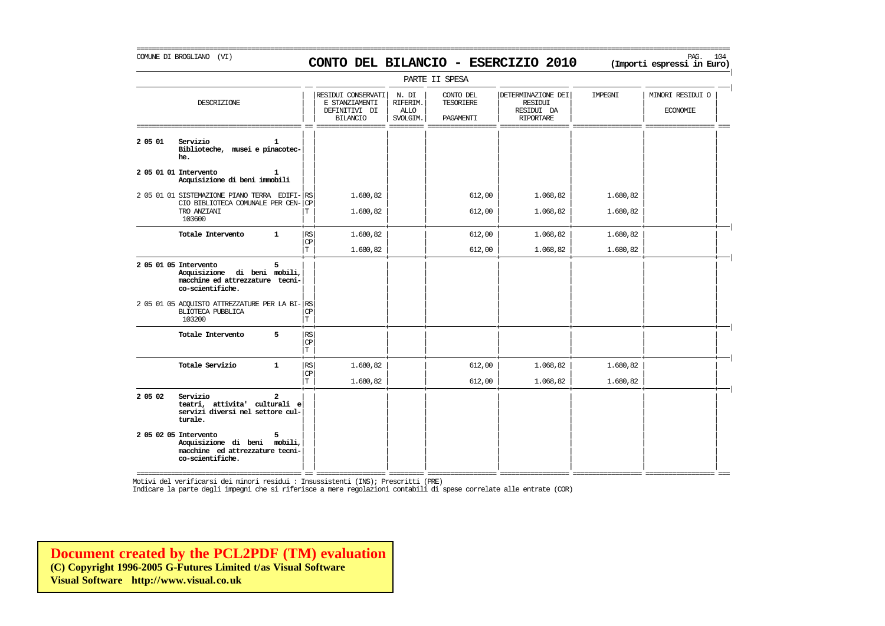# COMUNE DI BROGLIANO (VI) PAG. 104 **CONTO DEL BILANCIO - ESERCIZIO 2010 (Importi espressi in Euro)**

===========================================================================================================================================================

|         |                                                                                                                   |                                             |                                                                          |                                              | PARTE II SPESA                             |                                                                        |                      |                                     |
|---------|-------------------------------------------------------------------------------------------------------------------|---------------------------------------------|--------------------------------------------------------------------------|----------------------------------------------|--------------------------------------------|------------------------------------------------------------------------|----------------------|-------------------------------------|
|         | DESCRIZIONE                                                                                                       |                                             | RESIDUI CONSERVATI<br>E STANZIAMENTI<br>DEFINITIVI DI<br><b>BILANCIO</b> | N. DI<br>RIFERIM.<br><b>ALLO</b><br>SVOLGIM. | CONTO DEL<br><b>TESORIERE</b><br>PAGAMENTI | DETERMINAZIONE DEI<br><b>RESIDUI</b><br>RESIDUI DA<br><b>RIPORTARE</b> | IMPEGNI              | MINORI RESIDUI O<br><b>ECONOMIE</b> |
| 2 05 01 | Servizio<br>1.<br>Biblioteche, musei e pinacotec-<br>he.                                                          |                                             |                                                                          |                                              |                                            |                                                                        |                      |                                     |
|         | 2 05 01 01 Intervento<br>1.<br>Acquisizione di beni immobili                                                      |                                             |                                                                          |                                              |                                            |                                                                        |                      |                                     |
|         | 2 05 01 01 SISTEMAZIONE PIANO TERRA EDIFI- RS<br>CIO BIBLIOTECA COMUNALE PER CEN-<br>TRO ANZIANI<br>103600        | <b>CP</b><br>Т                              | 1.680,82<br>1.680,82                                                     |                                              | 612,00<br>612,00                           | 1.068,82<br>1.068,82                                                   | 1.680,82<br>1.680,82 |                                     |
|         | Totale Intervento<br>$\mathbf{1}$                                                                                 | RS<br>$\mathbb{C}\mathbb{P}$<br>$\mathbf T$ | 1.680,82<br>1.680,82                                                     |                                              | 612,00<br>612,00                           | 1.068,82<br>1.068,82                                                   | 1.680,82<br>1.680,82 |                                     |
|         | 2 05 01 05 Intervento<br>5<br>Acquisizione di beni mobili,<br>macchine ed attrezzature tecni-<br>co-scientifiche. |                                             |                                                                          |                                              |                                            |                                                                        |                      |                                     |
|         | 2 05 01 05 ACOUISTO ATTREZZATURE PER LA BI-RS<br>BLIOTECA PUBBLICA<br>103200                                      | <b>CP</b><br>T                              |                                                                          |                                              |                                            |                                                                        |                      |                                     |
|         | 5<br>Totale Intervento                                                                                            | RS<br>CP<br>T.                              |                                                                          |                                              |                                            |                                                                        |                      |                                     |
|         | Totale Servizio<br>$\mathbf{1}$                                                                                   | $\mathbb{RS}$<br><b>CP</b><br>$\mathbf T$   | 1.680,82<br>1,680,82                                                     |                                              | 612,00<br>612,00                           | 1.068,82<br>1,068,82                                                   | 1.680,82<br>1,680,82 |                                     |
| 2 05 02 | Servizio<br>$\mathbf{z}$<br>teatri, attivita' culturali e<br>servizi diversi nel settore cul-<br>turale.          |                                             |                                                                          |                                              |                                            |                                                                        |                      |                                     |
|         | 2 05 02 05 Intervento<br>Acquisizione di beni mobili,<br>macchine ed attrezzature tecni-<br>co-scientifiche.      |                                             |                                                                          |                                              |                                            |                                                                        |                      |                                     |

Motivi del verificarsi dei minori residui : Insussistenti (INS); Prescritti (PRE)

Indicare la parte degli impegni che si riferisce a mere regolazioni contabili di spese correlate alle entrate (COR)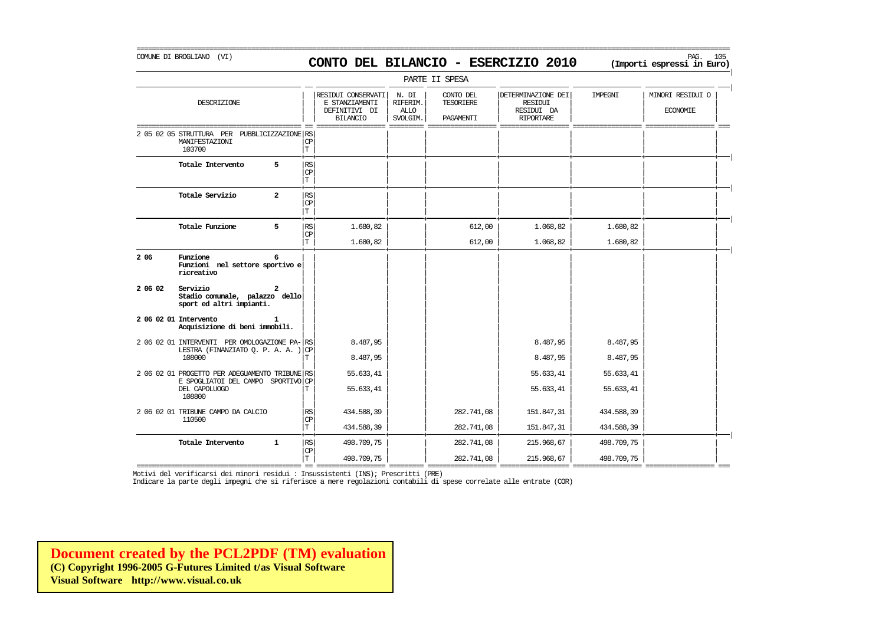#### COMUNE DI BROGLIANO (VI) PAG. 105 **CONTO DEL BILANCIO - ESERCIZIO 2010 (Importi espressi in Euro)**

===========================================================================================================================================================

|         |                                                                                      |                             |                                                                          |                                              | PARTE II SPESA                             |                                                                        |                |                                     |
|---------|--------------------------------------------------------------------------------------|-----------------------------|--------------------------------------------------------------------------|----------------------------------------------|--------------------------------------------|------------------------------------------------------------------------|----------------|-------------------------------------|
|         | DESCRIZIONE                                                                          |                             | RESIDUI CONSERVATI<br>E STANZIAMENTI<br>DEFINITIVI DI<br><b>BILANCIO</b> | N. DI<br>RIFERIM.<br><b>ALLO</b><br>SVOLGIM. | CONTO DEL<br><b>TESORIERE</b><br>PAGAMENTI | DETERMINAZIONE DEI<br><b>RESIDUI</b><br>RESIDUI DA<br><b>RIPORTARE</b> | <b>TMPRGNT</b> | MINORI RESIDUI O<br><b>ECONOMIE</b> |
|         | 2 05 02 05 STRUTTURA PER<br>PUBBLICIZZAZIONE RS<br>MANIFESTAZIONI<br>103700          | $\mathbb{C}\mathbb{P}$<br>T |                                                                          |                                              |                                            |                                                                        |                |                                     |
|         | Totale Intervento<br>5                                                               | RS<br>$_{\rm CP}$<br>T      |                                                                          |                                              |                                            |                                                                        |                |                                     |
|         | Totale Servizio<br>$\overline{a}$                                                    | <b>RS</b><br>CP<br>T        |                                                                          |                                              |                                            |                                                                        |                |                                     |
|         | Totale Funzione<br>5                                                                 | RS<br>CP                    | 1.680,82                                                                 |                                              | 612,00                                     | 1.068,82                                                               | 1.680,82       |                                     |
|         |                                                                                      | T                           | 1.680,82                                                                 |                                              | 612,00                                     | 1.068,82                                                               | 1.680,82       |                                     |
| 2 0 6   | Funzione<br>6<br>Funzioni nel settore sportivo e<br>ricreativo                       |                             |                                                                          |                                              |                                            |                                                                        |                |                                     |
| 2 06 02 | Servizio<br>Stadio comunale, palazzo dello<br>sport ed altri impianti.               |                             |                                                                          |                                              |                                            |                                                                        |                |                                     |
|         | 2 06 02 01 Intervento<br>Acquisizione di beni immobili.                              |                             |                                                                          |                                              |                                            |                                                                        |                |                                     |
|         | 2 06 02 01 INTERVENTI PER OMOLOGAZIONE PA-RS<br>LESTRA (FINANZIATO O. P. A. A.)      | CP                          | 8.487,95                                                                 |                                              |                                            | 8.487,95                                                               | 8.487,95       |                                     |
|         | 108000                                                                               |                             | 8.487,95                                                                 |                                              |                                            | 8.487,95                                                               | 8.487,95       |                                     |
|         | 2 06 02 01 PROGETTO PER ADEGUAMENTO TRIBUNE RS<br>E SPOGLIATOI DEL CAMPO SPORTIVO CP |                             | 55.633,41                                                                |                                              |                                            | 55.633,41                                                              | 55.633,41      |                                     |
|         | DEL CAPOLUOGO<br>108800                                                              | т                           | 55.633,41                                                                |                                              |                                            | 55.633,41                                                              | 55.633,41      |                                     |
|         | 2 06 02 01 TRIBUNE CAMPO DA CALCIO<br>110500                                         | RS<br>$\mathbf{CP}$         | 434.588,39                                                               |                                              | 282.741,08                                 | 151.847,31                                                             | 434.588,39     |                                     |
|         |                                                                                      | T.                          | 434.588,39                                                               |                                              | 282.741,08                                 | 151.847,31                                                             | 434.588,39     |                                     |
|         | Totale Intervento<br>$\mathbf{1}$                                                    | <b>RS</b><br>$_{\rm CP}$    | 498.709,75                                                               |                                              | 282.741,08                                 | 215.968,67                                                             | 498.709,75     |                                     |
|         |                                                                                      | T.                          | 498.709.75                                                               |                                              | 282.741.08                                 | 215.968.67                                                             | 498.709,75     |                                     |

=========================================== == ================== ========= ================== ================== ================== ================== === Motivi del verificarsi dei minori residui : Insussistenti (INS); Prescritti (PRE)

Indicare la parte degli impegni che si riferisce a mere regolazioni contabili di spese correlate alle entrate (COR)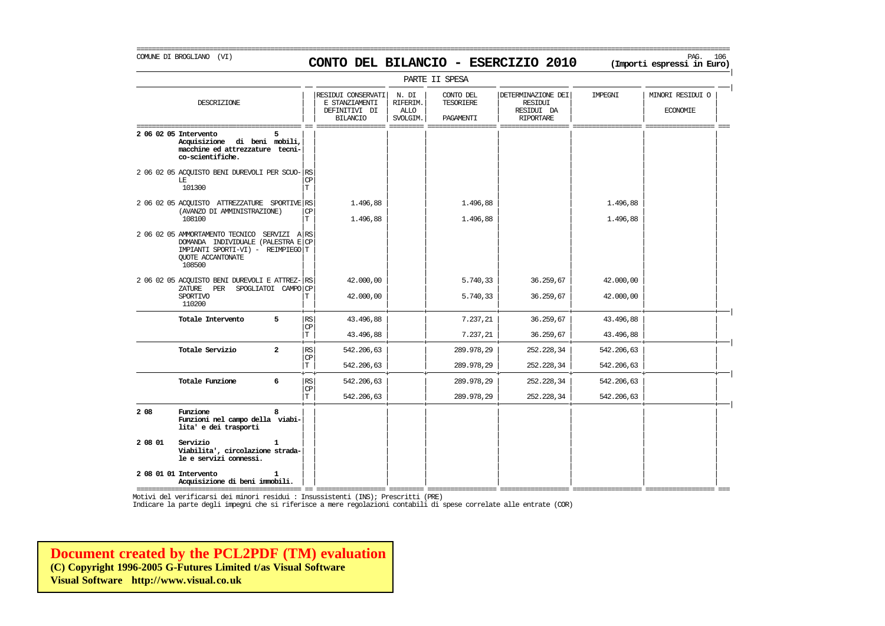# COMUNE DI BROGLIANO (VI) PAG. 106 **CONTO DEL BILANCIO - ESERCIZIO 2010 (Importi espressi in Euro)**

|         |                                                                                                                                                       |                |                         |                                                                          |                                              | PARTE II SPESA                      |                                                                 |                            |                                     |
|---------|-------------------------------------------------------------------------------------------------------------------------------------------------------|----------------|-------------------------|--------------------------------------------------------------------------|----------------------------------------------|-------------------------------------|-----------------------------------------------------------------|----------------------------|-------------------------------------|
|         | DESCRIZIONE                                                                                                                                           |                |                         | RESIDUI CONSERVATI<br>E STANZIAMENTI<br>DEFINITIVI DI<br><b>BILANCIO</b> | N. DI<br>RIFERIM.<br><b>ALLO</b><br>SVOLGIM. | CONTO DEL<br>TESORIERE<br>PAGAMENTI | DETERMINAZIONE DEI<br>RESIDUI<br>RESIDUI DA<br><b>RIPORTARE</b> | IMPEGNI                    | MINORI RESIDUI O<br><b>ECONOMIE</b> |
|         | 2 06 02 05 Intervento<br>Acquisizione di beni mobili,<br>macchine ed attrezzature tecni-<br>co-scientifiche.                                          |                |                         |                                                                          |                                              |                                     |                                                                 |                            |                                     |
|         | 2 06 02 05 ACOUISTO BENI DUREVOLI PER SCUO- RS<br>LE<br>101300                                                                                        |                | <b>CP</b><br>т          |                                                                          |                                              |                                     |                                                                 |                            |                                     |
|         | 2 06 02 05 ACOUISTO ATTREZZATURE SPORTIVE RS<br>(AVANZO DI AMMINISTRAZIONE)<br>108100                                                                 |                | <b>CP</b><br>т          | 1.496,88<br>1,496,88                                                     |                                              | 1.496,88<br>1.496,88                |                                                                 | 1.496,88<br>1.496,88       |                                     |
|         | 2 06 02 05 AMMORTAMENTO TECNICO SERVIZI ARS<br>DOMANDA INDIVIDUALE (PALESTRA E CP<br>IMPIANTI SPORTI-VI) - REIMPIEGO T<br>QUOTE ACCANTONATE<br>108500 |                |                         |                                                                          |                                              |                                     |                                                                 |                            |                                     |
|         | 2 06 02 05 ACQUISTO BENI DUREVOLI E ATTREZ- RS<br>ZATURE PER<br>SPOGLIATOI CAMPO CP<br>SPORTIVO<br>110200                                             |                |                         | 42,000,00<br>42,000,00                                                   |                                              | 5.740,33<br>5.740,33                | 36.259,67<br>36.259,67                                          | 42.000,00<br>42.000,00     |                                     |
|         | Totale Intervento                                                                                                                                     | 5              | RS<br>CP<br>$\mathbf T$ | 43.496,88<br>43.496,88                                                   |                                              | 7.237,21<br>7.237,21                | 36.259,67<br>36,259,67                                          | 43.496,88<br>43.496,88     |                                     |
|         | Totale Servizio                                                                                                                                       | $\overline{a}$ | <b>RS</b><br>CP         | 542, 206, 63                                                             |                                              | 289.978,29                          | 252.228,34                                                      | 542.206,63                 |                                     |
|         | Totale Funzione                                                                                                                                       | 6              | T<br><b>RS</b><br>CP    | 542.206,63<br>542.206,63                                                 |                                              | 289.978,29<br>289.978,29            | 252.228,34<br>252.228,34                                        | 542, 206, 63<br>542.206,63 |                                     |
|         |                                                                                                                                                       |                | $\mathbf T$             | 542.206,63                                                               |                                              | 289.978,29                          | 252.228,34                                                      | 542.206,63                 |                                     |
| 2 08    | Funzione<br>Funzioni nel campo della viabi-<br>lita' e dei trasporti                                                                                  |                |                         |                                                                          |                                              |                                     |                                                                 |                            |                                     |
| 2 08 01 | Servizio<br>Viabilita', circolazione strada-<br>le e servizi connessi.                                                                                |                |                         |                                                                          |                                              |                                     |                                                                 |                            |                                     |
|         | 2 08 01 01 Intervento<br>Acquisizione di beni immobili.                                                                                               | 1              |                         |                                                                          |                                              |                                     |                                                                 |                            |                                     |

=========================================== == ================== ========= ================== ================== ================== ================== === Motivi del verificarsi dei minori residui : Insussistenti (INS); Prescritti (PRE)

Indicare la parte degli impegni che si riferisce a mere regolazioni contabili di spese correlate alle entrate (COR)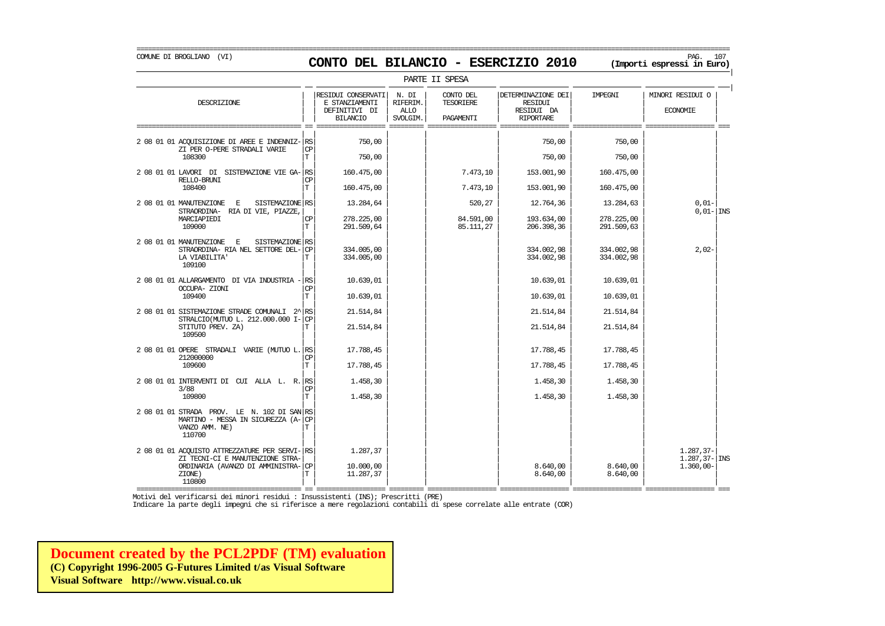| PARTE II SPESA | | | RESIDUI CONSERVATI | N. DI | CONTO DEL | | DETERMINAZIONE DEI | IMPEGNI | | MINORI RESIDUI O DESCRIZIONE E STANZIAMENTI RIFERIM. TESORIERE RESIDUI | | | | | | | | || DEFINITIVI DI | ALLO | | RESIDUI DA | | ECONOMIE | | | BILANCIO | SVOLGIM. | PAGAMENTI | RIPORTARE | | =========================================== == ================== ========= ================== ================== ================== ================== === | | | | | | | | 2 08 01 01 ACQUISIZIONE DI AREE E INDENNIZ- $|\text{cs}|$   $\text{750,00}$   $\text{750,00}$   $\text{750,00}$   $\text{750,00}$   $\text{750,00}$  $\begin{array}{c|c|c|c|c|c|c|c|c} \text{ZI } \text{PER O-PERE STRADALI VARIE} & \text{CP} & & & & & & \ & & \text{ZI} & & \text{ZI} & & \text{ZI} & & \text{ZI} & & \text{ZI} & & \text{ZI} & & \text{ZI} & & \text{ZI} & & \text{ZI} & & \text{ZI} & & \text{ZI} & & \text{ZI} & & \text{ZI} & & \text{ZI} & & \text{ZI} & & \text{ZI} & & \text{ZI} & & \text{ZI} & & \text{ZI} & & \text{ZI} & & \$ 108300 | | | | | | | | T 750,00 750,00 750,00 | | | | | | | | 2 08 01 01 LAVORI DI SISTEMAZIONE VIE GA- $\begin{vmatrix} 160.475,00 \\ 160.475,00 \end{vmatrix}$  7.473,10 153.001,90 160.475,00 RELLO-BRUNI | | | | | | | | CP 108400 | | | | | | | | T 160.475,00 7.473,10 153.001,90 160.475,00 | | | | | | | | 2 08 01 01 MANUTENZIONE E SISTEMAZIONE ES | 13.284,64 | | 520,27 | 12.764,36 | 13.284,63 | 0,01- | 1NS STRAORDINA- RIA DI VIE, PIAZZE,| | | | | | | | 0,01- INS MARCIAPIEDI | | | | | | | | CP 278.225,00 84.591,00 193.634,00 278.225,00  $10900$   $|T|$   $291.509,64$   $|$   $85.111,27$   $206.398,36$   $291.509,63$   $|$ | | | | | | | | 2 08 01 01 MANUTENZIONE E SISTEMAZIONE S<br>
STRAORDINA-RIANEL SETTORE DEL-CP 334.005.00 (2.02.98 ) 334.002.98 334.002.98 334.002.98 334.002.98 2.02-STRAORDINA- RIA NEL SETTORE DEL- $|\text{CP}|$  334.005,00 334.007,98 334.002,98 334.002,98 334.002,98 334.002,98 334.002,98 LA VIABILITA' | | | | | | | | T 334.005,00 334.002,98 334.002,98 109100 | | | | | | | | | | | | | | | | 2 08 01 01 ALLARGAMENTO DI VIA INDUSTRIA -  $\begin{vmatrix} 1 & 10.639 & 01 \\ 0 & 10.639 & 01 \end{vmatrix}$  10.639,01 10.639,01 10.639,01 OCCUPA- ZIONI | | | | | | | | CP  $109400$   $\boxed{\text{T}}$   $10.639,01$   $\boxed{\phantom{000}}$   $10.639,01$   $\boxed{\phantom{000}}$   $10.639,01$   $\boxed{\phantom{000}}$ | | | | | | | | 2 08 01 01 SISTEMAZIONE STRADE COMUNALI 2^| | | | | | | | RS 21.514,84 21.514,84 21.514,84  $SIRALCO(MJTUD) \, L. \, 212.000.000 \, I-|CP|$   $21.514.84$   $21.514.84$   $21.514.84$   $21.514.84$ STITUTO PREV. ZA) | | | | | | | | T 21.514,84 21.514,84 21.514,84 109500 | | | | | | | | | | | | | | | | 2 08 01 01 OPERE STRADALI VARIE (MUTUO L. RS 17.788,45 17.788,45 17.788,45 17.788,45 17.788,45 212000000 | | | | | | | | CP 109600 | | | | | | | | T 17.788,45 17.788,45 17.788,45 | | | | | | | | 2 08 01 01 INTERVENTI DI CUI ALLA L. R. RS 1.458,30 1.458,30 1.458,30 1.458,30 1.458,30 1.458,30 1.458,30 1.458 3/88 | | | | | | | | CP  $109800$   $\boxed{\text{T}}$   $1.458,30$   $\boxed{\phantom{000}}$   $1.458,30$   $\boxed{\phantom{000}}$   $1.458,30$   $\boxed{\phantom{000}}$ | | | | | | | |  $2080101$  STRADA PROV. LE N. 102 DI SAN RS MARTINO - MESSA IN SICUREZZA (A- $|\text{CP}$ VANZO AMM. NE) VANZO AMM. NE) | | | | | | | | T 110700 | | | | | | | | | | | | | | | | 2 08 01 01 ACQUISTO ATTREZZATURE PER SERVI- $\begin{vmatrix} 1.287,37 \end{vmatrix}$  (1.287,37 1.287,37 1.287,37 1.287,37 1.287,37 1.287,37 1.287,37 1.287,37 1.287,37 1.287,37 1.287,37 1.287,37 1.287,37 1.287,37 1.287,37 1.287,37 1.287,37 ZI TECNI-CI E MANUTENZIONE STRA- $\vert$  (2000,00  $\vert$  10.000,00  $\vert$  10.000,00  $\vert$  1 and 287,37- 2850,00  $\vert$  1.360,00  $\vert$  1.360,00  $\vert$  1.360,00  $\vert$  1.360,00  $\vert$  1.360,00  $\vert$  1.360,00  $\vert$  1.360,00  $\vert$  1.360,00  $\vert$  1. ORDINARIA (AVANZO DI AMMINISTRA-| | | | | | | | CP 10.000,00 8.640,00 8.640,00 1.360,00-  $ZIONE$ )  $|T|$   $11.287,37$   $|$   $8.640,00$   $8.640,00$   $8.640,00$ 

=========================================== == ================== ========= ================== ================== ================== ================== === Motivi del verificarsi dei minori residui : Insussistenti (INS); Prescritti (PRE)

110800 | | | | | | | |

Indicare la parte degli impegni che si riferisce a mere regolazioni contabili di spese correlate alle entrate (COR)

**[Document created by the PCL2PDF \(TM\) evaluation](http://www.visual.co.uk) (C) Copyright 1996-2005 G-Futures Limited t/as Visual Software Visual Software http://www.visual.co.uk**

### COMUNE DI BROGLIANO (VI) PAG. 107 **CONTO DEL BILANCIO - ESERCIZIO 2010 (Importi espressi in Euro)**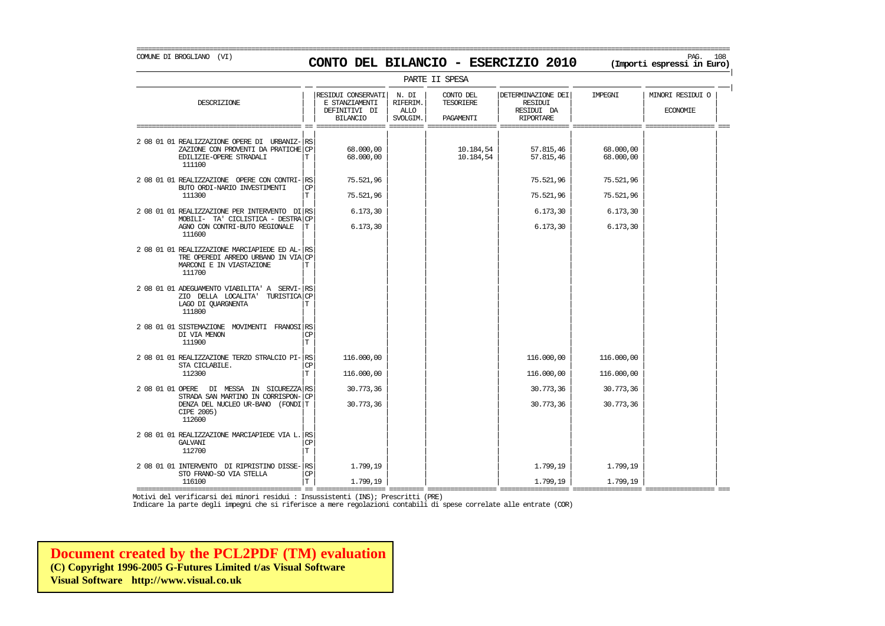# COMUNE DI BROGLIANO (VI) PAG. 108 **CONTO DEL BILANCIO - ESERCIZIO 2010 (Importi espressi in Euro)**

| PARTE II SPESA                                                                                                                                |                |                                                                          |                                              |                                     |                                                                 |                          |                                     |  |  |
|-----------------------------------------------------------------------------------------------------------------------------------------------|----------------|--------------------------------------------------------------------------|----------------------------------------------|-------------------------------------|-----------------------------------------------------------------|--------------------------|-------------------------------------|--|--|
| DESCRIZIONE                                                                                                                                   |                | RESIDUI CONSERVATI<br>E STANZIAMENTI<br>DEFINITIVI DI<br><b>BILANCIO</b> | N. DI<br>RIFERIM.<br><b>ALLO</b><br>SVOLGIM. | CONTO DEL<br>TESORIERE<br>PAGAMENTI | DETERMINAZIONE DEI<br>RESIDUI<br>RESIDUI DA<br><b>RIPORTARE</b> | IMPEGNI                  | MINORI RESIDUI O<br><b>ECONOMIE</b> |  |  |
| 2 08 01 01 REALIZZAZIONE OPERE DI URBANIZ- RS<br>ZAZIONE CON PROVENTI DA PRATICHE CP<br>EDILIZIE-OPERE STRADALI<br>111100                     | Т              | 68,000,00<br>68,000,00                                                   |                                              | 10.184,54<br>10.184,54              | 57.815,46<br>57.815,46                                          | 68,000,00<br>68,000,00   |                                     |  |  |
| 2 08 01 01 REALIZZAZIONE OPERE CON CONTRI- RS<br>BUTO ORDI-NARIO INVESTIMENTI<br>111300                                                       | <b>CP</b><br>T | 75.521,96<br>75.521,96                                                   |                                              |                                     | 75.521,96<br>75.521,96                                          | 75.521,96<br>75.521,96   |                                     |  |  |
| 2 08 01 01 REALIZZAZIONE PER INTERVENTO DI RS<br>MOBILI- TA' CICLISTICA - DESTRA CP<br>AGNO CON CONTRI-BUTO REGIONALE                         | Т              | 6.173, 30<br>6.173,30                                                    |                                              |                                     | 6.173,30<br>6.173,30                                            | 6.173,30<br>6.173,30     |                                     |  |  |
| 111600<br>2 08 01 01 REALIZZAZIONE MARCIAPIEDE ED AL-<br>TRE OPEREDI ARREDO URBANO IN VIA CP<br>MARCONI E IN VIASTAZIONE<br>111700            | RS<br>Т        |                                                                          |                                              |                                     |                                                                 |                          |                                     |  |  |
| 2 08 01 01 ADEGUAMENTO VIABILITA' A SERVI-RS<br>ZIO DELLA LOCALITA' TURISTICA CP<br>LAGO DI QUARGNENTA<br>111800                              | Т              |                                                                          |                                              |                                     |                                                                 |                          |                                     |  |  |
| 2 08 01 01 SISTEMAZIONE MOVIMENTI FRANOSI RS<br>DI VIA MENON<br>111900                                                                        | СP<br>Т        |                                                                          |                                              |                                     |                                                                 |                          |                                     |  |  |
| 2 08 01 01 REALIZZAZIONE TERZO STRALCIO PI- RS<br>STA CICLABILE.<br>112300                                                                    | СP<br>T        | 116.000,00<br>116,000,00                                                 |                                              |                                     | 116.000,00<br>116,000,00                                        | 116.000,00<br>116.000,00 |                                     |  |  |
| 2 08 01 01 OPERE<br>DI MESSA IN SICUREZZA RS<br>STRADA SAN MARTINO IN CORRISPON-<br>DENZA DEL NUCLEO UR-BANO (FONDI T<br>CIPE 2005)<br>112600 | CP             | 30.773,36<br>30.773,36                                                   |                                              |                                     | 30.773,36<br>30.773,36                                          | 30.773,36<br>30.773,36   |                                     |  |  |
| 2 08 01 01 REALIZZAZIONE MARCIAPIEDE VIA L. RS<br><b>GALVANI</b><br>112700                                                                    | <b>CP</b><br>T |                                                                          |                                              |                                     |                                                                 |                          |                                     |  |  |
| 2 08 01 01 INTERVENTO DI RIPRISTINO DISSE-<br>STO FRANO-SO VIA STELLA<br>116100                                                               | RS<br>СP<br>T  | 1.799,19<br>1.799.19                                                     |                                              |                                     | 1.799,19<br>1.799,19                                            | 1.799,19<br>1.799,19     |                                     |  |  |

=========================================== == ================== ========= ================== ================== ================== ================== ===

Motivi del verificarsi dei minori residui : Insussistenti (INS); Prescritti (PRE)

Indicare la parte degli impegni che si riferisce a mere regolazioni contabili di spese correlate alle entrate (COR)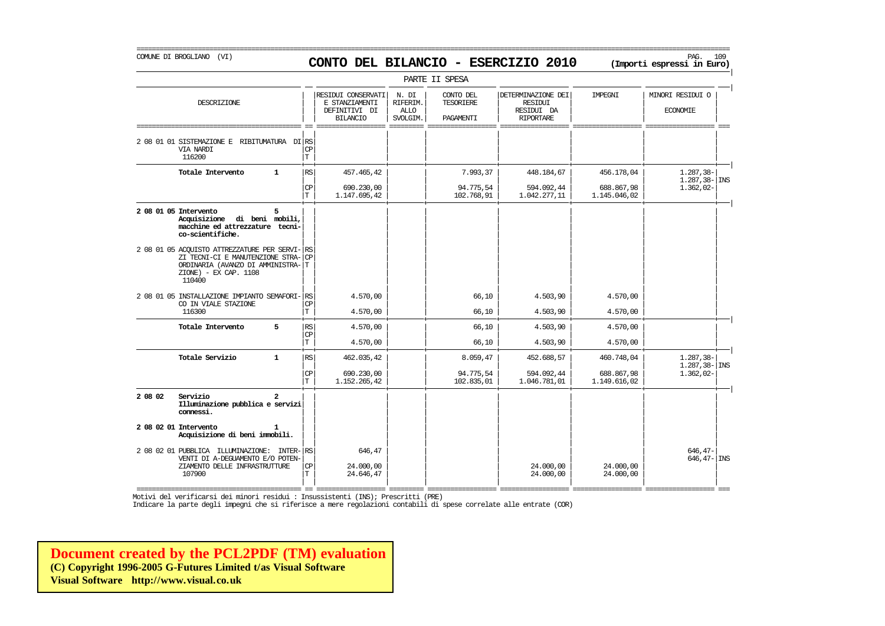# COMUNE DI BROGLIANO (VI) PAG. 109 **CONTO DEL BILANCIO - ESERCIZIO 2010 (Importi espressi in Euro)**

===========================================================================================================================================================

|         |                                                                                                                                                        |                      |                                                                          |                                              | PARTE II SPESA                      |                                                                 |                            |                                      |
|---------|--------------------------------------------------------------------------------------------------------------------------------------------------------|----------------------|--------------------------------------------------------------------------|----------------------------------------------|-------------------------------------|-----------------------------------------------------------------|----------------------------|--------------------------------------|
|         | DESCRIZIONE                                                                                                                                            |                      | RESIDUI CONSERVATI<br>E STANZIAMENTI<br>DEFINITIVI DI<br><b>BILANCIO</b> | N. DI<br>RIFERIM.<br><b>ALLO</b><br>SVOLGIM. | CONTO DEL<br>TESORIERE<br>PAGAMENTI | DETERMINAZIONE DEI<br>RESIDUI<br>RESIDUI DA<br><b>RIPORTARE</b> | IMPEGNI                    | MINORI RESIDUI O<br><b>ECONOMIE</b>  |
|         | 2 08 01 01 SISTEMAZIONE E RIBITUMATURA DI RS<br>VIA NARDI<br>116200                                                                                    | <b>CP</b><br>T       |                                                                          |                                              |                                     |                                                                 |                            |                                      |
|         | Totale Intervento<br>$\mathbf{1}$                                                                                                                      | RS                   | 457.465,42                                                               |                                              | 7.993,37                            | 448.184,67                                                      | 456.178,04                 | $1.287, 38 -$<br>$1.287, 38 -  $ INS |
|         |                                                                                                                                                        | CP<br>T              | 690.230,00<br>1.147.695,42                                               |                                              | 94.775,54<br>102.768,91             | 594.092,44<br>1.042.277,11                                      | 688.867,98<br>1.145.046,02 | $1.362,02-$                          |
|         | 2 08 01 05 Intervento<br>5<br>Acquisizione di beni mobili,<br>macchine ed attrezzature tecni-<br>co-scientifiche.                                      |                      |                                                                          |                                              |                                     |                                                                 |                            |                                      |
|         | 2 08 01 05 ACOUISTO ATTREZZATURE PER SERVI-<br>ZI TECNI-CI E MANUTENZIONE STRA-<br>ORDINARIA (AVANZO DI AMMINISTRA-<br>ZIONE) - EX CAP. 1108<br>110400 | RS<br><b>CP</b><br>T |                                                                          |                                              |                                     |                                                                 |                            |                                      |
|         | 2 08 01 05 INSTALLAZIONE IMPIANTO SEMAFORI-<br>CO IN VIALE STAZIONE<br>116300                                                                          | RS<br><b>CP</b><br>T | 4.570,00<br>4.570,00                                                     |                                              | 66,10<br>66,10                      | 4.503,90<br>4.503,90                                            | 4.570,00<br>4.570,00       |                                      |
|         | Totale Intervento<br>5                                                                                                                                 | RS                   | 4.570,00                                                                 |                                              | 66,10                               | 4.503,90                                                        | 4.570,00                   |                                      |
|         |                                                                                                                                                        | СP<br>T.             | 4.570,00                                                                 |                                              | 66,10                               | 4.503,90                                                        | 4.570,00                   |                                      |
|         | Totale Servizio<br>$\mathbf{1}$                                                                                                                        | $\mathbb{RS}$        | 462.035,42                                                               |                                              | 8.059,47                            | 452.688,57                                                      | 460.748,04                 | $1.287.38 -$                         |
|         |                                                                                                                                                        | CP<br>T.             | 690.230,00<br>1.152.265,42                                               |                                              | 94.775,54<br>102.835,01             | 594.092,44<br>1.046.781,01                                      | 688.867,98<br>1.149.616,02 | $1.287, 38 -$ INS<br>$1.362,02-$     |
| 2 08 02 | Servizio<br>$\mathbf{r}$<br>Illuminazione pubblica e servizi<br>connessi.                                                                              |                      |                                                                          |                                              |                                     |                                                                 |                            |                                      |
|         | 2 08 02 01 Intervento<br>Acquisizione di beni immobili.                                                                                                |                      |                                                                          |                                              |                                     |                                                                 |                            |                                      |
|         | 2 08 02 01 PUBBLICA ILLUMINAZIONE: INTER-<br>VENTI DI A-DEGUAMENTO E/O POTEN-<br>ZIAMENTO DELLE INFRASTRUTTURE<br>107900                               | RS<br>CP<br>T        | 646,47<br>24,000,00<br>24.646,47                                         |                                              |                                     | 24,000,00<br>24.000,00                                          | 24.000,00<br>24.000,00     | $646, 47-$<br>$646, 47 -  $ INS      |

=========================================== == ================== ========= ================== ================== ================== ================== === Motivi del verificarsi dei minori residui : Insussistenti (INS); Prescritti (PRE)

Indicare la parte degli impegni che si riferisce a mere regolazioni contabili di spese correlate alle entrate (COR)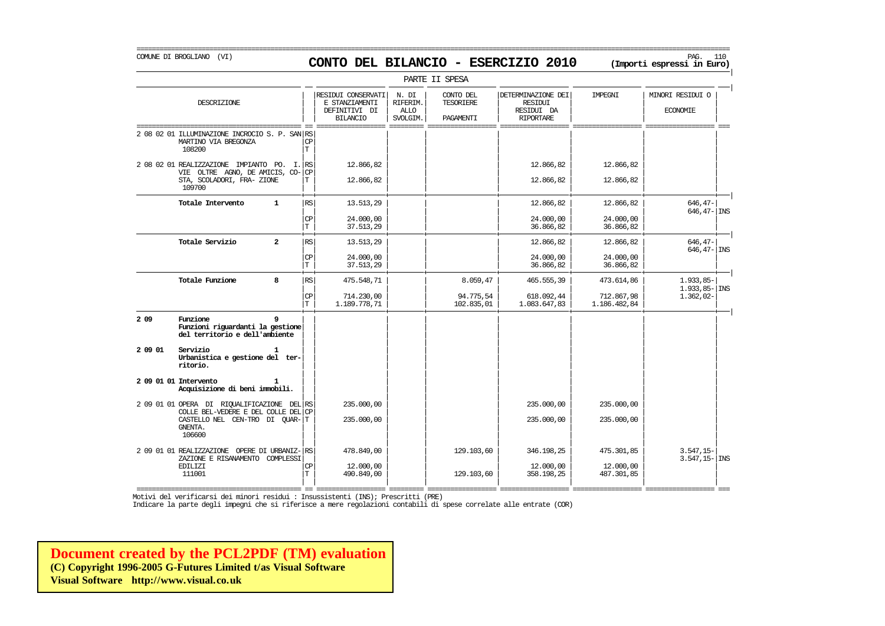## COMUNE DI BROGLIANO (VI) PAG. 110 **CONTO DEL BILANCIO - ESERCIZIO 2010 (Importi espressi in Euro)**

===========================================================================================================================================================

|         |                                                                                                             |                          |                                                                          |                                              | PARTE II SPESA                      |                                                                        |                            |                                     |
|---------|-------------------------------------------------------------------------------------------------------------|--------------------------|--------------------------------------------------------------------------|----------------------------------------------|-------------------------------------|------------------------------------------------------------------------|----------------------------|-------------------------------------|
|         | DESCRIZIONE                                                                                                 |                          | RESIDUI CONSERVATI<br>E STANZIAMENTI<br>DEFINITIVI DI<br><b>BILANCIO</b> | N. DI<br>RIFERIM.<br><b>ALLO</b><br>SVOLGIM. | CONTO DEL<br>TESORIERE<br>PAGAMENTI | DETERMINAZIONE DEI<br><b>RESIDUI</b><br>RESIDUI DA<br><b>RIPORTARE</b> | IMPEGNI                    | MINORI RESIDUI O<br><b>ECONOMIE</b> |
|         | 2 08 02 01 ILLUMINAZIONE INCROCIO S. P. SAN RS<br>MARTINO VIA BREGONZA<br>108200                            | CP<br>$\mathbf T$        |                                                                          |                                              |                                     |                                                                        |                            |                                     |
|         | 2 08 02 01 REALIZZAZIONE IMPIANTO PO. I. RS<br>VIE OLTRE AGNO, DE AMICIS, CO-<br>STA, SCOLADORI, FRA- ZIONE | <b>CP</b><br>Т           | 12.866,82<br>12.866,82                                                   |                                              |                                     | 12.866,82<br>12.866,82                                                 | 12.866,82<br>12.866,82     |                                     |
|         | 109700<br>Totale Intervento<br>$\mathbf{1}$                                                                 | <b>RS</b>                | 13.513,29                                                                |                                              |                                     | 12.866,82                                                              | 12.866,82                  | $646, 47-$<br>$646, 47 -  $ INS     |
|         |                                                                                                             | <b>CP</b><br>$\mathbf T$ | 24,000,00<br>37.513,29                                                   |                                              |                                     | 24,000,00<br>36.866,82                                                 | 24.000,00<br>36.866,82     |                                     |
|         | Totale Servizio<br>$\overline{a}$                                                                           | RS                       | 13.513,29                                                                |                                              |                                     | 12.866,82                                                              | 12.866,82                  | $646.47-$<br>$646, 47 -$ INS        |
|         |                                                                                                             | CP<br>$\mathbf T$        | 24,000,00<br>37.513,29                                                   |                                              |                                     | 24,000,00<br>36.866,82                                                 | 24,000,00<br>36.866,82     |                                     |
|         | Totale Funzione<br>8                                                                                        | <b>RS</b>                | 475.548,71                                                               |                                              | 8.059,47                            | 465.555,39                                                             | 473.614,86                 | $1.933,85-$<br>$1.933, 85 -$ INS    |
|         |                                                                                                             | <b>CP</b><br>T           | 714,230,00<br>1.189.778,71                                               |                                              | 94.775,54<br>102.835,01             | 618.092,44<br>1.083.647,83                                             | 712.867,98<br>1.186.482,84 | $1.362,02-$                         |
| 2 0 9   | Funzione<br>9<br>Funzioni riguardanti la gestione<br>del territorio e dell'ambiente                         |                          |                                                                          |                                              |                                     |                                                                        |                            |                                     |
| 2 09 01 | Servizio<br>1<br>Urbanistica e gestione del ter-<br>ritorio.                                                |                          |                                                                          |                                              |                                     |                                                                        |                            |                                     |
|         | 2 09 01 01 Intervento<br>Acquisizione di beni immobili.                                                     |                          |                                                                          |                                              |                                     |                                                                        |                            |                                     |
|         | 2 09 01 01 OPERA DI RIQUALIFICAZIONE DEL RS<br>COLLE BEL-VEDERE E DEL COLLE DEL CP                          |                          | 235.000,00                                                               |                                              |                                     | 235,000,00                                                             | 235.000,00                 |                                     |
|         | CASTELLO NEL CEN-TRO DI QUAR-T<br>GNENTA.<br>106600                                                         |                          | 235,000,00                                                               |                                              |                                     | 235,000,00                                                             | 235.000,00                 |                                     |
|         | 2 09 01 01 REALIZZAZIONE OPERE DI URBANIZ- RS<br>ZAZIONE E RISANAMENTO<br>COMPLESSI                         |                          | 478.849,00                                                               |                                              | 129.103,60                          | 346.198,25                                                             | 475.301,85                 | $3.547, 15-$<br>$3.547, 15 -  $ INS |
|         | <b>EDILIZI</b><br>111001                                                                                    | <b>CP</b><br>T           | 12.000,00<br>490.849,00                                                  |                                              | 129.103,60                          | 12,000,00<br>358.198,25                                                | 12,000,00<br>487.301,85    |                                     |

=========================================== == ================== ========= ================== ================== ================== ================== === Motivi del verificarsi dei minori residui : Insussistenti (INS); Prescritti (PRE)

Indicare la parte degli impegni che si riferisce a mere regolazioni contabili di spese correlate alle entrate (COR)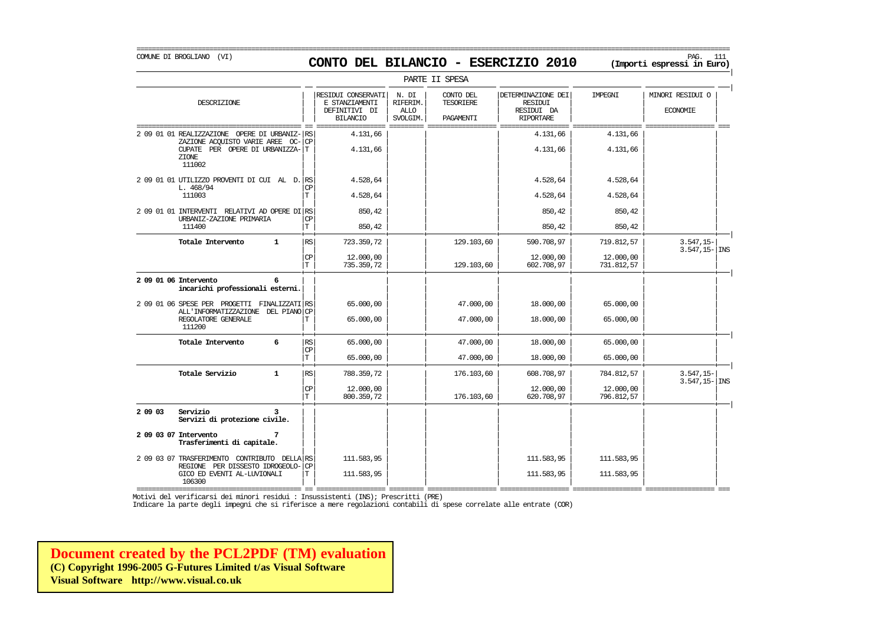=========================================================================================================================================================== COMUNE DI BROGLIANO (VI) PAG. 111 **CONTO DEL BILANCIO - ESERCIZIO 2010 (Importi espressi in Euro)** 

|

|                                                                                                                                                        |                                             |                                                                          |                                              | PARTE II SPESA                             |                                                                 |                                       |                                     |  |
|--------------------------------------------------------------------------------------------------------------------------------------------------------|---------------------------------------------|--------------------------------------------------------------------------|----------------------------------------------|--------------------------------------------|-----------------------------------------------------------------|---------------------------------------|-------------------------------------|--|
| DESCRIZIONE                                                                                                                                            |                                             | RESIDUI CONSERVATI<br>E STANZIAMENTI<br>DEFINITIVI DI<br><b>BILANCIO</b> | N. DI<br>RIFERIM.<br><b>ALLO</b><br>SVOLGIM. | CONTO DEL<br><b>TESORIERE</b><br>PAGAMENTI | DETERMINAZIONE DEI<br>RESIDUI<br>RESIDUI DA<br><b>RIPORTARE</b> | IMPEGNI                               | MINORI RESIDUI O<br><b>ECONOMIE</b> |  |
| 2 09 01 01 REALIZZAZIONE<br>OPERE DI URBANIZ-<br>ZAZIONE ACOUISTO VARIE AREE<br>$OC-$<br>CUPATE PER OPERE DI URBANIZZA-T<br>ZIONE<br>111002            | RS<br><b>CP</b>                             | 4.131,66<br>4.131,66                                                     |                                              |                                            | 4.131,66<br>4.131,66                                            | 4.131,66<br>4.131,66                  |                                     |  |
| 2 09 01 01 UTILIZZO PROVENTI DI CUI AL D. RS<br>L. 468/94<br>111003                                                                                    | CΡ                                          | 4.528,64<br>4.528,64                                                     |                                              |                                            | 4.528,64<br>4.528,64                                            | 4.528,64<br>4.528,64                  |                                     |  |
| 2 09 01 01 INTERVENTI RELATIVI AD OPERE DI RS<br>URBANIZ-ZAZIONE PRIMARIA<br>111400                                                                    | СP<br>T                                     | 850,42<br>850,42                                                         |                                              |                                            | 850,42<br>850,42                                                | 850,42<br>850,42                      |                                     |  |
| Totale Intervento<br>$\mathbf{1}$                                                                                                                      | $\mathbb{R}\mathbb{S}$<br>CP<br>Г           | 723.359,72<br>12,000,00<br>735.359,72                                    |                                              | 129.103,60<br>129.103,60                   | 590.708,97<br>12.000,00<br>602.708,97                           | 719.812,57<br>12.000,00<br>731.812,57 | $3.547, 15-$<br>$3.547, 15 -$ INS   |  |
| 2 09 01 06 Intervento<br>6<br>incarichi professionali esterni.                                                                                         |                                             |                                                                          |                                              |                                            |                                                                 |                                       |                                     |  |
| 2 09 01 06 SPESE PER PROGETTI FINALIZZATI RS<br>ALL'INFORMATIZZAZIONE DEL PIANO CP<br>REGOLATORE GENERALE<br>111200                                    |                                             | 65.000,00<br>65,000,00                                                   |                                              | 47.000,00<br>47.000,00                     | 18.000,00<br>18.000,00                                          | 65.000,00<br>65.000,00                |                                     |  |
| 6<br>Totale Intervento                                                                                                                                 | $\mathbb{R}\mathbb{S}$<br>СP<br>$\mathbf T$ | 65,000,00<br>65.000,00                                                   |                                              | 47.000,00<br>47.000,00                     | 18.000,00<br>18.000,00                                          | 65,000,00<br>65.000,00                |                                     |  |
| Totale Servizio<br>$\mathbf{1}$                                                                                                                        | RS<br><b>CP</b><br>l T                      | 788.359,72<br>12,000,00<br>800.359,72                                    |                                              | 176.103,60<br>176.103,60                   | 608.708,97<br>12.000,00<br>620.708,97                           | 784.812,57<br>12.000,00<br>796.812,57 | $3.547, 15-$<br>$3.547, 15 -  $ INS |  |
| 2 09 03<br>Servizio<br>Servizi di protezione civile.<br>2 09 03 07 Intervento<br>7                                                                     |                                             |                                                                          |                                              |                                            |                                                                 |                                       |                                     |  |
| Trasferimenti di capitale.<br>2 09 03 07 TRASFERIMENTO CONTRIBUTO DELLA RS<br>REGIONE PER DISSESTO IDROGEOLO-<br>GICO ED EVENTI AL-LUVIONALI<br>106300 | <b>CP</b><br>т                              | 111.583,95<br>111.583,95                                                 |                                              |                                            | 111.583,95<br>111.583,95                                        | 111.583,95<br>111.583,95              |                                     |  |

PARTE II SPESA

=========================================== == ================== ========= ================== ================== ================== ================== === Motivi del verificarsi dei minori residui : Insussistenti (INS); Prescritti (PRE)

Indicare la parte degli impegni che si riferisce a mere regolazioni contabili di spese correlate alle entrate (COR)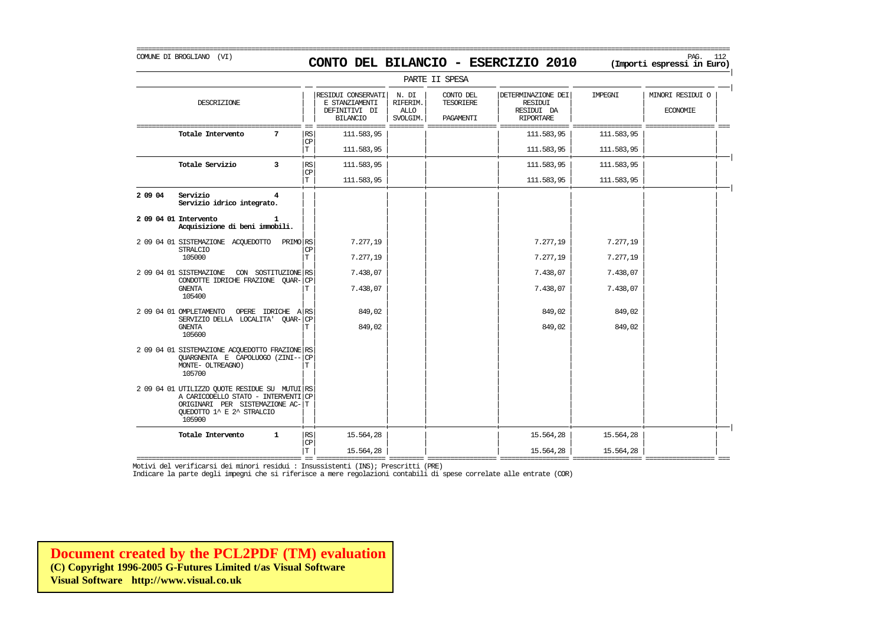# COMUNE DI BROGLIANO (VI) PAG. 112 **CONTO DEL BILANCIO - ESERCIZIO 2010 (Importi espressi in Euro)**

===========================================================================================================================================================

|         |                                                                                                                                                                |                 |                                                                          |                                              | PARTE II SPESA                      |                                                                 |            |                                     |
|---------|----------------------------------------------------------------------------------------------------------------------------------------------------------------|-----------------|--------------------------------------------------------------------------|----------------------------------------------|-------------------------------------|-----------------------------------------------------------------|------------|-------------------------------------|
|         | DESCRIZIONE                                                                                                                                                    |                 | RESIDUI CONSERVATI<br>E STANZIAMENTI<br>DEFINITIVI DI<br><b>BILANCIO</b> | N. DI<br>RIFERIM.<br><b>ALLO</b><br>SVOLGIM. | CONTO DEL<br>TESORIERE<br>PAGAMENTI | DETERMINAZIONE DEI<br>RESIDUI<br>RESIDUI DA<br><b>RIPORTARE</b> | IMPEGNI    | MINORI RESIDUI O<br><b>ECONOMIE</b> |
|         | Totale Intervento<br>7                                                                                                                                         | RS<br>CP        | 111.583,95                                                               |                                              |                                     | 111.583,95                                                      | 111.583,95 |                                     |
|         |                                                                                                                                                                | $\mathbf T$     | 111.583,95                                                               |                                              |                                     | 111.583,95                                                      | 111.583,95 |                                     |
|         | Totale Servizio<br>3                                                                                                                                           | RS<br><b>CP</b> | 111.583,95                                                               |                                              |                                     | 111.583,95                                                      | 111.583,95 |                                     |
|         |                                                                                                                                                                | T               | 111.583,95                                                               |                                              |                                     | 111.583,95                                                      | 111.583,95 |                                     |
| 2 09 04 | Servizio<br>4<br>Servizio idrico integrato.                                                                                                                    |                 |                                                                          |                                              |                                     |                                                                 |            |                                     |
|         | 2 09 04 01 Intervento<br>Acquisizione di beni immobili.                                                                                                        |                 |                                                                          |                                              |                                     |                                                                 |            |                                     |
|         | 2 09 04 01 SISTEMAZIONE ACQUEDOTTO<br>PRIMO RS<br><b>STRALCIO</b>                                                                                              | <b>CP</b>       | 7.277,19                                                                 |                                              |                                     | 7.277,19                                                        | 7.277,19   |                                     |
|         | 105000                                                                                                                                                         | T               | 7.277,19                                                                 |                                              |                                     | 7.277,19                                                        | 7.277,19   |                                     |
|         | 2 09 04 01 SISTEMAZIONE<br>CON SOSTITUZIONE RS<br>CONDOTTE IDRICHE FRAZIONE QUAR-CP                                                                            |                 | 7.438,07                                                                 |                                              |                                     | 7.438,07                                                        | 7.438,07   |                                     |
|         | <b>GNENTA</b><br>105400                                                                                                                                        |                 | 7.438,07                                                                 |                                              |                                     | 7.438,07                                                        | 7.438,07   |                                     |
|         | 2 09 04 01 OMPLETAMENTO<br>OPERE IDRICHE A RS<br>SERVIZIO DELLA LOCALITA' QUAR-CP                                                                              |                 | 849,02                                                                   |                                              |                                     | 849,02                                                          | 849,02     |                                     |
|         | <b>GNENTA</b><br>105600                                                                                                                                        | т               | 849,02                                                                   |                                              |                                     | 849,02                                                          | 849,02     |                                     |
|         | 2 09 04 01 SISTEMAZIONE ACQUEDOTTO FRAZIONE RS<br>OUARGNENTA E CAPOLUOGO (ZINI--<br>MONTE- OLTREAGNO)<br>105700                                                | CP              |                                                                          |                                              |                                     |                                                                 |            |                                     |
|         | 2 09 04 01 UTILIZZO QUOTE RESIDUE SU MUTUI RS<br>A CARICODELLO STATO - INTERVENTI CP<br>ORIGINARI PER SISTEMAZIONE AC-T<br>QUEDOTTO 1^ E 2^ STRALCIO<br>105900 |                 |                                                                          |                                              |                                     |                                                                 |            |                                     |
|         | Totale Intervento<br>$\mathbf{1}$                                                                                                                              | RS              | 15.564,28                                                                |                                              |                                     | 15.564,28                                                       | 15.564,28  |                                     |
|         |                                                                                                                                                                | CP<br>T         | 15.564.28                                                                |                                              |                                     | 15.564.28                                                       | 15.564.28  |                                     |

Indicare la parte degli impegni che si riferisce a mere regolazioni contabili di spese correlate alle entrate (COR)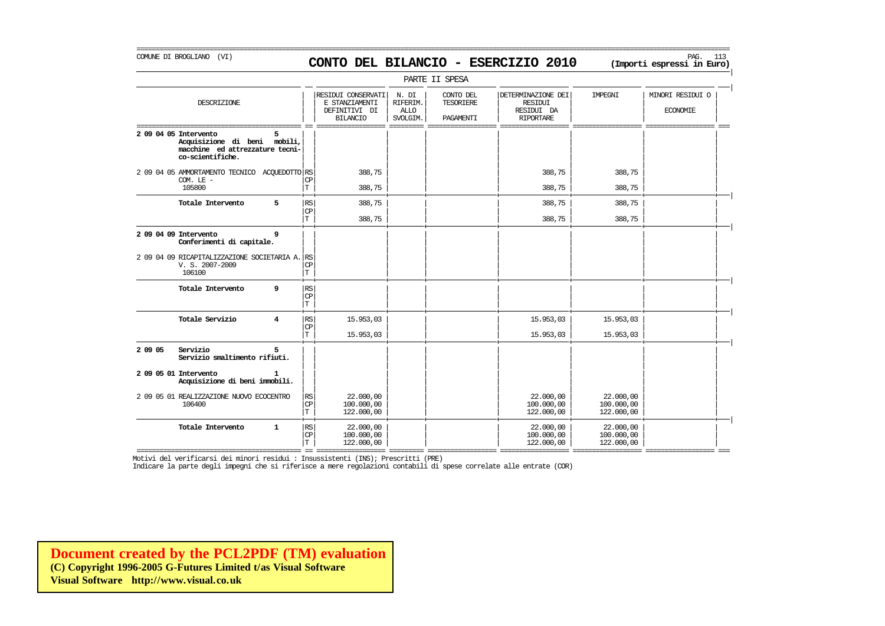# COMUNE DI BROGLIANO (VI) PAG. 113 **CONTO DEL BILANCIO - ESERCIZIO 2010 (Importi espressi in Euro)**

===========================================================================================================================================================

| PARTE II SPESA |                                                                                                              |              |                                   |                                                                          |                                              |                                     |                                                                        |                                       |                                     |  |
|----------------|--------------------------------------------------------------------------------------------------------------|--------------|-----------------------------------|--------------------------------------------------------------------------|----------------------------------------------|-------------------------------------|------------------------------------------------------------------------|---------------------------------------|-------------------------------------|--|
|                | DESCRIZIONE                                                                                                  |              |                                   | RESIDUI CONSERVATI<br>E STANZIAMENTI<br>DEFINITIVI DI<br><b>BILANCIO</b> | N. DI<br>RIFERIM.<br><b>ALLO</b><br>SVOLGIM. | CONTO DEL<br>TESORIERE<br>PAGAMENTI | DETERMINAZIONE DEI<br><b>RESIDUI</b><br>RESIDUI DA<br><b>RIPORTARE</b> | IMPEGNI                               | MINORI RESIDUI O<br><b>ECONOMIE</b> |  |
|                | 2 09 04 05 Intervento<br>Acquisizione di beni mobili,<br>macchine ed attrezzature tecni-<br>co-scientifiche. | 5.           |                                   |                                                                          |                                              |                                     |                                                                        |                                       |                                     |  |
|                | 2 09 04 05 AMMORTAMENTO TECNICO ACQUEDOTTO RS<br>$COM.$ LE $-$                                               |              | CP                                | 388,75                                                                   |                                              |                                     | 388,75                                                                 | 388,75                                |                                     |  |
|                | 105800                                                                                                       |              | T                                 | 388,75                                                                   |                                              |                                     | 388,75                                                                 | 388,75                                |                                     |  |
|                | Totale Intervento                                                                                            | 5            | RS<br>CP                          | 388,75                                                                   |                                              |                                     | 388,75                                                                 | 388,75                                |                                     |  |
|                |                                                                                                              |              | T.                                | 388,75                                                                   |                                              |                                     | 388,75                                                                 | 388,75                                |                                     |  |
|                | 2 09 04 09 Intervento<br>Conferimenti di capitale.                                                           | 9            |                                   |                                                                          |                                              |                                     |                                                                        |                                       |                                     |  |
|                | 2 09 04 09 RICAPITALIZZAZIONE SOCIETARIA A.<br>V. S. 2007-2009<br>106100                                     |              | <b>RS</b><br>CP<br>T              |                                                                          |                                              |                                     |                                                                        |                                       |                                     |  |
|                | Totale Intervento                                                                                            | 9            | RS<br>CP<br>T.                    |                                                                          |                                              |                                     |                                                                        |                                       |                                     |  |
|                | Totale Servizio                                                                                              | 4            | RS<br><b>CP</b>                   | 15.953,03                                                                |                                              |                                     | 15.953,03                                                              | 15.953,03                             |                                     |  |
|                |                                                                                                              |              | T.                                | 15.953,03                                                                |                                              |                                     | 15.953,03                                                              | 15.953,03                             |                                     |  |
| 2 09 05        | Servizio<br>Servizio smaltimento rifiuti.                                                                    | 5            |                                   |                                                                          |                                              |                                     |                                                                        |                                       |                                     |  |
|                | 2 09 05 01 Intervento<br>Acquisizione di beni immobili.                                                      |              |                                   |                                                                          |                                              |                                     |                                                                        |                                       |                                     |  |
|                | 2 09 05 01 REALIZZAZIONE NUOVO ECOCENTRO<br>106400                                                           |              | $\mathbb{R}\mathbb{S}$<br>CP<br>T | 22,000,00<br>100.000,00<br>122,000,00                                    |                                              |                                     | 22,000,00<br>100,000,00<br>122,000,00                                  | 22,000,00<br>100,000,00<br>122,000,00 |                                     |  |
|                | Totale Intervento                                                                                            | $\mathbf{1}$ | $\mathbb{RS}$<br><b>CP</b><br>T   | 22,000,00<br>100,000,00<br>122,000,00                                    |                                              |                                     | 22,000,00<br>100,000,00<br>122,000,00                                  | 22,000,00<br>100.000,00<br>122,000,00 |                                     |  |

Motivi del verificarsi dei minori residui : Insussistenti (INS); Prescritti (PRE)

Indicare la parte degli impegni che si riferisce a mere regolazioni contabili di spese correlate alle entrate (COR)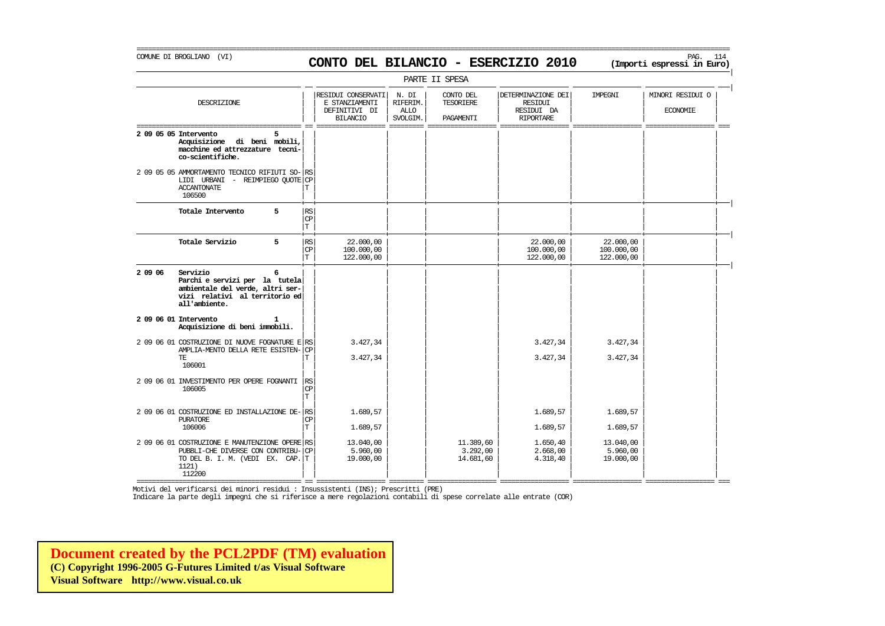# COMUNE DI BROGLIANO (VI) PAG. 114 **CONTO DEL BILANCIO - ESERCIZIO 2010 (Importi espressi in Euro)**

===========================================================================================================================================================

| PARTE II SPESA |                                                                                                                                           |   |                                             |                                                                          |                                              |                                            |                                                                 |                                       |                                     |  |  |
|----------------|-------------------------------------------------------------------------------------------------------------------------------------------|---|---------------------------------------------|--------------------------------------------------------------------------|----------------------------------------------|--------------------------------------------|-----------------------------------------------------------------|---------------------------------------|-------------------------------------|--|--|
|                | DESCRIZIONE                                                                                                                               |   |                                             | RESIDUI CONSERVATI<br>E STANZIAMENTI<br>DEFINITIVI DI<br><b>BILANCIO</b> | N. DI<br>RIFERIM.<br><b>ALLO</b><br>SVOLGIM. | CONTO DEL<br><b>TESORIERE</b><br>PAGAMENTI | DETERMINAZIONE DEI<br>RESIDUI<br>RESIDUI DA<br><b>RIPORTARE</b> | <b>TMPRGNT</b>                        | MINORI RESIDUI O<br><b>ECONOMIE</b> |  |  |
|                | 2 09 05 05 Intervento<br>Acquisizione di beni mobili,<br>macchine ed attrezzature tecni-<br>co-scientifiche.                              | 5 |                                             |                                                                          |                                              |                                            |                                                                 |                                       |                                     |  |  |
|                | 2 09 05 05 AMMORTAMENTO TECNICO RIFIUTI SO- RS<br>LIDI URBANI - REIMPIEGO QUOTE CP<br><b>ACCANTONATE</b><br>106500                        |   | Т                                           |                                                                          |                                              |                                            |                                                                 |                                       |                                     |  |  |
|                | Totale Intervento                                                                                                                         | 5 | RS<br>$\mathbf{C}\mathbf{P}$<br>$\mathbb T$ |                                                                          |                                              |                                            |                                                                 |                                       |                                     |  |  |
|                | Totale Servizio                                                                                                                           | 5 | RS<br>CP<br>İТ                              | 22,000,00<br>100,000,00<br>122.000,00                                    |                                              |                                            | 22,000,00<br>100,000,00<br>122,000,00                           | 22,000,00<br>100.000,00<br>122.000,00 |                                     |  |  |
| 2 09 06        | Servizio<br>Parchi e servizi per la tutela<br>ambientale del verde, altri ser-<br>vizi relativi al territorio ed<br>all'ambiente.         | 6 |                                             |                                                                          |                                              |                                            |                                                                 |                                       |                                     |  |  |
|                | 2 09 06 01 Intervento<br>Acquisizione di beni immobili.                                                                                   |   |                                             |                                                                          |                                              |                                            |                                                                 |                                       |                                     |  |  |
|                | 2 09 06 01 COSTRUZIONE DI NUOVE FOGNATURE E RS<br>AMPLIA-MENTO DELLA RETE ESISTEN-<br>TE.<br>106001                                       |   | <b>CP</b><br>т                              | 3.427,34<br>3.427,34                                                     |                                              |                                            | 3.427,34<br>3.427,34                                            | 3.427,34<br>3.427,34                  |                                     |  |  |
|                | 2 09 06 01 INVESTIMENTO PER OPERE FOGNANTI<br>106005                                                                                      |   | RS<br>CP<br>$\mathbf T$                     |                                                                          |                                              |                                            |                                                                 |                                       |                                     |  |  |
|                | 2 09 06 01 COSTRUZIONE ED INSTALLAZIONE DE-<br><b>PURATORE</b><br>106006                                                                  |   | RS<br>СP<br>Т                               | 1,689,57<br>1,689,57                                                     |                                              |                                            | 1.689,57<br>1.689,57                                            | 1.689,57<br>1.689,57                  |                                     |  |  |
|                | 2 09 06 01 COSTRUZIONE E MANUTENZIONE OPERE RS<br>PUBBLI-CHE DIVERSE CON CONTRIBU-<br>TO DEL B. I. M. (VEDI EX. CAP. T<br>1121)<br>112200 |   | l CP                                        | 13.040,00<br>5.960,00<br>19.000,00                                       |                                              | 11.389,60<br>3.292,00<br>14.681,60         | 1.650,40<br>2.668,00<br>4.318,40                                | 13.040,00<br>5.960,00<br>19.000,00    |                                     |  |  |

=========================================== == ================== ========= ================== ================== ================== ================== === Motivi del verificarsi dei minori residui : Insussistenti (INS); Prescritti (PRE)

Indicare la parte degli impegni che si riferisce a mere regolazioni contabili di spese correlate alle entrate (COR)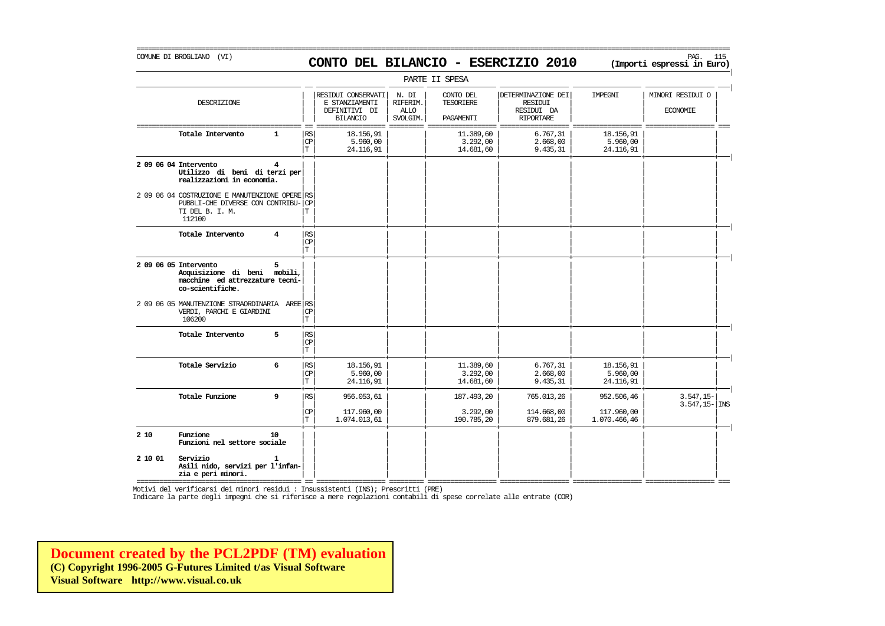# COMUNE DI BROGLIANO (VI) PAG. 115 **CONTO DEL BILANCIO - ESERCIZIO 2010 (Importi espressi in Euro)**

===========================================================================================================================================================

|                       |                                                                                                                 |                    |                                             |                                                                          |                                              | PARTE II SPESA                      |                                                                 |                                    |                                     |
|-----------------------|-----------------------------------------------------------------------------------------------------------------|--------------------|---------------------------------------------|--------------------------------------------------------------------------|----------------------------------------------|-------------------------------------|-----------------------------------------------------------------|------------------------------------|-------------------------------------|
|                       | DESCRIZIONE                                                                                                     |                    |                                             | RESIDUI CONSERVATI<br>E STANZIAMENTI<br>DEFINITIVI DI<br><b>BILANCIO</b> | N. DI<br>RIFERIM.<br><b>ALLO</b><br>SVOLGIM. | CONTO DEL<br>TESORIERE<br>PAGAMENTI | DETERMINAZIONE DEI<br>RESIDUI<br>RESIDUI DA<br><b>RIPORTARE</b> | IMPEGNI                            | MINORI RESIDUI O<br><b>ECONOMIE</b> |
|                       | Totale Intervento                                                                                               | $\mathbf{1}$       | <b>RS</b><br>CP<br>$\mathbf T$              | 18.156,91<br>5.960,00<br>24.116,91                                       |                                              | 11.389,60<br>3.292,00<br>14.681,60  | 6.767,31<br>2.668,00<br>9.435,31                                | 18.156.91<br>5.960,00<br>24.116,91 |                                     |
| 2 09 06 04 Intervento | Utilizzo di beni di terzi per<br>realizzazioni in economia.                                                     | 4                  |                                             |                                                                          |                                              |                                     |                                                                 |                                    |                                     |
|                       | 2 09 06 04 COSTRUZIONE E MANUTENZIONE OPERE RS<br>PUBBLI-CHE DIVERSE CON CONTRIBU-<br>TI DEL B. I. M.<br>112100 |                    | CP<br>Т                                     |                                                                          |                                              |                                     |                                                                 |                                    |                                     |
|                       | Totale Intervento                                                                                               | $\overline{\bf 4}$ | $\mathbb{R}\mathbb{S}$<br>CP<br>$\mathbf T$ |                                                                          |                                              |                                     |                                                                 |                                    |                                     |
| 2 09 06 05 Intervento | Acquisizione di beni mobili,<br>macchine ed attrezzature tecni-<br>co-scientifiche.                             | 5                  |                                             |                                                                          |                                              |                                     |                                                                 |                                    |                                     |
|                       | 2 09 06 05 MANUTENZIONE STRAORDINARIA AREE RS<br>VERDI, PARCHI E GIARDINI<br>106200                             |                    | <b>CP</b><br>$\mathbf T$                    |                                                                          |                                              |                                     |                                                                 |                                    |                                     |
|                       | Totale Intervento                                                                                               | 5                  | RS<br>CP<br>$\mathbf T$                     |                                                                          |                                              |                                     |                                                                 |                                    |                                     |
|                       | Totale Servizio                                                                                                 | 6                  | RS <br>CP<br>T                              | 18.156,91<br>5.960,00<br>24.116,91                                       |                                              | 11.389,60<br>3.292,00<br>14.681,60  | 6.767,31<br>2.668,00<br>9.435,31                                | 18.156,91<br>5.960,00<br>24.116,91 |                                     |
|                       | Totale Funzione                                                                                                 | 9                  | RS                                          | 956.053,61                                                               |                                              | 187.493,20                          | 765.013,26                                                      | 952.506,46                         | $3.547, 15-$<br>$3.547, 15 -$ INS   |
|                       |                                                                                                                 |                    | CP<br>$\mathbf T$                           | 117.960,00<br>1.074.013,61                                               |                                              | 3.292,00<br>190.785,20              | 114.668,00<br>879.681,26                                        | 117.960,00<br>1.070.466,46         |                                     |
| 2 10                  | Funzione<br>Funzioni nel settore sociale                                                                        | 10                 |                                             |                                                                          |                                              |                                     |                                                                 |                                    |                                     |
| 2 10 01               | Servizio<br>Asili nido, servizi per l'infan-<br>zia e peri minori.                                              | 1                  |                                             |                                                                          |                                              |                                     |                                                                 |                                    |                                     |

Motivi del verificarsi dei minori residui : Insussistenti (INS); Prescritti (PRE)

Indicare la parte degli impegni che si riferisce a mere regolazioni contabili di spese correlate alle entrate (COR)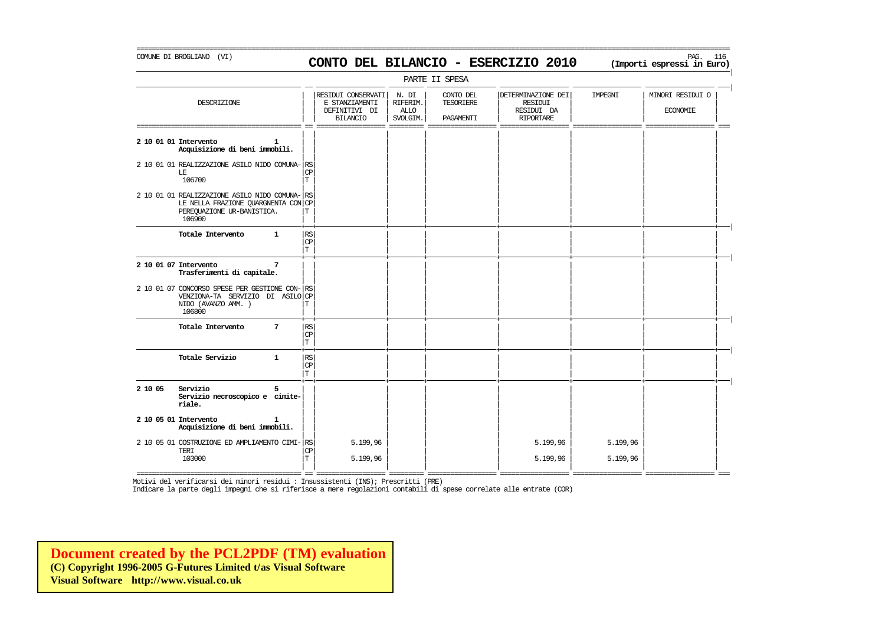# COMUNE DI BROGLIANO (VI) PAG. 116 **CONTO DEL BILANCIO - ESERCIZIO 2010 (Importi espressi in Euro)**

===========================================================================================================================================================

| PARTE II SPESA                                                                                                                |                 |                                              |                                                                          |                                              |                                            |                                                                        |                      |                                     |  |  |  |
|-------------------------------------------------------------------------------------------------------------------------------|-----------------|----------------------------------------------|--------------------------------------------------------------------------|----------------------------------------------|--------------------------------------------|------------------------------------------------------------------------|----------------------|-------------------------------------|--|--|--|
| DESCRIZIONE                                                                                                                   |                 |                                              | RESIDUI CONSERVATI<br>E STANZIAMENTI<br>DEFINITIVI DI<br><b>BILANCIO</b> | N. DI<br>RIFERIM.<br><b>ALLO</b><br>SVOLGIM. | CONTO DEL<br><b>TESORIERE</b><br>PAGAMENTI | DETERMINAZIONE DEI<br><b>RESIDUI</b><br>RESIDUI DA<br><b>RIPORTARE</b> | IMPEGNI              | MINORI RESIDUI O<br><b>ECONOMIE</b> |  |  |  |
| 2 10 01 01 Intervento<br>Acquisizione di beni immobili.                                                                       | 1               |                                              |                                                                          |                                              |                                            |                                                                        |                      |                                     |  |  |  |
| 2 10 01 01 REALIZZAZIONE ASILO NIDO COMUNA-RS<br>LE<br>106700                                                                 |                 | CP<br>$\mathbf T$                            |                                                                          |                                              |                                            |                                                                        |                      |                                     |  |  |  |
| 2 10 01 01 REALIZZAZIONE ASILO NIDO COMUNA- RS<br>LE NELLA FRAZIONE QUARGNENTA CON CP<br>PEREQUAZIONE UR-BANISTICA.<br>106900 |                 | Т                                            |                                                                          |                                              |                                            |                                                                        |                      |                                     |  |  |  |
| Totale Intervento                                                                                                             | $\mathbf{1}$    | RS<br>$\mathbb{C}\mathbb{P}$<br>$\mathbf T$  |                                                                          |                                              |                                            |                                                                        |                      |                                     |  |  |  |
| 2 10 01 07 Intervento<br>Trasferimenti di capitale.                                                                           | $7\phantom{.0}$ |                                              |                                                                          |                                              |                                            |                                                                        |                      |                                     |  |  |  |
| 2 10 01 07 CONCORSO SPESE PER GESTIONE CON-RS<br>VENZIONA-TA SERVIZIO DI ASILO CP<br>NIDO (AVANZO AMM.)<br>106800             |                 | Т                                            |                                                                          |                                              |                                            |                                                                        |                      |                                     |  |  |  |
| Totale Intervento                                                                                                             | 7               | RS <br>$\mathbb{C}\mathbb{P}$<br>$\mathbf T$ |                                                                          |                                              |                                            |                                                                        |                      |                                     |  |  |  |
| Totale Servizio                                                                                                               | $\mathbf{1}$    | RS <br>$\mathbb{C}\mathbb{P}$<br>$\mathbf T$ |                                                                          |                                              |                                            |                                                                        |                      |                                     |  |  |  |
| 2 10 05<br>Servizio<br>Servizio necroscopico e cimite-<br>riale.                                                              | 5               |                                              |                                                                          |                                              |                                            |                                                                        |                      |                                     |  |  |  |
| 2 10 05 01 Intervento<br>Acquisizione di beni immobili.                                                                       | 1               |                                              |                                                                          |                                              |                                            |                                                                        |                      |                                     |  |  |  |
| 2 10 05 01 COSTRUZIONE ED AMPLIAMENTO CIMI- RS<br>TERI<br>103000                                                              |                 | CP<br>Т                                      | 5.199,96<br>5.199,96                                                     |                                              |                                            | 5.199,96<br>5.199,96                                                   | 5.199,96<br>5.199,96 |                                     |  |  |  |

Motivi del verificarsi dei minori residui : Insussistenti (INS); Prescritti (PRE)

Indicare la parte degli impegni che si riferisce a mere regolazioni contabili di spese correlate alle entrate (COR)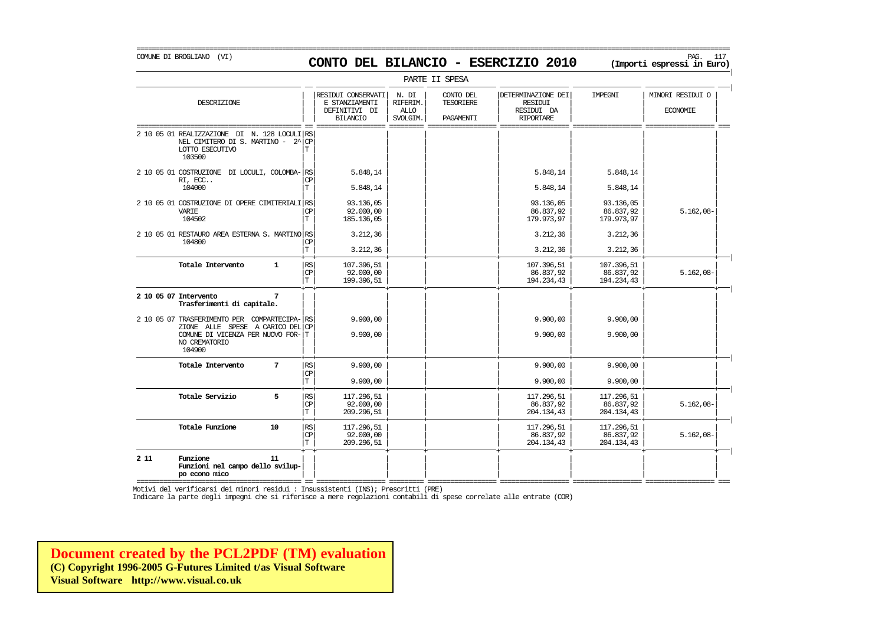# COMUNE DI BROGLIANO (VI) PAG. 117 **CONTO DEL BILANCIO - ESERCIZIO 2010 (Importi espressi in Euro)**

|                                                                                                                                                  | PARTE II SPESA   |                                               |                                                                          |                                              |                                                   |                                                                        |                                       |                                     |  |  |  |  |
|--------------------------------------------------------------------------------------------------------------------------------------------------|------------------|-----------------------------------------------|--------------------------------------------------------------------------|----------------------------------------------|---------------------------------------------------|------------------------------------------------------------------------|---------------------------------------|-------------------------------------|--|--|--|--|
| DESCRIZIONE                                                                                                                                      |                  |                                               | RESIDUI CONSERVATI<br>E STANZIAMENTI<br>DEFINITIVI DI<br><b>BILANCIO</b> | N. DI<br>RIFERIM.<br><b>ALLO</b><br>SVOLGIM. | CONTO DEL<br><b>TESORIERE</b><br><b>PAGAMENTT</b> | DETERMINAZIONE DEI<br><b>RESIDUI</b><br>RESIDUI DA<br><b>RIPORTARE</b> | <b>TMPRGNT</b>                        | MINORI RESIDUI O<br><b>ECONOMIE</b> |  |  |  |  |
| 2 10 05 01 REALIZZAZIONE<br>DI<br>NEL CIMITERO DI S. MARTINO - $2^{\wedge}$<br>LOTTO ESECUTIVO<br>103500                                         | N. 128 LOCULI RS | <b>CP</b><br>Т                                |                                                                          |                                              |                                                   |                                                                        |                                       |                                     |  |  |  |  |
| 2 10 05 01 COSTRUZIONE DI LOCULI, COLOMBA- RS<br>RI, ECC<br>104000                                                                               |                  | СP<br>T                                       | 5.848.14<br>5.848.14                                                     |                                              |                                                   | 5.848,14<br>5.848,14                                                   | 5.848,14<br>5.848,14                  |                                     |  |  |  |  |
| 2 10 05 01 COSTRUZIONE DI OPERE CIMITERIALI RS<br><b>VARTE</b><br>104502                                                                         |                  | CP<br>T.                                      | 93.136,05<br>92,000,00<br>185.136,05                                     |                                              |                                                   | 93.136,05<br>86.837,92<br>179.973,97                                   | 93.136,05<br>86.837,92<br>179.973,97  | $5.162,08-$                         |  |  |  |  |
| 2 10 05 01 RESTAURO AREA ESTERNA S. MARTINO RS<br>104800                                                                                         |                  | СP<br>$\mathbf T$                             | 3.212,36<br>3.212,36                                                     |                                              |                                                   | 3.212,36<br>3.212,36                                                   | 3.212,36<br>3.212,36                  |                                     |  |  |  |  |
| Totale Intervento                                                                                                                                | $\mathbf{1}$     | RS<br>CP<br>$\mathbf T$                       | 107.396,51<br>92.000,00<br>199.396,51                                    |                                              |                                                   | 107.396,51<br>86.837,92<br>194.234,43                                  | 107.396,51<br>86.837,92<br>194.234,43 | $5.162,08-$                         |  |  |  |  |
| 2 10 05 07 Intervento<br>Trasferimenti di capitale.                                                                                              | 7                |                                               |                                                                          |                                              |                                                   |                                                                        |                                       |                                     |  |  |  |  |
| 2 10 05 07 TRASFERIMENTO PER COMPARTECIPA-RS<br>ZIONE ALLE SPESE A CARICO DEL CP<br>COMUNE DI VICENZA PER NUOVO FOR-T<br>NO CREMATORIO<br>104900 |                  |                                               | 9,900,00<br>9.900,00                                                     |                                              |                                                   | 9.900,00<br>9.900,00                                                   | 9.900,00<br>9.900,00                  |                                     |  |  |  |  |
| Totale Intervento                                                                                                                                | $7\phantom{.0}$  | RS<br>$\mathbb{C}\mathbb{P}$<br>$\mathbf T$   | 9,900,00<br>9.900,00                                                     |                                              |                                                   | 9.900,00<br>9.900,00                                                   | 9.900,00<br>9.900,00                  |                                     |  |  |  |  |
| Totale Servizio                                                                                                                                  | 5                | $\mathbb{RS}$<br>$\mathrm{CP}$<br>$\mathbf T$ | 117.296,51<br>92.000,00<br>209.296,51                                    |                                              |                                                   | 117.296,51<br>86.837,92<br>204.134,43                                  | 117.296,51<br>86.837,92<br>204.134,43 | $5.162,08-$                         |  |  |  |  |
| Totale Funzione                                                                                                                                  | 10               | RS<br>CP<br>$\mathbf T$                       | 117.296,51<br>92,000,00<br>209.296,51                                    |                                              |                                                   | 117.296,51<br>86.837,92<br>204.134,43                                  | 117.296,51<br>86.837,92<br>204.134,43 | $5.162,08-$                         |  |  |  |  |
| 2 1 1<br>Funzione<br>Funzioni nel campo dello svilup-<br>po econo mico                                                                           | 11               |                                               |                                                                          |                                              |                                                   |                                                                        |                                       |                                     |  |  |  |  |

=========================================== == ================== ========= ================== ================== ================== ================== === Motivi del verificarsi dei minori residui : Insussistenti (INS); Prescritti (PRE)

Indicare la parte degli impegni che si riferisce a mere regolazioni contabili di spese correlate alle entrate (COR)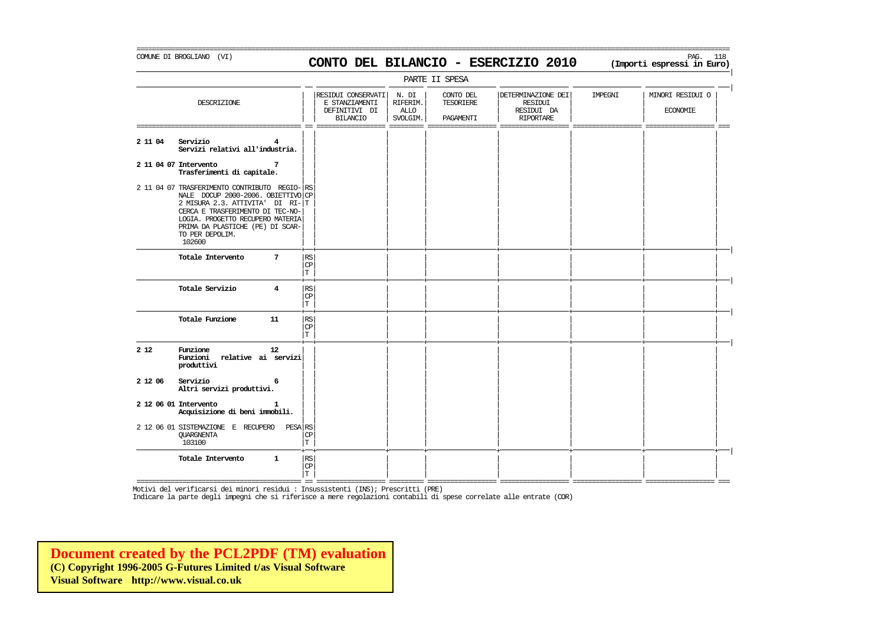## COMUNE DI BROGLIANO (VI) PAG. 118 **CONTO DEL BILANCIO - ESERCIZIO 2010 (Importi espressi in Euro)**

===========================================================================================================================================================

| PARTE II SPESA                  |                                                                                                                                                                                                                                                    |              |                                                        |                                                                          |                                       |                                     |                                                                        |         |                                     |  |  |
|---------------------------------|----------------------------------------------------------------------------------------------------------------------------------------------------------------------------------------------------------------------------------------------------|--------------|--------------------------------------------------------|--------------------------------------------------------------------------|---------------------------------------|-------------------------------------|------------------------------------------------------------------------|---------|-------------------------------------|--|--|
|                                 | DESCRIZIONE                                                                                                                                                                                                                                        |              |                                                        | RESIDUI CONSERVATI<br>E STANZIAMENTI<br>DEFINITIVI DI<br><b>BILANCIO</b> | N. DI<br>RIFERIM.<br>ALLO<br>SVOLGIM. | CONTO DEL<br>TESORIERE<br>PAGAMENTI | DETERMINAZIONE DEI<br><b>RESIDUI</b><br>RESIDUI DA<br><b>RIPORTARE</b> | IMPEGNI | MINORI RESIDUI O<br><b>ECONOMIE</b> |  |  |
| Servizio<br>2 11 04             | Servizi relativi all'industria.                                                                                                                                                                                                                    | 4            |                                                        |                                                                          |                                       |                                     |                                                                        |         |                                     |  |  |
| 2 11 04 07 Intervento           | Trasferimenti di capitale.                                                                                                                                                                                                                         | 7            |                                                        |                                                                          |                                       |                                     |                                                                        |         |                                     |  |  |
| 102600                          | 2 11 04 07 TRASFERIMENTO CONTRIBUTO REGIO-<br>NALE DOCUP 2000-2006. OBIETTIVO CP<br>2 MISURA 2.3. ATTIVITA' DI RI-T<br>CERCA E TRASFERIMENTO DI TEC-NO-<br>LOGIA. PROGETTO RECUPERO MATERIA<br>PRIMA DA PLASTICHE (PE) DI SCAR-<br>TO PER DEPOLIM. |              | RS.                                                    |                                                                          |                                       |                                     |                                                                        |         |                                     |  |  |
|                                 | Totale Intervento                                                                                                                                                                                                                                  | 7            | $\mathbb{RS}$<br>CP<br>T                               |                                                                          |                                       |                                     |                                                                        |         |                                     |  |  |
|                                 | Totale Servizio                                                                                                                                                                                                                                    | 4            | RS<br>CP<br>T                                          |                                                                          |                                       |                                     |                                                                        |         |                                     |  |  |
|                                 | Totale Funzione                                                                                                                                                                                                                                    | 11           | $\mathbb{R}\mathbb{S}$<br>CP<br>T                      |                                                                          |                                       |                                     |                                                                        |         |                                     |  |  |
| Funzione<br>2 1 2<br>produttivi | Funzioni relative ai servizi                                                                                                                                                                                                                       | 12           |                                                        |                                                                          |                                       |                                     |                                                                        |         |                                     |  |  |
| 2 12 06<br>Servizio             | Altri servizi produttivi.                                                                                                                                                                                                                          | 6            |                                                        |                                                                          |                                       |                                     |                                                                        |         |                                     |  |  |
| 2 12 06 01 Intervento           | Acquisizione di beni immobili.                                                                                                                                                                                                                     |              |                                                        |                                                                          |                                       |                                     |                                                                        |         |                                     |  |  |
| <b>OUARGNENTA</b><br>103100     | 2 12 06 01 SISTEMAZIONE E RECUPERO                                                                                                                                                                                                                 | PESA RS      | <b>CP</b><br>T                                         |                                                                          |                                       |                                     |                                                                        |         |                                     |  |  |
|                                 | Totale Intervento                                                                                                                                                                                                                                  | $\mathbf{1}$ | $\mathbb{R}\mathbb{S}$<br>$\mathbb{C}\mathbb{P}$<br>T. |                                                                          |                                       |                                     |                                                                        |         |                                     |  |  |

=========================================== == ================== ========= ================== ================== ================== ================== === Motivi del verificarsi dei minori residui : Insussistenti (INS); Prescritti (PRE)

Indicare la parte degli impegni che si riferisce a mere regolazioni contabili di spese correlate alle entrate (COR)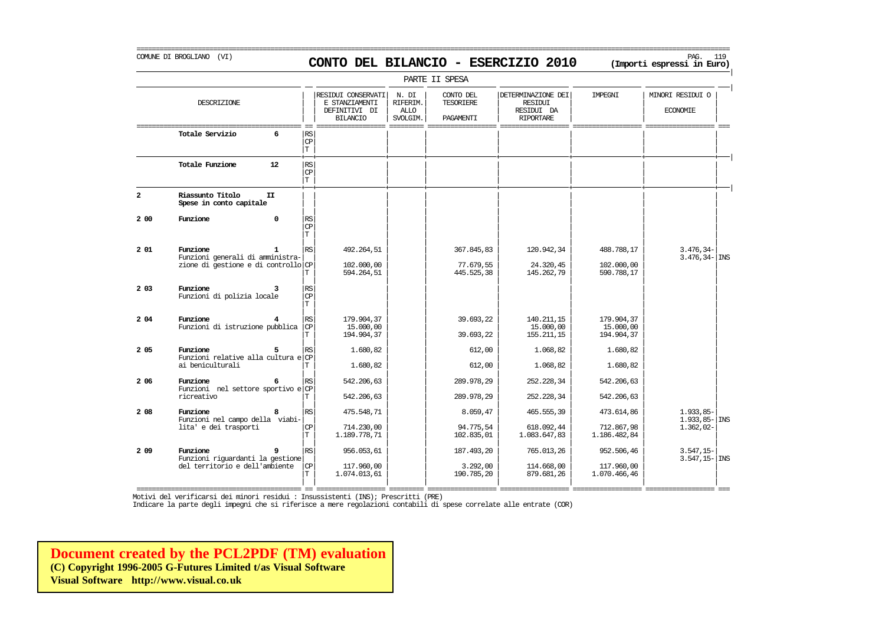# COMUNE DI BROGLIANO (VI) PAG. 119 **CONTO DEL BILANCIO - ESERCIZIO 2010 (Importi espressi in Euro)**

===========================================================================================================================================================

|                | PARTE II SPESA                                      |                                       |                                                                          |                                              |                                     |                                                                 |                                       |                                        |  |  |  |  |
|----------------|-----------------------------------------------------|---------------------------------------|--------------------------------------------------------------------------|----------------------------------------------|-------------------------------------|-----------------------------------------------------------------|---------------------------------------|----------------------------------------|--|--|--|--|
|                | DESCRIZIONE                                         |                                       | RESIDUI CONSERVATI<br>E STANZIAMENTI<br>DEFINITIVI DI<br><b>BILANCIO</b> | N. DI<br>RIFERIM.<br><b>ALLO</b><br>SVOLGIM. | CONTO DEL<br>TESORIERE<br>PAGAMENTI | DETERMINAZIONE DEI<br>RESIDUI<br>RESIDUI DA<br><b>RIPORTARE</b> | IMPEGNI                               | MINORI RESIDUI O<br><b>ECONOMIE</b>    |  |  |  |  |
|                | Totale Servizio<br>6                                | RS<br>$\mathbf{CP}$<br>$\mathbf T$    |                                                                          |                                              |                                     |                                                                 |                                       |                                        |  |  |  |  |
|                | Totale Funzione<br>$12 \overline{ }$                | <b>RS</b><br>CP<br>$\mathbf T$        |                                                                          |                                              |                                     |                                                                 |                                       |                                        |  |  |  |  |
| $\overline{a}$ | Riassunto Titolo<br>II<br>Spese in conto capitale   |                                       |                                                                          |                                              |                                     |                                                                 |                                       |                                        |  |  |  |  |
| 2 00           | Funzione<br>$\Omega$                                | RS<br>$\mathbf{CP}$<br>T.             |                                                                          |                                              |                                     |                                                                 |                                       |                                        |  |  |  |  |
| 201            | Funzione<br>1<br>Funzioni generali di amministra-   | $\mathbb{R}\mathbb{S}$                | 492.264,51                                                               |                                              | 367.845,83                          | 120.942,34                                                      | 488.788,17                            | $3.476, 34-$<br>$3.476, 34 -  $ INS    |  |  |  |  |
|                | zione di gestione e di controllo CP                 | T                                     | 102,000,00<br>594.264,51                                                 |                                              | 77.679,55<br>445.525,38             | 24.320,45<br>145.262,79                                         | 102,000,00<br>590.788,17              |                                        |  |  |  |  |
| 2 0 3          | Funzione<br>Funzioni di polizia locale              | RS<br>$\mathbf{CP}$<br>T.             |                                                                          |                                              |                                     |                                                                 |                                       |                                        |  |  |  |  |
| 2 04           | Funzione<br>Funzioni di istruzione pubblica         | RS<br>l CP<br>T                       | 179.904,37<br>15,000,00<br>194.904,37                                    |                                              | 39.693,22<br>39.693,22              | 140.211,15<br>15,000,00<br>155.211,15                           | 179.904,37<br>15,000,00<br>194.904,37 |                                        |  |  |  |  |
| 2 05           | Funzione<br>Funzioni relative alla cultura e CP     | RS                                    | 1.680,82                                                                 |                                              | 612,00                              | 1,068,82                                                        | 1.680,82                              |                                        |  |  |  |  |
|                | ai beniculturali                                    |                                       | 1,680,82                                                                 |                                              | 612,00                              | 1,068,82                                                        | 1.680,82                              |                                        |  |  |  |  |
| 2 0 6          | Funzione<br>6<br>Funzioni nel settore sportivo e CP | $\mathbb{RS}$                         | 542, 206, 63                                                             |                                              | 289.978,29                          | 252.228,34                                                      | 542.206,63                            |                                        |  |  |  |  |
|                | ricreativo                                          |                                       | 542, 206, 63                                                             |                                              | 289.978,29                          | 252.228.34                                                      | 542.206.63                            |                                        |  |  |  |  |
| 2 08           | Funzione<br>8<br>Funzioni nel campo della viabi-    | $\mathbb{RS}$                         | 475.548,71                                                               |                                              | 8.059,47                            | 465.555,39                                                      | 473.614,86                            | $1.933.85-$<br>$1.933, 85 - \vert$ INS |  |  |  |  |
|                | lita' e dei trasporti                               | $\mathbb{C}\mathbb{P}$<br>$\mathbf T$ | 714,230,00<br>1.189.778,71                                               |                                              | 94.775,54<br>102.835,01             | 618.092,44<br>1.083.647,83                                      | 712.867,98<br>1.186.482,84            | $1.362,02-$                            |  |  |  |  |
| 2 0 9          | Funzione<br>9<br>Funzioni riguardanti la gestione   | RS                                    | 956.053,61                                                               |                                              | 187.493,20                          | 765.013,26                                                      | 952.506,46                            | $3.547, 15-$<br>$3.547, 15 -  $ INS    |  |  |  |  |
|                | del territorio e dell'ambiente                      | CP<br>T.                              | 117.960,00<br>1.074.013,61                                               |                                              | 3.292,00<br>190.785,20              | 114,668,00<br>879.681,26                                        | 117,960,00<br>1.070.466,46            |                                        |  |  |  |  |

=========================================== == ================== ========= ================== ================== ================== ================== ===

Motivi del verificarsi dei minori residui : Insussistenti (INS); Prescritti (PRE)

Indicare la parte degli impegni che si riferisce a mere regolazioni contabili di spese correlate alle entrate (COR)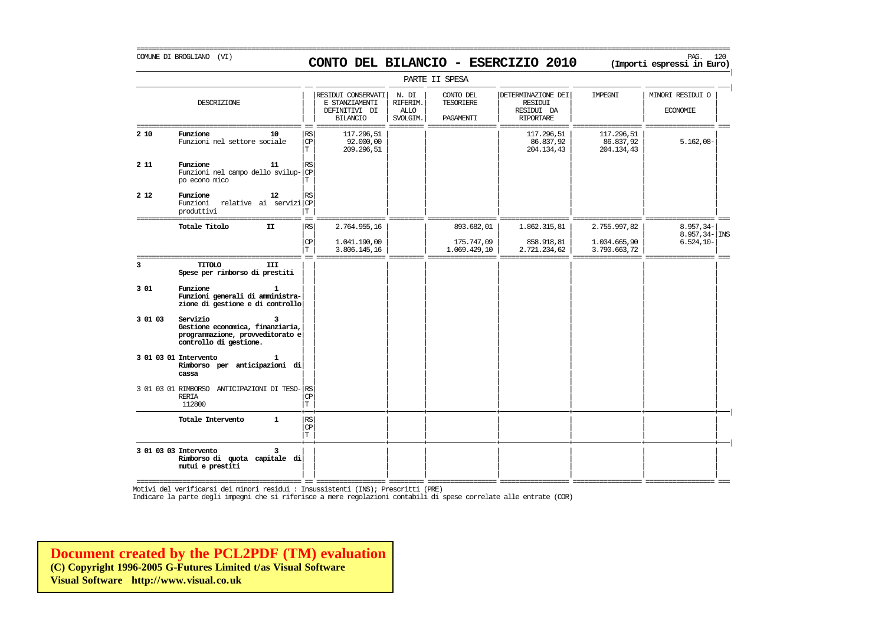# COMUNE DI BROGLIANO (VI) PAG. 120 **CONTO DEL BILANCIO - ESERCIZIO 2010 (Importi espressi in Euro)**

===========================================================================================================================================================

|         |                                                                                                            |                                   |                                                                          |                                              | PARTE II SPESA                             |                                                                        |                                       |                                     |
|---------|------------------------------------------------------------------------------------------------------------|-----------------------------------|--------------------------------------------------------------------------|----------------------------------------------|--------------------------------------------|------------------------------------------------------------------------|---------------------------------------|-------------------------------------|
|         | DESCRIZIONE                                                                                                |                                   | RESIDUI CONSERVATI<br>E STANZIAMENTI<br>DEFINITIVI DI<br><b>BILANCIO</b> | N. DI<br>RIFERIM.<br><b>ALLO</b><br>SVOLGIM. | CONTO DEL<br><b>TESORIERE</b><br>PAGAMENTI | DETERMINAZIONE DEI<br><b>RESIDUI</b><br>RESIDUI DA<br><b>RIPORTARE</b> | <b>TMPRGNT</b>                        | MINORI RESIDUI O<br><b>ECONOMIE</b> |
| 2 10    | Funzione<br>10<br>Funzioni nel settore sociale                                                             | RS<br>CP<br>$\mathbf T$           | 117.296,51<br>92.000,00<br>209.296,51                                    |                                              |                                            | 117.296,51<br>86.837,92<br>204.134,43                                  | 117.296,51<br>86.837,92<br>204.134,43 | $5.162,08-$                         |
| 2 1 1   | Funzione<br>11<br>Funzioni nel campo dello svilup-<br>po econo mico                                        | $\mathbb{R}\mathbb{S}$<br>CP<br>T |                                                                          |                                              |                                            |                                                                        |                                       |                                     |
| 2 1 2   | Funzione<br>12<br>Funzioni relative ai serviziCP<br>produttivi                                             | RS<br>T                           |                                                                          |                                              |                                            |                                                                        |                                       |                                     |
|         | Totale Titolo<br>II                                                                                        | RS.                               | 2.764.955,16                                                             |                                              | 893.682,01                                 | 1.862.315,81                                                           | 2.755.997,82                          | $8.957, 34-$<br>$8.957, 34 -  $ INS |
|         |                                                                                                            | $\mathbf{CP}$<br>Т                | 1.041.190,00<br>3.806.145,16                                             |                                              | 175.747,09<br>1.069.429,10                 | 858.918,81<br>2.721.234,62                                             | 1.034.665,90<br>3.790.663,72          | $6.524, 10-$                        |
| 3       | <b>TITOLO</b><br>III<br>Spese per rimborso di prestiti                                                     |                                   |                                                                          |                                              |                                            |                                                                        |                                       |                                     |
| 301     | Funzione<br>Funzioni generali di amministra-<br>zione di gestione e di controllo                           |                                   |                                                                          |                                              |                                            |                                                                        |                                       |                                     |
| 3 01 03 | Servizio<br>Gestione economica, finanziaria,<br>programmazione, provveditorato e<br>controllo di gestione. |                                   |                                                                          |                                              |                                            |                                                                        |                                       |                                     |
|         | 3 01 03 01 Intervento<br>Rimborso per anticipazioni di<br>cassa                                            |                                   |                                                                          |                                              |                                            |                                                                        |                                       |                                     |
|         | 3 01 03 01 RIMBORSO ANTICIPAZIONI DI TESO- RS<br><b>RERIA</b><br>112800                                    | $\mathbf{CP}$<br>T                |                                                                          |                                              |                                            |                                                                        |                                       |                                     |
|         | Totale Intervento<br>$\mathbf{1}$                                                                          | RS<br>$\mathbf{CP}$<br>T.         |                                                                          |                                              |                                            |                                                                        |                                       |                                     |
|         | 3 01 03 03 Intervento<br>3<br>Rimborso di quota capitale di<br>mutui e prestiti                            |                                   |                                                                          |                                              |                                            |                                                                        |                                       |                                     |

=========================================== == ================== ========= ================== ================== ================== ================== ===

Motivi del verificarsi dei minori residui : Insussistenti (INS); Prescritti (PRE)

Indicare la parte degli impegni che si riferisce a mere regolazioni contabili di spese correlate alle entrate (COR)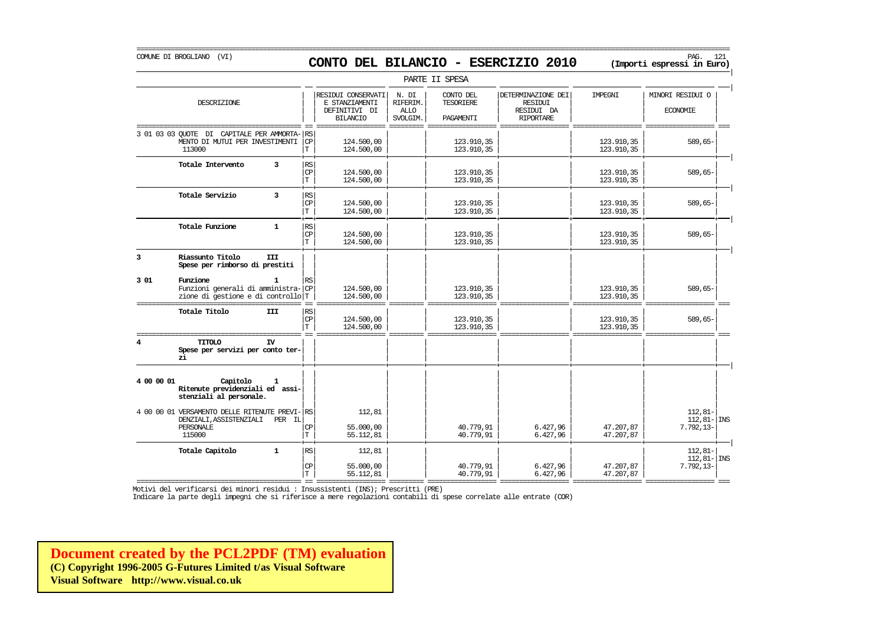|                  |                                                                                                            |                                    |                                                                          |                                              | PARTE II SPESA                             |                                                                        |                          |                                                |
|------------------|------------------------------------------------------------------------------------------------------------|------------------------------------|--------------------------------------------------------------------------|----------------------------------------------|--------------------------------------------|------------------------------------------------------------------------|--------------------------|------------------------------------------------|
|                  | DESCRIZIONE                                                                                                |                                    | RESIDUI CONSERVATI<br>E STANZIAMENTI<br>DEFINITIVI DI<br><b>BILANCIO</b> | N. DI<br>RIFERIM.<br><b>ALLO</b><br>SVOLGIM. | CONTO DEL<br><b>TESORIERE</b><br>PAGAMENTI | DETERMINAZIONE DEI<br><b>RESIDUI</b><br>RESIDUI DA<br><b>RIPORTARE</b> | IMPEGNI                  | MINORI RESIDUI O<br><b>ECONOMIE</b>            |
| 3 01 03 03 OUOTE | DI CAPITALE PER AMMORTA-<br>MENTO DI MUTUI PER INVESTIMENTI<br>113000                                      | RS<br>$\mathbf{CP}$<br>IТ          | 124.500,00<br>124.500,00                                                 |                                              | 123.910,35<br>123.910,35                   |                                                                        | 123.910,35<br>123.910,35 | 589,65-                                        |
|                  | Totale Intervento<br>3                                                                                     | RS<br><b>CP</b><br>$\mathbf T$     | 124,500,00<br>124,500,00                                                 |                                              | 123.910,35<br>123.910,35                   |                                                                        | 123.910,35<br>123.910,35 | $589,65-$                                      |
|                  | Totale Servizio<br>$\overline{\mathbf{3}}$                                                                 | RS<br>CP<br>T.                     | 124.500,00<br>124.500,00                                                 |                                              | 123.910,35<br>123.910,35                   |                                                                        | 123.910,35<br>123.910,35 | $589,65-$                                      |
|                  | $\mathbf{1}$<br>Totale Funzione                                                                            | RS<br>CP<br>T.                     | 124.500,00<br>124,500,00                                                 |                                              | 123.910,35<br>123.910,35                   |                                                                        | 123.910,35<br>123.910,35 | $589,65-$                                      |
| 3                | Riassunto Titolo<br><b>III</b><br>Spese per rimborso di prestiti                                           |                                    |                                                                          |                                              |                                            |                                                                        |                          |                                                |
| 3 01             | Funzione<br>1<br>Funzioni generali di amministra- CP<br>zione di gestione e di controllo T                 | RS                                 | 124,500,00<br>124.500,00                                                 |                                              | 123.910,35<br>123.910,35                   |                                                                        | 123.910,35<br>123.910,35 | 589,65-                                        |
|                  | Totale Titolo<br>III                                                                                       | RS<br>CP<br>Т                      | 124.500,00<br>124.500,00                                                 |                                              | 123.910,35<br>123.910,35                   |                                                                        | 123.910,35<br>123.910,35 | $589,65-$                                      |
| 4                | TITOLO<br>IV<br>Spese per servizi per conto ter-<br>zi                                                     |                                    |                                                                          |                                              |                                            |                                                                        |                          |                                                |
| 4 00 00 01       | Capitolo<br>1<br>Ritenute previdenziali ed assi-<br>stenziali al personale.                                |                                    |                                                                          |                                              |                                            |                                                                        |                          |                                                |
|                  | 4 00 00 01 VERSAMENTO DELLE RITENUTE PREVI- RS<br>DENZIALI, ASSISTENZIALI<br>PER IL<br>PERSONALE<br>115000 | CP<br>IТ                           | 112,81<br>55.000,00<br>55.112,81                                         |                                              | 40.779,91<br>40.779,91                     | 6.427,96<br>6.427,96                                                   | 47.207,87<br>47.207,87   | $112,81-$<br>$112, 81 -  $ INS<br>$7.792, 13-$ |
|                  | $\mathbf{1}$<br>Totale Capitolo                                                                            | $\mathbb{R}\mathbb{S}$<br>CP<br>Iт | 112,81<br>55,000,00<br>55.112,81                                         |                                              | 40.779,91<br>40.779,91                     | 6.427,96<br>6.427,96                                                   | 47.207,87<br>47.207,87   | $112.81 -$<br>$112, 81 -$ INS<br>$7.792, 13-$  |

=========================================== == ================== ========= ================== ================== ================== ================== === Motivi del verificarsi dei minori residui : Insussistenti (INS); Prescritti (PRE)

Indicare la parte degli impegni che si riferisce a mere regolazioni contabili di spese correlate alle entrate (COR)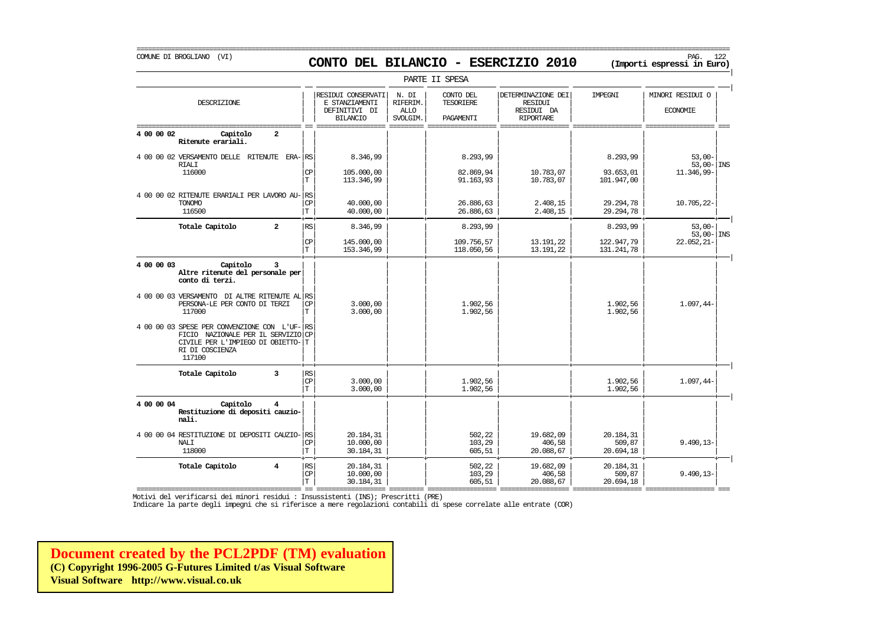# COMUNE DI BROGLIANO (VI) PAG. 122 **CONTO DEL BILANCIO - ESERCIZIO 2010 (Importi espressi in Euro)**

|                                                                                                                                                  |                                   |                                                                          |                                              | PARTE II SPESA                      |                                                                        |                                     |                                                |  |
|--------------------------------------------------------------------------------------------------------------------------------------------------|-----------------------------------|--------------------------------------------------------------------------|----------------------------------------------|-------------------------------------|------------------------------------------------------------------------|-------------------------------------|------------------------------------------------|--|
| DESCRIZIONE                                                                                                                                      |                                   | RESIDUI CONSERVATI<br>E STANZIAMENTI<br>DEFINITIVI DI<br><b>BILANCIO</b> | N. DI<br>RIFERIM.<br><b>ALLO</b><br>SVOLGIM. | CONTO DEL<br>TESORIERE<br>PAGAMENTI | DETERMINAZIONE DEI<br><b>RESIDUI</b><br>RESIDUI DA<br><b>RIPORTARE</b> | IMPEGNI                             | MINORI RESIDUI O<br><b>ECONOMIE</b>            |  |
| 4 00 00 02<br>$\overline{a}$<br>Capitolo<br>Ritenute erariali.                                                                                   |                                   |                                                                          |                                              |                                     |                                                                        |                                     |                                                |  |
| 4 00 00 02 VERSAMENTO DELLE RITENUTE<br><b>RIALI</b><br>116000                                                                                   | ERA-IRS<br>СP<br>$\mathbf T$      | 8.346,99<br>105.000,00<br>113.346,99                                     |                                              | 8.293,99<br>82.869,94<br>91.163,93  | 10.783,07<br>10.783,07                                                 | 8.293,99<br>93.653,01<br>101.947,00 | $53.00 -$<br>$53,00 - \vert$ INS<br>11.346,99- |  |
| 4 00 00 02 RITENUTE ERARIALI PER LAVORO AU-<br><b>TONOMO</b><br>116500                                                                           | RS<br><b>CP</b><br>IТ             | 40,000,00<br>40.000,00                                                   |                                              | 26.886,63<br>26.886,63              | 2.408,15<br>2.408,15                                                   | 29.294,78<br>29.294,78              | 10.705,22-                                     |  |
| Totale Capitolo<br>$\overline{a}$                                                                                                                | <b>RS</b>                         | 8.346,99                                                                 |                                              | 8.293,99                            |                                                                        | 8.293,99                            | $53,00-$<br>$53,00 -  $ INS                    |  |
|                                                                                                                                                  | CP<br>T                           | 145.000,00<br>153.346,99                                                 |                                              | 109.756,57<br>118.050,56            | 13.191,22<br>13.191,22                                                 | 122.947,79<br>131.241,78            | $22.052, 21 -$                                 |  |
| 4 00 00 03<br>Capitolo<br>3<br>Altre ritenute del personale per<br>conto di terzi.                                                               |                                   |                                                                          |                                              |                                     |                                                                        |                                     |                                                |  |
| 4 00 00 03 VERSAMENTO DI ALTRE RITENUTE AL RS<br>PERSONA-LE PER CONTO DI TERZI<br>117000                                                         | СP<br>T                           | 3.000,00<br>3.000,00                                                     |                                              | 1.902,56<br>1.902,56                |                                                                        | 1.902,56<br>1.902,56                | 1.097,44-                                      |  |
| 4 00 00 03 SPESE PER CONVENZIONE CON L'UF-RS<br>FICIO NAZIONALE PER IL SERVIZIO<br>CIVILE PER L'IMPIEGO DI OBIETTO-<br>RI DI COSCIENZA<br>117100 | CP<br>ΙT                          |                                                                          |                                              |                                     |                                                                        |                                     |                                                |  |
| $\overline{3}$<br>Totale Capitolo                                                                                                                | RS<br>CP<br>İΤ                    | 3,000,00<br>3.000,00                                                     |                                              | 1.902,56<br>1.902,56                |                                                                        | 1.902,56<br>1.902,56                | $1.097, 44-$                                   |  |
| 4 00 00 04<br>Capitolo<br>$\overline{4}$<br>Restituzione di depositi cauzio-<br>nali.                                                            |                                   |                                                                          |                                              |                                     |                                                                        |                                     |                                                |  |
| 4 00 00 04 RESTITUZIONE DI DEPOSITI CAUZIO- RS<br><b>NALT</b><br>118000                                                                          | CP<br>Гl                          | 20.184,31<br>10.000,00<br>30.184,31                                      |                                              | 502,22<br>103,29<br>605,51          | 19.682,09<br>406,58<br>20.088,67                                       | 20.184,31<br>509,87<br>20.694,18    | $9.490, 13 -$                                  |  |
| Totale Capitolo<br>$\overline{4}$                                                                                                                | RS<br>$\mathbf{C}\mathbf{P}$<br>T | 20.184,31<br>10,000,00<br>30.184,31                                      |                                              | 502,22<br>103,29<br>605,51          | 19.682,09<br>406,58<br>20.088,67                                       | 20.184,31<br>509,87<br>20.694,18    | $9.490, 13 -$                                  |  |

=========================================== == ================== ========= ================== ================== ================== ================== === Motivi del verificarsi dei minori residui : Insussistenti (INS); Prescritti (PRE)

Indicare la parte degli impegni che si riferisce a mere regolazioni contabili di spese correlate alle entrate (COR)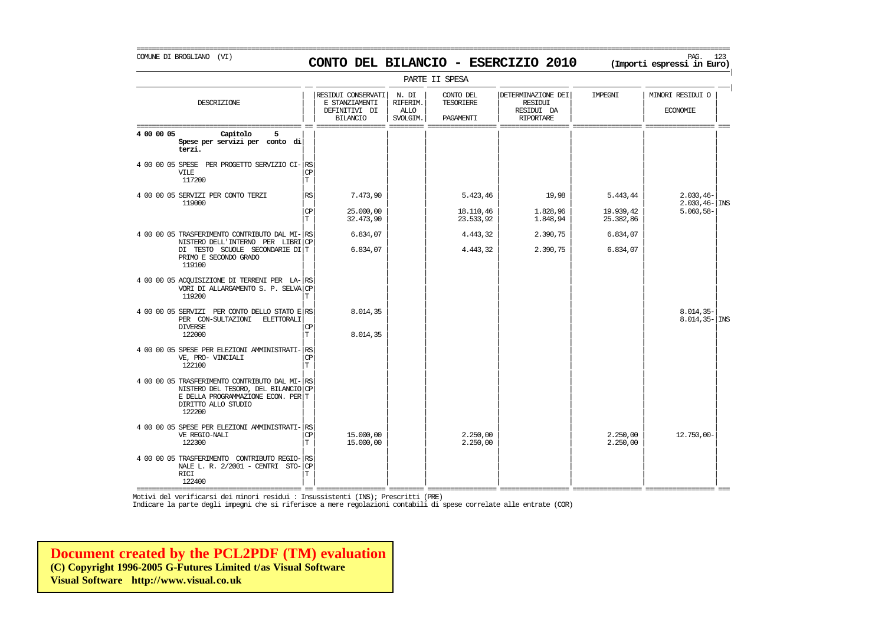# COMUNE DI BROGLIANO (VI) PAG. 123 **CONTO DEL BILANCIO - ESERCIZIO 2010 (Importi espressi in Euro)**

===========================================================================================================================================================

| PARTE II SPESA                                                                                                                                              |                         |                                                                          |                                              |                                            |                                                                        |                        |                                     |  |  |
|-------------------------------------------------------------------------------------------------------------------------------------------------------------|-------------------------|--------------------------------------------------------------------------|----------------------------------------------|--------------------------------------------|------------------------------------------------------------------------|------------------------|-------------------------------------|--|--|
| DESCRIZIONE                                                                                                                                                 |                         | RESIDUI CONSERVATI<br>E STANZIAMENTI<br>DEFINITIVI DI<br><b>BILANCIO</b> | N. DI<br>RIFERIM.<br><b>ALLO</b><br>SVOLGIM. | CONTO DEL<br><b>TESORIERE</b><br>PAGAMENTI | DETERMINAZIONE DEI<br><b>RESIDUI</b><br>RESIDUI DA<br><b>RIPORTARE</b> | IMPEGNI                | MINORI RESIDUI O<br><b>ECONOMIE</b> |  |  |
| 4 00 00 05<br>Capitolo<br>5<br>Spese per servizi per conto di<br>terzi.                                                                                     |                         |                                                                          |                                              |                                            |                                                                        |                        |                                     |  |  |
| 4 00 00 05 SPESE<br>PER PROGETTO SERVIZIO CI-RS<br><b>VILE</b><br>117200                                                                                    | CP<br>$\mathbf T$       |                                                                          |                                              |                                            |                                                                        |                        |                                     |  |  |
| 4 00 00 05 SERVIZI PER CONTO TERZI<br>119000                                                                                                                | RS                      | 7.473,90                                                                 |                                              | 5.423,46                                   | 19,98                                                                  | 5.443,44               | $2.030, 46 -$<br>$2.030, 46 -$ INS  |  |  |
|                                                                                                                                                             | CP<br>$\mathbf T$       | 25.000,00<br>32.473,90                                                   |                                              | 18.110,46<br>23.533,92                     | 1.828,96<br>1.848,94                                                   | 19.939,42<br>25.382,86 | $5.060, 58 -$                       |  |  |
| 4 00 00 05 TRASFERIMENTO CONTRIBUTO DAL MI-RS<br>NISTERO DELL'INTERNO PER LIBRICP                                                                           |                         | 6.834,07                                                                 |                                              | 4.443,32                                   | 2.390,75                                                               | 6.834,07               |                                     |  |  |
| DI TESTO SCUOLE SECONDARIE DI T<br>PRIMO E SECONDO GRADO<br>119100                                                                                          |                         | 6.834,07                                                                 |                                              | 4.443,32                                   | 2.390,75                                                               | 6.834,07               |                                     |  |  |
| 4 00 00 05 ACQUISIZIONE DI TERRENI PER LA- RS<br>VORI DI ALLARGAMENTO S. P. SELVA CP<br>119200                                                              | т                       |                                                                          |                                              |                                            |                                                                        |                        |                                     |  |  |
| 4 00 00 05 SERVIZI PER CONTO DELLO STATO E RS<br>PER CON-SULTAZIONI<br>ELETTORALI<br><b>DIVERSE</b><br>122000                                               | CP<br>$\mathbf T$       | 8.014,35<br>8.014,35                                                     |                                              |                                            |                                                                        |                        | $8.014, 35-$<br>$8.014, 35 -  $ INS |  |  |
| 4 00 00 05 SPESE PER ELEZIONI AMMINISTRATI-<br>VE, PRO- VINCIALI<br>122100                                                                                  | RS<br>CP<br>T           |                                                                          |                                              |                                            |                                                                        |                        |                                     |  |  |
| 4 00 00 05 TRASFERIMENTO CONTRIBUTO DAL MI-RS<br>NISTERO DEL TESORO, DEL BILANCIO CP<br>E DELLA PROGRAMMAZIONE ECON. PER T<br>DIRITTO ALLO STUDIO<br>122200 |                         |                                                                          |                                              |                                            |                                                                        |                        |                                     |  |  |
| 4 00 00 05 SPESE PER ELEZIONI AMMINISTRATI-<br>VE REGIO-NALI<br>122300                                                                                      | RS<br>CP<br>$\mathbf T$ | 15.000,00<br>15.000,00                                                   |                                              | 2.250,00<br>2.250,00                       |                                                                        | 2.250,00<br>2.250,00   | $12.750,00 -$                       |  |  |
| 4 00 00 05 TRASFERIMENTO CONTRIBUTO REGIO-RS<br>NALE L. R. $2/2001$ - CENTRI STO-CP<br><b>RICI</b><br>122400                                                | т                       |                                                                          |                                              |                                            |                                                                        |                        |                                     |  |  |

=========================================== == ================== ========= ================== ================== ================== ================== === Motivi del verificarsi dei minori residui : Insussistenti (INS); Prescritti (PRE)

Indicare la parte degli impegni che si riferisce a mere regolazioni contabili di spese correlate alle entrate (COR)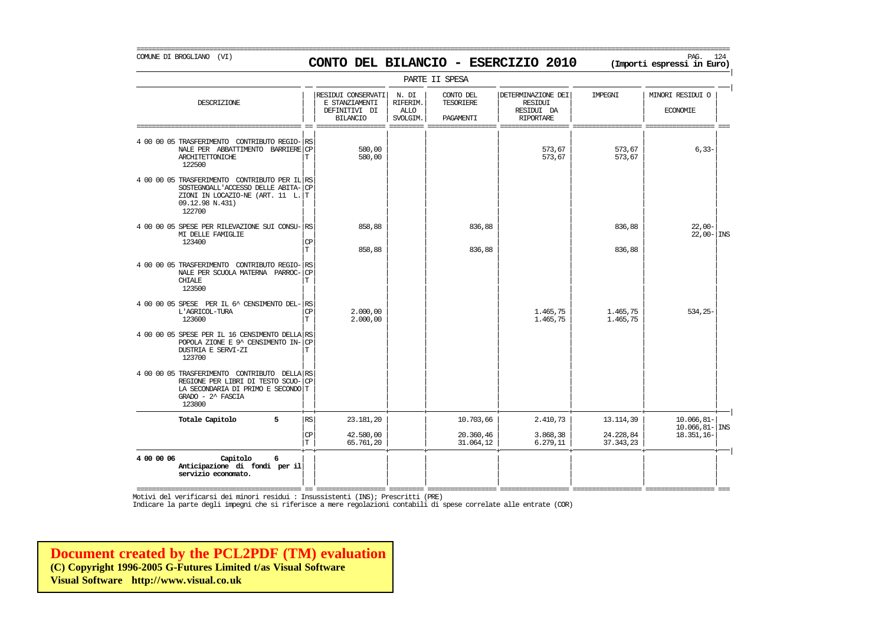COMUNE DI BROGLIANO (VI) PAG. 124 **CONTO DEL BILANCIO - ESERCIZIO 2010 (Importi espressi in Euro)** 

===========================================================================================================================================================

|                                                                                                                                                       |                 |                                                                          |                                              | PARTE II SPESA                      |                                                                 |                        |                                        |
|-------------------------------------------------------------------------------------------------------------------------------------------------------|-----------------|--------------------------------------------------------------------------|----------------------------------------------|-------------------------------------|-----------------------------------------------------------------|------------------------|----------------------------------------|
| DESCRIZIONE                                                                                                                                           |                 | RESIDUI CONSERVATI<br>E STANZIAMENTI<br>DEFINITIVI DI<br><b>BILANCIO</b> | N. DI<br>RIFERIM.<br><b>ALLO</b><br>SVOLGIM. | CONTO DEL<br>TESORIERE<br>PAGAMENTI | DETERMINAZIONE DEI<br>RESIDUI<br>RESIDUI DA<br><b>RIPORTARE</b> | IMPEGNI                | MINORI RESIDUI O<br><b>ECONOMIE</b>    |
| 4 00 00 05 TRASFERIMENTO CONTRIBUTO REGIO-<br>NALE PER ABBATTIMENTO BARRIERE CP<br>ARCHITETTONICHE<br>122500                                          | <b>RS</b><br>T  | 580,00<br>580,00                                                         |                                              |                                     | 573,67<br>573,67                                                | 573,67<br>573,67       | $6, 33-$                               |
| 4 00 00 05 TRASFERIMENTO CONTRIBUTO PER IL RS<br>SOSTEGNOALL'ACCESSO DELLE ABITA-<br>ZIONI IN LOCAZIO-NE (ART. 11 L. T<br>09.12.98 N.431)<br>122700   | l CP            |                                                                          |                                              |                                     |                                                                 |                        |                                        |
| 4 00 00 05 SPESE PER RILEVAZIONE SUI CONSU- RS<br>MI DELLE FAMIGLIE<br>123400                                                                         | СP<br>T         | 858,88                                                                   |                                              | 836,88                              |                                                                 | 836,88                 | $22,00-$<br>$22,00 -  $ INS            |
| 4 00 00 05 TRASFERIMENTO CONTRIBUTO REGIO-<br>NALE PER SCUOLA MATERNA PARROC-<br>CHIALE<br>123500                                                     | l RS<br>CP<br>Т | 858,88                                                                   |                                              | 836,88                              |                                                                 | 836,88                 |                                        |
| 4 00 00 05 SPESE PER IL 6^ CENSIMENTO DEL- RS<br>L'AGRICOL-TURA<br>123600                                                                             | <b>CP</b><br>T  | 2.000.00<br>2.000,00                                                     |                                              |                                     | 1.465,75<br>1.465,75                                            | 1.465,75<br>1.465,75   | $534.25 -$                             |
| 4 00 00 05 SPESE PER IL 16 CENSIMENTO DELLA RS<br>POPOLA ZIONE E 9^ CENSIMENTO IN-<br>DUSTRIA E SERVI-ZI<br>123700                                    | <b>CP</b><br>Т  |                                                                          |                                              |                                     |                                                                 |                        |                                        |
| 4 00 00 05 TRASFERIMENTO CONTRIBUTO DELLA RS<br>REGIONE PER LIBRI DI TESTO SCUO-<br>LA SECONDARIA DI PRIMO E SECONDO T<br>GRADO - 2^ FASCIA<br>123800 | CP              |                                                                          |                                              |                                     |                                                                 |                        |                                        |
| 5<br>Totale Capitolo                                                                                                                                  | <b>RS</b>       | 23.181,20                                                                |                                              | 10.703,66                           | 2.410,73                                                        | 13.114,39              | $10.066, 81 -$<br>$10.066, 81 -  $ INS |
|                                                                                                                                                       | CP<br>Iт        | 42.580,00<br>65.761,20                                                   |                                              | 20.360,46<br>31.064,12              | 3.868,38<br>6.279, 11                                           | 24.228,84<br>37.343,23 | 18.351,16-                             |
| Capitolo<br>6<br>4 00 00 06<br>Anticipazione di fondi per il<br>servizio economato.                                                                   |                 |                                                                          |                                              |                                     |                                                                 |                        |                                        |

=========================================== == ================== ========= ================== ================== ================== ================== === Motivi del verificarsi dei minori residui : Insussistenti (INS); Prescritti (PRE)

Indicare la parte degli impegni che si riferisce a mere regolazioni contabili di spese correlate alle entrate (COR)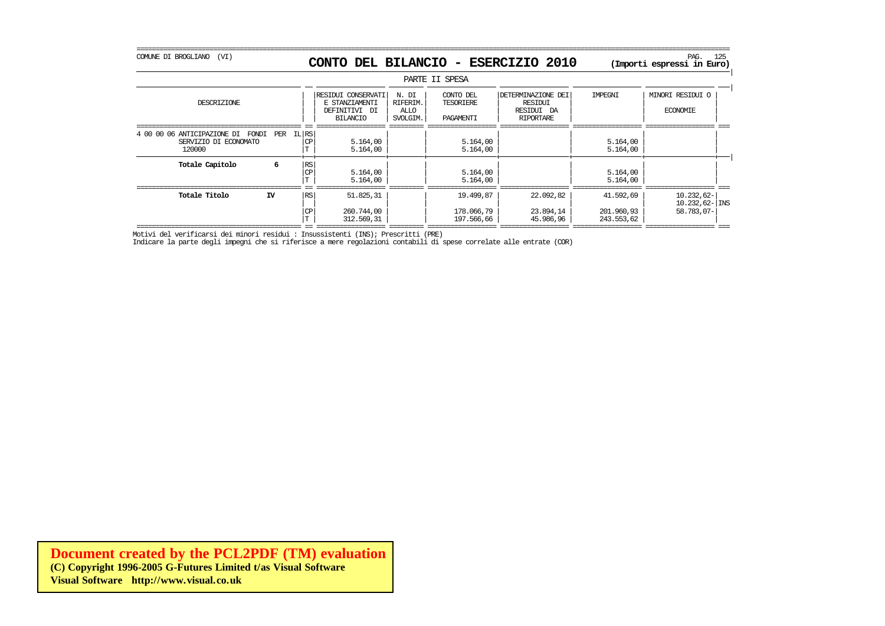## COMUNE DI BROGLIANO (VI) PAG. 125 **CONTO DEL BILANCIO - ESERCIZIO 2010 (Importi espressi in Euro)**

|                                                                         |     |                  |                                                                          |                                       | PARTE II SPESA                             |                                                                 |                                       |                                                 |
|-------------------------------------------------------------------------|-----|------------------|--------------------------------------------------------------------------|---------------------------------------|--------------------------------------------|-----------------------------------------------------------------|---------------------------------------|-------------------------------------------------|
| DESCRIZIONE                                                             |     |                  | RESIDUI CONSERVATI<br>E STANZIAMENTI<br>DEFINITIVI DI<br><b>BILANCIO</b> | N. DI<br>RIFERIM.<br>ALLO<br>SVOLGIM. | CONTO DEL<br>TESORIERE<br><b>PAGAMENTT</b> | DETERMINAZIONE DEI<br>RESIDUI<br>RESIDUI DA<br><b>RTPORTARE</b> | IMPEGNI                               | MINORI RESIDUI O<br><b>ECONOMIE</b>             |
| 4 00 00 06 ANTICIPAZIONE DI<br>FONDI<br>SERVIZIO DI ECONOMATO<br>120000 | PER | <b>IL RS</b>     | 5.164,00<br>5.164,00                                                     |                                       | 5.164,00<br>5.164,00                       |                                                                 | 5.164,00<br>5.164,00                  |                                                 |
| Totale Capitolo                                                         |     | <b>IRS</b><br>СP | 5.164,00<br>5.164,00                                                     |                                       | 5.164,00<br>5.164,00                       |                                                                 | 5.164,00<br>5.164,00                  |                                                 |
| Totale Titolo                                                           | IV  | l RS             | 51.825,31<br>260.744,00<br>312.569,31                                    |                                       | 19.499,87<br>178.066,79<br>197.566,66      | 22.092,82<br>23.894,14<br>45.986,96                             | 41.592,69<br>201.960,93<br>243.553,62 | $10.232,62-$<br>$10.232,62$ - INS<br>58.783,07- |

| | | | | | | | T 312.569,31 197.566,66 45.986,96 243.553,62 =========================================== == ================== ========= ================== ================== ================== ================== === Motivi del verificarsi dei minori residui : Insussistenti (INS); Prescritti (PRE)

Indicare la parte degli impegni che si riferisce a mere regolazioni contabili di spese correlate alle entrate (COR)